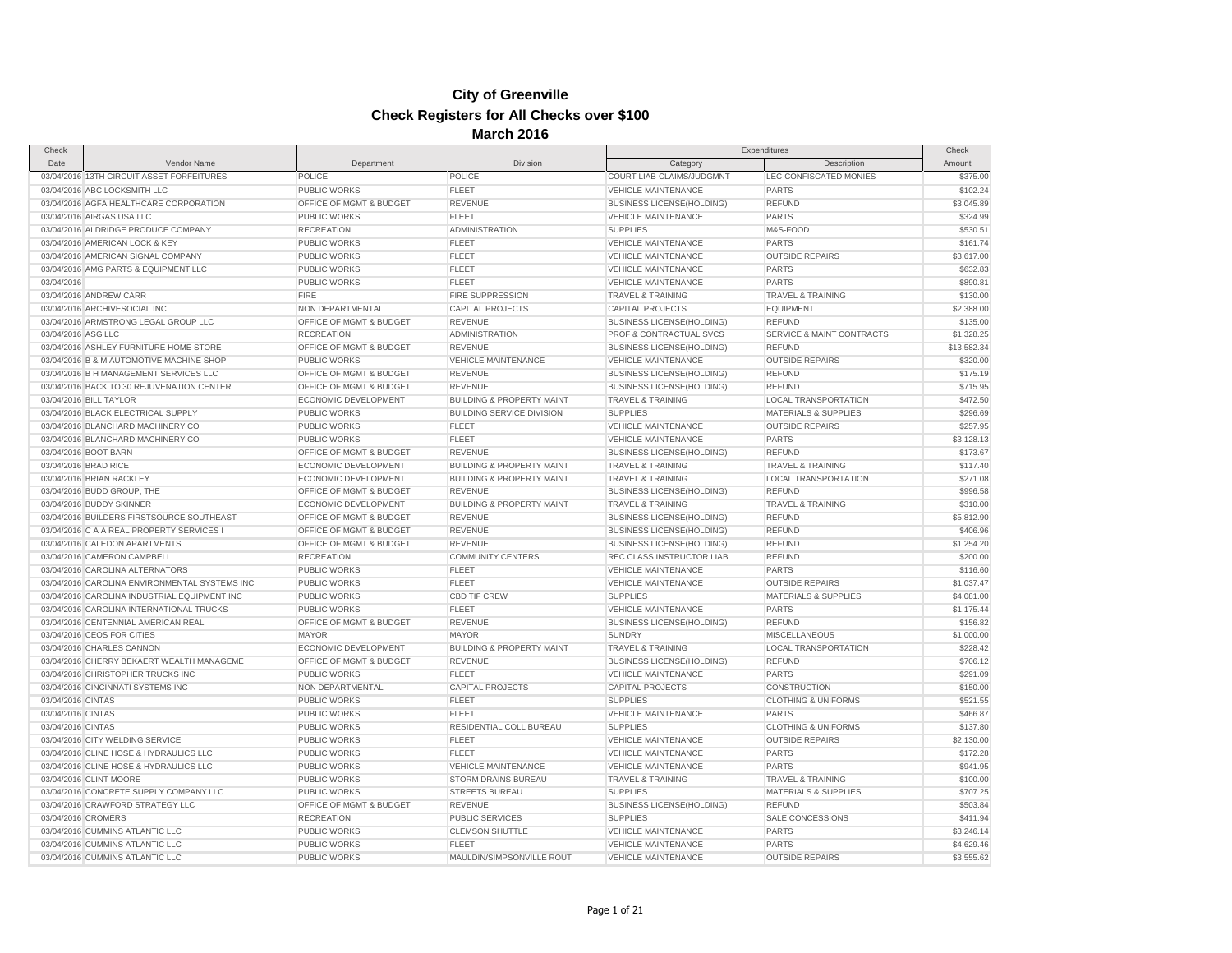| Check              |                                               |                             |                                      |                                    | Expenditures                    | Check                |
|--------------------|-----------------------------------------------|-----------------------------|--------------------------------------|------------------------------------|---------------------------------|----------------------|
| Date               | Vendor Name                                   | Department                  | Division                             | Category                           | Description                     | Amount               |
|                    | 03/04/2016 13TH CIRCUIT ASSET FORFEITURES     | POLICE                      | POLICE                               | COURT LIAB-CLAIMS/JUDGMNT          | LEC-CONFISCATED MONIES          | \$375.00             |
|                    | 03/04/2016 ABC LOCKSMITH LLC                  | PUBLIC WORKS                | <b>FLEET</b>                         | <b>VEHICLE MAINTENANCE</b>         | <b>PARTS</b>                    | \$102.24             |
|                    | 03/04/2016 AGFA HEALTHCARE CORPORATION        | OFFICE OF MGMT & BUDGET     | <b>REVENUE</b>                       | <b>BUSINESS LICENSE(HOLDING)</b>   | <b>REFUND</b>                   | \$3,045.89           |
|                    | 03/04/2016 AIRGAS USA LLC                     | <b>PUBLIC WORKS</b>         | <b>FLEET</b>                         | <b>VEHICLE MAINTENANCE</b>         | <b>PARTS</b>                    | \$324.99             |
|                    | 03/04/2016 ALDRIDGE PRODUCE COMPANY           | <b>RECREATION</b>           | ADMINISTRATION                       | <b>SUPPLIES</b>                    | M&S-FOOD                        | \$530.51             |
|                    | 03/04/2016 AMERICAN LOCK & KEY                | PUBLIC WORKS                | <b>FLEET</b>                         | <b>VEHICLE MAINTENANCE</b>         | <b>PARTS</b>                    | \$161.74             |
|                    | 03/04/2016 AMERICAN SIGNAL COMPANY            | PUBLIC WORKS                | <b>FLEET</b>                         | VEHICLE MAINTENANCE                | <b>OUTSIDE REPAIRS</b>          | \$3,617.00           |
|                    | 03/04/2016 AMG PARTS & EQUIPMENT LLC          | PUBLIC WORKS                | <b>FLEET</b>                         | <b>VEHICLE MAINTENANCE</b>         | <b>PARTS</b>                    | \$632.83             |
| 03/04/2016         |                                               | <b>PUBLIC WORKS</b>         | <b>FLEET</b>                         | <b>VEHICLE MAINTENANCE</b>         | <b>PARTS</b>                    | \$890.81             |
|                    | 03/04/2016 ANDREW CARR                        | <b>FIRE</b>                 | FIRE SUPPRESSION                     | TRAVEL & TRAINING                  | TRAVEL & TRAINING               | \$130.00             |
|                    | 03/04/2016 ARCHIVESOCIAL INC                  | NON DEPARTMENTAL            | <b>CAPITAL PROJECTS</b>              | <b>CAPITAL PROJECTS</b>            | <b>EQUIPMENT</b>                | \$2,388.00           |
|                    | 03/04/2016 ARMSTRONG LEGAL GROUP LLC          | OFFICE OF MGMT & BUDGET     | REVENUE                              | <b>BUSINESS LICENSE(HOLDING)</b>   | <b>REFUND</b>                   | \$135.00             |
| 03/04/2016 ASG LLC |                                               | <b>RECREATION</b>           | <b>ADMINISTRATION</b>                | <b>PROF &amp; CONTRACTUAL SVCS</b> | SERVICE & MAINT CONTRACTS       | \$1,328.25           |
|                    | 03/04/2016 ASHLEY FURNITURE HOME STORE        | OFFICE OF MGMT & BUDGET     | <b>REVENUE</b>                       | <b>BUSINESS LICENSE(HOLDING)</b>   | <b>REFUND</b>                   | \$13,582.34          |
|                    | 03/04/2016 B & M AUTOMOTIVE MACHINE SHOP      | <b>PUBLIC WORKS</b>         | <b>VEHICLE MAINTENANCE</b>           | <b>VEHICLE MAINTENANCE</b>         | <b>OUTSIDE REPAIRS</b>          | \$320.00             |
|                    | 03/04/2016 B H MANAGEMENT SERVICES LLC        | OFFICE OF MGMT & BUDGET     | <b>REVENUE</b>                       | <b>BUSINESS LICENSE(HOLDING)</b>   | <b>REFUND</b>                   | \$175.19             |
|                    | 03/04/2016 BACK TO 30 REJUVENATION CENTER     | OFFICE OF MGMT & BUDGET     | <b>REVENUE</b>                       | <b>BUSINESS LICENSE(HOLDING)</b>   | <b>REFUND</b>                   | \$715.95             |
|                    | 03/04/2016 BILL TAYLOR                        | ECONOMIC DEVELOPMENT        | <b>BUILDING &amp; PROPERTY MAINT</b> | <b>TRAVEL &amp; TRAINING</b>       | <b>LOCAL TRANSPORTATION</b>     | \$472.50             |
|                    | 03/04/2016 BLACK ELECTRICAL SUPPLY            | <b>PUBLIC WORKS</b>         | <b>BUILDING SERVICE DIVISION</b>     | <b>SUPPLIES</b>                    | <b>MATERIALS &amp; SUPPLIES</b> | \$296.69             |
|                    | 03/04/2016 BLANCHARD MACHINERY CO             | PUBLIC WORKS                | <b>FLEET</b>                         | <b>VEHICLE MAINTENANCE</b>         | <b>OUTSIDE REPAIRS</b>          | \$257.95             |
|                    | 03/04/2016 BLANCHARD MACHINERY CO             | <b>PUBLIC WORKS</b>         | <b>FLEET</b>                         | <b>VEHICLE MAINTENANCE</b>         | <b>PARTS</b>                    | \$3,128.13           |
|                    | 03/04/2016 BOOT BARN                          | OFFICE OF MGMT & BUDGET     | <b>REVENUE</b>                       | <b>BUSINESS LICENSE(HOLDING)</b>   | <b>REFUND</b>                   | \$173.67             |
|                    | 03/04/2016 BRAD RICE                          | <b>ECONOMIC DEVELOPMENT</b> | <b>BUILDING &amp; PROPERTY MAINT</b> | <b>TRAVEL &amp; TRAINING</b>       | <b>TRAVEL &amp; TRAINING</b>    | \$117.40             |
|                    | 03/04/2016 BRIAN RACKLEY                      | ECONOMIC DEVELOPMENT        | <b>BUILDING &amp; PROPERTY MAINT</b> | <b>TRAVEL &amp; TRAINING</b>       | <b>LOCAL TRANSPORTATION</b>     | \$271.08             |
|                    | 03/04/2016 BUDD GROUP, THE                    | OFFICE OF MGMT & BUDGET     | REVENUE                              | <b>BUSINESS LICENSE(HOLDING)</b>   | <b>REFUND</b>                   | \$996.58             |
|                    | 03/04/2016 BUDDY SKINNER                      | ECONOMIC DEVELOPMENT        | <b>BUILDING &amp; PROPERTY MAINT</b> | <b>TRAVEL &amp; TRAINING</b>       | TRAVEL & TRAINING               | \$310.00             |
|                    | 03/04/2016 BUILDERS FIRSTSOURCE SOUTHEAST     | OFFICE OF MGMT & BUDGET     | <b>REVENUE</b>                       | <b>BUSINESS LICENSE(HOLDING)</b>   | <b>REFUND</b>                   | \$5,812.90           |
|                    | 03/04/2016 C A A REAL PROPERTY SERVICES I     | OFFICE OF MGMT & BUDGET     | <b>REVENUE</b>                       | <b>BUSINESS LICENSE(HOLDING)</b>   | <b>REFUND</b>                   | \$406.96             |
|                    | 03/04/2016 CALEDON APARTMENTS                 | OFFICE OF MGMT & BUDGET     | <b>REVENUE</b>                       | <b>BUSINESS LICENSE(HOLDING)</b>   | <b>REFUND</b>                   | \$1,254.20           |
|                    | 03/04/2016 CAMERON CAMPBELL                   | <b>RECREATION</b>           | <b>COMMUNITY CENTERS</b>             | REC CLASS INSTRUCTOR LIAB          | <b>REFUND</b>                   | \$200.00             |
|                    | 03/04/2016 CAROLINA ALTERNATORS               | <b>PUBLIC WORKS</b>         | <b>FLEET</b>                         | <b>VEHICLE MAINTENANCE</b>         | <b>PARTS</b>                    | \$116.60             |
|                    | 03/04/2016 CAROLINA ENVIRONMENTAL SYSTEMS INC | PUBLIC WORKS                | <b>FLEET</b>                         | <b>VEHICLE MAINTENANCE</b>         | <b>OUTSIDE REPAIRS</b>          | \$1,037.47           |
|                    | 03/04/2016 CAROLINA INDUSTRIAL EQUIPMENT INC  | PUBLIC WORKS                | <b>CBD TIF CREW</b>                  | <b>SUPPLIES</b>                    | <b>MATERIALS &amp; SUPPLIES</b> | \$4,081.00           |
|                    | 03/04/2016 CAROLINA INTERNATIONAL TRUCKS      | <b>PUBLIC WORKS</b>         | <b>FLEET</b>                         | <b>VEHICLE MAINTENANCE</b>         | <b>PARTS</b>                    | \$1,175.44           |
|                    | 03/04/2016 CENTENNIAL AMERICAN REAL           | OFFICE OF MGMT & BUDGET     | <b>REVENUE</b>                       | <b>BUSINESS LICENSE(HOLDING)</b>   | <b>REFUND</b>                   | \$156.82             |
|                    | 03/04/2016 CEOS FOR CITIES                    | <b>MAYOR</b>                | <b>MAYOR</b>                         | <b>SUNDRY</b>                      | <b>MISCELLANEOUS</b>            | \$1,000.00           |
|                    | 03/04/2016 CHARLES CANNON                     | ECONOMIC DEVELOPMENT        | <b>BUILDING &amp; PROPERTY MAINT</b> | TRAVEL & TRAINING                  | LOCAL TRANSPORTATION            | \$228.42             |
|                    | 03/04/2016 CHERRY BEKAERT WEALTH MANAGEME     | OFFICE OF MGMT & BUDGET     | <b>REVENUE</b>                       | <b>BUSINESS LICENSE(HOLDING)</b>   | <b>REFUND</b>                   | \$706.12             |
|                    | 03/04/2016 CHRISTOPHER TRUCKS INC             | <b>PUBLIC WORKS</b>         | <b>FLEET</b>                         | <b>VEHICLE MAINTENANCE</b>         | <b>PARTS</b>                    | \$291.09             |
|                    | 03/04/2016 CINCINNATI SYSTEMS INC             | NON DEPARTMENTAL            | <b>CAPITAL PROJECTS</b>              | <b>CAPITAL PROJECTS</b>            | CONSTRUCTION                    | \$150.00             |
| 03/04/2016 CINTAS  |                                               | <b>PUBLIC WORKS</b>         | <b>FLEET</b>                         | <b>SUPPLIES</b>                    | <b>CLOTHING &amp; UNIFORMS</b>  | \$521.55             |
| 03/04/2016 CINTAS  |                                               | PUBLIC WORKS                | <b>FLEET</b>                         | VEHICLE MAINTENANCE                | <b>PARTS</b>                    | \$466.87             |
| 03/04/2016 CINTAS  |                                               | <b>PUBLIC WORKS</b>         | RESIDENTIAL COLL BUREAU              | <b>SUPPLIES</b>                    | <b>CLOTHING &amp; UNIFORMS</b>  | \$137.80             |
|                    | 03/04/2016 CITY WELDING SERVICE               | <b>PUBLIC WORKS</b>         | FLEET                                | <b>VEHICLE MAINTENANCE</b>         | <b>OUTSIDE REPAIRS</b>          | \$2,130.00           |
|                    | 03/04/2016 CLINE HOSE & HYDRAULICS LLC        | <b>PUBLIC WORKS</b>         | <b>FLEET</b>                         | <b>VEHICLE MAINTENANCE</b>         | <b>PARTS</b>                    |                      |
|                    | 03/04/2016 CLINE HOSE & HYDRAULICS LLC        | PUBLIC WORKS                | <b>VEHICLE MAINTENANCE</b>           | <b>VEHICLE MAINTENANCE</b>         | <b>PARTS</b>                    | \$172.28<br>\$941.95 |
|                    | 03/04/2016 CLINT MOORE                        | <b>PUBLIC WORKS</b>         | STORM DRAINS BUREAU                  | TRAVEL & TRAINING                  | <b>TRAVEL &amp; TRAINING</b>    | \$100.00             |
|                    | 03/04/2016 CONCRETE SUPPLY COMPANY LLC        | <b>PUBLIC WORKS</b>         |                                      |                                    |                                 |                      |
|                    |                                               |                             | <b>STREETS BUREAU</b>                | <b>SUPPLIES</b>                    | <b>MATERIALS &amp; SUPPLIES</b> | \$707.25             |
|                    | 03/04/2016 CRAWFORD STRATEGY LLC              | OFFICE OF MGMT & BUDGET     | <b>REVENUE</b>                       | <b>BUSINESS LICENSE(HOLDING)</b>   | <b>REFUND</b>                   | \$503.84             |
|                    | 03/04/2016 CROMERS                            | <b>RECREATION</b>           | <b>PUBLIC SERVICES</b>               | <b>SUPPLIES</b>                    | SALE CONCESSIONS                | \$411.94             |
|                    | 03/04/2016 CUMMINS ATLANTIC LLC               | <b>PUBLIC WORKS</b>         | <b>CLEMSON SHUTTLE</b>               | <b>VEHICLE MAINTENANCE</b>         | <b>PARTS</b>                    | \$3,246.14           |
|                    | 03/04/2016 CUMMINS ATLANTIC LLC               | PUBLIC WORKS                | <b>FLEET</b>                         | <b>VEHICLE MAINTENANCE</b>         | <b>PARTS</b>                    | \$4,629.46           |
|                    | 03/04/2016 CUMMINS ATLANTIC LLC               | PUBLIC WORKS                | MAULDIN/SIMPSONVILLE ROUT            | <b>VEHICLE MAINTENANCE</b>         | <b>OUTSIDE REPAIRS</b>          | \$3,555.62           |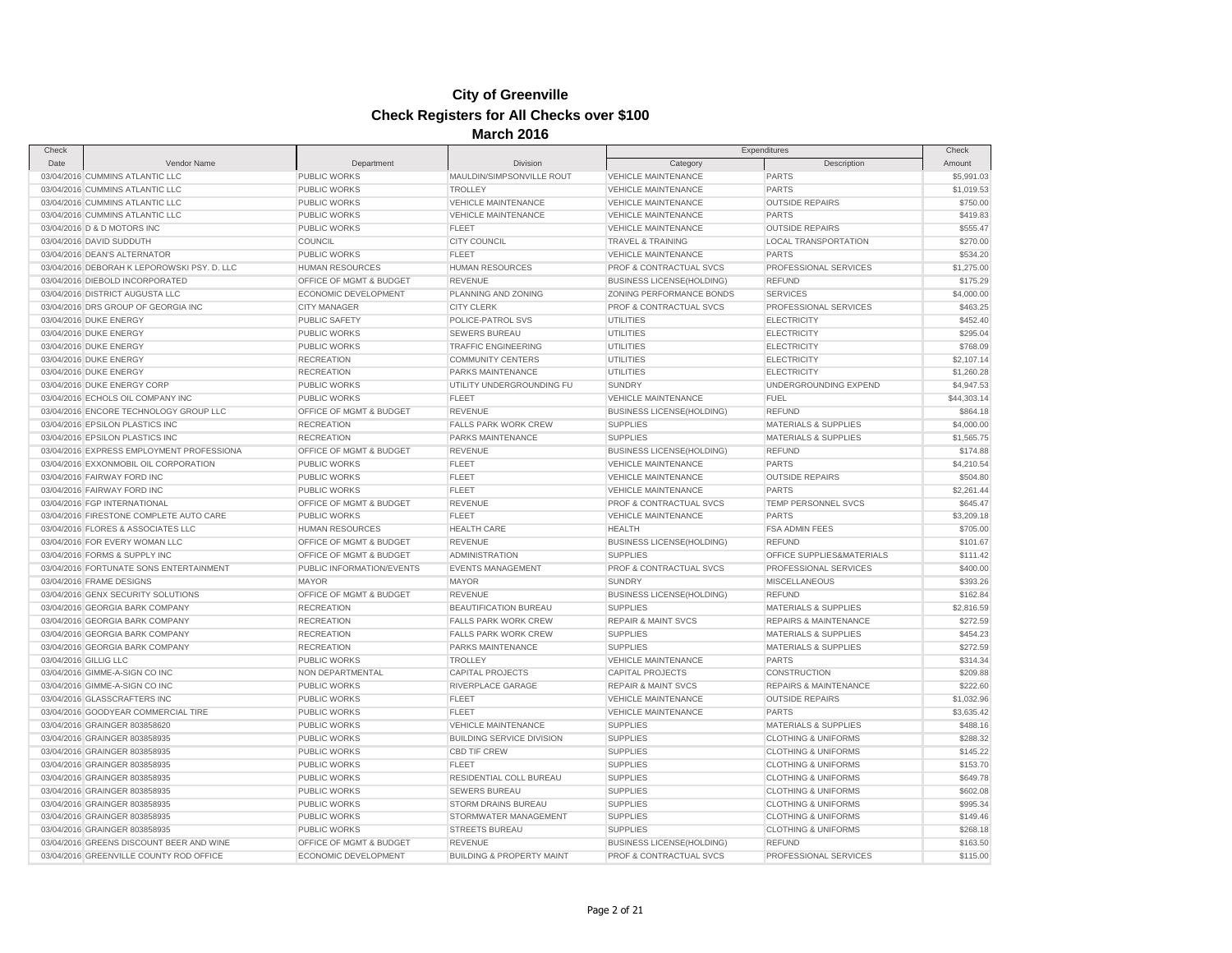| Check |                                             |                           |                                      |                                    | Expenditures                     | Check       |
|-------|---------------------------------------------|---------------------------|--------------------------------------|------------------------------------|----------------------------------|-------------|
| Date  | Vendor Name                                 | Department                | Division                             | Category                           | Description                      | Amount      |
|       | 03/04/2016 CUMMINS ATLANTIC LLC             | PUBLIC WORKS              | MAULDIN/SIMPSONVILLE ROUT            | <b>VEHICLE MAINTENANCE</b>         | PARTS                            | \$5,991.03  |
|       | 03/04/2016 CUMMINS ATLANTIC LLC             | <b>PUBLIC WORKS</b>       | <b>TROLLEY</b>                       | <b>VEHICLE MAINTENANCE</b>         | <b>PARTS</b>                     | \$1,019.53  |
|       | 03/04/2016 CUMMINS ATLANTIC LLC             | PUBLIC WORKS              | <b>VEHICLE MAINTENANCE</b>           | VEHICLE MAINTENANCE                | <b>OUTSIDE REPAIRS</b>           | \$750.00    |
|       | 03/04/2016 CUMMINS ATLANTIC LLC             | <b>PUBLIC WORKS</b>       | <b>VEHICLE MAINTENANCE</b>           | <b>VEHICLE MAINTENANCE</b>         | <b>PARTS</b>                     | \$419.83    |
|       | 03/04/2016 D & D MOTORS INC                 | PUBLIC WORKS              | <b>FLEET</b>                         | <b>VEHICLE MAINTENANCE</b>         | <b>OUTSIDE REPAIRS</b>           | \$555.47    |
|       | 03/04/2016 DAVID SUDDUTH                    | <b>COUNCIL</b>            | <b>CITY COUNCIL</b>                  | <b>TRAVEL &amp; TRAINING</b>       | <b>LOCAL TRANSPORTATION</b>      | \$270.00    |
|       | 03/04/2016 DEAN'S ALTERNATOR                | PUBLIC WORKS              | <b>FLEET</b>                         | <b>VEHICLE MAINTENANCE</b>         | <b>PARTS</b>                     | \$534.20    |
|       | 03/04/2016 DEBORAH K LEPOROWSKI PSY. D. LLC | <b>HUMAN RESOURCES</b>    | <b>HUMAN RESOURCES</b>               | PROF & CONTRACTUAL SVCS            | PROFESSIONAL SERVICES            | \$1,275.00  |
|       | 03/04/2016 DIEBOLD INCORPORATED             | OFFICE OF MGMT & BUDGET   | <b>REVENUE</b>                       | <b>BUSINESS LICENSE(HOLDING)</b>   | <b>REFUND</b>                    | \$175.29    |
|       | 03/04/2016 DISTRICT AUGUSTA LLC             | ECONOMIC DEVELOPMENT      | PLANNING AND ZONING                  | ZONING PERFORMANCE BONDS           | <b>SERVICES</b>                  | \$4,000.00  |
|       | 03/04/2016 DRS GROUP OF GEORGIA INC         | <b>CITY MANAGER</b>       | <b>CITY CLERK</b>                    | <b>PROF &amp; CONTRACTUAL SVCS</b> | PROFESSIONAL SERVICES            | \$463.25    |
|       | 03/04/2016 DUKE ENERGY                      | <b>PUBLIC SAFETY</b>      | POLICE-PATROL SVS                    | UTILITIES                          | <b>ELECTRICITY</b>               | \$452.40    |
|       | 03/04/2016 DUKE ENERGY                      | <b>PUBLIC WORKS</b>       | <b>SEWERS BUREAU</b>                 | <b>UTILITIES</b>                   | <b>ELECTRICITY</b>               | \$295.04    |
|       | 03/04/2016 DUKE ENERGY                      | <b>PUBLIC WORKS</b>       | <b>TRAFFIC ENGINEERING</b>           | UTILITIES                          | <b>ELECTRICITY</b>               | \$768.09    |
|       | 03/04/2016 DUKE ENERGY                      | <b>RECREATION</b>         | <b>COMMUNITY CENTERS</b>             | <b>UTILITIES</b>                   | <b>ELECTRICITY</b>               | \$2,107.14  |
|       | 03/04/2016 DUKE ENERGY                      | <b>RECREATION</b>         | PARKS MAINTENANCE                    | UTILITIES                          | <b>ELECTRICITY</b>               | \$1,260.28  |
|       | 03/04/2016 DUKE ENERGY CORP                 | PUBLIC WORKS              | UTILITY UNDERGROUNDING FU            | <b>SUNDRY</b>                      | UNDERGROUNDING EXPEND            | \$4,947.53  |
|       | 03/04/2016 ECHOLS OIL COMPANY INC           | <b>PUBLIC WORKS</b>       | <b>FLEET</b>                         | <b>VEHICLE MAINTENANCE</b>         | <b>FUEL</b>                      | \$44,303.14 |
|       | 03/04/2016 ENCORE TECHNOLOGY GROUP LLC      | OFFICE OF MGMT & BUDGET   | <b>REVENUE</b>                       | <b>BUSINESS LICENSE(HOLDING)</b>   | <b>REFUND</b>                    | \$864.18    |
|       | 03/04/2016 EPSILON PLASTICS INC             | <b>RECREATION</b>         | FALLS PARK WORK CREW                 | <b>SUPPLIES</b>                    | MATERIALS & SUPPLIES             | \$4,000.00  |
|       | 03/04/2016 EPSILON PLASTICS INC             | <b>RECREATION</b>         | <b>PARKS MAINTENANCE</b>             | <b>SUPPLIES</b>                    | <b>MATERIALS &amp; SUPPLIES</b>  | \$1,565.75  |
|       | 03/04/2016 EXPRESS EMPLOYMENT PROFESSIONA   | OFFICE OF MGMT & BUDGET   | <b>REVENUE</b>                       | <b>BUSINESS LICENSE(HOLDING)</b>   | <b>REFUND</b>                    | \$174.88    |
|       | 03/04/2016 EXXONMOBIL OIL CORPORATION       | <b>PUBLIC WORKS</b>       | <b>FLEET</b>                         | <b>VEHICLE MAINTENANCE</b>         | <b>PARTS</b>                     | \$4,210.54  |
|       | 03/04/2016 FAIRWAY FORD INC                 | PUBLIC WORKS              | <b>FLEET</b>                         | <b>VEHICLE MAINTENANCE</b>         | <b>OUTSIDE REPAIRS</b>           | \$504.80    |
|       | 03/04/2016 FAIRWAY FORD INC                 | PUBLIC WORKS              | <b>FLEET</b>                         | <b>VEHICLE MAINTENANCE</b>         | <b>PARTS</b>                     | \$2,261.44  |
|       | 03/04/2016 FGP INTERNATIONAL                | OFFICE OF MGMT & BUDGET   | <b>REVENUE</b>                       | PROF & CONTRACTUAL SVCS            | TEMP PERSONNEL SVCS              | \$645.47    |
|       | 03/04/2016 FIRESTONE COMPLETE AUTO CARE     | PUBLIC WORKS              | <b>FLEET</b>                         | <b>VEHICLE MAINTENANCE</b>         | <b>PARTS</b>                     | \$3,209.18  |
|       | 03/04/2016 FLORES & ASSOCIATES LLC          | <b>HUMAN RESOURCES</b>    | <b>HEALTH CARE</b>                   | <b>HEALTH</b>                      | FSA ADMIN FEES                   | \$705.00    |
|       | 03/04/2016 FOR EVERY WOMAN LLC              | OFFICE OF MGMT & BUDGET   | <b>REVENUE</b>                       | <b>BUSINESS LICENSE(HOLDING)</b>   | <b>REFUND</b>                    | \$101.67    |
|       | 03/04/2016 FORMS & SUPPLY INC               | OFFICE OF MGMT & BUDGET   | <b>ADMINISTRATION</b>                | <b>SUPPLIES</b>                    | OFFICE SUPPLIES&MATERIALS        | \$111.42    |
|       | 03/04/2016 FORTUNATE SONS ENTERTAINMENT     | PUBLIC INFORMATION/EVENTS | <b>EVENTS MANAGEMENT</b>             | PROF & CONTRACTUAL SVCS            | PROFESSIONAL SERVICES            | \$400.00    |
|       | 03/04/2016 FRAME DESIGNS                    | <b>MAYOR</b>              | <b>MAYOR</b>                         | <b>SUNDRY</b>                      | <b>MISCELLANEOUS</b>             | \$393.26    |
|       | 03/04/2016 GENX SECURITY SOLUTIONS          | OFFICE OF MGMT & BUDGET   | <b>REVENUE</b>                       | <b>BUSINESS LICENSE(HOLDING)</b>   | <b>REFUND</b>                    | \$162.84    |
|       | 03/04/2016 GEORGIA BARK COMPANY             | <b>RECREATION</b>         | BEAUTIFICATION BUREAU                | <b>SUPPLIES</b>                    | <b>MATERIALS &amp; SUPPLIES</b>  | \$2,816.59  |
|       | 03/04/2016 GEORGIA BARK COMPANY             | <b>RECREATION</b>         | <b>FALLS PARK WORK CREW</b>          | <b>REPAIR &amp; MAINT SVCS</b>     | <b>REPAIRS &amp; MAINTENANCE</b> | \$272.59    |
|       | 03/04/2016 GEORGIA BARK COMPANY             | <b>RECREATION</b>         | FALLS PARK WORK CREW                 | <b>SUPPLIES</b>                    | MATERIALS & SUPPLIES             | \$454.23    |
|       | 03/04/2016 GEORGIA BARK COMPANY             | <b>RECREATION</b>         | PARKS MAINTENANCE                    | <b>SUPPLIES</b>                    | <b>MATERIALS &amp; SUPPLIES</b>  | \$272.59    |
|       | 03/04/2016 GILLIG LLC                       | PUBLIC WORKS              | <b>TROLLEY</b>                       | <b>VEHICLE MAINTENANCE</b>         | <b>PARTS</b>                     | \$314.34    |
|       | 03/04/2016 GIMME-A-SIGN CO INC              | NON DEPARTMENTAL          | <b>CAPITAL PROJECTS</b>              | <b>CAPITAL PROJECTS</b>            | CONSTRUCTION                     | \$209.88    |
|       | 03/04/2016 GIMME-A-SIGN CO INC              | PUBLIC WORKS              | RIVERPLACE GARAGE                    | <b>REPAIR &amp; MAINT SVCS</b>     | <b>REPAIRS &amp; MAINTENANCE</b> | \$222.60    |
|       | 03/04/2016 GLASSCRAFTERS INC                | PUBLIC WORKS              | <b>FLEET</b>                         | VEHICLE MAINTENANCE                | <b>OUTSIDE REPAIRS</b>           | \$1,032.96  |
|       | 03/04/2016 GOODYEAR COMMERCIAL TIRE         | PUBLIC WORKS              | <b>FLEET</b>                         | <b>VEHICLE MAINTENANCE</b>         | <b>PARTS</b>                     | \$3,635.42  |
|       | 03/04/2016 GRAINGER 803858620               | <b>PUBLIC WORKS</b>       | <b>VEHICLE MAINTENANCE</b>           | <b>SUPPLIES</b>                    | MATERIALS & SUPPLIES             | \$488.16    |
|       | 03/04/2016 GRAINGER 803858935               | PUBLIC WORKS              | <b>BUILDING SERVICE DIVISION</b>     | <b>SUPPLIES</b>                    | <b>CLOTHING &amp; UNIFORMS</b>   | \$288.32    |
|       | 03/04/2016 GRAINGER 803858935               | PUBLIC WORKS              | CBD TIF CREW                         | <b>SUPPLIES</b>                    | <b>CLOTHING &amp; UNIFORMS</b>   | \$145.22    |
|       | 03/04/2016 GRAINGER 803858935               | <b>PUBLIC WORKS</b>       | <b>FLEET</b>                         | <b>SUPPLIES</b>                    | <b>CLOTHING &amp; UNIFORMS</b>   | \$153.70    |
|       | 03/04/2016 GRAINGER 803858935               | <b>PUBLIC WORKS</b>       | RESIDENTIAL COLL BUREAU              | <b>SUPPLIES</b>                    | <b>CLOTHING &amp; UNIFORMS</b>   | \$649.78    |
|       | 03/04/2016 GRAINGER 803858935               | <b>PUBLIC WORKS</b>       | <b>SEWERS BUREAU</b>                 | <b>SUPPLIES</b>                    | <b>CLOTHING &amp; UNIFORMS</b>   | \$602.08    |
|       | 03/04/2016 GRAINGER 803858935               | <b>PUBLIC WORKS</b>       | STORM DRAINS BUREAU                  | <b>SUPPLIES</b>                    | <b>CLOTHING &amp; UNIFORMS</b>   | \$995.34    |
|       | 03/04/2016 GRAINGER 803858935               | <b>PUBLIC WORKS</b>       | STORMWATER MANAGEMENT                | <b>SUPPLIES</b>                    | <b>CLOTHING &amp; UNIFORMS</b>   | \$149.46    |
|       | 03/04/2016 GRAINGER 803858935               | PUBLIC WORKS              | <b>STREETS BUREAU</b>                | <b>SUPPLIES</b>                    | <b>CLOTHING &amp; UNIFORMS</b>   | \$268.18    |
|       | 03/04/2016 GREENS DISCOUNT BEER AND WINE    | OFFICE OF MGMT & BUDGET   | <b>REVENUE</b>                       | <b>BUSINESS LICENSE(HOLDING)</b>   | <b>REFUND</b>                    | \$163.50    |
|       | 03/04/2016 GREENVILLE COUNTY ROD OFFICE     | ECONOMIC DEVELOPMENT      | <b>BUILDING &amp; PROPERTY MAINT</b> | PROF & CONTRACTUAL SVCS            | PROFESSIONAL SERVICES            | \$115.00    |
|       |                                             |                           |                                      |                                    |                                  |             |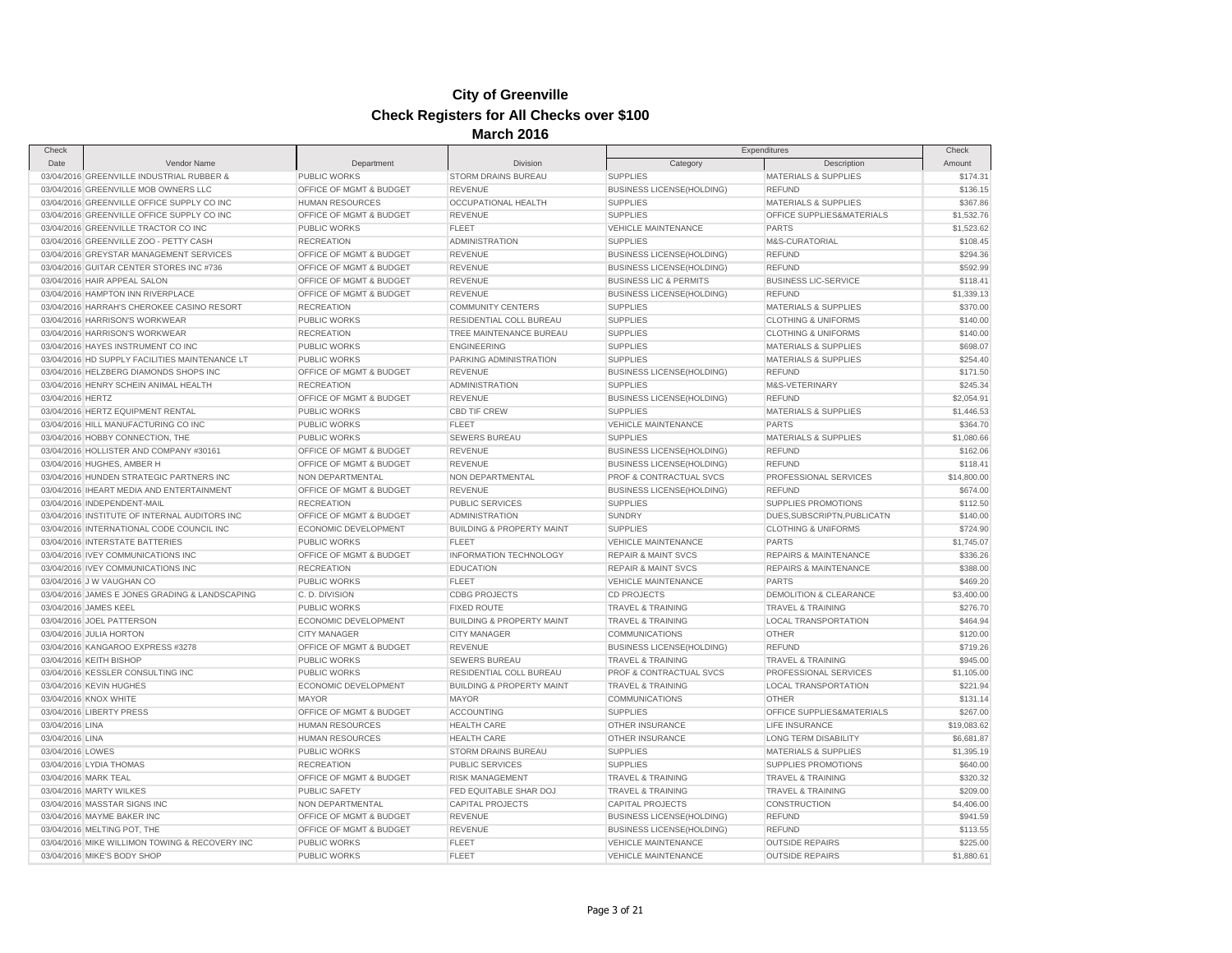| Date<br>Vendor Name<br>Department<br><b>Division</b><br>Category<br>Description<br>Amount<br>03/04/2016 GREENVILLE INDUSTRIAL RUBBER &<br>PUBLIC WORKS<br>STORM DRAINS BUREAU<br><b>SUPPLIES</b><br><b>MATERIALS &amp; SUPPLIES</b><br>03/04/2016 GREENVILLE MOB OWNERS LLC<br>OFFICE OF MGMT & BUDGET<br><b>REVENUE</b><br><b>BUSINESS LICENSE(HOLDING)</b><br><b>REFUND</b><br>03/04/2016 GREENVILLE OFFICE SUPPLY CO INC<br><b>HUMAN RESOURCES</b><br><b>OCCUPATIONAL HEALTH</b><br><b>SUPPLIES</b><br><b>MATERIALS &amp; SUPPLIES</b><br>03/04/2016 GREENVILLE OFFICE SUPPLY CO INC<br>OFFICE OF MGMT & BUDGET<br><b>REVENUE</b><br><b>SUPPLIES</b><br>OFFICE SUPPLIES&MATERIALS<br>03/04/2016 GREENVILLE TRACTOR CO INC<br>PUBLIC WORKS<br>VEHICLE MAINTENANCE<br><b>FLEET</b><br><b>PARTS</b><br>03/04/2016 GREENVILLE ZOO - PETTY CASH<br><b>RECREATION</b><br><b>ADMINISTRATION</b><br><b>SUPPLIES</b><br>M&S-CURATORIAL<br>03/04/2016 GREYSTAR MANAGEMENT SERVICES<br><b>OFFICE OF MGMT &amp; BUDGET</b><br><b>REVENUE</b><br><b>BUSINESS LICENSE(HOLDING)</b><br><b>REFUND</b><br>OFFICE OF MGMT & BUDGET<br><b>REFUND</b><br>03/04/2016 GUITAR CENTER STORES INC #736<br><b>REVENUE</b><br><b>BUSINESS LICENSE(HOLDING)</b><br>03/04/2016 HAIR APPEAL SALON<br>OFFICE OF MGMT & BUDGET<br><b>REVENUE</b><br><b>BUSINESS LIC &amp; PERMITS</b><br><b>BUSINESS LIC-SERVICE</b><br>03/04/2016 HAMPTON INN RIVERPLACE<br>OFFICE OF MGMT & BUDGET<br><b>REVENUE</b><br><b>BUSINESS LICENSE(HOLDING)</b><br><b>REFUND</b><br>\$1,339.13<br>03/04/2016 HARRAH'S CHEROKEE CASINO RESORT<br><b>RECREATION</b><br><b>COMMUNITY CENTERS</b><br><b>SUPPLIES</b><br><b>MATERIALS &amp; SUPPLIES</b><br>\$370.00<br>PUBLIC WORKS<br>RESIDENTIAL COLL BUREAU<br>\$140.00<br>03/04/2016 HARRISON'S WORKWEAR<br><b>SUPPLIES</b><br><b>CLOTHING &amp; UNIFORMS</b><br>03/04/2016 HARRISON'S WORKWEAR<br><b>RECREATION</b><br>TREE MAINTENANCE BUREAU<br><b>SUPPLIES</b><br><b>CLOTHING &amp; UNIFORMS</b><br>\$140.00<br>03/04/2016 HAYES INSTRUMENT CO INC<br><b>PUBLIC WORKS</b><br><b>SUPPLIES</b><br><b>MATERIALS &amp; SUPPLIES</b><br>\$698.07<br><b>ENGINEERING</b><br>03/04/2016 HD SUPPLY FACILITIES MAINTENANCE LT<br><b>PUBLIC WORKS</b><br>PARKING ADMINISTRATION<br><b>SUPPLIES</b><br><b>MATERIALS &amp; SUPPLIES</b><br>\$254.40<br>\$171.50<br>03/04/2016 HELZBERG DIAMONDS SHOPS INC<br>OFFICE OF MGMT & BUDGET<br><b>REVENUE</b><br><b>BUSINESS LICENSE(HOLDING)</b><br><b>REFUND</b><br>03/04/2016 HENRY SCHEIN ANIMAL HEALTH<br><b>RECREATION</b><br><b>SUPPLIES</b><br>\$245.34<br><b>ADMINISTRATION</b><br>M&S-VETERINARY<br>OFFICE OF MGMT & BUDGET<br><b>REVENUE</b><br><b>BUSINESS LICENSE(HOLDING)</b><br>\$2,054.91<br>03/04/2016 HERTZ<br><b>REFUND</b><br>03/04/2016 HERTZ EQUIPMENT RENTAL<br>PUBLIC WORKS<br>\$1,446.53<br><b>CBD TIF CREW</b><br><b>SUPPLIES</b><br><b>MATERIALS &amp; SUPPLIES</b><br>03/04/2016 HILL MANUFACTURING CO INC<br><b>PUBLIC WORKS</b><br><b>FLEET</b><br><b>VEHICLE MAINTENANCE</b><br>PARTS<br>\$364.70<br>\$1,080.66<br>03/04/2016 HOBBY CONNECTION, THE<br><b>PUBLIC WORKS</b><br><b>SEWERS BUREAU</b><br><b>SUPPLIES</b><br><b>MATERIALS &amp; SUPPLIES</b><br>\$162.06<br>03/04/2016 HOLLISTER AND COMPANY #30161<br>OFFICE OF MGMT & BUDGET<br><b>REVENUE</b><br><b>REFUND</b><br><b>BUSINESS LICENSE(HOLDING)</b><br>03/04/2016 HUGHES, AMBER H<br>OFFICE OF MGMT & BUDGET<br><b>REVENUE</b><br><b>BUSINESS LICENSE(HOLDING)</b><br><b>REFUND</b><br>\$118.41<br>03/04/2016 HUNDEN STRATEGIC PARTNERS INC<br>NON DEPARTMENTAL<br>NON DEPARTMENTAL<br>PROF & CONTRACTUAL SVCS<br>PROFESSIONAL SERVICES<br>\$14,800.00<br>\$674.00<br>03/04/2016 IHEART MEDIA AND ENTERTAINMENT<br>OFFICE OF MGMT & BUDGET<br><b>REVENUE</b><br><b>BUSINESS LICENSE(HOLDING)</b><br><b>REFUND</b><br>03/04/2016 INDEPENDENT-MAIL<br><b>SUPPLIES</b><br>SUPPLIES PROMOTIONS<br>\$112.50<br><b>RECREATION</b><br><b>PUBLIC SERVICES</b><br>OFFICE OF MGMT & BUDGET<br>\$140.00<br>03/04/2016 INSTITUTE OF INTERNAL AUDITORS INC<br><b>ADMINISTRATION</b><br><b>SUNDRY</b><br>DUES, SUBSCRIPTN, PUBLICATN<br>03/04/2016 INTERNATIONAL CODE COUNCIL INC<br>ECONOMIC DEVELOPMENT<br><b>BUILDING &amp; PROPERTY MAINT</b><br><b>SUPPLIES</b><br><b>CLOTHING &amp; UNIFORMS</b><br>\$724.90<br>PUBLIC WORKS<br>\$1,745.07<br>03/04/2016 INTERSTATE BATTERIES<br><b>FLEET</b><br><b>VEHICLE MAINTENANCE</b><br><b>PARTS</b><br>OFFICE OF MGMT & BUDGET<br><b>INFORMATION TECHNOLOGY</b><br>\$336.26<br>03/04/2016 IVEY COMMUNICATIONS INC<br><b>REPAIR &amp; MAINT SVCS</b><br><b>REPAIRS &amp; MAINTENANCE</b><br>03/04/2016 IVEY COMMUNICATIONS INC<br><b>RECREATION</b><br><b>REPAIR &amp; MAINT SVCS</b><br>\$388.00<br><b>EDUCATION</b><br><b>REPAIRS &amp; MAINTENANCE</b><br>03/04/2016 J W VAUGHAN CO<br>PUBLIC WORKS<br><b>FLEET</b><br>VEHICLE MAINTENANCE<br><b>PARTS</b><br>\$469.20<br>03/04/2016 JAMES E JONES GRADING & LANDSCAPING<br>C.D. DIVISION<br><b>CDBG PROJECTS</b><br><b>CD PROJECTS</b><br><b>DEMOLITION &amp; CLEARANCE</b><br>\$3,400.00<br><b>PUBLIC WORKS</b><br><b>FIXED ROUTE</b><br><b>TRAVEL &amp; TRAINING</b><br>\$276.70<br>03/04/2016 JAMES KEEL<br><b>TRAVEL &amp; TRAINING</b><br>\$464.94<br>03/04/2016 JOEL PATTERSON<br>ECONOMIC DEVELOPMENT<br><b>BUILDING &amp; PROPERTY MAINT</b><br><b>TRAVEL &amp; TRAINING</b><br><b>LOCAL TRANSPORTATION</b><br>03/04/2016 JULIA HORTON<br><b>CITY MANAGER</b><br><b>CITY MANAGER</b><br><b>COMMUNICATIONS</b><br><b>OTHER</b><br>\$120.00<br>03/04/2016 KANGAROO EXPRESS #3278<br>OFFICE OF MGMT & BUDGET<br><b>REVENUE</b><br><b>BUSINESS LICENSE(HOLDING)</b><br><b>REFUND</b><br>\$719.26<br>\$945.00<br>03/04/2016 KEITH BISHOP<br><b>PUBLIC WORKS</b><br><b>SEWERS BUREAU</b><br><b>TRAVEL &amp; TRAINING</b><br><b>TRAVEL &amp; TRAINING</b><br>03/04/2016 KESSLER CONSULTING INC<br><b>PUBLIC WORKS</b><br>RESIDENTIAL COLL BUREAU<br>PROF & CONTRACTUAL SVCS<br>PROFESSIONAL SERVICES<br>\$1,105.00<br>03/04/2016 KEVIN HUGHES<br>ECONOMIC DEVELOPMENT<br><b>BUILDING &amp; PROPERTY MAINT</b><br><b>TRAVEL &amp; TRAINING</b><br><b>LOCAL TRANSPORTATION</b><br>\$221.94<br>03/04/2016 KNOX WHITE<br><b>MAYOR</b><br><b>MAYOR</b><br><b>COMMUNICATIONS</b><br><b>OTHER</b><br>\$131.14<br><b>SUPPLIES</b><br>\$267.00<br>03/04/2016 LIBERTY PRESS<br>OFFICE OF MGMT & BUDGET<br>ACCOUNTING<br>OFFICE SUPPLIES&MATERIALS<br>03/04/2016 LINA<br><b>HUMAN RESOURCES</b><br><b>HEALTH CARE</b><br>OTHER INSURANCE<br>LIFE INSURANCE<br>\$19,083.62<br>03/04/2016 LINA<br><b>HUMAN RESOURCES</b><br><b>HEALTH CARE</b><br>OTHER INSURANCE<br><b>LONG TERM DISABILITY</b><br>\$6,681.87<br>PUBLIC WORKS<br>STORM DRAINS BUREAU<br><b>SUPPLIES</b><br><b>MATERIALS &amp; SUPPLIES</b><br>\$1,395.19<br>03/04/2016 LOWES<br>03/04/2016 LYDIA THOMAS<br><b>RECREATION</b><br><b>PUBLIC SERVICES</b><br><b>SUPPLIES</b><br>SUPPLIES PROMOTIONS<br>\$640.00<br>OFFICE OF MGMT & BUDGET<br><b>TRAVEL &amp; TRAINING</b><br>\$320.32<br>03/04/2016 MARK TEAL<br><b>RISK MANAGEMENT</b><br><b>TRAVEL &amp; TRAINING</b><br>03/04/2016 MARTY WILKES<br><b>PUBLIC SAFETY</b><br>FED EQUITABLE SHAR DOJ<br>TRAVEL & TRAINING<br>\$209.00<br>TRAVEL & TRAINING<br>03/04/2016 MASSTAR SIGNS INC<br>NON DEPARTMENTAL<br><b>CAPITAL PROJECTS</b><br><b>CAPITAL PROJECTS</b><br>CONSTRUCTION<br>\$4,406.00<br>OFFICE OF MGMT & BUDGET<br><b>REVENUE</b><br><b>REFUND</b><br>\$941.59<br>03/04/2016 MAYME BAKER INC<br><b>BUSINESS LICENSE(HOLDING)</b><br>03/04/2016 MELTING POT, THE<br>OFFICE OF MGMT & BUDGET<br><b>REVENUE</b><br><b>REFUND</b><br><b>BUSINESS LICENSE(HOLDING)</b><br>03/04/2016 MIKE WILLIMON TOWING & RECOVERY INC<br><b>PUBLIC WORKS</b><br><b>FLEET</b><br><b>VEHICLE MAINTENANCE</b><br><b>OUTSIDE REPAIRS</b><br>PUBLIC WORKS<br><b>FLEET</b><br><b>VEHICLE MAINTENANCE</b><br><b>OUTSIDE REPAIRS</b><br>03/04/2016 MIKE'S BODY SHOP | Check |  |  | Expenditures | Check      |
|--------------------------------------------------------------------------------------------------------------------------------------------------------------------------------------------------------------------------------------------------------------------------------------------------------------------------------------------------------------------------------------------------------------------------------------------------------------------------------------------------------------------------------------------------------------------------------------------------------------------------------------------------------------------------------------------------------------------------------------------------------------------------------------------------------------------------------------------------------------------------------------------------------------------------------------------------------------------------------------------------------------------------------------------------------------------------------------------------------------------------------------------------------------------------------------------------------------------------------------------------------------------------------------------------------------------------------------------------------------------------------------------------------------------------------------------------------------------------------------------------------------------------------------------------------------------------------------------------------------------------------------------------------------------------------------------------------------------------------------------------------------------------------------------------------------------------------------------------------------------------------------------------------------------------------------------------------------------------------------------------------------------------------------------------------------------------------------------------------------------------------------------------------------------------------------------------------------------------------------------------------------------------------------------------------------------------------------------------------------------------------------------------------------------------------------------------------------------------------------------------------------------------------------------------------------------------------------------------------------------------------------------------------------------------------------------------------------------------------------------------------------------------------------------------------------------------------------------------------------------------------------------------------------------------------------------------------------------------------------------------------------------------------------------------------------------------------------------------------------------------------------------------------------------------------------------------------------------------------------------------------------------------------------------------------------------------------------------------------------------------------------------------------------------------------------------------------------------------------------------------------------------------------------------------------------------------------------------------------------------------------------------------------------------------------------------------------------------------------------------------------------------------------------------------------------------------------------------------------------------------------------------------------------------------------------------------------------------------------------------------------------------------------------------------------------------------------------------------------------------------------------------------------------------------------------------------------------------------------------------------------------------------------------------------------------------------------------------------------------------------------------------------------------------------------------------------------------------------------------------------------------------------------------------------------------------------------------------------------------------------------------------------------------------------------------------------------------------------------------------------------------------------------------------------------------------------------------------------------------------------------------------------------------------------------------------------------------------------------------------------------------------------------------------------------------------------------------------------------------------------------------------------------------------------------------------------------------------------------------------------------------------------------------------------------------------------------------------------------------------------------------------------------------------------------------------------------------------------------------------------------------------------------------------------------------------------------------------------------------------------------------------------------------------------------------------------------------------------------------------------------------------------------------------------------------------------------------------------------------------------------------------------------------------------------------------------------------------------------------------------------------------------------------------------------------------------------------------------------------------------------------------------------------------------------------------------------------------------------------------------------------------------------------------------------------------------------------------------------------------------------------------------------------------------------------------------------------------------------------------------------------------------------------------------------------------------------------------------------------------------------------------------------------------------------------------------------------------------------------------------------------------------------------------------------------------------------------------------------------------------------------------------------------------------------------------------------------------------------------------------------------------------------------------------------------------------------------------------------------------------------------------------------------------------------------------------------------------------------------------------------------------------------------------------------------------------------------------------------------------------------------------------------------------------------------------------------------------------------------------------------------------------------------------------------------------------------------------------------------------------------------------------------------------------------------------------------------------------------------------------------------------------------------------------------------------------------------------------------------------------------------------------------------------------------------------------------------------------|-------|--|--|--------------|------------|
|                                                                                                                                                                                                                                                                                                                                                                                                                                                                                                                                                                                                                                                                                                                                                                                                                                                                                                                                                                                                                                                                                                                                                                                                                                                                                                                                                                                                                                                                                                                                                                                                                                                                                                                                                                                                                                                                                                                                                                                                                                                                                                                                                                                                                                                                                                                                                                                                                                                                                                                                                                                                                                                                                                                                                                                                                                                                                                                                                                                                                                                                                                                                                                                                                                                                                                                                                                                                                                                                                                                                                                                                                                                                                                                                                                                                                                                                                                                                                                                                                                                                                                                                                                                                                                                                                                                                                                                                                                                                                                                                                                                                                                                                                                                                                                                                                                                                                                                                                                                                                                                                                                                                                                                                                                                                                                                                                                                                                                                                                                                                                                                                                                                                                                                                                                                                                                                                                                                                                                                                                                                                                                                                                                                                                                                                                                                                                                                                                                                                                                                                                                                                                                                                                                                                                                                                                                                                                                                                                                                                                                                                                                                                                                                                                                                                                                                                                                                                                                                                                                                                                                                                                                                                                                                                                                                                                                                                                                                                                                          |       |  |  |              |            |
|                                                                                                                                                                                                                                                                                                                                                                                                                                                                                                                                                                                                                                                                                                                                                                                                                                                                                                                                                                                                                                                                                                                                                                                                                                                                                                                                                                                                                                                                                                                                                                                                                                                                                                                                                                                                                                                                                                                                                                                                                                                                                                                                                                                                                                                                                                                                                                                                                                                                                                                                                                                                                                                                                                                                                                                                                                                                                                                                                                                                                                                                                                                                                                                                                                                                                                                                                                                                                                                                                                                                                                                                                                                                                                                                                                                                                                                                                                                                                                                                                                                                                                                                                                                                                                                                                                                                                                                                                                                                                                                                                                                                                                                                                                                                                                                                                                                                                                                                                                                                                                                                                                                                                                                                                                                                                                                                                                                                                                                                                                                                                                                                                                                                                                                                                                                                                                                                                                                                                                                                                                                                                                                                                                                                                                                                                                                                                                                                                                                                                                                                                                                                                                                                                                                                                                                                                                                                                                                                                                                                                                                                                                                                                                                                                                                                                                                                                                                                                                                                                                                                                                                                                                                                                                                                                                                                                                                                                                                                                                          |       |  |  |              | \$174.31   |
|                                                                                                                                                                                                                                                                                                                                                                                                                                                                                                                                                                                                                                                                                                                                                                                                                                                                                                                                                                                                                                                                                                                                                                                                                                                                                                                                                                                                                                                                                                                                                                                                                                                                                                                                                                                                                                                                                                                                                                                                                                                                                                                                                                                                                                                                                                                                                                                                                                                                                                                                                                                                                                                                                                                                                                                                                                                                                                                                                                                                                                                                                                                                                                                                                                                                                                                                                                                                                                                                                                                                                                                                                                                                                                                                                                                                                                                                                                                                                                                                                                                                                                                                                                                                                                                                                                                                                                                                                                                                                                                                                                                                                                                                                                                                                                                                                                                                                                                                                                                                                                                                                                                                                                                                                                                                                                                                                                                                                                                                                                                                                                                                                                                                                                                                                                                                                                                                                                                                                                                                                                                                                                                                                                                                                                                                                                                                                                                                                                                                                                                                                                                                                                                                                                                                                                                                                                                                                                                                                                                                                                                                                                                                                                                                                                                                                                                                                                                                                                                                                                                                                                                                                                                                                                                                                                                                                                                                                                                                                                          |       |  |  |              | \$136.15   |
|                                                                                                                                                                                                                                                                                                                                                                                                                                                                                                                                                                                                                                                                                                                                                                                                                                                                                                                                                                                                                                                                                                                                                                                                                                                                                                                                                                                                                                                                                                                                                                                                                                                                                                                                                                                                                                                                                                                                                                                                                                                                                                                                                                                                                                                                                                                                                                                                                                                                                                                                                                                                                                                                                                                                                                                                                                                                                                                                                                                                                                                                                                                                                                                                                                                                                                                                                                                                                                                                                                                                                                                                                                                                                                                                                                                                                                                                                                                                                                                                                                                                                                                                                                                                                                                                                                                                                                                                                                                                                                                                                                                                                                                                                                                                                                                                                                                                                                                                                                                                                                                                                                                                                                                                                                                                                                                                                                                                                                                                                                                                                                                                                                                                                                                                                                                                                                                                                                                                                                                                                                                                                                                                                                                                                                                                                                                                                                                                                                                                                                                                                                                                                                                                                                                                                                                                                                                                                                                                                                                                                                                                                                                                                                                                                                                                                                                                                                                                                                                                                                                                                                                                                                                                                                                                                                                                                                                                                                                                                                          |       |  |  |              | \$367.86   |
|                                                                                                                                                                                                                                                                                                                                                                                                                                                                                                                                                                                                                                                                                                                                                                                                                                                                                                                                                                                                                                                                                                                                                                                                                                                                                                                                                                                                                                                                                                                                                                                                                                                                                                                                                                                                                                                                                                                                                                                                                                                                                                                                                                                                                                                                                                                                                                                                                                                                                                                                                                                                                                                                                                                                                                                                                                                                                                                                                                                                                                                                                                                                                                                                                                                                                                                                                                                                                                                                                                                                                                                                                                                                                                                                                                                                                                                                                                                                                                                                                                                                                                                                                                                                                                                                                                                                                                                                                                                                                                                                                                                                                                                                                                                                                                                                                                                                                                                                                                                                                                                                                                                                                                                                                                                                                                                                                                                                                                                                                                                                                                                                                                                                                                                                                                                                                                                                                                                                                                                                                                                                                                                                                                                                                                                                                                                                                                                                                                                                                                                                                                                                                                                                                                                                                                                                                                                                                                                                                                                                                                                                                                                                                                                                                                                                                                                                                                                                                                                                                                                                                                                                                                                                                                                                                                                                                                                                                                                                                                          |       |  |  |              | \$1,532.76 |
|                                                                                                                                                                                                                                                                                                                                                                                                                                                                                                                                                                                                                                                                                                                                                                                                                                                                                                                                                                                                                                                                                                                                                                                                                                                                                                                                                                                                                                                                                                                                                                                                                                                                                                                                                                                                                                                                                                                                                                                                                                                                                                                                                                                                                                                                                                                                                                                                                                                                                                                                                                                                                                                                                                                                                                                                                                                                                                                                                                                                                                                                                                                                                                                                                                                                                                                                                                                                                                                                                                                                                                                                                                                                                                                                                                                                                                                                                                                                                                                                                                                                                                                                                                                                                                                                                                                                                                                                                                                                                                                                                                                                                                                                                                                                                                                                                                                                                                                                                                                                                                                                                                                                                                                                                                                                                                                                                                                                                                                                                                                                                                                                                                                                                                                                                                                                                                                                                                                                                                                                                                                                                                                                                                                                                                                                                                                                                                                                                                                                                                                                                                                                                                                                                                                                                                                                                                                                                                                                                                                                                                                                                                                                                                                                                                                                                                                                                                                                                                                                                                                                                                                                                                                                                                                                                                                                                                                                                                                                                                          |       |  |  |              | \$1,523.62 |
|                                                                                                                                                                                                                                                                                                                                                                                                                                                                                                                                                                                                                                                                                                                                                                                                                                                                                                                                                                                                                                                                                                                                                                                                                                                                                                                                                                                                                                                                                                                                                                                                                                                                                                                                                                                                                                                                                                                                                                                                                                                                                                                                                                                                                                                                                                                                                                                                                                                                                                                                                                                                                                                                                                                                                                                                                                                                                                                                                                                                                                                                                                                                                                                                                                                                                                                                                                                                                                                                                                                                                                                                                                                                                                                                                                                                                                                                                                                                                                                                                                                                                                                                                                                                                                                                                                                                                                                                                                                                                                                                                                                                                                                                                                                                                                                                                                                                                                                                                                                                                                                                                                                                                                                                                                                                                                                                                                                                                                                                                                                                                                                                                                                                                                                                                                                                                                                                                                                                                                                                                                                                                                                                                                                                                                                                                                                                                                                                                                                                                                                                                                                                                                                                                                                                                                                                                                                                                                                                                                                                                                                                                                                                                                                                                                                                                                                                                                                                                                                                                                                                                                                                                                                                                                                                                                                                                                                                                                                                                                          |       |  |  |              | \$108.45   |
|                                                                                                                                                                                                                                                                                                                                                                                                                                                                                                                                                                                                                                                                                                                                                                                                                                                                                                                                                                                                                                                                                                                                                                                                                                                                                                                                                                                                                                                                                                                                                                                                                                                                                                                                                                                                                                                                                                                                                                                                                                                                                                                                                                                                                                                                                                                                                                                                                                                                                                                                                                                                                                                                                                                                                                                                                                                                                                                                                                                                                                                                                                                                                                                                                                                                                                                                                                                                                                                                                                                                                                                                                                                                                                                                                                                                                                                                                                                                                                                                                                                                                                                                                                                                                                                                                                                                                                                                                                                                                                                                                                                                                                                                                                                                                                                                                                                                                                                                                                                                                                                                                                                                                                                                                                                                                                                                                                                                                                                                                                                                                                                                                                                                                                                                                                                                                                                                                                                                                                                                                                                                                                                                                                                                                                                                                                                                                                                                                                                                                                                                                                                                                                                                                                                                                                                                                                                                                                                                                                                                                                                                                                                                                                                                                                                                                                                                                                                                                                                                                                                                                                                                                                                                                                                                                                                                                                                                                                                                                                          |       |  |  |              | \$294.36   |
|                                                                                                                                                                                                                                                                                                                                                                                                                                                                                                                                                                                                                                                                                                                                                                                                                                                                                                                                                                                                                                                                                                                                                                                                                                                                                                                                                                                                                                                                                                                                                                                                                                                                                                                                                                                                                                                                                                                                                                                                                                                                                                                                                                                                                                                                                                                                                                                                                                                                                                                                                                                                                                                                                                                                                                                                                                                                                                                                                                                                                                                                                                                                                                                                                                                                                                                                                                                                                                                                                                                                                                                                                                                                                                                                                                                                                                                                                                                                                                                                                                                                                                                                                                                                                                                                                                                                                                                                                                                                                                                                                                                                                                                                                                                                                                                                                                                                                                                                                                                                                                                                                                                                                                                                                                                                                                                                                                                                                                                                                                                                                                                                                                                                                                                                                                                                                                                                                                                                                                                                                                                                                                                                                                                                                                                                                                                                                                                                                                                                                                                                                                                                                                                                                                                                                                                                                                                                                                                                                                                                                                                                                                                                                                                                                                                                                                                                                                                                                                                                                                                                                                                                                                                                                                                                                                                                                                                                                                                                                                          |       |  |  |              | \$592.99   |
|                                                                                                                                                                                                                                                                                                                                                                                                                                                                                                                                                                                                                                                                                                                                                                                                                                                                                                                                                                                                                                                                                                                                                                                                                                                                                                                                                                                                                                                                                                                                                                                                                                                                                                                                                                                                                                                                                                                                                                                                                                                                                                                                                                                                                                                                                                                                                                                                                                                                                                                                                                                                                                                                                                                                                                                                                                                                                                                                                                                                                                                                                                                                                                                                                                                                                                                                                                                                                                                                                                                                                                                                                                                                                                                                                                                                                                                                                                                                                                                                                                                                                                                                                                                                                                                                                                                                                                                                                                                                                                                                                                                                                                                                                                                                                                                                                                                                                                                                                                                                                                                                                                                                                                                                                                                                                                                                                                                                                                                                                                                                                                                                                                                                                                                                                                                                                                                                                                                                                                                                                                                                                                                                                                                                                                                                                                                                                                                                                                                                                                                                                                                                                                                                                                                                                                                                                                                                                                                                                                                                                                                                                                                                                                                                                                                                                                                                                                                                                                                                                                                                                                                                                                                                                                                                                                                                                                                                                                                                                                          |       |  |  |              | \$118.41   |
|                                                                                                                                                                                                                                                                                                                                                                                                                                                                                                                                                                                                                                                                                                                                                                                                                                                                                                                                                                                                                                                                                                                                                                                                                                                                                                                                                                                                                                                                                                                                                                                                                                                                                                                                                                                                                                                                                                                                                                                                                                                                                                                                                                                                                                                                                                                                                                                                                                                                                                                                                                                                                                                                                                                                                                                                                                                                                                                                                                                                                                                                                                                                                                                                                                                                                                                                                                                                                                                                                                                                                                                                                                                                                                                                                                                                                                                                                                                                                                                                                                                                                                                                                                                                                                                                                                                                                                                                                                                                                                                                                                                                                                                                                                                                                                                                                                                                                                                                                                                                                                                                                                                                                                                                                                                                                                                                                                                                                                                                                                                                                                                                                                                                                                                                                                                                                                                                                                                                                                                                                                                                                                                                                                                                                                                                                                                                                                                                                                                                                                                                                                                                                                                                                                                                                                                                                                                                                                                                                                                                                                                                                                                                                                                                                                                                                                                                                                                                                                                                                                                                                                                                                                                                                                                                                                                                                                                                                                                                                                          |       |  |  |              |            |
|                                                                                                                                                                                                                                                                                                                                                                                                                                                                                                                                                                                                                                                                                                                                                                                                                                                                                                                                                                                                                                                                                                                                                                                                                                                                                                                                                                                                                                                                                                                                                                                                                                                                                                                                                                                                                                                                                                                                                                                                                                                                                                                                                                                                                                                                                                                                                                                                                                                                                                                                                                                                                                                                                                                                                                                                                                                                                                                                                                                                                                                                                                                                                                                                                                                                                                                                                                                                                                                                                                                                                                                                                                                                                                                                                                                                                                                                                                                                                                                                                                                                                                                                                                                                                                                                                                                                                                                                                                                                                                                                                                                                                                                                                                                                                                                                                                                                                                                                                                                                                                                                                                                                                                                                                                                                                                                                                                                                                                                                                                                                                                                                                                                                                                                                                                                                                                                                                                                                                                                                                                                                                                                                                                                                                                                                                                                                                                                                                                                                                                                                                                                                                                                                                                                                                                                                                                                                                                                                                                                                                                                                                                                                                                                                                                                                                                                                                                                                                                                                                                                                                                                                                                                                                                                                                                                                                                                                                                                                                                          |       |  |  |              |            |
|                                                                                                                                                                                                                                                                                                                                                                                                                                                                                                                                                                                                                                                                                                                                                                                                                                                                                                                                                                                                                                                                                                                                                                                                                                                                                                                                                                                                                                                                                                                                                                                                                                                                                                                                                                                                                                                                                                                                                                                                                                                                                                                                                                                                                                                                                                                                                                                                                                                                                                                                                                                                                                                                                                                                                                                                                                                                                                                                                                                                                                                                                                                                                                                                                                                                                                                                                                                                                                                                                                                                                                                                                                                                                                                                                                                                                                                                                                                                                                                                                                                                                                                                                                                                                                                                                                                                                                                                                                                                                                                                                                                                                                                                                                                                                                                                                                                                                                                                                                                                                                                                                                                                                                                                                                                                                                                                                                                                                                                                                                                                                                                                                                                                                                                                                                                                                                                                                                                                                                                                                                                                                                                                                                                                                                                                                                                                                                                                                                                                                                                                                                                                                                                                                                                                                                                                                                                                                                                                                                                                                                                                                                                                                                                                                                                                                                                                                                                                                                                                                                                                                                                                                                                                                                                                                                                                                                                                                                                                                                          |       |  |  |              |            |
|                                                                                                                                                                                                                                                                                                                                                                                                                                                                                                                                                                                                                                                                                                                                                                                                                                                                                                                                                                                                                                                                                                                                                                                                                                                                                                                                                                                                                                                                                                                                                                                                                                                                                                                                                                                                                                                                                                                                                                                                                                                                                                                                                                                                                                                                                                                                                                                                                                                                                                                                                                                                                                                                                                                                                                                                                                                                                                                                                                                                                                                                                                                                                                                                                                                                                                                                                                                                                                                                                                                                                                                                                                                                                                                                                                                                                                                                                                                                                                                                                                                                                                                                                                                                                                                                                                                                                                                                                                                                                                                                                                                                                                                                                                                                                                                                                                                                                                                                                                                                                                                                                                                                                                                                                                                                                                                                                                                                                                                                                                                                                                                                                                                                                                                                                                                                                                                                                                                                                                                                                                                                                                                                                                                                                                                                                                                                                                                                                                                                                                                                                                                                                                                                                                                                                                                                                                                                                                                                                                                                                                                                                                                                                                                                                                                                                                                                                                                                                                                                                                                                                                                                                                                                                                                                                                                                                                                                                                                                                                          |       |  |  |              |            |
|                                                                                                                                                                                                                                                                                                                                                                                                                                                                                                                                                                                                                                                                                                                                                                                                                                                                                                                                                                                                                                                                                                                                                                                                                                                                                                                                                                                                                                                                                                                                                                                                                                                                                                                                                                                                                                                                                                                                                                                                                                                                                                                                                                                                                                                                                                                                                                                                                                                                                                                                                                                                                                                                                                                                                                                                                                                                                                                                                                                                                                                                                                                                                                                                                                                                                                                                                                                                                                                                                                                                                                                                                                                                                                                                                                                                                                                                                                                                                                                                                                                                                                                                                                                                                                                                                                                                                                                                                                                                                                                                                                                                                                                                                                                                                                                                                                                                                                                                                                                                                                                                                                                                                                                                                                                                                                                                                                                                                                                                                                                                                                                                                                                                                                                                                                                                                                                                                                                                                                                                                                                                                                                                                                                                                                                                                                                                                                                                                                                                                                                                                                                                                                                                                                                                                                                                                                                                                                                                                                                                                                                                                                                                                                                                                                                                                                                                                                                                                                                                                                                                                                                                                                                                                                                                                                                                                                                                                                                                                                          |       |  |  |              |            |
|                                                                                                                                                                                                                                                                                                                                                                                                                                                                                                                                                                                                                                                                                                                                                                                                                                                                                                                                                                                                                                                                                                                                                                                                                                                                                                                                                                                                                                                                                                                                                                                                                                                                                                                                                                                                                                                                                                                                                                                                                                                                                                                                                                                                                                                                                                                                                                                                                                                                                                                                                                                                                                                                                                                                                                                                                                                                                                                                                                                                                                                                                                                                                                                                                                                                                                                                                                                                                                                                                                                                                                                                                                                                                                                                                                                                                                                                                                                                                                                                                                                                                                                                                                                                                                                                                                                                                                                                                                                                                                                                                                                                                                                                                                                                                                                                                                                                                                                                                                                                                                                                                                                                                                                                                                                                                                                                                                                                                                                                                                                                                                                                                                                                                                                                                                                                                                                                                                                                                                                                                                                                                                                                                                                                                                                                                                                                                                                                                                                                                                                                                                                                                                                                                                                                                                                                                                                                                                                                                                                                                                                                                                                                                                                                                                                                                                                                                                                                                                                                                                                                                                                                                                                                                                                                                                                                                                                                                                                                                                          |       |  |  |              |            |
|                                                                                                                                                                                                                                                                                                                                                                                                                                                                                                                                                                                                                                                                                                                                                                                                                                                                                                                                                                                                                                                                                                                                                                                                                                                                                                                                                                                                                                                                                                                                                                                                                                                                                                                                                                                                                                                                                                                                                                                                                                                                                                                                                                                                                                                                                                                                                                                                                                                                                                                                                                                                                                                                                                                                                                                                                                                                                                                                                                                                                                                                                                                                                                                                                                                                                                                                                                                                                                                                                                                                                                                                                                                                                                                                                                                                                                                                                                                                                                                                                                                                                                                                                                                                                                                                                                                                                                                                                                                                                                                                                                                                                                                                                                                                                                                                                                                                                                                                                                                                                                                                                                                                                                                                                                                                                                                                                                                                                                                                                                                                                                                                                                                                                                                                                                                                                                                                                                                                                                                                                                                                                                                                                                                                                                                                                                                                                                                                                                                                                                                                                                                                                                                                                                                                                                                                                                                                                                                                                                                                                                                                                                                                                                                                                                                                                                                                                                                                                                                                                                                                                                                                                                                                                                                                                                                                                                                                                                                                                                          |       |  |  |              |            |
|                                                                                                                                                                                                                                                                                                                                                                                                                                                                                                                                                                                                                                                                                                                                                                                                                                                                                                                                                                                                                                                                                                                                                                                                                                                                                                                                                                                                                                                                                                                                                                                                                                                                                                                                                                                                                                                                                                                                                                                                                                                                                                                                                                                                                                                                                                                                                                                                                                                                                                                                                                                                                                                                                                                                                                                                                                                                                                                                                                                                                                                                                                                                                                                                                                                                                                                                                                                                                                                                                                                                                                                                                                                                                                                                                                                                                                                                                                                                                                                                                                                                                                                                                                                                                                                                                                                                                                                                                                                                                                                                                                                                                                                                                                                                                                                                                                                                                                                                                                                                                                                                                                                                                                                                                                                                                                                                                                                                                                                                                                                                                                                                                                                                                                                                                                                                                                                                                                                                                                                                                                                                                                                                                                                                                                                                                                                                                                                                                                                                                                                                                                                                                                                                                                                                                                                                                                                                                                                                                                                                                                                                                                                                                                                                                                                                                                                                                                                                                                                                                                                                                                                                                                                                                                                                                                                                                                                                                                                                                                          |       |  |  |              |            |
|                                                                                                                                                                                                                                                                                                                                                                                                                                                                                                                                                                                                                                                                                                                                                                                                                                                                                                                                                                                                                                                                                                                                                                                                                                                                                                                                                                                                                                                                                                                                                                                                                                                                                                                                                                                                                                                                                                                                                                                                                                                                                                                                                                                                                                                                                                                                                                                                                                                                                                                                                                                                                                                                                                                                                                                                                                                                                                                                                                                                                                                                                                                                                                                                                                                                                                                                                                                                                                                                                                                                                                                                                                                                                                                                                                                                                                                                                                                                                                                                                                                                                                                                                                                                                                                                                                                                                                                                                                                                                                                                                                                                                                                                                                                                                                                                                                                                                                                                                                                                                                                                                                                                                                                                                                                                                                                                                                                                                                                                                                                                                                                                                                                                                                                                                                                                                                                                                                                                                                                                                                                                                                                                                                                                                                                                                                                                                                                                                                                                                                                                                                                                                                                                                                                                                                                                                                                                                                                                                                                                                                                                                                                                                                                                                                                                                                                                                                                                                                                                                                                                                                                                                                                                                                                                                                                                                                                                                                                                                                          |       |  |  |              |            |
|                                                                                                                                                                                                                                                                                                                                                                                                                                                                                                                                                                                                                                                                                                                                                                                                                                                                                                                                                                                                                                                                                                                                                                                                                                                                                                                                                                                                                                                                                                                                                                                                                                                                                                                                                                                                                                                                                                                                                                                                                                                                                                                                                                                                                                                                                                                                                                                                                                                                                                                                                                                                                                                                                                                                                                                                                                                                                                                                                                                                                                                                                                                                                                                                                                                                                                                                                                                                                                                                                                                                                                                                                                                                                                                                                                                                                                                                                                                                                                                                                                                                                                                                                                                                                                                                                                                                                                                                                                                                                                                                                                                                                                                                                                                                                                                                                                                                                                                                                                                                                                                                                                                                                                                                                                                                                                                                                                                                                                                                                                                                                                                                                                                                                                                                                                                                                                                                                                                                                                                                                                                                                                                                                                                                                                                                                                                                                                                                                                                                                                                                                                                                                                                                                                                                                                                                                                                                                                                                                                                                                                                                                                                                                                                                                                                                                                                                                                                                                                                                                                                                                                                                                                                                                                                                                                                                                                                                                                                                                                          |       |  |  |              |            |
|                                                                                                                                                                                                                                                                                                                                                                                                                                                                                                                                                                                                                                                                                                                                                                                                                                                                                                                                                                                                                                                                                                                                                                                                                                                                                                                                                                                                                                                                                                                                                                                                                                                                                                                                                                                                                                                                                                                                                                                                                                                                                                                                                                                                                                                                                                                                                                                                                                                                                                                                                                                                                                                                                                                                                                                                                                                                                                                                                                                                                                                                                                                                                                                                                                                                                                                                                                                                                                                                                                                                                                                                                                                                                                                                                                                                                                                                                                                                                                                                                                                                                                                                                                                                                                                                                                                                                                                                                                                                                                                                                                                                                                                                                                                                                                                                                                                                                                                                                                                                                                                                                                                                                                                                                                                                                                                                                                                                                                                                                                                                                                                                                                                                                                                                                                                                                                                                                                                                                                                                                                                                                                                                                                                                                                                                                                                                                                                                                                                                                                                                                                                                                                                                                                                                                                                                                                                                                                                                                                                                                                                                                                                                                                                                                                                                                                                                                                                                                                                                                                                                                                                                                                                                                                                                                                                                                                                                                                                                                                          |       |  |  |              |            |
|                                                                                                                                                                                                                                                                                                                                                                                                                                                                                                                                                                                                                                                                                                                                                                                                                                                                                                                                                                                                                                                                                                                                                                                                                                                                                                                                                                                                                                                                                                                                                                                                                                                                                                                                                                                                                                                                                                                                                                                                                                                                                                                                                                                                                                                                                                                                                                                                                                                                                                                                                                                                                                                                                                                                                                                                                                                                                                                                                                                                                                                                                                                                                                                                                                                                                                                                                                                                                                                                                                                                                                                                                                                                                                                                                                                                                                                                                                                                                                                                                                                                                                                                                                                                                                                                                                                                                                                                                                                                                                                                                                                                                                                                                                                                                                                                                                                                                                                                                                                                                                                                                                                                                                                                                                                                                                                                                                                                                                                                                                                                                                                                                                                                                                                                                                                                                                                                                                                                                                                                                                                                                                                                                                                                                                                                                                                                                                                                                                                                                                                                                                                                                                                                                                                                                                                                                                                                                                                                                                                                                                                                                                                                                                                                                                                                                                                                                                                                                                                                                                                                                                                                                                                                                                                                                                                                                                                                                                                                                                          |       |  |  |              |            |
|                                                                                                                                                                                                                                                                                                                                                                                                                                                                                                                                                                                                                                                                                                                                                                                                                                                                                                                                                                                                                                                                                                                                                                                                                                                                                                                                                                                                                                                                                                                                                                                                                                                                                                                                                                                                                                                                                                                                                                                                                                                                                                                                                                                                                                                                                                                                                                                                                                                                                                                                                                                                                                                                                                                                                                                                                                                                                                                                                                                                                                                                                                                                                                                                                                                                                                                                                                                                                                                                                                                                                                                                                                                                                                                                                                                                                                                                                                                                                                                                                                                                                                                                                                                                                                                                                                                                                                                                                                                                                                                                                                                                                                                                                                                                                                                                                                                                                                                                                                                                                                                                                                                                                                                                                                                                                                                                                                                                                                                                                                                                                                                                                                                                                                                                                                                                                                                                                                                                                                                                                                                                                                                                                                                                                                                                                                                                                                                                                                                                                                                                                                                                                                                                                                                                                                                                                                                                                                                                                                                                                                                                                                                                                                                                                                                                                                                                                                                                                                                                                                                                                                                                                                                                                                                                                                                                                                                                                                                                                                          |       |  |  |              |            |
|                                                                                                                                                                                                                                                                                                                                                                                                                                                                                                                                                                                                                                                                                                                                                                                                                                                                                                                                                                                                                                                                                                                                                                                                                                                                                                                                                                                                                                                                                                                                                                                                                                                                                                                                                                                                                                                                                                                                                                                                                                                                                                                                                                                                                                                                                                                                                                                                                                                                                                                                                                                                                                                                                                                                                                                                                                                                                                                                                                                                                                                                                                                                                                                                                                                                                                                                                                                                                                                                                                                                                                                                                                                                                                                                                                                                                                                                                                                                                                                                                                                                                                                                                                                                                                                                                                                                                                                                                                                                                                                                                                                                                                                                                                                                                                                                                                                                                                                                                                                                                                                                                                                                                                                                                                                                                                                                                                                                                                                                                                                                                                                                                                                                                                                                                                                                                                                                                                                                                                                                                                                                                                                                                                                                                                                                                                                                                                                                                                                                                                                                                                                                                                                                                                                                                                                                                                                                                                                                                                                                                                                                                                                                                                                                                                                                                                                                                                                                                                                                                                                                                                                                                                                                                                                                                                                                                                                                                                                                                                          |       |  |  |              |            |
|                                                                                                                                                                                                                                                                                                                                                                                                                                                                                                                                                                                                                                                                                                                                                                                                                                                                                                                                                                                                                                                                                                                                                                                                                                                                                                                                                                                                                                                                                                                                                                                                                                                                                                                                                                                                                                                                                                                                                                                                                                                                                                                                                                                                                                                                                                                                                                                                                                                                                                                                                                                                                                                                                                                                                                                                                                                                                                                                                                                                                                                                                                                                                                                                                                                                                                                                                                                                                                                                                                                                                                                                                                                                                                                                                                                                                                                                                                                                                                                                                                                                                                                                                                                                                                                                                                                                                                                                                                                                                                                                                                                                                                                                                                                                                                                                                                                                                                                                                                                                                                                                                                                                                                                                                                                                                                                                                                                                                                                                                                                                                                                                                                                                                                                                                                                                                                                                                                                                                                                                                                                                                                                                                                                                                                                                                                                                                                                                                                                                                                                                                                                                                                                                                                                                                                                                                                                                                                                                                                                                                                                                                                                                                                                                                                                                                                                                                                                                                                                                                                                                                                                                                                                                                                                                                                                                                                                                                                                                                                          |       |  |  |              |            |
|                                                                                                                                                                                                                                                                                                                                                                                                                                                                                                                                                                                                                                                                                                                                                                                                                                                                                                                                                                                                                                                                                                                                                                                                                                                                                                                                                                                                                                                                                                                                                                                                                                                                                                                                                                                                                                                                                                                                                                                                                                                                                                                                                                                                                                                                                                                                                                                                                                                                                                                                                                                                                                                                                                                                                                                                                                                                                                                                                                                                                                                                                                                                                                                                                                                                                                                                                                                                                                                                                                                                                                                                                                                                                                                                                                                                                                                                                                                                                                                                                                                                                                                                                                                                                                                                                                                                                                                                                                                                                                                                                                                                                                                                                                                                                                                                                                                                                                                                                                                                                                                                                                                                                                                                                                                                                                                                                                                                                                                                                                                                                                                                                                                                                                                                                                                                                                                                                                                                                                                                                                                                                                                                                                                                                                                                                                                                                                                                                                                                                                                                                                                                                                                                                                                                                                                                                                                                                                                                                                                                                                                                                                                                                                                                                                                                                                                                                                                                                                                                                                                                                                                                                                                                                                                                                                                                                                                                                                                                                                          |       |  |  |              |            |
|                                                                                                                                                                                                                                                                                                                                                                                                                                                                                                                                                                                                                                                                                                                                                                                                                                                                                                                                                                                                                                                                                                                                                                                                                                                                                                                                                                                                                                                                                                                                                                                                                                                                                                                                                                                                                                                                                                                                                                                                                                                                                                                                                                                                                                                                                                                                                                                                                                                                                                                                                                                                                                                                                                                                                                                                                                                                                                                                                                                                                                                                                                                                                                                                                                                                                                                                                                                                                                                                                                                                                                                                                                                                                                                                                                                                                                                                                                                                                                                                                                                                                                                                                                                                                                                                                                                                                                                                                                                                                                                                                                                                                                                                                                                                                                                                                                                                                                                                                                                                                                                                                                                                                                                                                                                                                                                                                                                                                                                                                                                                                                                                                                                                                                                                                                                                                                                                                                                                                                                                                                                                                                                                                                                                                                                                                                                                                                                                                                                                                                                                                                                                                                                                                                                                                                                                                                                                                                                                                                                                                                                                                                                                                                                                                                                                                                                                                                                                                                                                                                                                                                                                                                                                                                                                                                                                                                                                                                                                                                          |       |  |  |              |            |
|                                                                                                                                                                                                                                                                                                                                                                                                                                                                                                                                                                                                                                                                                                                                                                                                                                                                                                                                                                                                                                                                                                                                                                                                                                                                                                                                                                                                                                                                                                                                                                                                                                                                                                                                                                                                                                                                                                                                                                                                                                                                                                                                                                                                                                                                                                                                                                                                                                                                                                                                                                                                                                                                                                                                                                                                                                                                                                                                                                                                                                                                                                                                                                                                                                                                                                                                                                                                                                                                                                                                                                                                                                                                                                                                                                                                                                                                                                                                                                                                                                                                                                                                                                                                                                                                                                                                                                                                                                                                                                                                                                                                                                                                                                                                                                                                                                                                                                                                                                                                                                                                                                                                                                                                                                                                                                                                                                                                                                                                                                                                                                                                                                                                                                                                                                                                                                                                                                                                                                                                                                                                                                                                                                                                                                                                                                                                                                                                                                                                                                                                                                                                                                                                                                                                                                                                                                                                                                                                                                                                                                                                                                                                                                                                                                                                                                                                                                                                                                                                                                                                                                                                                                                                                                                                                                                                                                                                                                                                                                          |       |  |  |              |            |
|                                                                                                                                                                                                                                                                                                                                                                                                                                                                                                                                                                                                                                                                                                                                                                                                                                                                                                                                                                                                                                                                                                                                                                                                                                                                                                                                                                                                                                                                                                                                                                                                                                                                                                                                                                                                                                                                                                                                                                                                                                                                                                                                                                                                                                                                                                                                                                                                                                                                                                                                                                                                                                                                                                                                                                                                                                                                                                                                                                                                                                                                                                                                                                                                                                                                                                                                                                                                                                                                                                                                                                                                                                                                                                                                                                                                                                                                                                                                                                                                                                                                                                                                                                                                                                                                                                                                                                                                                                                                                                                                                                                                                                                                                                                                                                                                                                                                                                                                                                                                                                                                                                                                                                                                                                                                                                                                                                                                                                                                                                                                                                                                                                                                                                                                                                                                                                                                                                                                                                                                                                                                                                                                                                                                                                                                                                                                                                                                                                                                                                                                                                                                                                                                                                                                                                                                                                                                                                                                                                                                                                                                                                                                                                                                                                                                                                                                                                                                                                                                                                                                                                                                                                                                                                                                                                                                                                                                                                                                                                          |       |  |  |              |            |
|                                                                                                                                                                                                                                                                                                                                                                                                                                                                                                                                                                                                                                                                                                                                                                                                                                                                                                                                                                                                                                                                                                                                                                                                                                                                                                                                                                                                                                                                                                                                                                                                                                                                                                                                                                                                                                                                                                                                                                                                                                                                                                                                                                                                                                                                                                                                                                                                                                                                                                                                                                                                                                                                                                                                                                                                                                                                                                                                                                                                                                                                                                                                                                                                                                                                                                                                                                                                                                                                                                                                                                                                                                                                                                                                                                                                                                                                                                                                                                                                                                                                                                                                                                                                                                                                                                                                                                                                                                                                                                                                                                                                                                                                                                                                                                                                                                                                                                                                                                                                                                                                                                                                                                                                                                                                                                                                                                                                                                                                                                                                                                                                                                                                                                                                                                                                                                                                                                                                                                                                                                                                                                                                                                                                                                                                                                                                                                                                                                                                                                                                                                                                                                                                                                                                                                                                                                                                                                                                                                                                                                                                                                                                                                                                                                                                                                                                                                                                                                                                                                                                                                                                                                                                                                                                                                                                                                                                                                                                                                          |       |  |  |              |            |
|                                                                                                                                                                                                                                                                                                                                                                                                                                                                                                                                                                                                                                                                                                                                                                                                                                                                                                                                                                                                                                                                                                                                                                                                                                                                                                                                                                                                                                                                                                                                                                                                                                                                                                                                                                                                                                                                                                                                                                                                                                                                                                                                                                                                                                                                                                                                                                                                                                                                                                                                                                                                                                                                                                                                                                                                                                                                                                                                                                                                                                                                                                                                                                                                                                                                                                                                                                                                                                                                                                                                                                                                                                                                                                                                                                                                                                                                                                                                                                                                                                                                                                                                                                                                                                                                                                                                                                                                                                                                                                                                                                                                                                                                                                                                                                                                                                                                                                                                                                                                                                                                                                                                                                                                                                                                                                                                                                                                                                                                                                                                                                                                                                                                                                                                                                                                                                                                                                                                                                                                                                                                                                                                                                                                                                                                                                                                                                                                                                                                                                                                                                                                                                                                                                                                                                                                                                                                                                                                                                                                                                                                                                                                                                                                                                                                                                                                                                                                                                                                                                                                                                                                                                                                                                                                                                                                                                                                                                                                                                          |       |  |  |              |            |
|                                                                                                                                                                                                                                                                                                                                                                                                                                                                                                                                                                                                                                                                                                                                                                                                                                                                                                                                                                                                                                                                                                                                                                                                                                                                                                                                                                                                                                                                                                                                                                                                                                                                                                                                                                                                                                                                                                                                                                                                                                                                                                                                                                                                                                                                                                                                                                                                                                                                                                                                                                                                                                                                                                                                                                                                                                                                                                                                                                                                                                                                                                                                                                                                                                                                                                                                                                                                                                                                                                                                                                                                                                                                                                                                                                                                                                                                                                                                                                                                                                                                                                                                                                                                                                                                                                                                                                                                                                                                                                                                                                                                                                                                                                                                                                                                                                                                                                                                                                                                                                                                                                                                                                                                                                                                                                                                                                                                                                                                                                                                                                                                                                                                                                                                                                                                                                                                                                                                                                                                                                                                                                                                                                                                                                                                                                                                                                                                                                                                                                                                                                                                                                                                                                                                                                                                                                                                                                                                                                                                                                                                                                                                                                                                                                                                                                                                                                                                                                                                                                                                                                                                                                                                                                                                                                                                                                                                                                                                                                          |       |  |  |              |            |
|                                                                                                                                                                                                                                                                                                                                                                                                                                                                                                                                                                                                                                                                                                                                                                                                                                                                                                                                                                                                                                                                                                                                                                                                                                                                                                                                                                                                                                                                                                                                                                                                                                                                                                                                                                                                                                                                                                                                                                                                                                                                                                                                                                                                                                                                                                                                                                                                                                                                                                                                                                                                                                                                                                                                                                                                                                                                                                                                                                                                                                                                                                                                                                                                                                                                                                                                                                                                                                                                                                                                                                                                                                                                                                                                                                                                                                                                                                                                                                                                                                                                                                                                                                                                                                                                                                                                                                                                                                                                                                                                                                                                                                                                                                                                                                                                                                                                                                                                                                                                                                                                                                                                                                                                                                                                                                                                                                                                                                                                                                                                                                                                                                                                                                                                                                                                                                                                                                                                                                                                                                                                                                                                                                                                                                                                                                                                                                                                                                                                                                                                                                                                                                                                                                                                                                                                                                                                                                                                                                                                                                                                                                                                                                                                                                                                                                                                                                                                                                                                                                                                                                                                                                                                                                                                                                                                                                                                                                                                                                          |       |  |  |              |            |
|                                                                                                                                                                                                                                                                                                                                                                                                                                                                                                                                                                                                                                                                                                                                                                                                                                                                                                                                                                                                                                                                                                                                                                                                                                                                                                                                                                                                                                                                                                                                                                                                                                                                                                                                                                                                                                                                                                                                                                                                                                                                                                                                                                                                                                                                                                                                                                                                                                                                                                                                                                                                                                                                                                                                                                                                                                                                                                                                                                                                                                                                                                                                                                                                                                                                                                                                                                                                                                                                                                                                                                                                                                                                                                                                                                                                                                                                                                                                                                                                                                                                                                                                                                                                                                                                                                                                                                                                                                                                                                                                                                                                                                                                                                                                                                                                                                                                                                                                                                                                                                                                                                                                                                                                                                                                                                                                                                                                                                                                                                                                                                                                                                                                                                                                                                                                                                                                                                                                                                                                                                                                                                                                                                                                                                                                                                                                                                                                                                                                                                                                                                                                                                                                                                                                                                                                                                                                                                                                                                                                                                                                                                                                                                                                                                                                                                                                                                                                                                                                                                                                                                                                                                                                                                                                                                                                                                                                                                                                                                          |       |  |  |              |            |
|                                                                                                                                                                                                                                                                                                                                                                                                                                                                                                                                                                                                                                                                                                                                                                                                                                                                                                                                                                                                                                                                                                                                                                                                                                                                                                                                                                                                                                                                                                                                                                                                                                                                                                                                                                                                                                                                                                                                                                                                                                                                                                                                                                                                                                                                                                                                                                                                                                                                                                                                                                                                                                                                                                                                                                                                                                                                                                                                                                                                                                                                                                                                                                                                                                                                                                                                                                                                                                                                                                                                                                                                                                                                                                                                                                                                                                                                                                                                                                                                                                                                                                                                                                                                                                                                                                                                                                                                                                                                                                                                                                                                                                                                                                                                                                                                                                                                                                                                                                                                                                                                                                                                                                                                                                                                                                                                                                                                                                                                                                                                                                                                                                                                                                                                                                                                                                                                                                                                                                                                                                                                                                                                                                                                                                                                                                                                                                                                                                                                                                                                                                                                                                                                                                                                                                                                                                                                                                                                                                                                                                                                                                                                                                                                                                                                                                                                                                                                                                                                                                                                                                                                                                                                                                                                                                                                                                                                                                                                                                          |       |  |  |              |            |
|                                                                                                                                                                                                                                                                                                                                                                                                                                                                                                                                                                                                                                                                                                                                                                                                                                                                                                                                                                                                                                                                                                                                                                                                                                                                                                                                                                                                                                                                                                                                                                                                                                                                                                                                                                                                                                                                                                                                                                                                                                                                                                                                                                                                                                                                                                                                                                                                                                                                                                                                                                                                                                                                                                                                                                                                                                                                                                                                                                                                                                                                                                                                                                                                                                                                                                                                                                                                                                                                                                                                                                                                                                                                                                                                                                                                                                                                                                                                                                                                                                                                                                                                                                                                                                                                                                                                                                                                                                                                                                                                                                                                                                                                                                                                                                                                                                                                                                                                                                                                                                                                                                                                                                                                                                                                                                                                                                                                                                                                                                                                                                                                                                                                                                                                                                                                                                                                                                                                                                                                                                                                                                                                                                                                                                                                                                                                                                                                                                                                                                                                                                                                                                                                                                                                                                                                                                                                                                                                                                                                                                                                                                                                                                                                                                                                                                                                                                                                                                                                                                                                                                                                                                                                                                                                                                                                                                                                                                                                                                          |       |  |  |              |            |
|                                                                                                                                                                                                                                                                                                                                                                                                                                                                                                                                                                                                                                                                                                                                                                                                                                                                                                                                                                                                                                                                                                                                                                                                                                                                                                                                                                                                                                                                                                                                                                                                                                                                                                                                                                                                                                                                                                                                                                                                                                                                                                                                                                                                                                                                                                                                                                                                                                                                                                                                                                                                                                                                                                                                                                                                                                                                                                                                                                                                                                                                                                                                                                                                                                                                                                                                                                                                                                                                                                                                                                                                                                                                                                                                                                                                                                                                                                                                                                                                                                                                                                                                                                                                                                                                                                                                                                                                                                                                                                                                                                                                                                                                                                                                                                                                                                                                                                                                                                                                                                                                                                                                                                                                                                                                                                                                                                                                                                                                                                                                                                                                                                                                                                                                                                                                                                                                                                                                                                                                                                                                                                                                                                                                                                                                                                                                                                                                                                                                                                                                                                                                                                                                                                                                                                                                                                                                                                                                                                                                                                                                                                                                                                                                                                                                                                                                                                                                                                                                                                                                                                                                                                                                                                                                                                                                                                                                                                                                                                          |       |  |  |              |            |
|                                                                                                                                                                                                                                                                                                                                                                                                                                                                                                                                                                                                                                                                                                                                                                                                                                                                                                                                                                                                                                                                                                                                                                                                                                                                                                                                                                                                                                                                                                                                                                                                                                                                                                                                                                                                                                                                                                                                                                                                                                                                                                                                                                                                                                                                                                                                                                                                                                                                                                                                                                                                                                                                                                                                                                                                                                                                                                                                                                                                                                                                                                                                                                                                                                                                                                                                                                                                                                                                                                                                                                                                                                                                                                                                                                                                                                                                                                                                                                                                                                                                                                                                                                                                                                                                                                                                                                                                                                                                                                                                                                                                                                                                                                                                                                                                                                                                                                                                                                                                                                                                                                                                                                                                                                                                                                                                                                                                                                                                                                                                                                                                                                                                                                                                                                                                                                                                                                                                                                                                                                                                                                                                                                                                                                                                                                                                                                                                                                                                                                                                                                                                                                                                                                                                                                                                                                                                                                                                                                                                                                                                                                                                                                                                                                                                                                                                                                                                                                                                                                                                                                                                                                                                                                                                                                                                                                                                                                                                                                          |       |  |  |              |            |
|                                                                                                                                                                                                                                                                                                                                                                                                                                                                                                                                                                                                                                                                                                                                                                                                                                                                                                                                                                                                                                                                                                                                                                                                                                                                                                                                                                                                                                                                                                                                                                                                                                                                                                                                                                                                                                                                                                                                                                                                                                                                                                                                                                                                                                                                                                                                                                                                                                                                                                                                                                                                                                                                                                                                                                                                                                                                                                                                                                                                                                                                                                                                                                                                                                                                                                                                                                                                                                                                                                                                                                                                                                                                                                                                                                                                                                                                                                                                                                                                                                                                                                                                                                                                                                                                                                                                                                                                                                                                                                                                                                                                                                                                                                                                                                                                                                                                                                                                                                                                                                                                                                                                                                                                                                                                                                                                                                                                                                                                                                                                                                                                                                                                                                                                                                                                                                                                                                                                                                                                                                                                                                                                                                                                                                                                                                                                                                                                                                                                                                                                                                                                                                                                                                                                                                                                                                                                                                                                                                                                                                                                                                                                                                                                                                                                                                                                                                                                                                                                                                                                                                                                                                                                                                                                                                                                                                                                                                                                                                          |       |  |  |              |            |
|                                                                                                                                                                                                                                                                                                                                                                                                                                                                                                                                                                                                                                                                                                                                                                                                                                                                                                                                                                                                                                                                                                                                                                                                                                                                                                                                                                                                                                                                                                                                                                                                                                                                                                                                                                                                                                                                                                                                                                                                                                                                                                                                                                                                                                                                                                                                                                                                                                                                                                                                                                                                                                                                                                                                                                                                                                                                                                                                                                                                                                                                                                                                                                                                                                                                                                                                                                                                                                                                                                                                                                                                                                                                                                                                                                                                                                                                                                                                                                                                                                                                                                                                                                                                                                                                                                                                                                                                                                                                                                                                                                                                                                                                                                                                                                                                                                                                                                                                                                                                                                                                                                                                                                                                                                                                                                                                                                                                                                                                                                                                                                                                                                                                                                                                                                                                                                                                                                                                                                                                                                                                                                                                                                                                                                                                                                                                                                                                                                                                                                                                                                                                                                                                                                                                                                                                                                                                                                                                                                                                                                                                                                                                                                                                                                                                                                                                                                                                                                                                                                                                                                                                                                                                                                                                                                                                                                                                                                                                                                          |       |  |  |              |            |
|                                                                                                                                                                                                                                                                                                                                                                                                                                                                                                                                                                                                                                                                                                                                                                                                                                                                                                                                                                                                                                                                                                                                                                                                                                                                                                                                                                                                                                                                                                                                                                                                                                                                                                                                                                                                                                                                                                                                                                                                                                                                                                                                                                                                                                                                                                                                                                                                                                                                                                                                                                                                                                                                                                                                                                                                                                                                                                                                                                                                                                                                                                                                                                                                                                                                                                                                                                                                                                                                                                                                                                                                                                                                                                                                                                                                                                                                                                                                                                                                                                                                                                                                                                                                                                                                                                                                                                                                                                                                                                                                                                                                                                                                                                                                                                                                                                                                                                                                                                                                                                                                                                                                                                                                                                                                                                                                                                                                                                                                                                                                                                                                                                                                                                                                                                                                                                                                                                                                                                                                                                                                                                                                                                                                                                                                                                                                                                                                                                                                                                                                                                                                                                                                                                                                                                                                                                                                                                                                                                                                                                                                                                                                                                                                                                                                                                                                                                                                                                                                                                                                                                                                                                                                                                                                                                                                                                                                                                                                                                          |       |  |  |              |            |
|                                                                                                                                                                                                                                                                                                                                                                                                                                                                                                                                                                                                                                                                                                                                                                                                                                                                                                                                                                                                                                                                                                                                                                                                                                                                                                                                                                                                                                                                                                                                                                                                                                                                                                                                                                                                                                                                                                                                                                                                                                                                                                                                                                                                                                                                                                                                                                                                                                                                                                                                                                                                                                                                                                                                                                                                                                                                                                                                                                                                                                                                                                                                                                                                                                                                                                                                                                                                                                                                                                                                                                                                                                                                                                                                                                                                                                                                                                                                                                                                                                                                                                                                                                                                                                                                                                                                                                                                                                                                                                                                                                                                                                                                                                                                                                                                                                                                                                                                                                                                                                                                                                                                                                                                                                                                                                                                                                                                                                                                                                                                                                                                                                                                                                                                                                                                                                                                                                                                                                                                                                                                                                                                                                                                                                                                                                                                                                                                                                                                                                                                                                                                                                                                                                                                                                                                                                                                                                                                                                                                                                                                                                                                                                                                                                                                                                                                                                                                                                                                                                                                                                                                                                                                                                                                                                                                                                                                                                                                                                          |       |  |  |              |            |
|                                                                                                                                                                                                                                                                                                                                                                                                                                                                                                                                                                                                                                                                                                                                                                                                                                                                                                                                                                                                                                                                                                                                                                                                                                                                                                                                                                                                                                                                                                                                                                                                                                                                                                                                                                                                                                                                                                                                                                                                                                                                                                                                                                                                                                                                                                                                                                                                                                                                                                                                                                                                                                                                                                                                                                                                                                                                                                                                                                                                                                                                                                                                                                                                                                                                                                                                                                                                                                                                                                                                                                                                                                                                                                                                                                                                                                                                                                                                                                                                                                                                                                                                                                                                                                                                                                                                                                                                                                                                                                                                                                                                                                                                                                                                                                                                                                                                                                                                                                                                                                                                                                                                                                                                                                                                                                                                                                                                                                                                                                                                                                                                                                                                                                                                                                                                                                                                                                                                                                                                                                                                                                                                                                                                                                                                                                                                                                                                                                                                                                                                                                                                                                                                                                                                                                                                                                                                                                                                                                                                                                                                                                                                                                                                                                                                                                                                                                                                                                                                                                                                                                                                                                                                                                                                                                                                                                                                                                                                                                          |       |  |  |              |            |
|                                                                                                                                                                                                                                                                                                                                                                                                                                                                                                                                                                                                                                                                                                                                                                                                                                                                                                                                                                                                                                                                                                                                                                                                                                                                                                                                                                                                                                                                                                                                                                                                                                                                                                                                                                                                                                                                                                                                                                                                                                                                                                                                                                                                                                                                                                                                                                                                                                                                                                                                                                                                                                                                                                                                                                                                                                                                                                                                                                                                                                                                                                                                                                                                                                                                                                                                                                                                                                                                                                                                                                                                                                                                                                                                                                                                                                                                                                                                                                                                                                                                                                                                                                                                                                                                                                                                                                                                                                                                                                                                                                                                                                                                                                                                                                                                                                                                                                                                                                                                                                                                                                                                                                                                                                                                                                                                                                                                                                                                                                                                                                                                                                                                                                                                                                                                                                                                                                                                                                                                                                                                                                                                                                                                                                                                                                                                                                                                                                                                                                                                                                                                                                                                                                                                                                                                                                                                                                                                                                                                                                                                                                                                                                                                                                                                                                                                                                                                                                                                                                                                                                                                                                                                                                                                                                                                                                                                                                                                                                          |       |  |  |              |            |
|                                                                                                                                                                                                                                                                                                                                                                                                                                                                                                                                                                                                                                                                                                                                                                                                                                                                                                                                                                                                                                                                                                                                                                                                                                                                                                                                                                                                                                                                                                                                                                                                                                                                                                                                                                                                                                                                                                                                                                                                                                                                                                                                                                                                                                                                                                                                                                                                                                                                                                                                                                                                                                                                                                                                                                                                                                                                                                                                                                                                                                                                                                                                                                                                                                                                                                                                                                                                                                                                                                                                                                                                                                                                                                                                                                                                                                                                                                                                                                                                                                                                                                                                                                                                                                                                                                                                                                                                                                                                                                                                                                                                                                                                                                                                                                                                                                                                                                                                                                                                                                                                                                                                                                                                                                                                                                                                                                                                                                                                                                                                                                                                                                                                                                                                                                                                                                                                                                                                                                                                                                                                                                                                                                                                                                                                                                                                                                                                                                                                                                                                                                                                                                                                                                                                                                                                                                                                                                                                                                                                                                                                                                                                                                                                                                                                                                                                                                                                                                                                                                                                                                                                                                                                                                                                                                                                                                                                                                                                                                          |       |  |  |              |            |
|                                                                                                                                                                                                                                                                                                                                                                                                                                                                                                                                                                                                                                                                                                                                                                                                                                                                                                                                                                                                                                                                                                                                                                                                                                                                                                                                                                                                                                                                                                                                                                                                                                                                                                                                                                                                                                                                                                                                                                                                                                                                                                                                                                                                                                                                                                                                                                                                                                                                                                                                                                                                                                                                                                                                                                                                                                                                                                                                                                                                                                                                                                                                                                                                                                                                                                                                                                                                                                                                                                                                                                                                                                                                                                                                                                                                                                                                                                                                                                                                                                                                                                                                                                                                                                                                                                                                                                                                                                                                                                                                                                                                                                                                                                                                                                                                                                                                                                                                                                                                                                                                                                                                                                                                                                                                                                                                                                                                                                                                                                                                                                                                                                                                                                                                                                                                                                                                                                                                                                                                                                                                                                                                                                                                                                                                                                                                                                                                                                                                                                                                                                                                                                                                                                                                                                                                                                                                                                                                                                                                                                                                                                                                                                                                                                                                                                                                                                                                                                                                                                                                                                                                                                                                                                                                                                                                                                                                                                                                                                          |       |  |  |              |            |
|                                                                                                                                                                                                                                                                                                                                                                                                                                                                                                                                                                                                                                                                                                                                                                                                                                                                                                                                                                                                                                                                                                                                                                                                                                                                                                                                                                                                                                                                                                                                                                                                                                                                                                                                                                                                                                                                                                                                                                                                                                                                                                                                                                                                                                                                                                                                                                                                                                                                                                                                                                                                                                                                                                                                                                                                                                                                                                                                                                                                                                                                                                                                                                                                                                                                                                                                                                                                                                                                                                                                                                                                                                                                                                                                                                                                                                                                                                                                                                                                                                                                                                                                                                                                                                                                                                                                                                                                                                                                                                                                                                                                                                                                                                                                                                                                                                                                                                                                                                                                                                                                                                                                                                                                                                                                                                                                                                                                                                                                                                                                                                                                                                                                                                                                                                                                                                                                                                                                                                                                                                                                                                                                                                                                                                                                                                                                                                                                                                                                                                                                                                                                                                                                                                                                                                                                                                                                                                                                                                                                                                                                                                                                                                                                                                                                                                                                                                                                                                                                                                                                                                                                                                                                                                                                                                                                                                                                                                                                                                          |       |  |  |              |            |
|                                                                                                                                                                                                                                                                                                                                                                                                                                                                                                                                                                                                                                                                                                                                                                                                                                                                                                                                                                                                                                                                                                                                                                                                                                                                                                                                                                                                                                                                                                                                                                                                                                                                                                                                                                                                                                                                                                                                                                                                                                                                                                                                                                                                                                                                                                                                                                                                                                                                                                                                                                                                                                                                                                                                                                                                                                                                                                                                                                                                                                                                                                                                                                                                                                                                                                                                                                                                                                                                                                                                                                                                                                                                                                                                                                                                                                                                                                                                                                                                                                                                                                                                                                                                                                                                                                                                                                                                                                                                                                                                                                                                                                                                                                                                                                                                                                                                                                                                                                                                                                                                                                                                                                                                                                                                                                                                                                                                                                                                                                                                                                                                                                                                                                                                                                                                                                                                                                                                                                                                                                                                                                                                                                                                                                                                                                                                                                                                                                                                                                                                                                                                                                                                                                                                                                                                                                                                                                                                                                                                                                                                                                                                                                                                                                                                                                                                                                                                                                                                                                                                                                                                                                                                                                                                                                                                                                                                                                                                                                          |       |  |  |              |            |
|                                                                                                                                                                                                                                                                                                                                                                                                                                                                                                                                                                                                                                                                                                                                                                                                                                                                                                                                                                                                                                                                                                                                                                                                                                                                                                                                                                                                                                                                                                                                                                                                                                                                                                                                                                                                                                                                                                                                                                                                                                                                                                                                                                                                                                                                                                                                                                                                                                                                                                                                                                                                                                                                                                                                                                                                                                                                                                                                                                                                                                                                                                                                                                                                                                                                                                                                                                                                                                                                                                                                                                                                                                                                                                                                                                                                                                                                                                                                                                                                                                                                                                                                                                                                                                                                                                                                                                                                                                                                                                                                                                                                                                                                                                                                                                                                                                                                                                                                                                                                                                                                                                                                                                                                                                                                                                                                                                                                                                                                                                                                                                                                                                                                                                                                                                                                                                                                                                                                                                                                                                                                                                                                                                                                                                                                                                                                                                                                                                                                                                                                                                                                                                                                                                                                                                                                                                                                                                                                                                                                                                                                                                                                                                                                                                                                                                                                                                                                                                                                                                                                                                                                                                                                                                                                                                                                                                                                                                                                                                          |       |  |  |              |            |
|                                                                                                                                                                                                                                                                                                                                                                                                                                                                                                                                                                                                                                                                                                                                                                                                                                                                                                                                                                                                                                                                                                                                                                                                                                                                                                                                                                                                                                                                                                                                                                                                                                                                                                                                                                                                                                                                                                                                                                                                                                                                                                                                                                                                                                                                                                                                                                                                                                                                                                                                                                                                                                                                                                                                                                                                                                                                                                                                                                                                                                                                                                                                                                                                                                                                                                                                                                                                                                                                                                                                                                                                                                                                                                                                                                                                                                                                                                                                                                                                                                                                                                                                                                                                                                                                                                                                                                                                                                                                                                                                                                                                                                                                                                                                                                                                                                                                                                                                                                                                                                                                                                                                                                                                                                                                                                                                                                                                                                                                                                                                                                                                                                                                                                                                                                                                                                                                                                                                                                                                                                                                                                                                                                                                                                                                                                                                                                                                                                                                                                                                                                                                                                                                                                                                                                                                                                                                                                                                                                                                                                                                                                                                                                                                                                                                                                                                                                                                                                                                                                                                                                                                                                                                                                                                                                                                                                                                                                                                                                          |       |  |  |              |            |
|                                                                                                                                                                                                                                                                                                                                                                                                                                                                                                                                                                                                                                                                                                                                                                                                                                                                                                                                                                                                                                                                                                                                                                                                                                                                                                                                                                                                                                                                                                                                                                                                                                                                                                                                                                                                                                                                                                                                                                                                                                                                                                                                                                                                                                                                                                                                                                                                                                                                                                                                                                                                                                                                                                                                                                                                                                                                                                                                                                                                                                                                                                                                                                                                                                                                                                                                                                                                                                                                                                                                                                                                                                                                                                                                                                                                                                                                                                                                                                                                                                                                                                                                                                                                                                                                                                                                                                                                                                                                                                                                                                                                                                                                                                                                                                                                                                                                                                                                                                                                                                                                                                                                                                                                                                                                                                                                                                                                                                                                                                                                                                                                                                                                                                                                                                                                                                                                                                                                                                                                                                                                                                                                                                                                                                                                                                                                                                                                                                                                                                                                                                                                                                                                                                                                                                                                                                                                                                                                                                                                                                                                                                                                                                                                                                                                                                                                                                                                                                                                                                                                                                                                                                                                                                                                                                                                                                                                                                                                                                          |       |  |  |              |            |
|                                                                                                                                                                                                                                                                                                                                                                                                                                                                                                                                                                                                                                                                                                                                                                                                                                                                                                                                                                                                                                                                                                                                                                                                                                                                                                                                                                                                                                                                                                                                                                                                                                                                                                                                                                                                                                                                                                                                                                                                                                                                                                                                                                                                                                                                                                                                                                                                                                                                                                                                                                                                                                                                                                                                                                                                                                                                                                                                                                                                                                                                                                                                                                                                                                                                                                                                                                                                                                                                                                                                                                                                                                                                                                                                                                                                                                                                                                                                                                                                                                                                                                                                                                                                                                                                                                                                                                                                                                                                                                                                                                                                                                                                                                                                                                                                                                                                                                                                                                                                                                                                                                                                                                                                                                                                                                                                                                                                                                                                                                                                                                                                                                                                                                                                                                                                                                                                                                                                                                                                                                                                                                                                                                                                                                                                                                                                                                                                                                                                                                                                                                                                                                                                                                                                                                                                                                                                                                                                                                                                                                                                                                                                                                                                                                                                                                                                                                                                                                                                                                                                                                                                                                                                                                                                                                                                                                                                                                                                                                          |       |  |  |              |            |
|                                                                                                                                                                                                                                                                                                                                                                                                                                                                                                                                                                                                                                                                                                                                                                                                                                                                                                                                                                                                                                                                                                                                                                                                                                                                                                                                                                                                                                                                                                                                                                                                                                                                                                                                                                                                                                                                                                                                                                                                                                                                                                                                                                                                                                                                                                                                                                                                                                                                                                                                                                                                                                                                                                                                                                                                                                                                                                                                                                                                                                                                                                                                                                                                                                                                                                                                                                                                                                                                                                                                                                                                                                                                                                                                                                                                                                                                                                                                                                                                                                                                                                                                                                                                                                                                                                                                                                                                                                                                                                                                                                                                                                                                                                                                                                                                                                                                                                                                                                                                                                                                                                                                                                                                                                                                                                                                                                                                                                                                                                                                                                                                                                                                                                                                                                                                                                                                                                                                                                                                                                                                                                                                                                                                                                                                                                                                                                                                                                                                                                                                                                                                                                                                                                                                                                                                                                                                                                                                                                                                                                                                                                                                                                                                                                                                                                                                                                                                                                                                                                                                                                                                                                                                                                                                                                                                                                                                                                                                                                          |       |  |  |              | \$113.55   |
|                                                                                                                                                                                                                                                                                                                                                                                                                                                                                                                                                                                                                                                                                                                                                                                                                                                                                                                                                                                                                                                                                                                                                                                                                                                                                                                                                                                                                                                                                                                                                                                                                                                                                                                                                                                                                                                                                                                                                                                                                                                                                                                                                                                                                                                                                                                                                                                                                                                                                                                                                                                                                                                                                                                                                                                                                                                                                                                                                                                                                                                                                                                                                                                                                                                                                                                                                                                                                                                                                                                                                                                                                                                                                                                                                                                                                                                                                                                                                                                                                                                                                                                                                                                                                                                                                                                                                                                                                                                                                                                                                                                                                                                                                                                                                                                                                                                                                                                                                                                                                                                                                                                                                                                                                                                                                                                                                                                                                                                                                                                                                                                                                                                                                                                                                                                                                                                                                                                                                                                                                                                                                                                                                                                                                                                                                                                                                                                                                                                                                                                                                                                                                                                                                                                                                                                                                                                                                                                                                                                                                                                                                                                                                                                                                                                                                                                                                                                                                                                                                                                                                                                                                                                                                                                                                                                                                                                                                                                                                                          |       |  |  |              | \$225.00   |
|                                                                                                                                                                                                                                                                                                                                                                                                                                                                                                                                                                                                                                                                                                                                                                                                                                                                                                                                                                                                                                                                                                                                                                                                                                                                                                                                                                                                                                                                                                                                                                                                                                                                                                                                                                                                                                                                                                                                                                                                                                                                                                                                                                                                                                                                                                                                                                                                                                                                                                                                                                                                                                                                                                                                                                                                                                                                                                                                                                                                                                                                                                                                                                                                                                                                                                                                                                                                                                                                                                                                                                                                                                                                                                                                                                                                                                                                                                                                                                                                                                                                                                                                                                                                                                                                                                                                                                                                                                                                                                                                                                                                                                                                                                                                                                                                                                                                                                                                                                                                                                                                                                                                                                                                                                                                                                                                                                                                                                                                                                                                                                                                                                                                                                                                                                                                                                                                                                                                                                                                                                                                                                                                                                                                                                                                                                                                                                                                                                                                                                                                                                                                                                                                                                                                                                                                                                                                                                                                                                                                                                                                                                                                                                                                                                                                                                                                                                                                                                                                                                                                                                                                                                                                                                                                                                                                                                                                                                                                                                          |       |  |  |              | \$1,880.61 |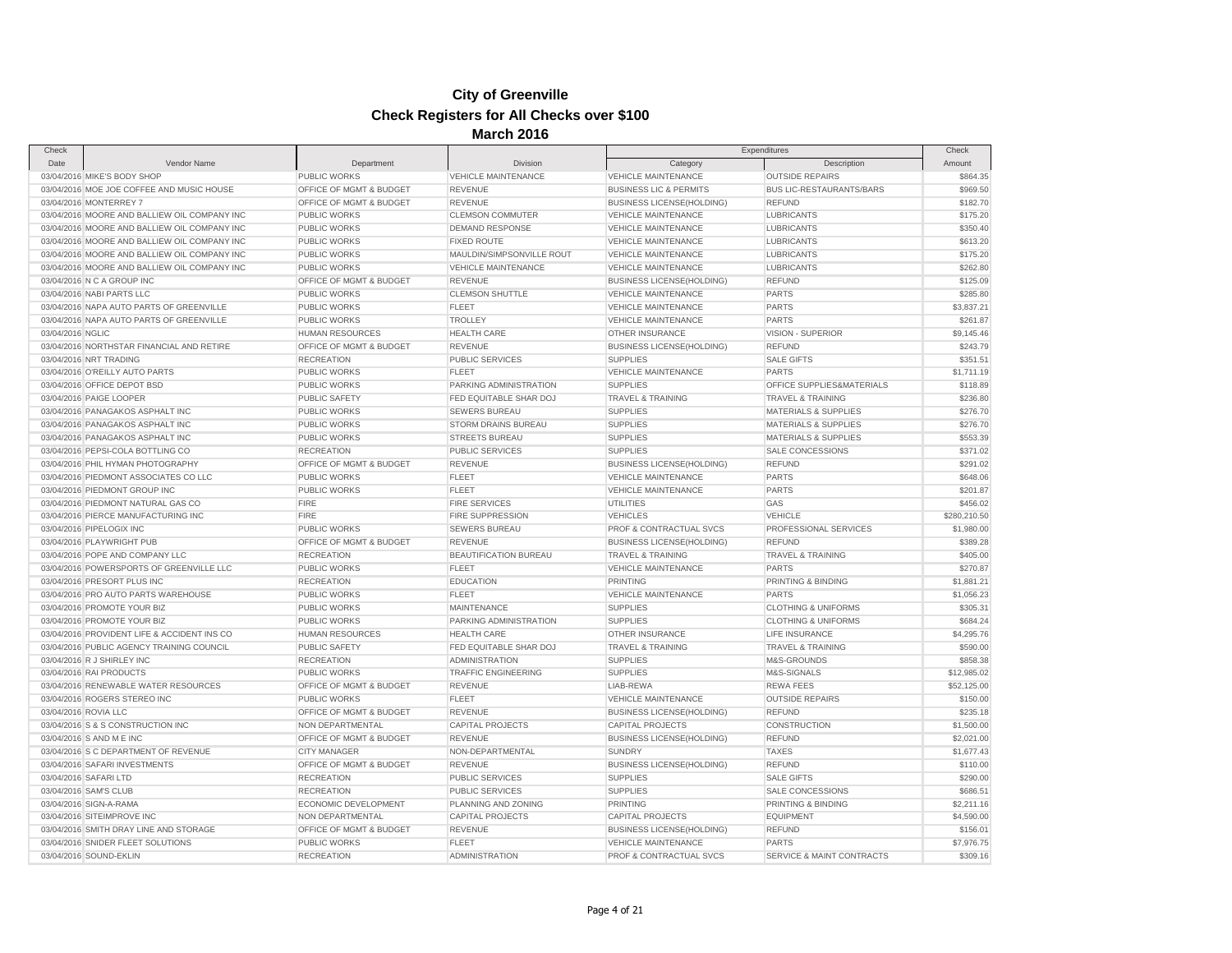| Check                |                                              |                         |                            |                                   | Expenditures                         | Check        |
|----------------------|----------------------------------------------|-------------------------|----------------------------|-----------------------------------|--------------------------------------|--------------|
| Date                 | Vendor Name                                  | Department              | <b>Division</b>            | Category                          | Description                          | Amount       |
|                      | 03/04/2016 MIKE'S BODY SHOP                  | PUBLIC WORKS            | <b>VEHICLE MAINTENANCE</b> | <b>VEHICLE MAINTENANCE</b>        | <b>OUTSIDE REPAIRS</b>               | \$864.35     |
|                      | 03/04/2016 MOE JOE COFFEE AND MUSIC HOUSE    | OFFICE OF MGMT & BUDGET | <b>REVENUE</b>             | <b>BUSINESS LIC &amp; PERMITS</b> | <b>BUS LIC-RESTAURANTS/BARS</b>      | \$969.50     |
|                      | 03/04/2016 MONTERREY 7                       | OFFICE OF MGMT & BUDGET | <b>REVENUE</b>             | <b>BUSINESS LICENSE(HOLDING)</b>  | <b>REFUND</b>                        | \$182.70     |
|                      | 03/04/2016 MOORE AND BALLIEW OIL COMPANY INC | <b>PUBLIC WORKS</b>     | <b>CLEMSON COMMUTER</b>    | <b>VEHICLE MAINTENANCE</b>        | <b>LUBRICANTS</b>                    | \$175.20     |
|                      | 03/04/2016 MOORE AND BALLIEW OIL COMPANY INC | PUBLIC WORKS            | <b>DEMAND RESPONSE</b>     | <b>VEHICLE MAINTENANCE</b>        | <b>LUBRICANTS</b>                    | \$350.40     |
|                      | 03/04/2016 MOORE AND BALLIEW OIL COMPANY INC | PUBLIC WORKS            | <b>FIXED ROUTE</b>         | <b>VEHICLE MAINTENANCE</b>        | <b>LUBRICANTS</b>                    | \$613.20     |
|                      | 03/04/2016 MOORE AND BALLIEW OIL COMPANY INC | PUBLIC WORKS            | MAULDIN/SIMPSONVILLE ROUT  | <b>VEHICLE MAINTENANCE</b>        | <b>LUBRICANTS</b>                    | \$175.20     |
|                      | 03/04/2016 MOORE AND BALLIEW OIL COMPANY INC | <b>PUBLIC WORKS</b>     | <b>VEHICLE MAINTENANCE</b> | <b>VEHICLE MAINTENANCE</b>        | <b>LUBRICANTS</b>                    | \$262.80     |
|                      | 03/04/2016 N C A GROUP INC                   | OFFICE OF MGMT & BUDGET | <b>REVENUE</b>             | <b>BUSINESS LICENSE(HOLDING)</b>  | <b>REFUND</b>                        | \$125.09     |
|                      | 03/04/2016 NABI PARTS LLC                    | <b>PUBLIC WORKS</b>     | <b>CLEMSON SHUTTLE</b>     | <b>VEHICLE MAINTENANCE</b>        | <b>PARTS</b>                         | \$285.80     |
|                      | 03/04/2016 NAPA AUTO PARTS OF GREENVILLE     | PUBLIC WORKS            | <b>FLEET</b>               | <b>VEHICLE MAINTENANCE</b>        | PARTS                                | \$3,837.21   |
|                      | 03/04/2016 NAPA AUTO PARTS OF GREENVILLE     | <b>PUBLIC WORKS</b>     | <b>TROLLEY</b>             | <b>VEHICLE MAINTENANCE</b>        | <b>PARTS</b>                         | \$261.87     |
| 03/04/2016 NGLIC     |                                              | <b>HUMAN RESOURCES</b>  | <b>HEALTH CARE</b>         | OTHER INSURANCE                   | VISION - SUPERIOR                    | \$9,145.46   |
|                      | 03/04/2016 NORTHSTAR FINANCIAL AND RETIRE    | OFFICE OF MGMT & BUDGET | <b>REVENUE</b>             | <b>BUSINESS LICENSE(HOLDING)</b>  | <b>REFUND</b>                        | \$243.79     |
|                      | 03/04/2016 NRT TRADING                       | <b>RECREATION</b>       | <b>PUBLIC SERVICES</b>     | <b>SUPPLIES</b>                   | <b>SALE GIFTS</b>                    | \$351.51     |
|                      | 03/04/2016 O'REILLY AUTO PARTS               | PUBLIC WORKS            | <b>FLEET</b>               | <b>VEHICLE MAINTENANCE</b>        | <b>PARTS</b>                         | \$1,711.19   |
|                      | 03/04/2016 OFFICE DEPOT BSD                  | <b>PUBLIC WORKS</b>     | PARKING ADMINISTRATION     | <b>SUPPLIES</b>                   | OFFICE SUPPLIES&MATERIALS            | \$118.89     |
|                      | 03/04/2016 PAIGE LOOPER                      | PUBLIC SAFETY           | FED EQUITABLE SHAR DOJ     | <b>TRAVEL &amp; TRAINING</b>      | <b>TRAVEL &amp; TRAINING</b>         | \$236.80     |
|                      |                                              |                         |                            |                                   |                                      |              |
|                      | 03/04/2016 PANAGAKOS ASPHALT INC             | <b>PUBLIC WORKS</b>     | <b>SEWERS BUREAU</b>       | <b>SUPPLIES</b>                   | <b>MATERIALS &amp; SUPPLIES</b>      | \$276.70     |
|                      | 03/04/2016 PANAGAKOS ASPHALT INC             | PUBLIC WORKS            | STORM DRAINS BUREAU        | <b>SUPPLIES</b>                   | <b>MATERIALS &amp; SUPPLIES</b>      | \$276.70     |
|                      | 03/04/2016 PANAGAKOS ASPHALT INC             | <b>PUBLIC WORKS</b>     | <b>STREETS BUREAU</b>      | <b>SUPPLIES</b>                   | <b>MATERIALS &amp; SUPPLIES</b>      | \$553.39     |
|                      | 03/04/2016 PEPSI-COLA BOTTLING CO            | <b>RECREATION</b>       | PUBLIC SERVICES            | <b>SUPPLIES</b>                   | SALE CONCESSIONS                     | \$371.02     |
|                      | 03/04/2016 PHIL HYMAN PHOTOGRAPHY            | OFFICE OF MGMT & BUDGET | <b>REVENUE</b>             | <b>BUSINESS LICENSE(HOLDING)</b>  | <b>REFUND</b>                        | \$291.02     |
|                      | 03/04/2016 PIEDMONT ASSOCIATES CO LLC        | <b>PUBLIC WORKS</b>     | <b>FLEET</b>               | <b>VEHICLE MAINTENANCE</b>        | <b>PARTS</b>                         | \$648.06     |
|                      | 03/04/2016 PIEDMONT GROUP INC                | PUBLIC WORKS            | <b>FLEET</b>               | <b>VEHICLE MAINTENANCE</b>        | PARTS                                | \$201.87     |
|                      | 03/04/2016 PIEDMONT NATURAL GAS CO           | <b>FIRE</b>             | <b>FIRE SERVICES</b>       | <b>UTILITIES</b>                  | GAS                                  | \$456.02     |
|                      | 03/04/2016 PIERCE MANUFACTURING INC          | <b>FIRE</b>             | FIRE SUPPRESSION           | <b>VEHICLES</b>                   | <b>VEHICLE</b>                       | \$280,210.50 |
|                      | 03/04/2016 PIPELOGIX INC                     | <b>PUBLIC WORKS</b>     | <b>SEWERS BUREAU</b>       | PROF & CONTRACTUAL SVCS           | PROFESSIONAL SERVICES                | \$1,980.00   |
|                      | 03/04/2016 PLAYWRIGHT PUB                    | OFFICE OF MGMT & BUDGET | <b>REVENUE</b>             | <b>BUSINESS LICENSE(HOLDING)</b>  | <b>REFUND</b>                        | \$389.28     |
|                      | 03/04/2016 POPE AND COMPANY LLC              | <b>RECREATION</b>       | BEAUTIFICATION BUREAU      | <b>TRAVEL &amp; TRAINING</b>      | <b>TRAVEL &amp; TRAINING</b>         | \$405.00     |
|                      | 03/04/2016 POWERSPORTS OF GREENVILLE LLC     | <b>PUBLIC WORKS</b>     | <b>FLEET</b>               | <b>VEHICLE MAINTENANCE</b>        | <b>PARTS</b>                         | \$270.87     |
|                      | 03/04/2016 PRESORT PLUS INC                  | <b>RECREATION</b>       | <b>EDUCATION</b>           | PRINTING                          | PRINTING & BINDING                   | \$1,881.21   |
|                      | 03/04/2016 PRO AUTO PARTS WAREHOUSE          | <b>PUBLIC WORKS</b>     | <b>FLEET</b>               | <b>VEHICLE MAINTENANCE</b>        | <b>PARTS</b>                         | \$1,056.23   |
|                      | 03/04/2016 PROMOTE YOUR BIZ                  | PUBLIC WORKS            | <b>MAINTENANCE</b>         | <b>SUPPLIES</b>                   | <b>CLOTHING &amp; UNIFORMS</b>       | \$305.31     |
|                      | 03/04/2016 PROMOTE YOUR BIZ                  | <b>PUBLIC WORKS</b>     | PARKING ADMINISTRATION     | <b>SUPPLIES</b>                   | <b>CLOTHING &amp; UNIFORMS</b>       | \$684.24     |
|                      | 03/04/2016 PROVIDENT LIFE & ACCIDENT INS CO  | <b>HUMAN RESOURCES</b>  | <b>HEALTH CARE</b>         | OTHER INSURANCE                   | LIFE INSURANCE                       | \$4,295.76   |
|                      | 03/04/2016 PUBLIC AGENCY TRAINING COUNCIL    | <b>PUBLIC SAFETY</b>    | FED EQUITABLE SHAR DOJ     | <b>TRAVEL &amp; TRAINING</b>      | <b>TRAVEL &amp; TRAINING</b>         | \$590.00     |
|                      | 03/04/2016 R J SHIRLEY INC                   | <b>RECREATION</b>       | <b>ADMINISTRATION</b>      | <b>SUPPLIES</b>                   | M&S-GROUNDS                          | \$858.38     |
|                      | 03/04/2016 RAI PRODUCTS                      | PUBLIC WORKS            | <b>TRAFFIC ENGINEERING</b> | <b>SUPPLIES</b>                   | M&S-SIGNALS                          | \$12,985.02  |
|                      | 03/04/2016 RENEWABLE WATER RESOURCES         | OFFICE OF MGMT & BUDGET | <b>REVENUE</b>             | LIAB-REWA                         | <b>REWA FEES</b>                     | \$52,125.00  |
|                      | 03/04/2016 ROGERS STEREO INC                 | <b>PUBLIC WORKS</b>     | <b>FLEET</b>               | <b>VEHICLE MAINTENANCE</b>        | <b>OUTSIDE REPAIRS</b>               | \$150.00     |
| 03/04/2016 ROVIA LLC |                                              | OFFICE OF MGMT & BUDGET | <b>REVENUE</b>             | <b>BUSINESS LICENSE(HOLDING)</b>  | <b>REFUND</b>                        | \$235.18     |
|                      | 03/04/2016 S & S CONSTRUCTION INC            | <b>NON DEPARTMENTAL</b> | <b>CAPITAL PROJECTS</b>    | <b>CAPITAL PROJECTS</b>           | CONSTRUCTION                         | \$1,500.00   |
|                      | 03/04/2016 S AND M E INC                     | OFFICE OF MGMT & BUDGET | <b>REVENUE</b>             | <b>BUSINESS LICENSE(HOLDING)</b>  | <b>REFUND</b>                        | \$2,021.00   |
|                      | 03/04/2016 S C DEPARTMENT OF REVENUE         | <b>CITY MANAGER</b>     | NON-DEPARTMENTAL           | <b>SUNDRY</b>                     | <b>TAXES</b>                         | \$1,677.43   |
|                      | 03/04/2016 SAFARI INVESTMENTS                | OFFICE OF MGMT & BUDGET | <b>REVENUE</b>             | <b>BUSINESS LICENSE(HOLDING)</b>  | <b>REFUND</b>                        | \$110.00     |
|                      | 03/04/2016 SAFARI LTD                        | <b>RECREATION</b>       | <b>PUBLIC SERVICES</b>     | <b>SUPPLIES</b>                   | <b>SALE GIFTS</b>                    | \$290.00     |
|                      | 03/04/2016 SAM'S CLUB                        | <b>RECREATION</b>       | <b>PUBLIC SERVICES</b>     | <b>SUPPLIES</b>                   | SALE CONCESSIONS                     | \$686.51     |
|                      | 03/04/2016 SIGN-A-RAMA                       | ECONOMIC DEVELOPMENT    | PLANNING AND ZONING        | <b>PRINTING</b>                   | PRINTING & BINDING                   | \$2,211.16   |
|                      | 03/04/2016 SITEIMPROVE INC                   | NON DEPARTMENTAL        | <b>CAPITAL PROJECTS</b>    | <b>CAPITAL PROJECTS</b>           | <b>EQUIPMENT</b>                     | \$4,590.00   |
|                      | 03/04/2016 SMITH DRAY LINE AND STORAGE       | OFFICE OF MGMT & BUDGET | <b>REVENUE</b>             | <b>BUSINESS LICENSE(HOLDING)</b>  | <b>REFUND</b>                        | \$156.01     |
|                      |                                              |                         |                            |                                   |                                      |              |
|                      | 03/04/2016 SNIDER FLEET SOLUTIONS            | PUBLIC WORKS            | <b>FLEET</b>               | <b>VEHICLE MAINTENANCE</b>        | <b>PARTS</b>                         | \$7,976.75   |
|                      | 03/04/2016 SOUND-EKLIN                       | <b>RECREATION</b>       | <b>ADMINISTRATION</b>      | PROF & CONTRACTUAL SVCS           | <b>SERVICE &amp; MAINT CONTRACTS</b> | \$309.16     |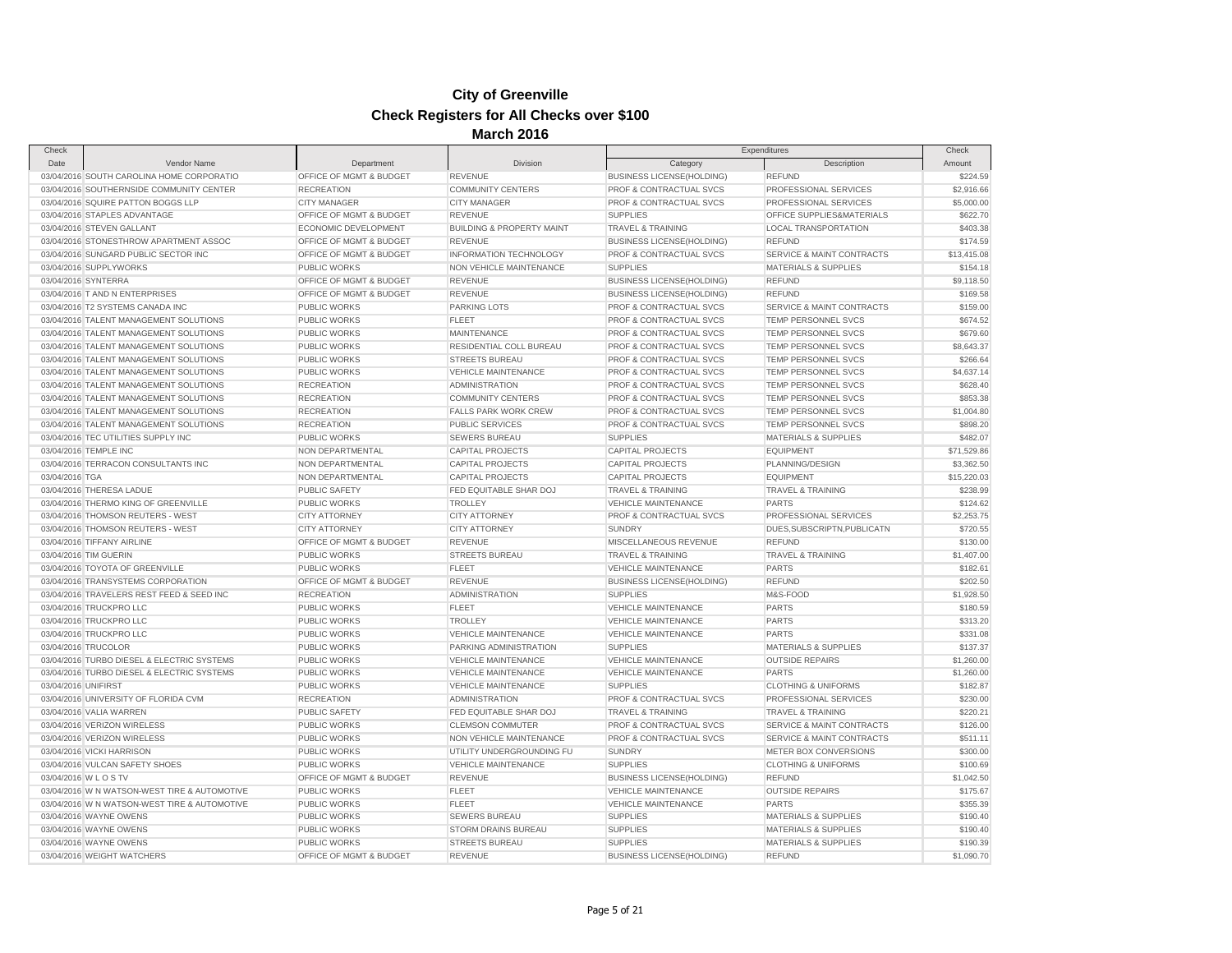| Check               |                                              |                         |                                      |                                    | Expenditures                    | Check                  |
|---------------------|----------------------------------------------|-------------------------|--------------------------------------|------------------------------------|---------------------------------|------------------------|
| Date                | Vendor Name                                  | Department              | <b>Division</b>                      | Category                           | Description                     | Amount                 |
|                     | 03/04/2016 SOUTH CAROLINA HOME CORPORATIO    | OFFICE OF MGMT & BUDGET | <b>REVENUE</b>                       | <b>BUSINESS LICENSE(HOLDING)</b>   | <b>REFUND</b>                   | \$224.59               |
|                     | 03/04/2016 SOUTHERNSIDE COMMUNITY CENTER     | <b>RECREATION</b>       | <b>COMMUNITY CENTERS</b>             | PROF & CONTRACTUAL SVCS            | PROFESSIONAL SERVICES           | \$2,916.66             |
|                     | 03/04/2016 SQUIRE PATTON BOGGS LLP           | <b>CITY MANAGER</b>     | <b>CITY MANAGER</b>                  | PROF & CONTRACTUAL SVCS            | PROFESSIONAL SERVICES           | \$5,000.00             |
|                     | 03/04/2016 STAPLES ADVANTAGE                 | OFFICE OF MGMT & BUDGET | <b>REVENUE</b>                       | <b>SUPPLIES</b>                    | OFFICE SUPPLIES&MATERIALS       | \$622.70               |
|                     | 03/04/2016 STEVEN GALLANT                    | ECONOMIC DEVELOPMENT    | <b>BUILDING &amp; PROPERTY MAINT</b> | <b>TRAVEL &amp; TRAINING</b>       | <b>LOCAL TRANSPORTATION</b>     | \$403.38               |
|                     | 03/04/2016 STONESTHROW APARTMENT ASSOC       | OFFICE OF MGMT & BUDGET | <b>REVENUE</b>                       | <b>BUSINESS LICENSE(HOLDING)</b>   | <b>REFUND</b>                   | \$174.59               |
|                     | 03/04/2016 SUNGARD PUBLIC SECTOR INC         | OFFICE OF MGMT & BUDGET | <b>INFORMATION TECHNOLOGY</b>        | PROF & CONTRACTUAL SVCS            | SERVICE & MAINT CONTRACTS       | \$13,415.08            |
|                     | 03/04/2016 SUPPLYWORKS                       | PUBLIC WORKS            | NON VEHICLE MAINTENANCE              | <b>SUPPLIES</b>                    | MATERIALS & SUPPLIES            | \$154.18               |
|                     | 03/04/2016 SYNTERRA                          | OFFICE OF MGMT & BUDGET | <b>REVENUE</b>                       | <b>BUSINESS LICENSE(HOLDING)</b>   | <b>REFUND</b>                   | \$9,118,50             |
|                     | 03/04/2016 T AND N ENTERPRISES               | OFFICE OF MGMT & BUDGET | <b>REVENUE</b>                       | <b>BUSINESS LICENSE(HOLDING)</b>   | <b>REFUND</b>                   | \$169.58               |
|                     | 03/04/2016 T2 SYSTEMS CANADA INC             | <b>PUBLIC WORKS</b>     | <b>PARKING LOTS</b>                  | PROF & CONTRACTUAL SVCS            | SERVICE & MAINT CONTRACTS       | \$159.00               |
|                     | 03/04/2016 TALENT MANAGEMENT SOLUTIONS       | <b>PUBLIC WORKS</b>     | <b>FLEET</b>                         | PROF & CONTRACTUAL SVCS            | TEMP PERSONNEL SVCS             | \$674.52               |
|                     | 03/04/2016 TALENT MANAGEMENT SOLUTIONS       | <b>PUBLIC WORKS</b>     | <b>MAINTENANCE</b>                   | PROF & CONTRACTUAL SVCS            | <b>TEMP PERSONNEL SVCS</b>      | \$679.60               |
|                     | 03/04/2016 TALENT MANAGEMENT SOLUTIONS       | PUBLIC WORKS            | RESIDENTIAL COLL BUREAU              | PROF & CONTRACTUAL SVCS            | TEMP PERSONNEL SVCS             | \$8,643.37             |
|                     | 03/04/2016 TALENT MANAGEMENT SOLUTIONS       | PUBLIC WORKS            | <b>STREETS BUREAU</b>                | PROF & CONTRACTUAL SVCS            | TEMP PERSONNEL SVCS             | \$266.64               |
|                     | 03/04/2016 TALENT MANAGEMENT SOLUTIONS       | PUBLIC WORKS            | <b>VEHICLE MAINTENANCE</b>           | PROF & CONTRACTUAL SVCS            | <b>TEMP PERSONNEL SVCS</b>      | \$4,637.14             |
|                     | 03/04/2016 TALENT MANAGEMENT SOLUTIONS       | <b>RECREATION</b>       | <b>ADMINISTRATION</b>                | PROF & CONTRACTUAL SVCS            | TEMP PERSONNEL SVCS             | \$628.40               |
|                     | 03/04/2016 TALENT MANAGEMENT SOLUTIONS       | <b>RECREATION</b>       | <b>COMMUNITY CENTERS</b>             | PROF & CONTRACTUAL SVCS            | <b>TEMP PERSONNEL SVCS</b>      | \$853.38               |
|                     | 03/04/2016 TALENT MANAGEMENT SOLUTIONS       | <b>RECREATION</b>       | <b>FALLS PARK WORK CREW</b>          | PROF & CONTRACTUAL SVCS            | TEMP PERSONNEL SVCS             | \$1,004.80             |
|                     | 03/04/2016 TALENT MANAGEMENT SOLUTIONS       | <b>RECREATION</b>       | <b>PUBLIC SERVICES</b>               | <b>PROF &amp; CONTRACTUAL SVCS</b> | <b>TEMP PERSONNEL SVCS</b>      | \$898.20               |
|                     | 03/04/2016 TEC UTILITIES SUPPLY INC          | <b>PUBLIC WORKS</b>     | <b>SEWERS BUREAU</b>                 | <b>SUPPLIES</b>                    | <b>MATERIALS &amp; SUPPLIES</b> | \$482.07               |
|                     | 03/04/2016 TEMPLE INC                        | NON DEPARTMENTAL        | <b>CAPITAL PROJECTS</b>              | <b>CAPITAL PROJECTS</b>            | <b>EQUIPMENT</b>                | \$71,529.86            |
|                     | 03/04/2016 TERRACON CONSULTANTS INC          | NON DEPARTMENTAL        | CAPITAL PROJECTS                     | CAPITAL PROJECTS                   | PLANNING/DESIGN                 | \$3,362.50             |
| 03/04/2016 TGA      |                                              | NON DEPARTMENTAL        | <b>CAPITAL PROJECTS</b>              | <b>CAPITAL PROJECTS</b>            | <b>EQUIPMENT</b>                | \$15,220.03            |
|                     | 03/04/2016 THERESA LADUE                     | PUBLIC SAFETY           | FED EQUITABLE SHAR DOJ               | <b>TRAVEL &amp; TRAINING</b>       | <b>TRAVEL &amp; TRAINING</b>    | \$238.99               |
|                     | 03/04/2016 THERMO KING OF GREENVILLE         | PUBLIC WORKS            | <b>TROLLEY</b>                       | <b>VEHICLE MAINTENANCE</b>         | <b>PARTS</b>                    | \$124.62               |
|                     | 03/04/2016 THOMSON REUTERS - WEST            | <b>CITY ATTORNEY</b>    | <b>CITY ATTORNEY</b>                 | PROF & CONTRACTUAL SVCS            | PROFESSIONAL SERVICES           | \$2,253.75             |
|                     | 03/04/2016 THOMSON REUTERS - WEST            | <b>CITY ATTORNEY</b>    | <b>CITY ATTORNEY</b>                 | <b>SUNDRY</b>                      | DUES, SUBSCRIPTN, PUBLICATN     | \$720.55               |
|                     | 03/04/2016 TIFFANY AIRLINE                   | OFFICE OF MGMT & BUDGET | <b>REVENUE</b>                       | MISCELLANEOUS REVENUE              | <b>REFUND</b>                   | \$130.00               |
|                     | 03/04/2016 TIM GUERIN                        | PUBLIC WORKS            | <b>STREETS BUREAU</b>                | <b>TRAVEL &amp; TRAINING</b>       | <b>TRAVEL &amp; TRAINING</b>    | \$1,407.00             |
|                     | 03/04/2016 TOYOTA OF GREENVILLE              | PUBLIC WORKS            | <b>FLEET</b>                         | <b>VEHICLE MAINTENANCE</b>         | <b>PARTS</b>                    | \$182.61               |
|                     | 03/04/2016 TRANSYSTEMS CORPORATION           | OFFICE OF MGMT & BUDGET | <b>REVENUE</b>                       | <b>BUSINESS LICENSE(HOLDING)</b>   | <b>REFUND</b>                   | \$202.50               |
|                     | 03/04/2016 TRAVELERS REST FEED & SEED INC    | <b>RECREATION</b>       | <b>ADMINISTRATION</b>                | <b>SUPPLIES</b>                    | M&S-FOOD                        | \$1,928.50             |
|                     | 03/04/2016 TRUCKPRO LLC                      | <b>PUBLIC WORKS</b>     | <b>FLEET</b>                         | <b>VEHICLE MAINTENANCE</b>         | <b>PARTS</b>                    | \$180.59               |
|                     | 03/04/2016 TRUCKPRO LLC                      | <b>PUBLIC WORKS</b>     | <b>TROLLEY</b>                       | <b>VEHICLE MAINTENANCE</b>         | <b>PARTS</b>                    | \$313.20               |
|                     | 03/04/2016 TRUCKPRO LLC                      | <b>PUBLIC WORKS</b>     | <b>VEHICLE MAINTENANCE</b>           | <b>VEHICLE MAINTENANCE</b>         | <b>PARTS</b>                    | \$331.08               |
|                     | 03/04/2016 TRUCOLOR                          | PUBLIC WORKS            | PARKING ADMINISTRATION               | <b>SUPPLIES</b>                    | <b>MATERIALS &amp; SUPPLIES</b> | \$137.37               |
|                     | 03/04/2016 TURBO DIESEL & ELECTRIC SYSTEMS   | <b>PUBLIC WORKS</b>     | <b>VEHICLE MAINTENANCE</b>           | <b>VEHICLE MAINTENANCE</b>         | <b>OUTSIDE REPAIRS</b>          | \$1,260.00             |
|                     | 03/04/2016 TURBO DIESEL & ELECTRIC SYSTEMS   | PUBLIC WORKS            | <b>VEHICLE MAINTENANCE</b>           | <b>VEHICLE MAINTENANCE</b>         | <b>PARTS</b>                    |                        |
| 03/04/2016 UNIFIRST |                                              | PUBLIC WORKS            | <b>VEHICLE MAINTENANCE</b>           | <b>SUPPLIES</b>                    | <b>CLOTHING &amp; UNIFORMS</b>  | \$1,260.00<br>\$182.87 |
|                     | 03/04/2016 UNIVERSITY OF FLORIDA CVM         | <b>RECREATION</b>       | <b>ADMINISTRATION</b>                | PROF & CONTRACTUAL SVCS            | PROFESSIONAL SERVICES           | \$230.00               |
|                     |                                              | PUBLIC SAFETY           | FED EQUITABLE SHAR DOJ               |                                    | <b>TRAVEL &amp; TRAINING</b>    | \$220.21               |
|                     | 03/04/2016 VALIA WARREN                      |                         |                                      | <b>TRAVEL &amp; TRAINING</b>       |                                 |                        |
|                     | 03/04/2016 VERIZON WIRELESS                  | <b>PUBLIC WORKS</b>     | <b>CLEMSON COMMUTER</b>              | PROF & CONTRACTUAL SVCS            | SERVICE & MAINT CONTRACTS       | \$126.00               |
|                     | 03/04/2016 VERIZON WIRELESS                  | PUBLIC WORKS            | NON VEHICLE MAINTENANCE              | PROF & CONTRACTUAL SVCS            | SERVICE & MAINT CONTRACTS       | \$511.11               |
|                     | 03/04/2016 VICKI HARRISON                    | <b>PUBLIC WORKS</b>     | UTILITY UNDERGROUNDING FU            | <b>SUNDRY</b>                      | METER BOX CONVERSIONS           | \$300.00               |
|                     | 03/04/2016 VULCAN SAFETY SHOES               | PUBLIC WORKS            | <b>VEHICLE MAINTENANCE</b>           | <b>SUPPLIES</b>                    | <b>CLOTHING &amp; UNIFORMS</b>  | \$100.69               |
|                     | 03/04/2016 W L O S TV                        | OFFICE OF MGMT & BUDGET | <b>REVENUE</b>                       | <b>BUSINESS LICENSE(HOLDING)</b>   | <b>REFUND</b>                   | \$1,042.50             |
|                     | 03/04/2016 W N WATSON-WEST TIRE & AUTOMOTIVE | PUBLIC WORKS            | <b>FLEET</b>                         | <b>VEHICLE MAINTENANCE</b>         | <b>OUTSIDE REPAIRS</b>          | \$175.67               |
|                     | 03/04/2016 W N WATSON-WEST TIRE & AUTOMOTIVE | <b>PUBLIC WORKS</b>     | <b>FLEET</b>                         | <b>VEHICLE MAINTENANCE</b>         | <b>PARTS</b>                    | \$355.39               |
|                     | 03/04/2016 WAYNE OWENS                       | PUBLIC WORKS            | SEWERS BUREAU                        | <b>SUPPLIES</b>                    | <b>MATERIALS &amp; SUPPLIES</b> | \$190.40               |
|                     | 03/04/2016 WAYNE OWENS                       | <b>PUBLIC WORKS</b>     | <b>STORM DRAINS BUREAU</b>           | <b>SUPPLIES</b>                    | <b>MATERIALS &amp; SUPPLIES</b> | \$190.40               |
|                     | 03/04/2016 WAYNE OWENS                       | PUBLIC WORKS            | <b>STREETS BUREAU</b>                | <b>SUPPLIES</b>                    | <b>MATERIALS &amp; SUPPLIES</b> | \$190.39               |
|                     | 03/04/2016 WEIGHT WATCHERS                   | OFFICE OF MGMT & BUDGET | REVENUE                              | <b>BUSINESS LICENSE(HOLDING)</b>   | <b>REFUND</b>                   | \$1,090.70             |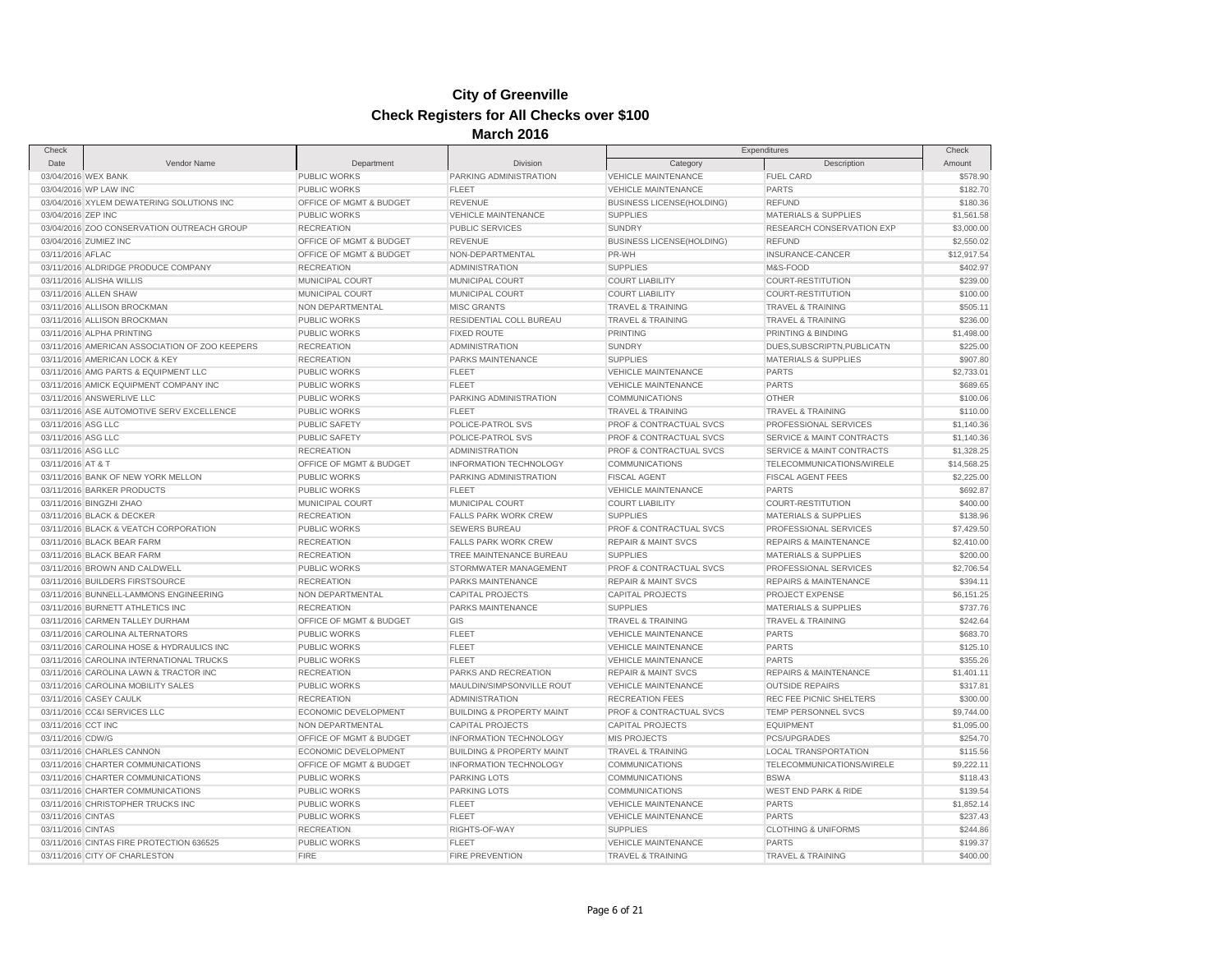| Check              |                                                                              |                                          |                                                   |                                                              | Expenditures                                               | Check       |
|--------------------|------------------------------------------------------------------------------|------------------------------------------|---------------------------------------------------|--------------------------------------------------------------|------------------------------------------------------------|-------------|
| Date               | Vendor Name                                                                  | Department                               | Division                                          | Category                                                     | Description                                                | Amount      |
|                    | 03/04/2016 WEX BANK                                                          | PUBLIC WORKS                             | PARKING ADMINISTRATION                            | <b>VEHICLE MAINTENANCE</b>                                   | FUEL CARD                                                  | \$578.90    |
|                    | 03/04/2016 WP LAW INC                                                        | PUBLIC WORKS                             | <b>FLEET</b>                                      | <b>VEHICLE MAINTENANCE</b>                                   | <b>PARTS</b>                                               | \$182.70    |
|                    | 03/04/2016 XYLEM DEWATERING SOLUTIONS INC                                    | OFFICE OF MGMT & BUDGET                  | <b>REVENUE</b>                                    | <b>BUSINESS LICENSE(HOLDING)</b>                             | <b>REFUND</b>                                              | \$180.36    |
| 03/04/2016 ZEP INC |                                                                              | <b>PUBLIC WORKS</b>                      | <b>VEHICLE MAINTENANCE</b>                        | <b>SUPPLIES</b>                                              | <b>MATERIALS &amp; SUPPLIES</b>                            | \$1,561.58  |
|                    | 03/04/2016 ZOO CONSERVATION OUTREACH GROUP                                   | <b>RECREATION</b>                        | <b>PUBLIC SERVICES</b>                            | <b>SUNDRY</b>                                                | <b>RESEARCH CONSERVATION EXP</b>                           | \$3,000.00  |
|                    | 03/04/2016 ZUMIEZ INC                                                        | OFFICE OF MGMT & BUDGET                  | <b>REVENUE</b>                                    | <b>BUSINESS LICENSE(HOLDING)</b>                             | <b>REFUND</b>                                              | \$2,550.02  |
| 03/11/2016 AFLAC   |                                                                              | OFFICE OF MGMT & BUDGET                  | NON-DEPARTMENTAL                                  | PR-WH                                                        | INSURANCE-CANCER                                           | \$12,917.54 |
|                    | 03/11/2016 ALDRIDGE PRODUCE COMPANY                                          | <b>RECREATION</b>                        | <b>ADMINISTRATION</b>                             | <b>SUPPLIES</b>                                              | M&S-FOOD                                                   | \$402.97    |
|                    | 03/11/2016 ALISHA WILLIS                                                     | MUNICIPAL COURT                          | MUNICIPAL COURT                                   | <b>COURT LIABILITY</b>                                       | COURT-RESTITUTION                                          | \$239.00    |
|                    | 03/11/2016 ALLEN SHAW                                                        | MUNICIPAL COURT                          | MUNICIPAL COURT                                   | <b>COURT LIABILITY</b>                                       | COURT-RESTITUTION                                          | \$100.00    |
|                    | 03/11/2016 ALLISON BROCKMAN                                                  | NON DEPARTMENTAL                         | <b>MISC GRANTS</b>                                | <b>TRAVEL &amp; TRAINING</b>                                 | <b>TRAVEL &amp; TRAINING</b>                               | \$505.11    |
|                    | 03/11/2016 ALLISON BROCKMAN                                                  | PUBLIC WORKS                             | RESIDENTIAL COLL BUREAU                           | <b>TRAVEL &amp; TRAINING</b>                                 | <b>TRAVEL &amp; TRAINING</b>                               | \$236.00    |
|                    | 03/11/2016 ALPHA PRINTING                                                    | PUBLIC WORKS                             | <b>FIXED ROUTE</b>                                | <b>PRINTING</b>                                              | PRINTING & BINDING                                         | \$1,498.00  |
|                    | 03/11/2016 AMERICAN ASSOCIATION OF ZOO KEEPERS                               | <b>RECREATION</b>                        | <b>ADMINISTRATION</b>                             | <b>SUNDRY</b>                                                | DUES, SUBSCRIPTN, PUBLICATN                                | \$225.00    |
|                    | 03/11/2016 AMERICAN LOCK & KEY                                               | <b>RECREATION</b>                        | PARKS MAINTENANCE                                 | <b>SUPPLIES</b>                                              | <b>MATERIALS &amp; SUPPLIES</b>                            | \$907.80    |
|                    | 03/11/2016 AMG PARTS & EQUIPMENT LLC                                         | <b>PUBLIC WORKS</b>                      | <b>FLEET</b>                                      | <b>VEHICLE MAINTENANCE</b>                                   | <b>PARTS</b>                                               | \$2,733.01  |
|                    | 03/11/2016 AMICK EQUIPMENT COMPANY INC                                       | <b>PUBLIC WORKS</b>                      | <b>FLEET</b>                                      | <b>VEHICLE MAINTENANCE</b>                                   | <b>PARTS</b>                                               | \$689.65    |
|                    | 03/11/2016 ANSWERLIVE LLC                                                    | PUBLIC WORKS                             | PARKING ADMINISTRATION                            | <b>COMMUNICATIONS</b>                                        | <b>OTHER</b>                                               | \$100.06    |
|                    | 03/11/2016 ASE AUTOMOTIVE SERV EXCELLENCE                                    | PUBLIC WORKS                             | <b>FLEET</b>                                      | <b>TRAVEL &amp; TRAINING</b>                                 | <b>TRAVEL &amp; TRAINING</b>                               | \$110.00    |
| 03/11/2016 ASG LLC |                                                                              | <b>PUBLIC SAFETY</b>                     | POLICE-PATROL SVS                                 | PROF & CONTRACTUAL SVCS                                      | PROFESSIONAL SERVICES                                      | \$1,140.36  |
| 03/11/2016 ASG LLC |                                                                              | <b>PUBLIC SAFETY</b>                     | POLICE-PATROL SVS                                 | PROF & CONTRACTUAL SVCS                                      | <b>SERVICE &amp; MAINT CONTRACTS</b>                       | \$1,140.36  |
| 03/11/2016 ASG LLC |                                                                              | <b>RECREATION</b>                        | <b>ADMINISTRATION</b>                             | PROF & CONTRACTUAL SVCS                                      | SERVICE & MAINT CONTRACTS                                  | \$1,328.25  |
| 03/11/2016 AT & T  |                                                                              | OFFICE OF MGMT & BUDGET                  | <b>INFORMATION TECHNOLOGY</b>                     | <b>COMMUNICATIONS</b>                                        | TELECOMMUNICATIONS/WIRELE                                  | \$14,568.25 |
|                    | 03/11/2016 BANK OF NEW YORK MELLON                                           | <b>PUBLIC WORKS</b>                      | PARKING ADMINISTRATION                            | <b>FISCAL AGENT</b>                                          | <b>FISCAL AGENT FEES</b>                                   | \$2,225.00  |
|                    | 03/11/2016 BARKER PRODUCTS                                                   | PUBLIC WORKS                             | <b>FLEET</b>                                      | <b>VEHICLE MAINTENANCE</b>                                   | <b>PARTS</b>                                               | \$692.87    |
|                    | 03/11/2016 BINGZHI ZHAO                                                      | MUNICIPAL COURT                          | MUNICIPAL COURT                                   | <b>COURT LIABILITY</b>                                       | COURT-RESTITUTION                                          | \$400.00    |
|                    | 03/11/2016 BLACK & DECKER                                                    | <b>RECREATION</b>                        | FALLS PARK WORK CREW                              | <b>SUPPLIES</b>                                              | <b>MATERIALS &amp; SUPPLIES</b>                            | \$138.96    |
|                    | 03/11/2016 BLACK & VEATCH CORPORATION                                        | PUBLIC WORKS                             | <b>SEWERS BUREAU</b>                              | PROF & CONTRACTUAL SVCS                                      | PROFESSIONAL SERVICES                                      | \$7,429.50  |
|                    | 03/11/2016 BLACK BEAR FARM                                                   | <b>RECREATION</b>                        | <b>FALLS PARK WORK CREW</b>                       | <b>REPAIR &amp; MAINT SVCS</b>                               | <b>REPAIRS &amp; MAINTENANCE</b>                           | \$2,410.00  |
|                    | 03/11/2016 BLACK BEAR FARM                                                   | <b>RECREATION</b>                        | TREE MAINTENANCE BUREAU                           | <b>SUPPLIES</b>                                              | <b>MATERIALS &amp; SUPPLIES</b>                            | \$200.00    |
|                    | 03/11/2016 BROWN AND CALDWELL                                                | PUBLIC WORKS                             | STORMWATER MANAGEMENT                             | PROF & CONTRACTUAL SVCS                                      | PROFESSIONAL SERVICES                                      | \$2,706.54  |
|                    | 03/11/2016 BUILDERS FIRSTSOURCE                                              | <b>RECREATION</b>                        | PARKS MAINTENANCE                                 | <b>REPAIR &amp; MAINT SVCS</b>                               | <b>REPAIRS &amp; MAINTENANCE</b>                           | \$394.11    |
|                    | 03/11/2016 BUNNELL-LAMMONS ENGINEERING                                       | NON DEPARTMENTAL                         | <b>CAPITAL PROJECTS</b>                           | <b>CAPITAL PROJECTS</b>                                      | PROJECT EXPENSE                                            | \$6,151.25  |
|                    | 03/11/2016 BURNETT ATHLETICS INC                                             | <b>RECREATION</b>                        | <b>PARKS MAINTENANCE</b>                          | <b>SUPPLIES</b>                                              | <b>MATERIALS &amp; SUPPLIES</b>                            | \$737.76    |
|                    | 03/11/2016 CARMEN TALLEY DURHAM                                              | OFFICE OF MGMT & BUDGET                  | GIS                                               | <b>TRAVEL &amp; TRAINING</b>                                 | <b>TRAVEL &amp; TRAINING</b>                               | \$242.64    |
|                    | 03/11/2016 CAROLINA ALTERNATORS                                              | <b>PUBLIC WORKS</b>                      | <b>FLEET</b>                                      | <b>VEHICLE MAINTENANCE</b>                                   | <b>PARTS</b>                                               | \$683.70    |
|                    | 03/11/2016 CAROLINA HOSE & HYDRAULICS INC                                    | <b>PUBLIC WORKS</b>                      | <b>FLEET</b>                                      | <b>VEHICLE MAINTENANCE</b>                                   | <b>PARTS</b>                                               | \$125.10    |
|                    | 03/11/2016 CAROLINA INTERNATIONAL TRUCKS                                     | PUBLIC WORKS                             | <b>FLEET</b>                                      | <b>VEHICLE MAINTENANCE</b>                                   | <b>PARTS</b>                                               | \$355.26    |
|                    |                                                                              |                                          |                                                   |                                                              |                                                            | \$1,401.11  |
|                    | 03/11/2016 CAROLINA LAWN & TRACTOR INC<br>03/11/2016 CAROLINA MOBILITY SALES | <b>RECREATION</b><br><b>PUBLIC WORKS</b> | PARKS AND RECREATION<br>MAULDIN/SIMPSONVILLE ROUT | <b>REPAIR &amp; MAINT SVCS</b><br><b>VEHICLE MAINTENANCE</b> | <b>REPAIRS &amp; MAINTENANCE</b><br><b>OUTSIDE REPAIRS</b> | \$317.81    |
|                    | 03/11/2016 CASEY CAULK                                                       | <b>RECREATION</b>                        | <b>ADMINISTRATION</b>                             | <b>RECREATION FEES</b>                                       | REC FEE PICNIC SHELTERS                                    | \$300.00    |
|                    | 03/11/2016 CC&I SERVICES LLC                                                 | ECONOMIC DEVELOPMENT                     | <b>BUILDING &amp; PROPERTY MAINT</b>              | PROF & CONTRACTUAL SVCS                                      | TEMP PERSONNEL SVCS                                        |             |
|                    |                                                                              | NON DEPARTMENTAL                         | <b>CAPITAL PROJECTS</b>                           | <b>CAPITAL PROJECTS</b>                                      | <b>EQUIPMENT</b>                                           | \$9,744.00  |
| 03/11/2016 CCT INC |                                                                              |                                          |                                                   |                                                              |                                                            | \$1,095.00  |
| 03/11/2016 CDW/G   |                                                                              | OFFICE OF MGMT & BUDGET                  | <b>INFORMATION TECHNOLOGY</b>                     | <b>MIS PROJECTS</b>                                          | PCS/UPGRADES                                               | \$254.70    |
|                    | 03/11/2016 CHARLES CANNON                                                    | ECONOMIC DEVELOPMENT                     | <b>BUILDING &amp; PROPERTY MAINT</b>              | <b>TRAVEL &amp; TRAINING</b>                                 | <b>LOCAL TRANSPORTATION</b>                                | \$115.56    |
|                    | 03/11/2016 CHARTER COMMUNICATIONS                                            | OFFICE OF MGMT & BUDGET                  | INFORMATION TECHNOLOGY                            | <b>COMMUNICATIONS</b>                                        | TELECOMMUNICATIONS/WIRELE                                  | \$9,222.11  |
|                    | 03/11/2016 CHARTER COMMUNICATIONS                                            | PUBLIC WORKS                             | PARKING LOTS                                      | <b>COMMUNICATIONS</b>                                        | <b>BSWA</b>                                                | \$118.43    |
|                    | 03/11/2016 CHARTER COMMUNICATIONS                                            | PUBLIC WORKS                             | PARKING LOTS                                      | <b>COMMUNICATIONS</b>                                        | <b>WEST END PARK &amp; RIDE</b>                            | \$139.54    |
|                    | 03/11/2016 CHRISTOPHER TRUCKS INC                                            | PUBLIC WORKS                             | <b>FLEET</b>                                      | <b>VEHICLE MAINTENANCE</b>                                   | <b>PARTS</b>                                               | \$1,852.14  |
| 03/11/2016 CINTAS  |                                                                              | <b>PUBLIC WORKS</b>                      | <b>FLEET</b>                                      | <b>VEHICLE MAINTENANCE</b>                                   | <b>PARTS</b>                                               | \$237.43    |
| 03/11/2016 CINTAS  |                                                                              | <b>RECREATION</b>                        | RIGHTS-OF-WAY                                     | <b>SUPPLIES</b>                                              | <b>CLOTHING &amp; UNIFORMS</b>                             | \$244.86    |
|                    | 03/11/2016 CINTAS FIRE PROTECTION 636525                                     | PUBLIC WORKS                             | <b>FLEET</b>                                      | <b>VEHICLE MAINTENANCE</b>                                   | <b>PARTS</b>                                               | \$199.37    |
|                    | 03/11/2016 CITY OF CHARLESTON                                                | <b>FIRE</b>                              | <b>FIRE PREVENTION</b>                            | <b>TRAVEL &amp; TRAINING</b>                                 | <b>TRAVEL &amp; TRAINING</b>                               | \$400.00    |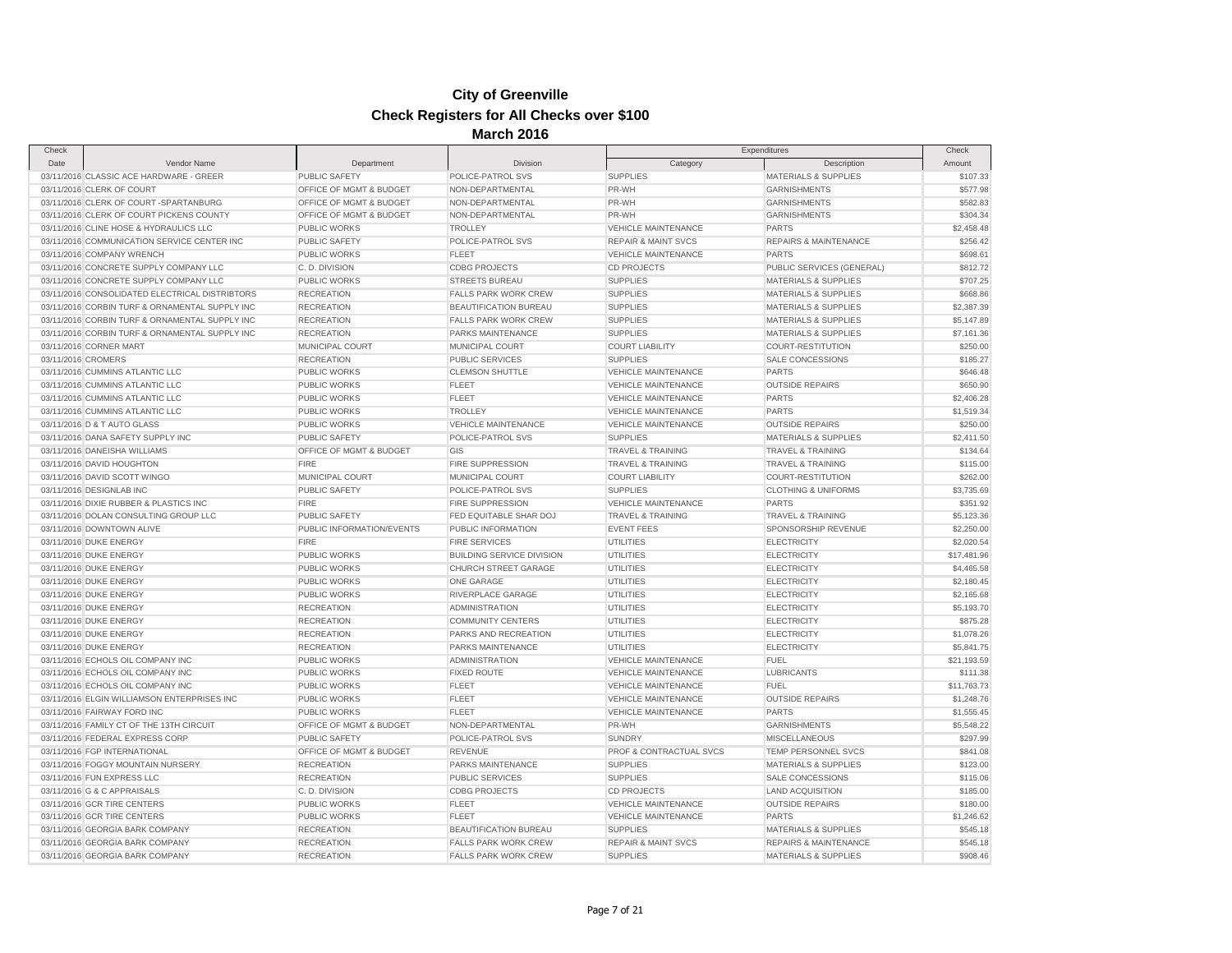| Check              |                                                |                           | was vo                           |                                | Expenditures                     |                 |
|--------------------|------------------------------------------------|---------------------------|----------------------------------|--------------------------------|----------------------------------|-----------------|
| Date               | Vendor Name                                    | Department                | <b>Division</b>                  | Category                       | Description                      | Check<br>Amount |
|                    | 03/11/2016 CLASSIC ACE HARDWARE - GREER        | PUBLIC SAFETY             | POLICE-PATROL SVS                | <b>SUPPLIES</b>                | <b>MATERIALS &amp; SUPPLIES</b>  | \$107.33        |
|                    | 03/11/2016 CLERK OF COURT                      | OFFICE OF MGMT & BUDGET   | NON-DEPARTMENTAL                 | PR-WH                          | <b>GARNISHMENTS</b>              | \$577.98        |
|                    | 03/11/2016 CLERK OF COURT -SPARTANBURG         | OFFICE OF MGMT & BUDGET   | NON-DEPARTMENTAL                 | PR-WH                          | <b>GARNISHMENTS</b>              | \$582.83        |
|                    | 03/11/2016 CLERK OF COURT PICKENS COUNTY       | OFFICE OF MGMT & BUDGET   | NON-DEPARTMENTAL                 | PR-WH                          | <b>GARNISHMENTS</b>              | \$304.34        |
|                    | 03/11/2016 CLINE HOSE & HYDRAULICS LLC         | PUBLIC WORKS              | <b>TROLLEY</b>                   | VEHICLE MAINTENANCE            | <b>PARTS</b>                     | \$2,458.48      |
|                    | 03/11/2016 COMMUNICATION SERVICE CENTER INC    | PUBLIC SAFETY             | POLICE-PATROL SVS                | <b>REPAIR &amp; MAINT SVCS</b> | REPAIRS & MAINTENANCE            | \$256.42        |
|                    | 03/11/2016 COMPANY WRENCH                      | <b>PUBLIC WORKS</b>       | <b>FLEET</b>                     | <b>VEHICLE MAINTENANCE</b>     | <b>PARTS</b>                     | \$698.61        |
|                    | 03/11/2016 CONCRETE SUPPLY COMPANY LLC         | C.D. DIVISION             | <b>CDBG PROJECTS</b>             | <b>CD PROJECTS</b>             | PUBLIC SERVICES (GENERAL)        | \$812.72        |
|                    | 03/11/2016 CONCRETE SUPPLY COMPANY LLC         | <b>PUBLIC WORKS</b>       | <b>STREETS BUREAU</b>            | <b>SUPPLIES</b>                | <b>MATERIALS &amp; SUPPLIES</b>  | \$707.25        |
|                    | 03/11/2016 CONSOLIDATED ELECTRICAL DISTRIBTORS | <b>RECREATION</b>         | <b>FALLS PARK WORK CREW</b>      | <b>SUPPLIES</b>                | <b>MATERIALS &amp; SUPPLIES</b>  | \$668.86        |
|                    | 03/11/2016 CORBIN TURF & ORNAMENTAL SUPPLY INC | <b>RECREATION</b>         | BEAUTIFICATION BUREAU            | <b>SUPPLIES</b>                | MATERIALS & SUPPLIES             | \$2,387.39      |
|                    | 03/11/2016 CORBIN TURF & ORNAMENTAL SUPPLY INC | <b>RECREATION</b>         | <b>FALLS PARK WORK CREW</b>      | <b>SUPPLIES</b>                | <b>MATERIALS &amp; SUPPLIES</b>  | \$5,147.89      |
|                    | 03/11/2016 CORBIN TURF & ORNAMENTAL SUPPLY INC | <b>RECREATION</b>         | PARKS MAINTENANCE                | <b>SUPPLIES</b>                | <b>MATERIALS &amp; SUPPLIES</b>  | \$7,161.36      |
|                    |                                                | MUNICIPAL COURT           |                                  |                                |                                  |                 |
|                    | 03/11/2016 CORNER MART                         |                           | MUNICIPAL COURT                  | <b>COURT LIABILITY</b>         | <b>COURT-RESTITUTION</b>         | \$250.00        |
| 03/11/2016 CROMERS |                                                | <b>RECREATION</b>         | <b>PUBLIC SERVICES</b>           | <b>SUPPLIES</b>                | SALE CONCESSIONS                 | \$185.27        |
|                    | 03/11/2016 CUMMINS ATLANTIC LLC                | <b>PUBLIC WORKS</b>       | <b>CLEMSON SHUTTLE</b>           | <b>VEHICLE MAINTENANCE</b>     | <b>PARTS</b>                     | \$646.48        |
|                    | 03/11/2016 CUMMINS ATLANTIC LLC                | PUBLIC WORKS              | <b>FLEET</b>                     | <b>VEHICLE MAINTENANCE</b>     | <b>OUTSIDE REPAIRS</b>           | \$650.90        |
|                    | 03/11/2016 CUMMINS ATLANTIC LLC                | PUBLIC WORKS              | <b>FLEET</b>                     | <b>VEHICLE MAINTENANCE</b>     | <b>PARTS</b>                     | \$2,406.28      |
|                    | 03/11/2016 CUMMINS ATLANTIC LLC                | PUBLIC WORKS              | <b>TROLLEY</b>                   | VEHICLE MAINTENANCE            | <b>PARTS</b>                     | \$1,519.34      |
|                    | 03/11/2016 D & T AUTO GLASS                    | <b>PUBLIC WORKS</b>       | <b>VEHICLE MAINTENANCE</b>       | <b>VEHICLE MAINTENANCE</b>     | <b>OUTSIDE REPAIRS</b>           | \$250.00        |
|                    | 03/11/2016 DANA SAFETY SUPPLY INC              | <b>PUBLIC SAFETY</b>      | POLICE-PATROL SVS                | <b>SUPPLIES</b>                | <b>MATERIALS &amp; SUPPLIES</b>  | \$2,411.50      |
|                    | 03/11/2016 DANEISHA WILLIAMS                   | OFFICE OF MGMT & BUDGET   | GIS                              | <b>TRAVEL &amp; TRAINING</b>   | <b>TRAVEL &amp; TRAINING</b>     | \$134.64        |
|                    | 03/11/2016 DAVID HOUGHTON                      | <b>FIRE</b>               | FIRE SUPPRESSION                 | <b>TRAVEL &amp; TRAINING</b>   | <b>TRAVEL &amp; TRAINING</b>     | \$115.00        |
|                    | 03/11/2016 DAVID SCOTT WINGO                   | MUNICIPAL COURT           | MUNICIPAL COURT                  | <b>COURT LIABILITY</b>         | COURT-RESTITUTION                | \$262.00        |
|                    | 03/11/2016 DESIGNLAB INC                       | <b>PUBLIC SAFETY</b>      | POLICE-PATROL SVS                | <b>SUPPLIES</b>                | <b>CLOTHING &amp; UNIFORMS</b>   | \$3,735.69      |
|                    | 03/11/2016 DIXIE RUBBER & PLASTICS INC         | <b>FIRE</b>               | <b>FIRE SUPPRESSION</b>          | VEHICLE MAINTENANCE            | <b>PARTS</b>                     | \$351.92        |
|                    | 03/11/2016 DOLAN CONSULTING GROUP LLC          | <b>PUBLIC SAFETY</b>      | FED EQUITABLE SHAR DOJ           | <b>TRAVEL &amp; TRAINING</b>   | <b>TRAVEL &amp; TRAINING</b>     | \$5,123.36      |
|                    | 03/11/2016 DOWNTOWN ALIVE                      | PUBLIC INFORMATION/EVENTS | PUBLIC INFORMATION               | <b>EVENT FEES</b>              | SPONSORSHIP REVENUE              | \$2,250.00      |
|                    | 03/11/2016 DUKE ENERGY                         | <b>FIRE</b>               | <b>FIRE SERVICES</b>             | <b>UTILITIES</b>               | <b>ELECTRICITY</b>               | \$2,020.54      |
|                    | 03/11/2016 DUKE ENERGY                         | PUBLIC WORKS              | <b>BUILDING SERVICE DIVISION</b> | <b>UTILITIES</b>               | <b>ELECTRICITY</b>               | \$17,481.96     |
|                    | 03/11/2016 DUKE ENERGY                         | <b>PUBLIC WORKS</b>       | CHURCH STREET GARAGE             | <b>UTILITIES</b>               | <b>ELECTRICITY</b>               | \$4,465.58      |
|                    | 03/11/2016 DUKE ENERGY                         | PUBLIC WORKS              | ONE GARAGE                       | <b>UTILITIES</b>               | ELECTRICITY                      | \$2,180.45      |
|                    | 03/11/2016 DUKE ENERGY                         | <b>PUBLIC WORKS</b>       | RIVERPLACE GARAGE                | <b>UTILITIES</b>               | <b>ELECTRICITY</b>               | \$2,165.68      |
|                    | 03/11/2016 DUKE ENERGY                         | <b>RECREATION</b>         | <b>ADMINISTRATION</b>            | <b>UTILITIES</b>               | <b>ELECTRICITY</b>               | \$5,193.70      |
|                    | 03/11/2016 DUKE ENERGY                         | <b>RECREATION</b>         | <b>COMMUNITY CENTERS</b>         | UTILITIES                      | <b>ELECTRICITY</b>               | \$875.28        |
|                    | 03/11/2016 DUKE ENERGY                         | <b>RECREATION</b>         | PARKS AND RECREATION             | <b>UTILITIES</b>               | <b>ELECTRICITY</b>               | \$1,078.26      |
|                    | 03/11/2016 DUKE ENERGY                         | <b>RECREATION</b>         | PARKS MAINTENANCE                | <b>UTILITIES</b>               | <b>ELECTRICITY</b>               | \$5,841.75      |
|                    | 03/11/2016 ECHOLS OIL COMPANY INC              | <b>PUBLIC WORKS</b>       | <b>ADMINISTRATION</b>            | VEHICLE MAINTENANCE            | <b>FUEL</b>                      | \$21,193.59     |
|                    | 03/11/2016 ECHOLS OIL COMPANY INC              | PUBLIC WORKS              | <b>FIXED ROUTE</b>               | <b>VEHICLE MAINTENANCE</b>     | <b>LUBRICANTS</b>                | \$111.38        |
|                    | 03/11/2016 ECHOLS OIL COMPANY INC              | <b>PUBLIC WORKS</b>       | <b>FLEET</b>                     | <b>VEHICLE MAINTENANCE</b>     | <b>FUEL</b>                      | \$11,763.73     |
|                    | 03/11/2016 ELGIN WILLIAMSON ENTERPRISES INC    | <b>PUBLIC WORKS</b>       | <b>FLEET</b>                     | <b>VEHICLE MAINTENANCE</b>     | <b>OUTSIDE REPAIRS</b>           | \$1,248.76      |
|                    | 03/11/2016 FAIRWAY FORD INC                    | PUBLIC WORKS              | <b>FLEET</b>                     | VEHICLE MAINTENANCE            | <b>PARTS</b>                     | \$1,555.45      |
|                    | 03/11/2016 FAMILY CT OF THE 13TH CIRCUIT       | OFFICE OF MGMT & BUDGET   | NON-DEPARTMENTAL                 | PR-WH                          | <b>GARNISHMENTS</b>              | \$5,548.22      |
|                    | 03/11/2016 FEDERAL EXPRESS CORP                | PUBLIC SAFETY             | POLICE-PATROL SVS                | <b>SUNDRY</b>                  | <b>MISCELLANEOUS</b>             | \$297.99        |
|                    | 03/11/2016 FGP INTERNATIONAL                   | OFFICE OF MGMT & BUDGET   | <b>REVENUE</b>                   | PROF & CONTRACTUAL SVCS        | TEMP PERSONNEL SVCS              | \$841.08        |
|                    | 03/11/2016 FOGGY MOUNTAIN NURSERY              | <b>RECREATION</b>         | PARKS MAINTENANCE                | <b>SUPPLIES</b>                | <b>MATERIALS &amp; SUPPLIES</b>  | \$123.00        |
|                    | 03/11/2016 FUN EXPRESS LLC                     | <b>RECREATION</b>         | <b>PUBLIC SERVICES</b>           | <b>SUPPLIES</b>                | <b>SALE CONCESSIONS</b>          | \$115.06        |
|                    | 03/11/2016 G & C APPRAISALS                    | C.D. DIVISION             | <b>CDBG PROJECTS</b>             | <b>CD PROJECTS</b>             | <b>LAND ACQUISITION</b>          | \$185.00        |
|                    | 03/11/2016 GCR TIRE CENTERS                    | <b>PUBLIC WORKS</b>       | <b>FLEET</b>                     | <b>VEHICLE MAINTENANCE</b>     | <b>OUTSIDE REPAIRS</b>           | \$180.00        |
|                    | 03/11/2016 GCR TIRE CENTERS                    | PUBLIC WORKS              | <b>FLEET</b>                     | VEHICLE MAINTENANCE            | <b>PARTS</b>                     | \$1,246.62      |
|                    | 03/11/2016 GEORGIA BARK COMPANY                | <b>RECREATION</b>         | BEAUTIFICATION BUREAU            | <b>SUPPLIES</b>                | MATERIALS & SUPPLIES             | \$545.18        |
|                    | 03/11/2016 GEORGIA BARK COMPANY                | <b>RECREATION</b>         | <b>FALLS PARK WORK CREW</b>      | <b>REPAIR &amp; MAINT SVCS</b> | <b>REPAIRS &amp; MAINTENANCE</b> | \$545.18        |
|                    | 03/11/2016 GEORGIA BARK COMPANY                | <b>RECREATION</b>         | <b>FALLS PARK WORK CREW</b>      | <b>SUPPLIES</b>                | <b>MATERIALS &amp; SUPPLIES</b>  | \$908.46        |
|                    |                                                |                           |                                  |                                |                                  |                 |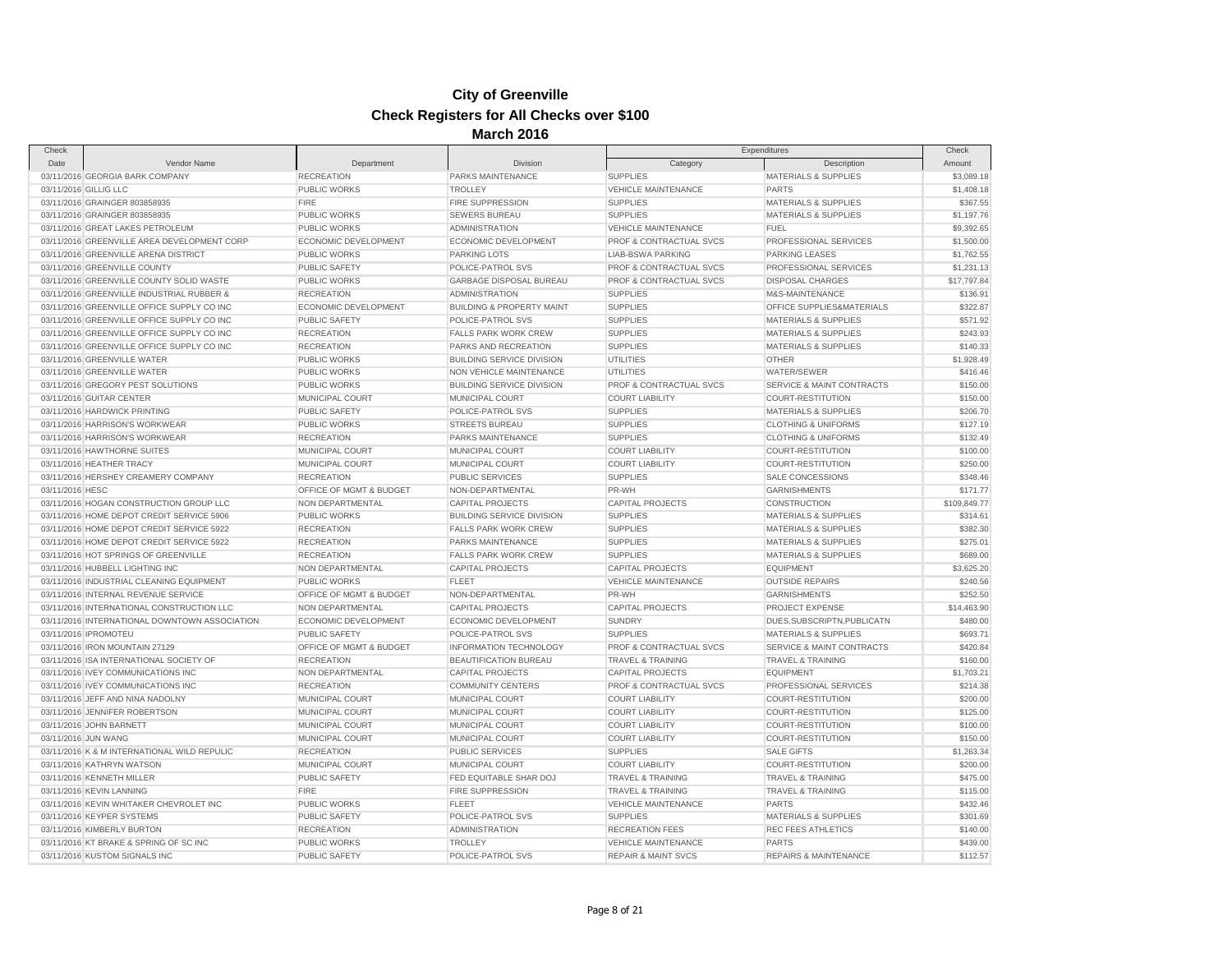| Check               |                                               |                         |                                      |                                | Expenditures                     | Check        |
|---------------------|-----------------------------------------------|-------------------------|--------------------------------------|--------------------------------|----------------------------------|--------------|
| Date                | Vendor Name                                   | Department              | Division                             | Category                       | Description                      | Amount       |
|                     | 03/11/2016 GEORGIA BARK COMPANY               | <b>RECREATION</b>       | PARKS MAINTENANCE                    | <b>SUPPLIES</b>                | <b>MATERIALS &amp; SUPPLIES</b>  | \$3,089.18   |
|                     | 03/11/2016 GILLIG LLC                         | PUBLIC WORKS            | <b>TROLLEY</b>                       | <b>VEHICLE MAINTENANCE</b>     | <b>PARTS</b>                     | \$1,408.18   |
|                     | 03/11/2016 GRAINGER 803858935                 | <b>FIRE</b>             | <b>FIRE SUPPRESSION</b>              | <b>SUPPLIES</b>                | <b>MATERIALS &amp; SUPPLIES</b>  | \$367.55     |
|                     | 03/11/2016 GRAINGER 803858935                 | PUBLIC WORKS            | <b>SEWERS BUREAU</b>                 | <b>SUPPLIES</b>                | <b>MATERIALS &amp; SUPPLIES</b>  | \$1,197.76   |
|                     | 03/11/2016 GREAT LAKES PETROLEUM              | PUBLIC WORKS            | <b>ADMINISTRATION</b>                | <b>VEHICLE MAINTENANCE</b>     | <b>FUEL</b>                      | \$9,392.65   |
|                     | 03/11/2016 GREENVILLE AREA DEVELOPMENT CORP   | ECONOMIC DEVELOPMENT    | ECONOMIC DEVELOPMENT                 | PROF & CONTRACTUAL SVCS        | PROFESSIONAL SERVICES            | \$1,500.00   |
|                     | 03/11/2016 GREENVILLE ARENA DISTRICT          | <b>PUBLIC WORKS</b>     | <b>PARKING LOTS</b>                  | <b>LIAB-BSWA PARKING</b>       | <b>PARKING LEASES</b>            | \$1,762.55   |
|                     | 03/11/2016 GREENVILLE COUNTY                  | PUBLIC SAFETY           | POLICE-PATROL SVS                    | PROF & CONTRACTUAL SVCS        | PROFESSIONAL SERVICES            | \$1,231.13   |
|                     | 03/11/2016 GREENVILLE COUNTY SOLID WASTE      | <b>PUBLIC WORKS</b>     | <b>GARBAGE DISPOSAL BUREAU</b>       | PROF & CONTRACTUAL SVCS        | <b>DISPOSAL CHARGES</b>          | \$17,797.84  |
|                     | 03/11/2016 GREENVILLE INDUSTRIAL RUBBER &     | <b>RECREATION</b>       | <b>ADMINISTRATION</b>                | <b>SUPPLIES</b>                | M&S-MAINTENANCE                  | \$136.91     |
|                     | 03/11/2016 GREENVILLE OFFICE SUPPLY CO INC    | ECONOMIC DEVELOPMENT    | <b>BUILDING &amp; PROPERTY MAINT</b> | <b>SUPPLIES</b>                | OFFICE SUPPLIES&MATERIALS        | \$322.87     |
|                     | 03/11/2016 GREENVILLE OFFICE SUPPLY CO INC    | <b>PUBLIC SAFETY</b>    | POLICE-PATROL SVS                    | <b>SUPPLIES</b>                | <b>MATERIALS &amp; SUPPLIES</b>  | \$571.92     |
|                     | 03/11/2016 GREENVILLE OFFICE SUPPLY CO INC    | <b>RECREATION</b>       | <b>FALLS PARK WORK CREW</b>          | <b>SUPPLIES</b>                | MATERIALS & SUPPLIES             | \$243.93     |
|                     | 03/11/2016 GREENVILLE OFFICE SUPPLY CO INC    | <b>RECREATION</b>       | PARKS AND RECREATION                 | <b>SUPPLIES</b>                | <b>MATERIALS &amp; SUPPLIES</b>  | \$140.33     |
|                     | 03/11/2016 GREENVILLE WATER                   | PUBLIC WORKS            | <b>BUILDING SERVICE DIVISION</b>     | <b>UTILITIES</b>               | <b>OTHER</b>                     | \$1,928.49   |
|                     | 03/11/2016 GREENVILLE WATER                   | PUBLIC WORKS            | NON VEHICLE MAINTENANCE              | <b>UTILITIES</b>               | WATER/SEWER                      | \$416.46     |
|                     | 03/11/2016 GREGORY PEST SOLUTIONS             | <b>PUBLIC WORKS</b>     | <b>BUILDING SERVICE DIVISION</b>     | PROF & CONTRACTUAL SVCS        | SERVICE & MAINT CONTRACTS        | \$150.00     |
|                     | 03/11/2016 GUITAR CENTER                      | MUNICIPAL COURT         | MUNICIPAL COURT                      | <b>COURT LIABILITY</b>         | COURT-RESTITUTION                | \$150.00     |
|                     | 03/11/2016 HARDWICK PRINTING                  | PUBLIC SAFETY           | POLICE-PATROL SVS                    | <b>SUPPLIES</b>                | <b>MATERIALS &amp; SUPPLIES</b>  | \$206.70     |
|                     | 03/11/2016 HARRISON'S WORKWEAR                | <b>PUBLIC WORKS</b>     | <b>STREETS BUREAU</b>                | <b>SUPPLIES</b>                | <b>CLOTHING &amp; UNIFORMS</b>   | \$127.19     |
|                     | 03/11/2016 HARRISON'S WORKWEAR                | <b>RECREATION</b>       | PARKS MAINTENANCE                    | <b>SUPPLIES</b>                | <b>CLOTHING &amp; UNIFORMS</b>   | \$132.49     |
|                     | 03/11/2016 HAWTHORNE SUITES                   | MUNICIPAL COURT         | MUNICIPAL COURT                      | <b>COURT LIABILITY</b>         | COURT-RESTITUTION                | \$100.00     |
|                     | 03/11/2016 HEATHER TRACY                      | MUNICIPAL COURT         | MUNICIPAL COURT                      | <b>COURT LIABILITY</b>         | COURT-RESTITUTION                | \$250.00     |
|                     | 03/11/2016 HERSHEY CREAMERY COMPANY           | <b>RECREATION</b>       | <b>PUBLIC SERVICES</b>               | <b>SUPPLIES</b>                | SALE CONCESSIONS                 | \$348.46     |
| 03/11/2016 HESC     |                                               | OFFICE OF MGMT & BUDGET | NON-DEPARTMENTAL                     | PR-WH                          | <b>GARNISHMENTS</b>              | \$171.77     |
|                     | 03/11/2016 HOGAN CONSTRUCTION GROUP LLC       | NON DEPARTMENTAL        | CAPITAL PROJECTS                     | <b>CAPITAL PROJECTS</b>        | CONSTRUCTION                     | \$109,849.77 |
|                     | 03/11/2016 HOME DEPOT CREDIT SERVICE 5906     | <b>PUBLIC WORKS</b>     | <b>BUILDING SERVICE DIVISION</b>     | <b>SUPPLIES</b>                | <b>MATERIALS &amp; SUPPLIES</b>  | \$314.61     |
|                     | 03/11/2016 HOME DEPOT CREDIT SERVICE 5922     | <b>RECREATION</b>       | <b>FALLS PARK WORK CREW</b>          | <b>SUPPLIES</b>                | MATERIALS & SUPPLIES             | \$382.30     |
|                     | 03/11/2016 HOME DEPOT CREDIT SERVICE 5922     | <b>RECREATION</b>       | PARKS MAINTENANCE                    | <b>SUPPLIES</b>                | <b>MATERIALS &amp; SUPPLIES</b>  | \$275.01     |
|                     | 03/11/2016 HOT SPRINGS OF GREENVILLE          | <b>RECREATION</b>       | <b>FALLS PARK WORK CREW</b>          | <b>SUPPLIES</b>                | <b>MATERIALS &amp; SUPPLIES</b>  | \$689.00     |
|                     | 03/11/2016 HUBBELL LIGHTING INC               | NON DEPARTMENTAL        | CAPITAL PROJECTS                     | CAPITAL PROJECTS               | <b>EQUIPMENT</b>                 | \$3,625.20   |
|                     | 03/11/2016 INDUSTRIAL CLEANING EQUIPMENT      | <b>PUBLIC WORKS</b>     | <b>FLEET</b>                         | <b>VEHICLE MAINTENANCE</b>     | <b>OUTSIDE REPAIRS</b>           | \$240.56     |
|                     | 03/11/2016 INTERNAL REVENUE SERVICE           | OFFICE OF MGMT & BUDGET | NON-DEPARTMENTAL                     | PR-WH                          | <b>GARNISHMENTS</b>              | \$252.50     |
|                     | 03/11/2016 INTERNATIONAL CONSTRUCTION LLC     | NON DEPARTMENTAL        | <b>CAPITAL PROJECTS</b>              | <b>CAPITAL PROJECTS</b>        | PROJECT EXPENSE                  | \$14,463.90  |
|                     | 03/11/2016 INTERNATIONAL DOWNTOWN ASSOCIATION | ECONOMIC DEVELOPMENT    | ECONOMIC DEVELOPMENT                 | <b>SUNDRY</b>                  | DUES, SUBSCRIPTN, PUBLICATN      | \$480.00     |
|                     | 03/11/2016 IPROMOTEU                          | PUBLIC SAFETY           | POLICE-PATROL SVS                    | <b>SUPPLIES</b>                | <b>MATERIALS &amp; SUPPLIES</b>  | \$693.71     |
|                     | 03/11/2016 IRON MOUNTAIN 27129                | OFFICE OF MGMT & BUDGET | <b>INFORMATION TECHNOLOGY</b>        | PROF & CONTRACTUAL SVCS        | SERVICE & MAINT CONTRACTS        | \$420.84     |
|                     | 03/11/2016 ISA INTERNATIONAL SOCIETY OF       | <b>RECREATION</b>       | BEAUTIFICATION BUREAU                | <b>TRAVEL &amp; TRAINING</b>   | <b>TRAVEL &amp; TRAINING</b>     | \$160.00     |
|                     |                                               |                         |                                      |                                |                                  |              |
|                     | 03/11/2016 IVEY COMMUNICATIONS INC            | NON DEPARTMENTAL        | <b>CAPITAL PROJECTS</b>              | <b>CAPITAL PROJECTS</b>        | <b>EQUIPMENT</b>                 | \$1,703.21   |
|                     | 03/11/2016 IVEY COMMUNICATIONS INC            | <b>RECREATION</b>       | <b>COMMUNITY CENTERS</b>             | PROF & CONTRACTUAL SVCS        | PROFESSIONAL SERVICES            | \$214.38     |
|                     | 03/11/2016 JEFF AND NINA NADOLNY              | MUNICIPAL COURT         | MUNICIPAL COURT                      | <b>COURT LIABILITY</b>         | COURT-RESTITUTION                | \$200.00     |
|                     | 03/11/2016 JENNIFER ROBERTSON                 | MUNICIPAL COURT         | MUNICIPAL COURT                      | <b>COURT LIABILITY</b>         | COURT-RESTITUTION                | \$125.00     |
|                     | 03/11/2016 JOHN BARNETT                       | MUNICIPAL COURT         | MUNICIPAL COURT                      | <b>COURT LIABILITY</b>         | COURT-RESTITUTION                | \$100.00     |
| 03/11/2016 JUN WANG |                                               | MUNICIPAL COURT         | MUNICIPAL COURT                      | <b>COURT LIABILITY</b>         | COURT-RESTITUTION                | \$150.00     |
|                     | 03/11/2016 K & M INTERNATIONAL WILD REPULIC   | <b>RECREATION</b>       | PUBLIC SERVICES                      | <b>SUPPLIES</b>                | <b>SALE GIFTS</b>                | \$1,263.34   |
|                     | 03/11/2016 KATHRYN WATSON                     | MUNICIPAL COURT         | MUNICIPAL COURT                      | <b>COURT LIABILITY</b>         | <b>COURT-RESTITUTION</b>         | \$200.00     |
|                     | 03/11/2016 KENNETH MILLER                     | PUBLIC SAFETY           | FED EQUITABLE SHAR DOJ               | <b>TRAVEL &amp; TRAINING</b>   | <b>TRAVEL &amp; TRAINING</b>     | \$475.00     |
|                     | 03/11/2016 KEVIN LANNING                      | <b>FIRE</b>             | FIRE SUPPRESSION                     | <b>TRAVEL &amp; TRAINING</b>   | <b>TRAVEL &amp; TRAINING</b>     | \$115.00     |
|                     | 03/11/2016 KEVIN WHITAKER CHEVROLET INC       | PUBLIC WORKS            | <b>FLEET</b>                         | <b>VEHICLE MAINTENANCE</b>     | <b>PARTS</b>                     | \$432.46     |
|                     | 03/11/2016 KEYPER SYSTEMS                     | PUBLIC SAFETY           | POLICE-PATROL SVS                    | <b>SUPPLIES</b>                | <b>MATERIALS &amp; SUPPLIES</b>  | \$301.69     |
|                     | 03/11/2016 KIMBERLY BURTON                    | <b>RECREATION</b>       | <b>ADMINISTRATION</b>                | <b>RECREATION FEES</b>         | <b>REC FEES ATHLETICS</b>        | \$140.00     |
|                     | 03/11/2016 KT BRAKE & SPRING OF SC INC        | PUBLIC WORKS            | <b>TROLLEY</b>                       | VEHICLE MAINTENANCE            | <b>PARTS</b>                     | \$439.00     |
|                     | 03/11/2016 KUSTOM SIGNALS INC                 | PUBLIC SAFETY           | POLICE-PATROL SVS                    | <b>REPAIR &amp; MAINT SVCS</b> | <b>REPAIRS &amp; MAINTENANCE</b> | \$112.57     |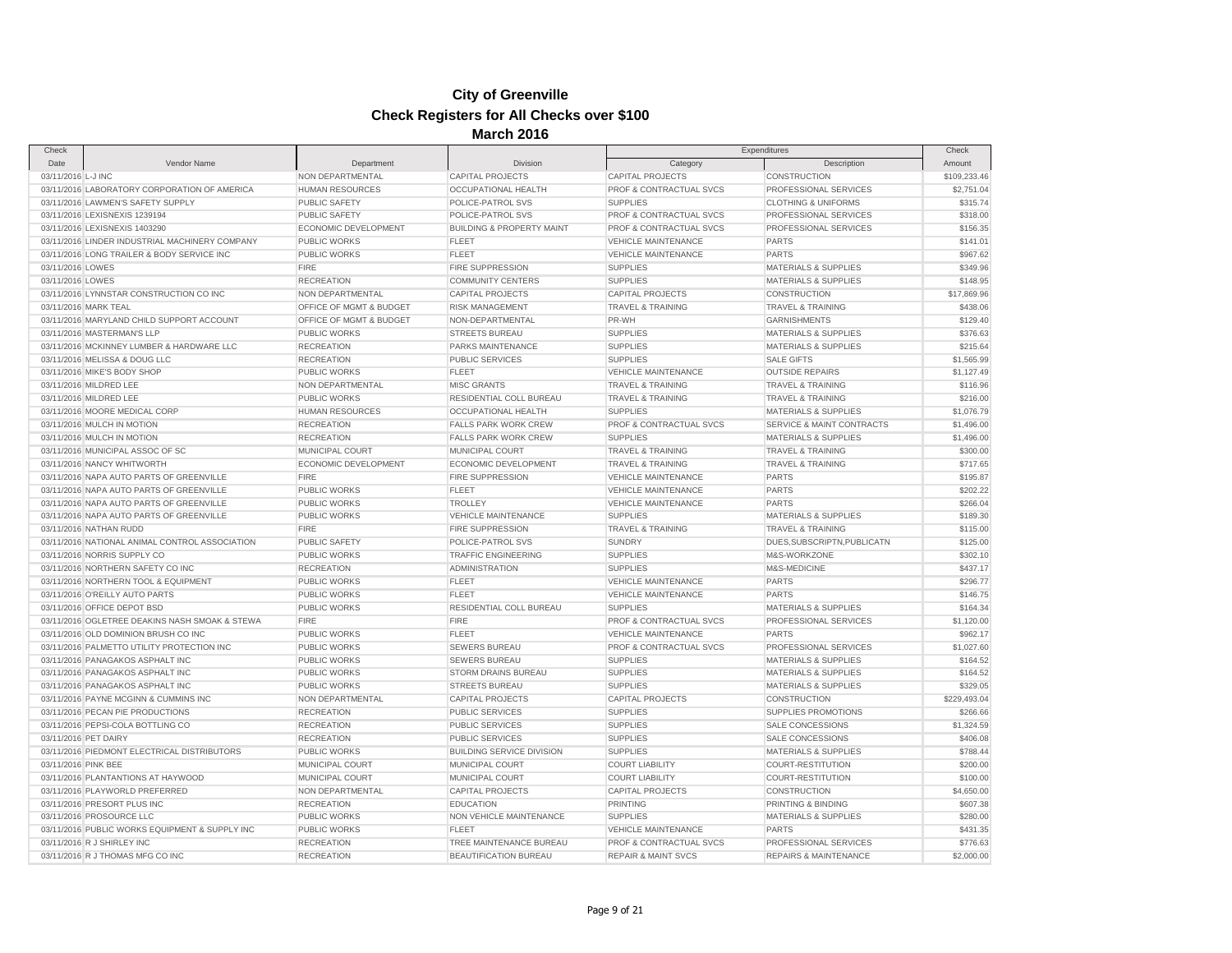| Check                |                                                |                         |                                      |                                | Expenditures                     | Check        |
|----------------------|------------------------------------------------|-------------------------|--------------------------------------|--------------------------------|----------------------------------|--------------|
| Date                 | Vendor Name                                    | Department              | Division                             | Category                       | Description                      | Amount       |
| 03/11/2016 L-J INC   |                                                | NON DEPARTMENTAL        | CAPITAL PROJECTS                     | <b>CAPITAL PROJECTS</b>        | CONSTRUCTION                     | \$109,233.46 |
|                      | 03/11/2016 LABORATORY CORPORATION OF AMERICA   | <b>HUMAN RESOURCES</b>  | <b>OCCUPATIONAL HEALTH</b>           | PROF & CONTRACTUAL SVCS        | PROFESSIONAL SERVICES            | \$2,751.04   |
|                      | 03/11/2016 LAWMEN'S SAFETY SUPPLY              | PUBLIC SAFETY           | POLICE-PATROL SVS                    | <b>SUPPLIES</b>                | <b>CLOTHING &amp; UNIFORMS</b>   | \$315.74     |
|                      | 03/11/2016 LEXISNEXIS 1239194                  | <b>PUBLIC SAFETY</b>    | POLICE-PATROL SVS                    | PROF & CONTRACTUAL SVCS        | PROFESSIONAL SERVICES            | \$318.00     |
|                      | 03/11/2016 LEXISNEXIS 1403290                  | ECONOMIC DEVELOPMENT    | <b>BUILDING &amp; PROPERTY MAINT</b> | PROF & CONTRACTUAL SVCS        | PROFESSIONAL SERVICES            | \$156.35     |
|                      | 03/11/2016 LINDER INDUSTRIAL MACHINERY COMPANY | <b>PUBLIC WORKS</b>     | <b>FLEET</b>                         | <b>VEHICLE MAINTENANCE</b>     | <b>PARTS</b>                     | \$141.01     |
|                      | 03/11/2016 LONG TRAILER & BODY SERVICE INC     | <b>PUBLIC WORKS</b>     | <b>FLEET</b>                         | <b>VEHICLE MAINTENANCE</b>     | <b>PARTS</b>                     | \$967.62     |
| 03/11/2016 LOWES     |                                                | <b>FIRE</b>             | <b>FIRE SUPPRESSION</b>              | <b>SUPPLIES</b>                | <b>MATERIALS &amp; SUPPLIES</b>  | \$349.96     |
| 03/11/2016 LOWES     |                                                | <b>RECREATION</b>       | <b>COMMUNITY CENTERS</b>             | <b>SUPPLIES</b>                | <b>MATERIALS &amp; SUPPLIES</b>  | \$148.95     |
|                      | 03/11/2016 LYNNSTAR CONSTRUCTION CO INC        | NON DEPARTMENTAL        | <b>CAPITAL PROJECTS</b>              | <b>CAPITAL PROJECTS</b>        | <b>CONSTRUCTION</b>              | \$17,869.96  |
| 03/11/2016 MARK TEAL |                                                | OFFICE OF MGMT & BUDGET | <b>RISK MANAGEMENT</b>               | <b>TRAVEL &amp; TRAINING</b>   | <b>TRAVEL &amp; TRAINING</b>     | \$438.06     |
|                      | 03/11/2016 MARYLAND CHILD SUPPORT ACCOUNT      | OFFICE OF MGMT & BUDGET | NON-DEPARTMENTAL                     | PR-WH                          | <b>GARNISHMENTS</b>              | \$129.40     |
|                      | 03/11/2016 MASTERMAN'S LLP                     | <b>PUBLIC WORKS</b>     | <b>STREETS BUREAU</b>                | <b>SUPPLIES</b>                | <b>MATERIALS &amp; SUPPLIES</b>  | \$376.63     |
|                      | 03/11/2016 MCKINNEY LUMBER & HARDWARE LLC      | <b>RECREATION</b>       | PARKS MAINTENANCE                    | <b>SUPPLIES</b>                | <b>MATERIALS &amp; SUPPLIES</b>  | \$215.64     |
|                      | 03/11/2016 MELISSA & DOUG LLC                  | <b>RECREATION</b>       | <b>PUBLIC SERVICES</b>               | <b>SUPPLIES</b>                | <b>SALE GIFTS</b>                | \$1,565.99   |
|                      | 03/11/2016 MIKE'S BODY SHOP                    | PUBLIC WORKS            | <b>FLEET</b>                         | VEHICLE MAINTENANCE            | <b>OUTSIDE REPAIRS</b>           | \$1,127.49   |
|                      | 03/11/2016 MILDRED LEE                         | NON DEPARTMENTAL        | <b>MISC GRANTS</b>                   | <b>TRAVEL &amp; TRAINING</b>   | <b>TRAVEL &amp; TRAINING</b>     | \$116.96     |
|                      | 03/11/2016 MILDRED LEE                         | PUBLIC WORKS            | RESIDENTIAL COLL BUREAU              | <b>TRAVEL &amp; TRAINING</b>   | TRAVEL & TRAINING                | \$216.00     |
|                      | 03/11/2016 MOORE MEDICAL CORP                  | <b>HUMAN RESOURCES</b>  | OCCUPATIONAL HEALTH                  | <b>SUPPLIES</b>                | <b>MATERIALS &amp; SUPPLIES</b>  | \$1,076.79   |
|                      | 03/11/2016 MULCH IN MOTION                     | <b>RECREATION</b>       | <b>FALLS PARK WORK CREW</b>          | PROF & CONTRACTUAL SVCS        | SERVICE & MAINT CONTRACTS        | \$1,496.00   |
|                      | 03/11/2016 MULCH IN MOTION                     | <b>RECREATION</b>       | <b>FALLS PARK WORK CREW</b>          | <b>SUPPLIES</b>                | <b>MATERIALS &amp; SUPPLIES</b>  | \$1,496.00   |
|                      | 03/11/2016 MUNICIPAL ASSOC OF SC               | MUNICIPAL COURT         | MUNICIPAL COURT                      | TRAVEL & TRAINING              | TRAVEL & TRAINING                | \$300.00     |
|                      | 03/11/2016 NANCY WHITWORTH                     | ECONOMIC DEVELOPMENT    | ECONOMIC DEVELOPMENT                 | <b>TRAVEL &amp; TRAINING</b>   | <b>TRAVEL &amp; TRAINING</b>     | \$717.65     |
|                      | 03/11/2016 NAPA AUTO PARTS OF GREENVILLE       | <b>FIRE</b>             | FIRE SUPPRESSION                     | <b>VEHICLE MAINTENANCE</b>     | <b>PARTS</b>                     | \$195.87     |
|                      | 03/11/2016 NAPA AUTO PARTS OF GREENVILLE       | <b>PUBLIC WORKS</b>     | <b>FLEET</b>                         | <b>VEHICLE MAINTENANCE</b>     | <b>PARTS</b>                     | \$202.22     |
|                      | 03/11/2016 NAPA AUTO PARTS OF GREENVILLE       | PUBLIC WORKS            | <b>TROLLEY</b>                       | <b>VEHICLE MAINTENANCE</b>     | <b>PARTS</b>                     | \$266.04     |
|                      | 03/11/2016 NAPA AUTO PARTS OF GREENVILLE       | <b>PUBLIC WORKS</b>     | <b>VEHICLE MAINTENANCE</b>           | <b>SUPPLIES</b>                | <b>MATERIALS &amp; SUPPLIES</b>  | \$189.30     |
|                      | 03/11/2016 NATHAN RUDD                         | <b>FIRE</b>             | FIRE SUPPRESSION                     | TRAVEL & TRAINING              | <b>TRAVEL &amp; TRAINING</b>     | \$115.00     |
|                      | 03/11/2016 NATIONAL ANIMAL CONTROL ASSOCIATION | <b>PUBLIC SAFETY</b>    | POLICE-PATROL SVS                    | <b>SUNDRY</b>                  | DUES, SUBSCRIPTN, PUBLICATN      | \$125.00     |
|                      | 03/11/2016 NORRIS SUPPLY CO                    | PUBLIC WORKS            | <b>TRAFFIC ENGINEERING</b>           | <b>SUPPLIES</b>                | M&S-WORKZONE                     | \$302.10     |
|                      | 03/11/2016 NORTHERN SAFETY CO INC              | <b>RECREATION</b>       | <b>ADMINISTRATION</b>                | <b>SUPPLIES</b>                | M&S-MEDICINE                     | \$437.17     |
|                      | 03/11/2016 NORTHERN TOOL & EQUIPMENT           | PUBLIC WORKS            | <b>FLEET</b>                         | <b>VEHICLE MAINTENANCE</b>     | <b>PARTS</b>                     | \$296.77     |
|                      | 03/11/2016 O'REILLY AUTO PARTS                 | PUBLIC WORKS            | <b>FLEET</b>                         | <b>VEHICLE MAINTENANCE</b>     | <b>PARTS</b>                     | \$146.75     |
|                      | 03/11/2016 OFFICE DEPOT BSD                    | PUBLIC WORKS            | RESIDENTIAL COLL BUREAU              | <b>SUPPLIES</b>                | <b>MATERIALS &amp; SUPPLIES</b>  | \$164.34     |
|                      | 03/11/2016 OGLETREE DEAKINS NASH SMOAK & STEWA | <b>FIRE</b>             | <b>FIRE</b>                          | PROF & CONTRACTUAL SVCS        | PROFESSIONAL SERVICES            | \$1,120.00   |
|                      | 03/11/2016 OLD DOMINION BRUSH CO INC           | PUBLIC WORKS            | <b>FLEET</b>                         | <b>VEHICLE MAINTENANCE</b>     | <b>PARTS</b>                     | \$962.17     |
|                      | 03/11/2016 PALMETTO UTILITY PROTECTION INC     | <b>PUBLIC WORKS</b>     | <b>SEWERS BUREAU</b>                 | PROF & CONTRACTUAL SVCS        | PROFESSIONAL SERVICES            | \$1,027.60   |
|                      | 03/11/2016 PANAGAKOS ASPHALT INC               | PUBLIC WORKS            | SEWERS BUREAU                        | <b>SUPPLIES</b>                | <b>MATERIALS &amp; SUPPLIES</b>  | \$164.52     |
|                      | 03/11/2016 PANAGAKOS ASPHALT INC               | <b>PUBLIC WORKS</b>     | STORM DRAINS BUREAU                  | <b>SUPPLIES</b>                | <b>MATERIALS &amp; SUPPLIES</b>  | \$164.52     |
|                      | 03/11/2016 PANAGAKOS ASPHALT INC               | PUBLIC WORKS            | <b>STREETS BUREAU</b>                | <b>SUPPLIES</b>                | <b>MATERIALS &amp; SUPPLIES</b>  | \$329.05     |
|                      | 03/11/2016 PAYNE MCGINN & CUMMINS INC          | NON DEPARTMENTAL        | <b>CAPITAL PROJECTS</b>              | CAPITAL PROJECTS               | CONSTRUCTION                     | \$229,493.04 |
|                      | 03/11/2016 PECAN PIE PRODUCTIONS               | <b>RECREATION</b>       | PUBLIC SERVICES                      | <b>SUPPLIES</b>                | SUPPLIES PROMOTIONS              | \$266.66     |
|                      | 03/11/2016 PEPSI-COLA BOTTLING CO              | <b>RECREATION</b>       | PUBLIC SERVICES                      | <b>SUPPLIES</b>                | SALE CONCESSIONS                 | \$1,324.59   |
| 03/11/2016 PET DAIRY |                                                | <b>RECREATION</b>       | <b>PUBLIC SERVICES</b>               | <b>SUPPLIES</b>                | <b>SALE CONCESSIONS</b>          | \$406.08     |
|                      | 03/11/2016 PIEDMONT ELECTRICAL DISTRIBUTORS    | PUBLIC WORKS            | <b>BUILDING SERVICE DIVISION</b>     | <b>SUPPLIES</b>                | <b>MATERIALS &amp; SUPPLIES</b>  | \$788.44     |
| 03/11/2016 PINK BEE  |                                                | MUNICIPAL COURT         | MUNICIPAL COURT                      | <b>COURT LIABILITY</b>         | <b>COURT-RESTITUTION</b>         | \$200.00     |
|                      | 03/11/2016 PLANTANTIONS AT HAYWOOD             | <b>MUNICIPAL COURT</b>  | MUNICIPAL COURT                      | <b>COURT LIABILITY</b>         | COURT-RESTITUTION                | \$100.00     |
|                      | 03/11/2016 PLAYWORLD PREFERRED                 | NON DEPARTMENTAL        | <b>CAPITAL PROJECTS</b>              | <b>CAPITAL PROJECTS</b>        | CONSTRUCTION                     | \$4,650.00   |
|                      | 03/11/2016 PRESORT PLUS INC                    | <b>RECREATION</b>       | <b>EDUCATION</b>                     | <b>PRINTING</b>                | PRINTING & BINDING               | \$607.38     |
|                      | 03/11/2016 PROSOURCE LLC                       | <b>PUBLIC WORKS</b>     | NON VEHICLE MAINTENANCE              | <b>SUPPLIES</b>                | <b>MATERIALS &amp; SUPPLIES</b>  | \$280.00     |
|                      | 03/11/2016 PUBLIC WORKS EQUIPMENT & SUPPLY INC | <b>PUBLIC WORKS</b>     | FLEET                                | <b>VEHICLE MAINTENANCE</b>     | <b>PARTS</b>                     | \$431.35     |
|                      | 03/11/2016 R J SHIRLEY INC                     | <b>RECREATION</b>       | TREE MAINTENANCE BUREAU              | PROF & CONTRACTUAL SVCS        | PROFESSIONAL SERVICES            | \$776.63     |
|                      | 03/11/2016 R J THOMAS MFG CO INC               | <b>RECREATION</b>       | <b>BEAUTIFICATION BUREAU</b>         | <b>REPAIR &amp; MAINT SVCS</b> | <b>REPAIRS &amp; MAINTENANCE</b> | \$2,000.00   |
|                      |                                                |                         |                                      |                                |                                  |              |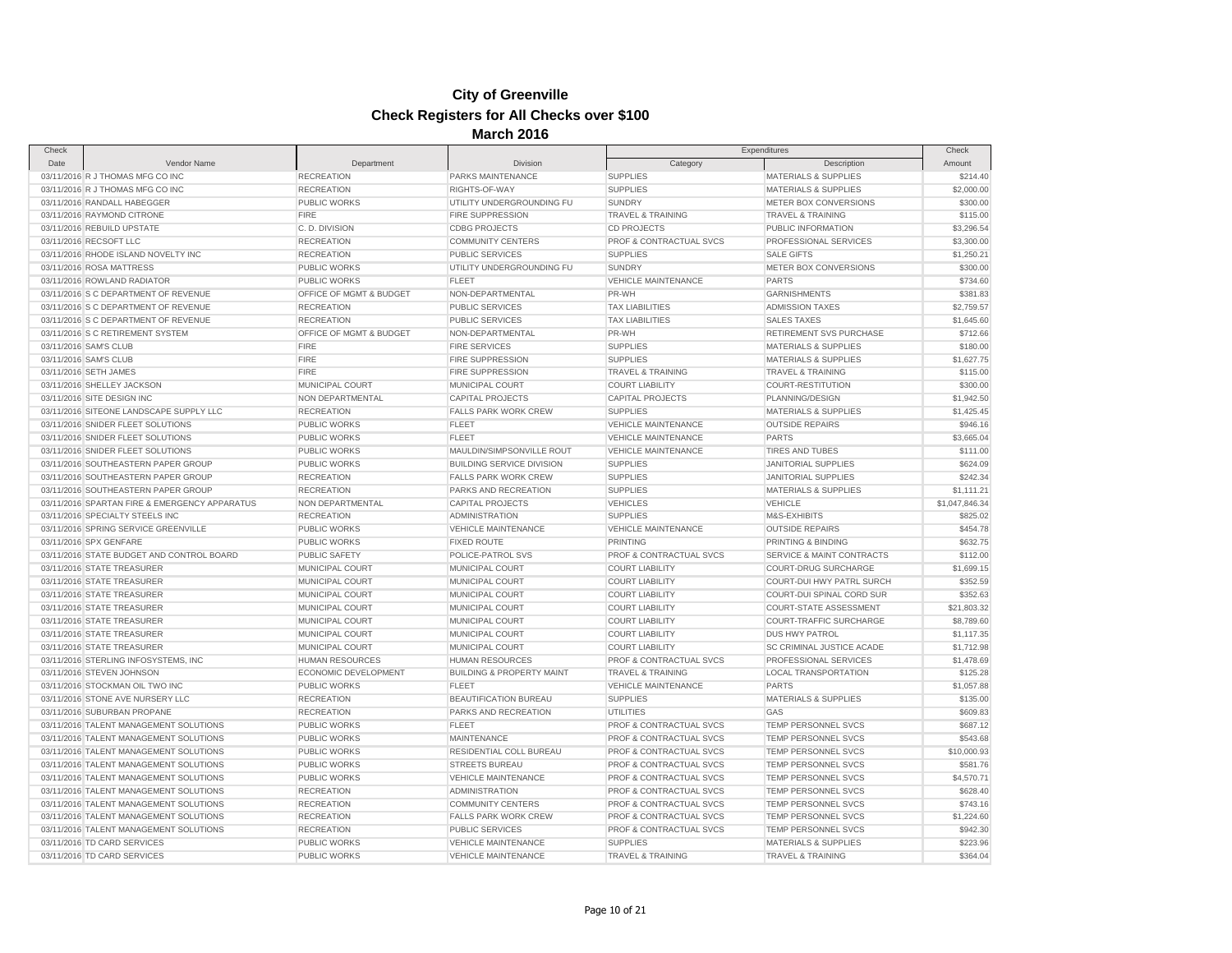| Check                                         |             |                         |                                      |                                    | Check                            |                        |
|-----------------------------------------------|-------------|-------------------------|--------------------------------------|------------------------------------|----------------------------------|------------------------|
| Date                                          | Vendor Name | Department              | <b>Division</b>                      | Category                           | Expenditures<br>Description      | Amount                 |
| 03/11/2016 R J THOMAS MFG CO INC              |             | <b>RECREATION</b>       | PARKS MAINTENANCE                    | <b>SUPPLIES</b>                    | <b>MATERIALS &amp; SUPPLIES</b>  | \$214.40               |
| 03/11/2016 R J THOMAS MFG CO INC              |             | <b>RECREATION</b>       | RIGHTS-OF-WAY                        | <b>SUPPLIES</b>                    | <b>MATERIALS &amp; SUPPLIES</b>  | \$2,000.00             |
| 03/11/2016 RANDALL HABEGGER                   |             | PUBLIC WORKS            | UTILITY UNDERGROUNDING FU            | <b>SUNDRY</b>                      | METER BOX CONVERSIONS            | \$300.00               |
| 03/11/2016 RAYMOND CITRONE                    |             | <b>FIRE</b>             | FIRE SUPPRESSION                     | TRAVEL & TRAINING                  | <b>TRAVEL &amp; TRAINING</b>     | \$115.00               |
| 03/11/2016 REBUILD UPSTATE                    |             | C.D. DIVISION           | <b>CDBG PROJECTS</b>                 | <b>CD PROJECTS</b>                 | PUBLIC INFORMATION               | \$3,296.54             |
| 03/11/2016 RECSOFT LLC                        |             | <b>RECREATION</b>       | <b>COMMUNITY CENTERS</b>             | PROF & CONTRACTUAL SVCS            | PROFESSIONAL SERVICES            | \$3,300.00             |
| 03/11/2016 RHODE ISLAND NOVELTY INC           |             | <b>RECREATION</b>       | <b>PUBLIC SERVICES</b>               | <b>SUPPLIES</b>                    | <b>SALE GIFTS</b>                | \$1,250.21             |
| 03/11/2016 ROSA MATTRESS                      |             | PUBLIC WORKS            | UTILITY UNDERGROUNDING FU            | <b>SUNDRY</b>                      | METER BOX CONVERSIONS            | \$300.00               |
| 03/11/2016 ROWLAND RADIATOR                   |             | PUBLIC WORKS            | <b>FLEET</b>                         | <b>VEHICLE MAINTENANCE</b>         | <b>PARTS</b>                     | \$734.60               |
| 03/11/2016 S C DEPARTMENT OF REVENUE          |             | OFFICE OF MGMT & BUDGET | NON-DEPARTMENTAL                     | PR-WH                              | <b>GARNISHMENTS</b>              | \$381.83               |
| 03/11/2016 S C DEPARTMENT OF REVENUE          |             | <b>RECREATION</b>       | <b>PUBLIC SERVICES</b>               | <b>TAX LIABILITIES</b>             | <b>ADMISSION TAXES</b>           | \$2,759.57             |
| 03/11/2016 S C DEPARTMENT OF REVENUE          |             | <b>RECREATION</b>       | <b>PUBLIC SERVICES</b>               | <b>TAX LIABILITIES</b>             | <b>SALES TAXES</b>               | \$1,645.60             |
| 03/11/2016 S C RETIREMENT SYSTEM              |             | OFFICE OF MGMT & BUDGET | NON-DEPARTMENTAL                     | PR-WH                              | RETIREMENT SVS PURCHASE          | \$712.66               |
| 03/11/2016 SAM'S CLUB                         |             | <b>FIRE</b>             | <b>FIRE SERVICES</b>                 | <b>SUPPLIES</b>                    | <b>MATERIALS &amp; SUPPLIES</b>  | \$180.00               |
| 03/11/2016 SAM'S CLUB                         |             | <b>FIRE</b>             | FIRE SUPPRESSION                     | <b>SUPPLIES</b>                    | <b>MATERIALS &amp; SUPPLIES</b>  | \$1,627.75             |
| 03/11/2016 SETH JAMES                         |             | <b>FIRE</b>             | <b>FIRE SUPPRESSION</b>              | <b>TRAVEL &amp; TRAINING</b>       | <b>TRAVEL &amp; TRAINING</b>     | \$115.00               |
|                                               |             |                         |                                      |                                    |                                  |                        |
| 03/11/2016 SHELLEY JACKSON                    |             | MUNICIPAL COURT         | MUNICIPAL COURT                      | <b>COURT LIABILITY</b>             | COURT-RESTITUTION                | \$300.00<br>\$1,942.50 |
| 03/11/2016 SITE DESIGN INC                    |             | NON DEPARTMENTAL        | <b>CAPITAL PROJECTS</b>              | <b>CAPITAL PROJECTS</b>            | PLANNING/DESIGN                  |                        |
| 03/11/2016 SITEONE LANDSCAPE SUPPLY LLC       |             | <b>RECREATION</b>       | <b>FALLS PARK WORK CREW</b>          | <b>SUPPLIES</b>                    | <b>MATERIALS &amp; SUPPLIES</b>  | \$1,425.45             |
| 03/11/2016 SNIDER FLEET SOLUTIONS             |             | PUBLIC WORKS            | <b>FLEET</b>                         | <b>VEHICLE MAINTENANCE</b>         | <b>OUTSIDE REPAIRS</b>           | \$946.16               |
| 03/11/2016 SNIDER FLEET SOLUTIONS             |             | PUBLIC WORKS            | <b>FLEET</b>                         | <b>VEHICLE MAINTENANCE</b>         | <b>PARTS</b>                     | \$3,665.04             |
| 03/11/2016 SNIDER FLEET SOLUTIONS             |             | <b>PUBLIC WORKS</b>     | MAULDIN/SIMPSONVILLE ROUT            | <b>VEHICLE MAINTENANCE</b>         | <b>TIRES AND TUBES</b>           | \$111.00               |
| 03/11/2016 SOUTHEASTERN PAPER GROUP           |             | <b>PUBLIC WORKS</b>     | <b>BUILDING SERVICE DIVISION</b>     | <b>SUPPLIES</b>                    | <b>JANITORIAL SUPPLIES</b>       | \$624.09               |
| 03/11/2016 SOUTHEASTERN PAPER GROUP           |             | <b>RECREATION</b>       | <b>FALLS PARK WORK CREW</b>          | <b>SUPPLIES</b>                    | <b>JANITORIAL SUPPLIES</b>       | \$242.34               |
| 03/11/2016 SOUTHEASTERN PAPER GROUP           |             | <b>RECREATION</b>       | PARKS AND RECREATION                 | <b>SUPPLIES</b>                    | <b>MATERIALS &amp; SUPPLIES</b>  | \$1,111.21             |
| 03/11/2016 SPARTAN FIRE & EMERGENCY APPARATUS |             | NON DEPARTMENTAL        | <b>CAPITAL PROJECTS</b>              | <b>VEHICLES</b>                    | <b>VEHICLE</b>                   | \$1,047,846.34         |
| 03/11/2016 SPECIALTY STEELS INC               |             | <b>RECREATION</b>       | <b>ADMINISTRATION</b>                | <b>SUPPLIES</b>                    | M&S-EXHIBITS                     | \$825.02               |
| 03/11/2016 SPRING SERVICE GREENVILLE          |             | <b>PUBLIC WORKS</b>     | <b>VEHICLE MAINTENANCE</b>           | <b>VEHICLE MAINTENANCE</b>         | <b>OUTSIDE REPAIRS</b>           | \$454.78               |
| 03/11/2016 SPX GENFARE                        |             | PUBLIC WORKS            | <b>FIXED ROUTE</b>                   | PRINTING                           | PRINTING & BINDING               | \$632.75               |
| 03/11/2016 STATE BUDGET AND CONTROL BOARD     |             | PUBLIC SAFETY           | POLICE-PATROL SVS                    | PROF & CONTRACTUAL SVCS            | SERVICE & MAINT CONTRACTS        | \$112.00               |
| 03/11/2016 STATE TREASURER                    |             | MUNICIPAL COURT         | MUNICIPAL COURT                      | <b>COURT LIABILITY</b>             | <b>COURT-DRUG SURCHARGE</b>      | \$1,699.15             |
| 03/11/2016 STATE TREASURER                    |             | MUNICIPAL COURT         | MUNICIPAL COURT                      | <b>COURT LIABILITY</b>             | <b>COURT-DUI HWY PATRL SURCH</b> | \$352.59               |
| 03/11/2016 STATE TREASURER                    |             | MUNICIPAL COURT         | MUNICIPAL COURT                      | <b>COURT LIABILITY</b>             | <b>COURT-DUI SPINAL CORD SUR</b> | \$352.63               |
| 03/11/2016 STATE TREASURER                    |             | MUNICIPAL COURT         | MUNICIPAL COURT                      | <b>COURT LIABILITY</b>             | <b>COURT-STATE ASSESSMENT</b>    | \$21,803.32            |
| 03/11/2016 STATE TREASURER                    |             | MUNICIPAL COURT         | MUNICIPAL COURT                      | <b>COURT LIABILITY</b>             | COURT-TRAFFIC SURCHARGE          | \$8,789.60             |
| 03/11/2016 STATE TREASURER                    |             | MUNICIPAL COURT         | MUNICIPAL COURT                      | <b>COURT LIABILITY</b>             | <b>DUS HWY PATROL</b>            | \$1,117.35             |
| 03/11/2016 STATE TREASURER                    |             | MUNICIPAL COURT         | MUNICIPAL COURT                      | <b>COURT LIABILITY</b>             | SC CRIMINAL JUSTICE ACADE        | \$1,712.98             |
| 03/11/2016 STERLING INFOSYSTEMS, INC          |             | <b>HUMAN RESOURCES</b>  | <b>HUMAN RESOURCES</b>               | PROF & CONTRACTUAL SVCS            | PROFESSIONAL SERVICES            | \$1,478.69             |
| 03/11/2016 STEVEN JOHNSON                     |             | ECONOMIC DEVELOPMENT    | <b>BUILDING &amp; PROPERTY MAINT</b> | <b>TRAVEL &amp; TRAINING</b>       | LOCAL TRANSPORTATION             | \$125.28               |
| 03/11/2016 STOCKMAN OIL TWO INC               |             | PUBLIC WORKS            | <b>FLEET</b>                         | VEHICLE MAINTENANCE                | <b>PARTS</b>                     | \$1,057.88             |
| 03/11/2016 STONE AVE NURSERY LLC              |             | <b>RECREATION</b>       | BEAUTIFICATION BUREAU                | <b>SUPPLIES</b>                    | <b>MATERIALS &amp; SUPPLIES</b>  | \$135.00               |
| 03/11/2016 SUBURBAN PROPANE                   |             | <b>RECREATION</b>       | PARKS AND RECREATION                 | UTILITIES                          | GAS                              | \$609.83               |
| 03/11/2016 TALENT MANAGEMENT SOLUTIONS        |             | <b>PUBLIC WORKS</b>     | <b>FLEET</b>                         | PROF & CONTRACTUAL SVCS            | <b>TEMP PERSONNEL SVCS</b>       | \$687.12               |
| 03/11/2016 TALENT MANAGEMENT SOLUTIONS        |             | <b>PUBLIC WORKS</b>     | MAINTENANCE                          | PROF & CONTRACTUAL SVCS            | <b>TEMP PERSONNEL SVCS</b>       | \$543.68               |
| 03/11/2016 TALENT MANAGEMENT SOLUTIONS        |             | PUBLIC WORKS            | RESIDENTIAL COLL BUREAU              | PROF & CONTRACTUAL SVCS            | TEMP PERSONNEL SVCS              | \$10,000.93            |
| 03/11/2016 TALENT MANAGEMENT SOLUTIONS        |             | PUBLIC WORKS            | <b>STREETS BUREAU</b>                | PROF & CONTRACTUAL SVCS            | TEMP PERSONNEL SVCS              | \$581.76               |
| 03/11/2016 TALENT MANAGEMENT SOLUTIONS        |             | <b>PUBLIC WORKS</b>     | <b>VEHICLE MAINTENANCE</b>           | <b>PROF &amp; CONTRACTUAL SVCS</b> | <b>TEMP PERSONNEL SVCS</b>       | \$4,570.71             |
| 03/11/2016 TALENT MANAGEMENT SOLUTIONS        |             | <b>RECREATION</b>       | <b>ADMINISTRATION</b>                | PROF & CONTRACTUAL SVCS            | <b>TEMP PERSONNEL SVCS</b>       | \$628.40               |
| 03/11/2016 TALENT MANAGEMENT SOLUTIONS        |             | <b>RECREATION</b>       | <b>COMMUNITY CENTERS</b>             | PROF & CONTRACTUAL SVCS            | TEMP PERSONNEL SVCS              | \$743.16               |
| 03/11/2016 TALENT MANAGEMENT SOLUTIONS        |             | <b>RECREATION</b>       | <b>FALLS PARK WORK CREW</b>          | PROF & CONTRACTUAL SVCS            | TEMP PERSONNEL SVCS              | \$1,224.60             |
| 03/11/2016 TALENT MANAGEMENT SOLUTIONS        |             | <b>RECREATION</b>       | <b>PUBLIC SERVICES</b>               | PROF & CONTRACTUAL SVCS            | TEMP PERSONNEL SVCS              | \$942.30               |
| 03/11/2016 TD CARD SERVICES                   |             | PUBLIC WORKS            | <b>VEHICLE MAINTENANCE</b>           | <b>SUPPLIES</b>                    | <b>MATERIALS &amp; SUPPLIES</b>  | \$223.96               |
| 03/11/2016 TD CARD SERVICES                   |             | PUBLIC WORKS            | <b>VEHICLE MAINTENANCE</b>           | <b>TRAVEL &amp; TRAINING</b>       | <b>TRAVEL &amp; TRAINING</b>     | \$364.04               |
|                                               |             |                         |                                      |                                    |                                  |                        |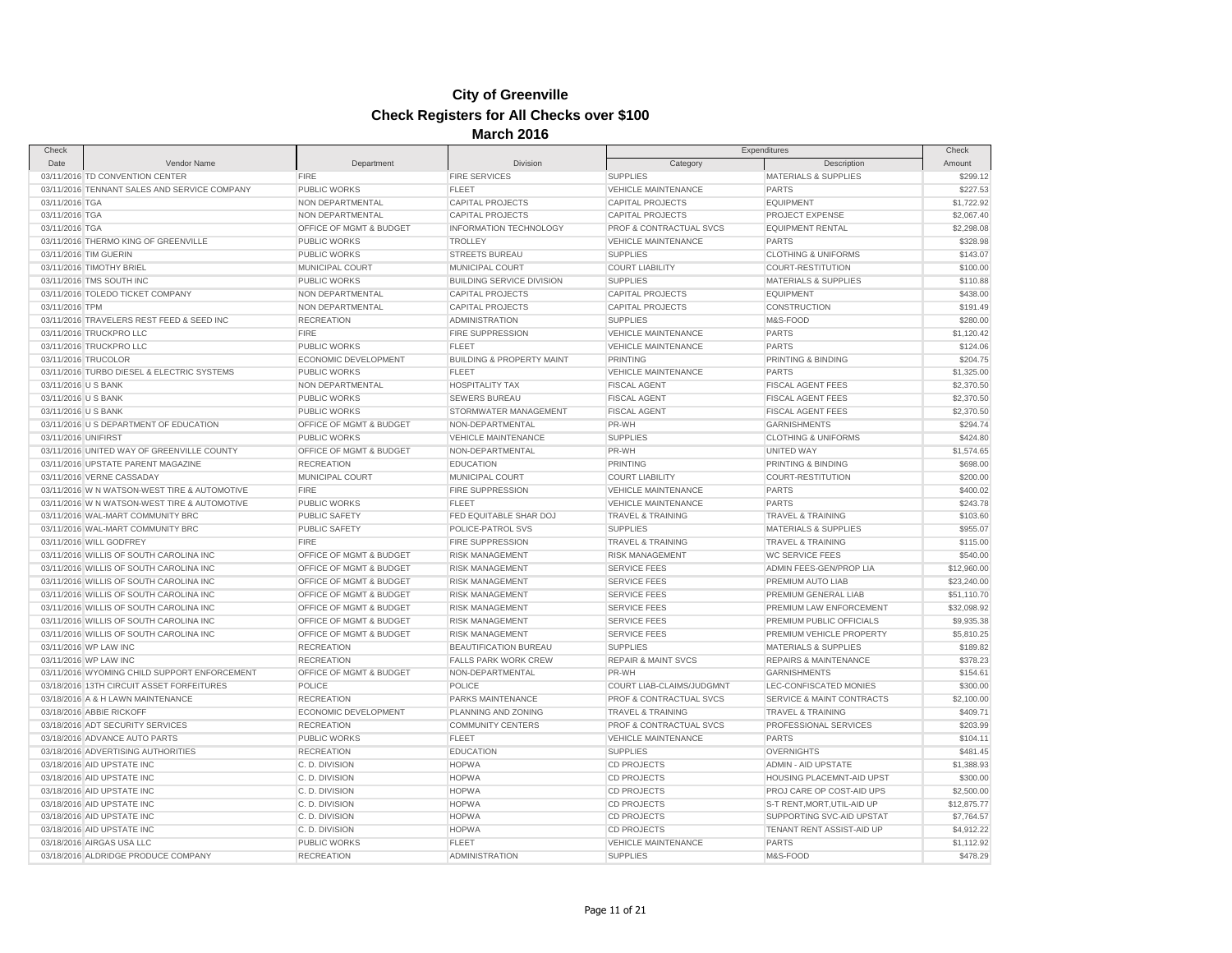| Check               |                                                                   |                         | 11141 VII                                            |                                | Expenditures                     | Check       |
|---------------------|-------------------------------------------------------------------|-------------------------|------------------------------------------------------|--------------------------------|----------------------------------|-------------|
| Date                | Vendor Name                                                       | Department              | Division                                             | Category                       | Description                      | Amount      |
|                     | 03/11/2016 TD CONVENTION CENTER                                   | <b>FIRE</b>             | <b>FIRE SERVICES</b>                                 | <b>SUPPLIES</b>                | MATERIALS & SUPPLIES             | \$299.12    |
|                     | 03/11/2016 TENNANT SALES AND SERVICE COMPANY                      | <b>PUBLIC WORKS</b>     | <b>FLEET</b>                                         | <b>VEHICLE MAINTENANCE</b>     | <b>PARTS</b>                     | \$227.53    |
| 03/11/2016 TGA      |                                                                   | NON DEPARTMENTAL        | <b>CAPITAL PROJECTS</b>                              | <b>CAPITAL PROJECTS</b>        | <b>EQUIPMENT</b>                 | \$1,722.92  |
| 03/11/2016 TGA      |                                                                   | NON DEPARTMENTAL        | <b>CAPITAL PROJECTS</b>                              | <b>CAPITAL PROJECTS</b>        | PROJECT EXPENSE                  | \$2,067.40  |
| 03/11/2016 TGA      |                                                                   | OFFICE OF MGMT & BUDGET | <b>INFORMATION TECHNOLOGY</b>                        | PROF & CONTRACTUAL SVCS        | <b>EQUIPMENT RENTAL</b>          | \$2,298.08  |
|                     | 03/11/2016 THERMO KING OF GREENVILLE                              | <b>PUBLIC WORKS</b>     | <b>TROLLEY</b>                                       | <b>VEHICLE MAINTENANCE</b>     | <b>PARTS</b>                     | \$328.98    |
|                     | 03/11/2016 TIM GUERIN                                             | <b>PUBLIC WORKS</b>     | STREETS BUREAU                                       | <b>SUPPLIES</b>                | <b>CLOTHING &amp; UNIFORMS</b>   | \$143.07    |
|                     | 03/11/2016 TIMOTHY BRIEL                                          | MUNICIPAL COURT         | <b>MUNICIPAL COURT</b>                               | <b>COURT LIABILITY</b>         | <b>COURT-RESTITUTION</b>         | \$100.00    |
|                     | 03/11/2016 TMS SOUTH INC                                          | <b>PUBLIC WORKS</b>     | <b>BUILDING SERVICE DIVISION</b>                     | <b>SUPPLIES</b>                | <b>MATERIALS &amp; SUPPLIES</b>  | \$110.88    |
|                     | 03/11/2016 TOLEDO TICKET COMPANY                                  | NON DEPARTMENTAL        | <b>CAPITAL PROJECTS</b>                              | <b>CAPITAL PROJECTS</b>        | <b>EQUIPMENT</b>                 | \$438.00    |
| 03/11/2016 TPM      |                                                                   | NON DEPARTMENTAL        | <b>CAPITAL PROJECTS</b>                              | <b>CAPITAL PROJECTS</b>        | <b>CONSTRUCTION</b>              | \$191.49    |
|                     | 03/11/2016 TRAVELERS REST FEED & SEED INC                         | <b>RECREATION</b>       | <b>ADMINISTRATION</b>                                | <b>SUPPLIES</b>                | M&S-FOOD                         | \$280.00    |
|                     | 03/11/2016 TRUCKPRO LLC                                           | <b>FIRE</b>             | <b>FIRE SUPPRESSION</b>                              | <b>VEHICLE MAINTENANCE</b>     | <b>PARTS</b>                     | \$1,120.42  |
|                     | 03/11/2016 TRUCKPRO LLC                                           | <b>PUBLIC WORKS</b>     | <b>FLEET</b>                                         | VEHICLE MAINTENANCE            | <b>PARTS</b>                     | \$124.06    |
|                     |                                                                   | ECONOMIC DEVELOPMENT    |                                                      | <b>PRINTING</b>                |                                  | \$204.75    |
|                     | 03/11/2016 TRUCOLOR<br>03/11/2016 TURBO DIESEL & ELECTRIC SYSTEMS | <b>PUBLIC WORKS</b>     | <b>BUILDING &amp; PROPERTY MAINT</b><br><b>FLEET</b> |                                | PRINTING & BINDING               |             |
|                     |                                                                   |                         |                                                      | <b>VEHICLE MAINTENANCE</b>     | <b>PARTS</b>                     | \$1,325.00  |
| 03/11/2016 U S BANK |                                                                   | NON DEPARTMENTAL        | <b>HOSPITALITY TAX</b>                               | <b>FISCAL AGENT</b>            | <b>FISCAL AGENT FEES</b>         | \$2,370.50  |
| 03/11/2016 U S BANK |                                                                   | <b>PUBLIC WORKS</b>     | <b>SEWERS BUREAU</b>                                 | <b>FISCAL AGENT</b>            | <b>FISCAL AGENT FEES</b>         | \$2,370.50  |
| 03/11/2016 U S BANK |                                                                   | <b>PUBLIC WORKS</b>     | STORMWATER MANAGEMENT                                | <b>FISCAL AGENT</b>            | <b>FISCAL AGENT FEES</b>         | \$2,370.50  |
|                     | 03/11/2016 U S DEPARTMENT OF EDUCATION                            | OFFICE OF MGMT & BUDGET | NON-DEPARTMENTAL                                     | PR-WH                          | <b>GARNISHMENTS</b>              | \$294.74    |
| 03/11/2016 UNIFIRST |                                                                   | <b>PUBLIC WORKS</b>     | <b>VEHICLE MAINTENANCE</b>                           | <b>SUPPLIES</b>                | <b>CLOTHING &amp; UNIFORMS</b>   | \$424.80    |
|                     | 03/11/2016 UNITED WAY OF GREENVILLE COUNTY                        | OFFICE OF MGMT & BUDGET | NON-DEPARTMENTAL                                     | PR-WH                          | <b>UNITED WAY</b>                | \$1,574.65  |
|                     | 03/11/2016 UPSTATE PARENT MAGAZINE                                | <b>RECREATION</b>       | <b>EDUCATION</b>                                     | <b>PRINTING</b>                | PRINTING & BINDING               | \$698.00    |
|                     | 03/11/2016 VERNE CASSADAY                                         | MUNICIPAL COURT         | MUNICIPAL COURT                                      | <b>COURT LIABILITY</b>         | COURT-RESTITUTION                | \$200.00    |
|                     | 03/11/2016 W N WATSON-WEST TIRE & AUTOMOTIVE                      | <b>FIRE</b>             | FIRE SUPPRESSION                                     | <b>VEHICLE MAINTENANCE</b>     | <b>PARTS</b>                     | \$400.02    |
|                     | 03/11/2016 W N WATSON-WEST TIRE & AUTOMOTIVE                      | <b>PUBLIC WORKS</b>     | <b>FLEET</b>                                         | <b>VEHICLE MAINTENANCE</b>     | <b>PARTS</b>                     | \$243.78    |
|                     | 03/11/2016 WAL-MART COMMUNITY BRC                                 | PUBLIC SAFETY           | FED EQUITABLE SHAR DOJ                               | TRAVEL & TRAINING              | <b>TRAVEL &amp; TRAINING</b>     | \$103.60    |
|                     | 03/11/2016 WAL-MART COMMUNITY BRC                                 | <b>PUBLIC SAFETY</b>    | POLICE-PATROL SVS                                    | <b>SUPPLIES</b>                | MATERIALS & SUPPLIES             | \$955.07    |
|                     | 03/11/2016 WILL GODFREY                                           | FIRE                    | <b>FIRE SUPPRESSION</b>                              | <b>TRAVEL &amp; TRAINING</b>   | <b>TRAVEL &amp; TRAINING</b>     | \$115.00    |
|                     | 03/11/2016 WILLIS OF SOUTH CAROLINA INC                           | OFFICE OF MGMT & BUDGET | <b>RISK MANAGEMENT</b>                               | <b>RISK MANAGEMENT</b>         | <b>WC SERVICE FEES</b>           | \$540.00    |
|                     | 03/11/2016 WILLIS OF SOUTH CAROLINA INC                           | OFFICE OF MGMT & BUDGET | <b>RISK MANAGEMENT</b>                               | <b>SERVICE FEES</b>            | ADMIN FEES-GEN/PROP LIA          | \$12,960.00 |
|                     | 03/11/2016 WILLIS OF SOUTH CAROLINA INC                           | OFFICE OF MGMT & BUDGET | <b>RISK MANAGEMENT</b>                               | <b>SERVICE FEES</b>            | PREMIUM AUTO LIAB                | \$23,240.00 |
|                     | 03/11/2016 WILLIS OF SOUTH CAROLINA INC                           | OFFICE OF MGMT & BUDGET | <b>RISK MANAGEMENT</b>                               | <b>SERVICE FEES</b>            | PREMIUM GENERAL LIAB             | \$51,110.70 |
|                     | 03/11/2016 WILLIS OF SOUTH CAROLINA INC                           | OFFICE OF MGMT & BUDGET | <b>RISK MANAGEMENT</b>                               | <b>SERVICE FEES</b>            | PREMIUM LAW ENFORCEMENT          | \$32,098.92 |
|                     | 03/11/2016 WILLIS OF SOUTH CAROLINA INC                           | OFFICE OF MGMT & BUDGET | <b>RISK MANAGEMENT</b>                               | <b>SERVICE FEES</b>            | PREMIUM PUBLIC OFFICIALS         | \$9,935.38  |
|                     | 03/11/2016 WILLIS OF SOUTH CAROLINA INC                           | OFFICE OF MGMT & BUDGET | <b>RISK MANAGEMENT</b>                               | <b>SERVICE FEES</b>            | PREMIUM VEHICLE PROPERTY         | \$5,810.25  |
|                     | 03/11/2016 WP LAW INC                                             | <b>RECREATION</b>       | <b>BEAUTIFICATION BUREAU</b>                         | <b>SUPPLIES</b>                | <b>MATERIALS &amp; SUPPLIES</b>  | \$189.82    |
|                     | 03/11/2016 WP LAW INC                                             | <b>RECREATION</b>       | <b>FALLS PARK WORK CREW</b>                          | <b>REPAIR &amp; MAINT SVCS</b> | <b>REPAIRS &amp; MAINTENANCE</b> | \$378.23    |
|                     | 03/11/2016 WYOMING CHILD SUPPORT ENFORCEMENT                      | OFFICE OF MGMT & BUDGET | NON-DEPARTMENTAL                                     | PR-WH                          | <b>GARNISHMENTS</b>              | \$154.61    |
|                     | 03/18/2016 13TH CIRCUIT ASSET FORFEITURES                         | POLICE                  | POLICE                                               | COURT LIAB-CLAIMS/JUDGMNT      | LEC-CONFISCATED MONIES           | \$300.00    |
|                     | 03/18/2016 A & H LAWN MAINTENANCE                                 | <b>RECREATION</b>       | PARKS MAINTENANCE                                    | PROF & CONTRACTUAL SVCS        | SERVICE & MAINT CONTRACTS        | \$2,100.00  |
|                     | 03/18/2016 ABBIE RICKOFF                                          | ECONOMIC DEVELOPMENT    | PLANNING AND ZONING                                  | <b>TRAVEL &amp; TRAINING</b>   | <b>TRAVEL &amp; TRAINING</b>     | \$409.71    |
|                     | 03/18/2016 ADT SECURITY SERVICES                                  | <b>RECREATION</b>       | <b>COMMUNITY CENTERS</b>                             | PROF & CONTRACTUAL SVCS        | PROFESSIONAL SERVICES            | \$203.99    |
|                     | 03/18/2016 ADVANCE AUTO PARTS                                     | <b>PUBLIC WORKS</b>     | <b>FLEET</b>                                         | <b>VEHICLE MAINTENANCE</b>     | <b>PARTS</b>                     | \$104.11    |
|                     | 03/18/2016 ADVERTISING AUTHORITIES                                | <b>RECREATION</b>       | <b>EDUCATION</b>                                     | <b>SUPPLIES</b>                | <b>OVERNIGHTS</b>                | \$481.45    |
|                     | 03/18/2016 AID UPSTATE INC                                        | C.D. DIVISION           | <b>HOPWA</b>                                         | <b>CD PROJECTS</b>             | <b>ADMIN - AID UPSTATE</b>       | \$1,388.93  |
|                     | 03/18/2016 AID UPSTATE INC                                        | C.D. DIVISION           | <b>HOPWA</b>                                         | <b>CD PROJECTS</b>             | HOUSING PLACEMNT-AID UPST        | \$300.00    |
|                     | 03/18/2016 AID UPSTATE INC                                        | C.D. DIVISION           | <b>HOPWA</b>                                         | <b>CD PROJECTS</b>             | PROJ CARE OP COST-AID UPS        | \$2,500.00  |
|                     | 03/18/2016 AID UPSTATE INC                                        | C.D. DIVISION           | <b>HOPWA</b>                                         | <b>CD PROJECTS</b>             | S-T RENT, MORT, UTIL-AID UP      | \$12,875.77 |
|                     |                                                                   |                         |                                                      |                                | SUPPORTING SVC-AID UPSTAT        |             |
|                     | 03/18/2016 AID UPSTATE INC                                        | C.D. DIVISION           | <b>HOPWA</b>                                         | CD PROJECTS                    |                                  | \$7,764.57  |
|                     | 03/18/2016 AID UPSTATE INC                                        | C.D. DIVISION           | <b>HOPWA</b>                                         | <b>CD PROJECTS</b>             | TENANT RENT ASSIST-AID UP        | \$4,912.22  |
|                     | 03/18/2016 AIRGAS USA LLC                                         | <b>PUBLIC WORKS</b>     | <b>FLEET</b>                                         | <b>VEHICLE MAINTENANCE</b>     | <b>PARTS</b>                     | \$1,112.92  |
|                     | 03/18/2016 ALDRIDGE PRODUCE COMPANY                               | <b>RECREATION</b>       | <b>ADMINISTRATION</b>                                | <b>SUPPLIES</b>                | M&S-FOOD                         | \$478.29    |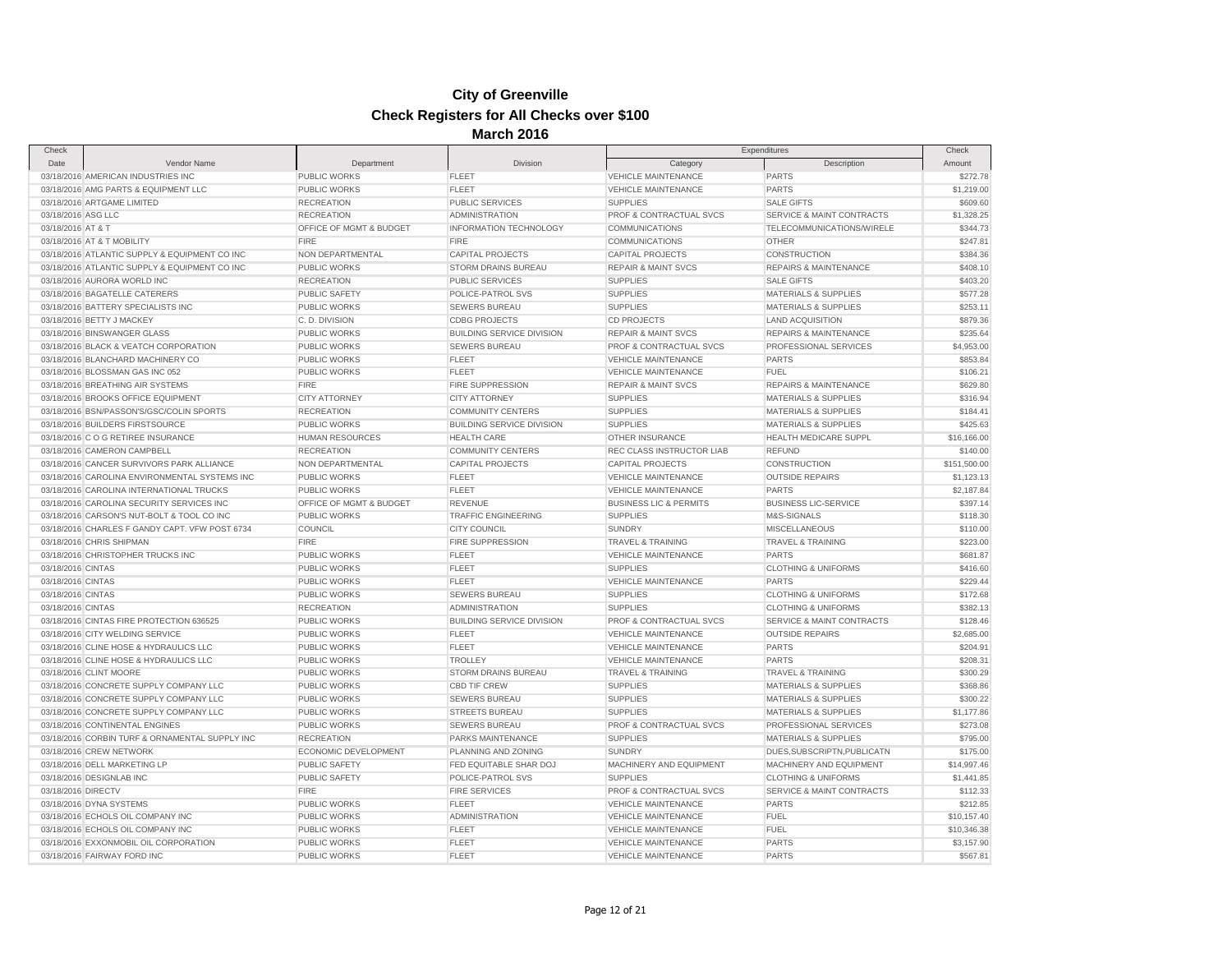| Check                  |                                                |                                     |                                  | Expenditures                       |                                  | Check        |
|------------------------|------------------------------------------------|-------------------------------------|----------------------------------|------------------------------------|----------------------------------|--------------|
| Date                   | Vendor Name                                    | Department                          | Division                         | Category                           | Description                      | Amount       |
|                        | 03/18/2016 AMERICAN INDUSTRIES INC             | PUBLIC WORKS                        | <b>FLEET</b>                     | <b>VEHICLE MAINTENANCE</b>         | <b>PARTS</b>                     | \$272.78     |
|                        | 03/18/2016 AMG PARTS & EQUIPMENT LLC           | PUBLIC WORKS                        | <b>FLEET</b>                     | VEHICLE MAINTENANCE                | <b>PARTS</b>                     | \$1,219.00   |
|                        | 03/18/2016 ARTGAME LIMITED                     | <b>RECREATION</b>                   | <b>PUBLIC SERVICES</b>           | <b>SUPPLIES</b>                    | <b>SALE GIFTS</b>                | \$609.60     |
| 03/18/2016 ASG LLC     |                                                | <b>RECREATION</b>                   | <b>ADMINISTRATION</b>            | PROF & CONTRACTUAL SVCS            | SERVICE & MAINT CONTRACTS        | \$1,328.25   |
|                        |                                                |                                     |                                  |                                    |                                  | \$344.73     |
| 03/18/2016 AT & T      |                                                | OFFICE OF MGMT & BUDGET             | INFORMATION TECHNOLOGY           | <b>COMMUNICATIONS</b>              | TELECOMMUNICATIONS/WIRELE        |              |
|                        | 03/18/2016 AT & T MOBILITY                     | <b>FIRE</b>                         | <b>FIRE</b>                      | COMMUNICATIONS                     | <b>OTHER</b>                     | \$247.81     |
|                        | 03/18/2016 ATLANTIC SUPPLY & EQUIPMENT CO INC  | NON DEPARTMENTAL                    | <b>CAPITAL PROJECTS</b>          | <b>CAPITAL PROJECTS</b>            | CONSTRUCTION                     | \$384.36     |
|                        | 03/18/2016 ATLANTIC SUPPLY & EQUIPMENT CO INC  | <b>PUBLIC WORKS</b>                 | <b>STORM DRAINS BUREAU</b>       | <b>REPAIR &amp; MAINT SVCS</b>     | <b>REPAIRS &amp; MAINTENANCE</b> | \$408.10     |
|                        | 03/18/2016 AURORA WORLD INC                    | <b>RECREATION</b>                   | <b>PUBLIC SERVICES</b>           | <b>SUPPLIES</b>                    | <b>SALE GIFTS</b>                | \$403.20     |
|                        | 03/18/2016 BAGATELLE CATERERS                  | PUBLIC SAFETY                       | POLICE-PATROL SVS                | <b>SUPPLIES</b>                    | MATERIALS & SUPPLIES             | \$577.28     |
|                        | 03/18/2016 BATTERY SPECIALISTS INC             | <b>PUBLIC WORKS</b>                 | <b>SEWERS BUREAU</b>             | <b>SUPPLIES</b>                    | <b>MATERIALS &amp; SUPPLIES</b>  | \$253.11     |
|                        | 03/18/2016 BETTY J MACKEY                      | C.D. DIVISION                       | <b>CDBG PROJECTS</b>             | <b>CD PROJECTS</b>                 | <b>LAND ACQUISITION</b>          | \$879.36     |
|                        | 03/18/2016 BINSWANGER GLASS                    | <b>PUBLIC WORKS</b>                 | <b>BUILDING SERVICE DIVISION</b> | <b>REPAIR &amp; MAINT SVCS</b>     | <b>REPAIRS &amp; MAINTENANCE</b> | \$235.64     |
|                        | 03/18/2016 BLACK & VEATCH CORPORATION          | <b>PUBLIC WORKS</b>                 | SEWERS BUREAU                    | PROF & CONTRACTUAL SVCS            | PROFESSIONAL SERVICES            | \$4,953.00   |
|                        | 03/18/2016 BLANCHARD MACHINERY CO              | <b>PUBLIC WORKS</b>                 | <b>FLEET</b>                     | <b>VEHICLE MAINTENANCE</b>         | <b>PARTS</b>                     | \$853.84     |
|                        | 03/18/2016 BLOSSMAN GAS INC 052                | <b>PUBLIC WORKS</b>                 | <b>FLEET</b>                     | <b>VEHICLE MAINTENANCE</b>         | <b>FUEL</b>                      | \$106.21     |
|                        | 03/18/2016 BREATHING AIR SYSTEMS               | <b>FIRE</b>                         | <b>FIRE SUPPRESSION</b>          | <b>REPAIR &amp; MAINT SVCS</b>     | <b>REPAIRS &amp; MAINTENANCE</b> | \$629.80     |
|                        | 03/18/2016 BROOKS OFFICE EQUIPMENT             | <b>CITY ATTORNEY</b>                | <b>CITY ATTORNEY</b>             | <b>SUPPLIES</b>                    | <b>MATERIALS &amp; SUPPLIES</b>  | \$316.94     |
|                        | 03/18/2016 BSN/PASSON'S/GSC/COLIN SPORTS       | <b>RECREATION</b>                   | <b>COMMUNITY CENTERS</b>         | <b>SUPPLIES</b>                    | <b>MATERIALS &amp; SUPPLIES</b>  | \$184.41     |
|                        | 03/18/2016 BUILDERS FIRSTSOURCE                | <b>PUBLIC WORKS</b>                 | <b>BUILDING SERVICE DIVISION</b> | <b>SUPPLIES</b>                    | <b>MATERIALS &amp; SUPPLIES</b>  | \$425.63     |
|                        | 03/18/2016 C O G RETIREE INSURANCE             | <b>HUMAN RESOURCES</b>              | <b>HEALTH CARE</b>               | OTHER INSURANCE                    | <b>HEALTH MEDICARE SUPPL</b>     | \$16,166.00  |
|                        | 03/18/2016 CAMERON CAMPBELL                    | <b>RECREATION</b>                   | <b>COMMUNITY CENTERS</b>         | REC CLASS INSTRUCTOR LIAB          | <b>REFUND</b>                    | \$140.00     |
|                        | 03/18/2016 CANCER SURVIVORS PARK ALLIANCE      | NON DEPARTMENTAL                    | <b>CAPITAL PROJECTS</b>          | <b>CAPITAL PROJECTS</b>            | <b>CONSTRUCTION</b>              | \$151,500.00 |
|                        | 03/18/2016 CAROLINA ENVIRONMENTAL SYSTEMS INC  | <b>PUBLIC WORKS</b>                 | <b>FLEET</b>                     | <b>VEHICLE MAINTENANCE</b>         | <b>OUTSIDE REPAIRS</b>           | \$1,123.13   |
|                        | 03/18/2016 CAROLINA INTERNATIONAL TRUCKS       | PUBLIC WORKS                        | FLEET                            | VEHICLE MAINTENANCE                | <b>PARTS</b>                     | \$2,187.84   |
|                        | 03/18/2016 CAROLINA SECURITY SERVICES INC      | OFFICE OF MGMT & BUDGET             | <b>REVENUE</b>                   | <b>BUSINESS LIC &amp; PERMITS</b>  | <b>BUSINESS LIC-SERVICE</b>      | \$397.14     |
|                        | 03/18/2016 CARSON'S NUT-BOLT & TOOL CO INC     | <b>PUBLIC WORKS</b>                 | <b>TRAFFIC ENGINEERING</b>       | <b>SUPPLIES</b>                    | M&S-SIGNALS                      | \$118.30     |
|                        | 03/18/2016 CHARLES F GANDY CAPT. VFW POST 6734 | COUNCIL                             | <b>CITY COUNCIL</b>              | <b>SUNDRY</b>                      | <b>MISCELLANEOUS</b>             | \$110.00     |
|                        | 03/18/2016 CHRIS SHIPMAN                       | <b>FIRE</b>                         | <b>FIRE SUPPRESSION</b>          | TRAVEL & TRAINING                  | TRAVEL & TRAINING                | \$223.00     |
|                        | 03/18/2016 CHRISTOPHER TRUCKS INC              | <b>PUBLIC WORKS</b>                 | <b>FLEET</b>                     | <b>VEHICLE MAINTENANCE</b>         | <b>PARTS</b>                     | \$681.87     |
| 03/18/2016 CINTAS      |                                                | PUBLIC WORKS                        | <b>FLEET</b>                     | <b>SUPPLIES</b>                    | <b>CLOTHING &amp; UNIFORMS</b>   | \$416.60     |
| 03/18/2016 CINTAS      |                                                | PUBLIC WORKS                        | <b>FLEET</b>                     | VEHICLE MAINTENANCE                | <b>PARTS</b>                     | \$229.44     |
| 03/18/2016 CINTAS      |                                                | <b>PUBLIC WORKS</b>                 | SEWERS BUREAU                    | <b>SUPPLIES</b>                    | <b>CLOTHING &amp; UNIFORMS</b>   | \$172.68     |
| 03/18/2016 CINTAS      |                                                | <b>RECREATION</b>                   | <b>ADMINISTRATION</b>            | <b>SUPPLIES</b>                    | <b>CLOTHING &amp; UNIFORMS</b>   | \$382.13     |
|                        | 03/18/2016 CINTAS FIRE PROTECTION 636525       | <b>PUBLIC WORKS</b>                 | <b>BUILDING SERVICE DIVISION</b> | PROF & CONTRACTUAL SVCS            | SERVICE & MAINT CONTRACTS        | \$128.46     |
|                        | 03/18/2016 CITY WELDING SERVICE                | PUBLIC WORKS                        | <b>FLEET</b>                     | <b>VEHICLE MAINTENANCE</b>         | <b>OUTSIDE REPAIRS</b>           | \$2,685.00   |
|                        | 03/18/2016 CLINE HOSE & HYDRAULICS LLC         | <b>PUBLIC WORKS</b>                 | <b>FLEET</b>                     | <b>VEHICLE MAINTENANCE</b>         | <b>PARTS</b>                     | \$204.91     |
|                        | 03/18/2016 CLINE HOSE & HYDRAULICS LLC         | PUBLIC WORKS                        | <b>TROLLEY</b>                   | <b>VEHICLE MAINTENANCE</b>         | <b>PARTS</b>                     | \$208.31     |
| 03/18/2016 CLINT MOORE |                                                | <b>PUBLIC WORKS</b>                 | <b>STORM DRAINS BUREAU</b>       | <b>TRAVEL &amp; TRAINING</b>       | <b>TRAVEL &amp; TRAINING</b>     | \$300.29     |
|                        | 03/18/2016 CONCRETE SUPPLY COMPANY LLC         | <b>PUBLIC WORKS</b>                 | <b>CBD TIF CREW</b>              | <b>SUPPLIES</b>                    | <b>MATERIALS &amp; SUPPLIES</b>  | \$368.86     |
|                        | 03/18/2016 CONCRETE SUPPLY COMPANY LLC         | <b>PUBLIC WORKS</b>                 | <b>SEWERS BUREAU</b>             | <b>SUPPLIES</b>                    | MATERIALS & SUPPLIES             | \$300.22     |
|                        | 03/18/2016 CONCRETE SUPPLY COMPANY LLC         | <b>PUBLIC WORKS</b>                 | <b>STREETS BUREAU</b>            | <b>SUPPLIES</b>                    | <b>MATERIALS &amp; SUPPLIES</b>  | \$1,177.86   |
|                        | 03/18/2016 CONTINENTAL ENGINES                 | <b>PUBLIC WORKS</b>                 | <b>SEWERS BUREAU</b>             | <b>PROF &amp; CONTRACTUAL SVCS</b> | PROFESSIONAL SERVICES            | \$273.08     |
|                        | 03/18/2016 CORBIN TURF & ORNAMENTAL SUPPLY INC | <b>RECREATION</b>                   | PARKS MAINTENANCE                | <b>SUPPLIES</b>                    | <b>MATERIALS &amp; SUPPLIES</b>  | \$795.00     |
|                        | 03/18/2016 CREW NETWORK                        | <b>ECONOMIC DEVELOPMENT</b>         | PLANNING AND ZONING              | <b>SUNDRY</b>                      | DUES, SUBSCRIPTN, PUBLICATN      | \$175.00     |
|                        | 03/18/2016 DELL MARKETING LP                   | <b>PUBLIC SAFETY</b>                | FED EQUITABLE SHAR DOJ           | MACHINERY AND EQUIPMENT            | MACHINERY AND EQUIPMENT          | \$14,997.46  |
|                        |                                                |                                     |                                  |                                    |                                  |              |
|                        | 03/18/2016 DESIGNLAB INC                       | <b>PUBLIC SAFETY</b><br><b>FIRE</b> | POLICE-PATROL SVS                | <b>SUPPLIES</b>                    | <b>CLOTHING &amp; UNIFORMS</b>   | \$1,441.85   |
| 03/18/2016 DIRECTV     |                                                |                                     | <b>FIRE SERVICES</b>             | PROF & CONTRACTUAL SVCS            | SERVICE & MAINT CONTRACTS        | \$112.33     |
|                        | 03/18/2016 DYNA SYSTEMS                        | <b>PUBLIC WORKS</b>                 | <b>FLEET</b>                     | <b>VEHICLE MAINTENANCE</b>         | <b>PARTS</b>                     | \$212.85     |
|                        | 03/18/2016 ECHOLS OIL COMPANY INC              | <b>PUBLIC WORKS</b>                 | <b>ADMINISTRATION</b>            | <b>VEHICLE MAINTENANCE</b>         | <b>FUEL</b>                      | \$10,157.40  |
|                        | 03/18/2016 ECHOLS OIL COMPANY INC              | <b>PUBLIC WORKS</b>                 | <b>FLEET</b>                     | <b>VEHICLE MAINTENANCE</b>         | <b>FUEL</b>                      | \$10,346.38  |
|                        | 03/18/2016 EXXONMOBIL OIL CORPORATION          | PUBLIC WORKS                        | <b>FLEET</b>                     | <b>VEHICLE MAINTENANCE</b>         | PARTS                            | \$3,157.90   |
|                        | 03/18/2016 FAIRWAY FORD INC                    | PUBLIC WORKS                        | FLEET                            | <b>VEHICLE MAINTENANCE</b>         | <b>PARTS</b>                     | \$567.81     |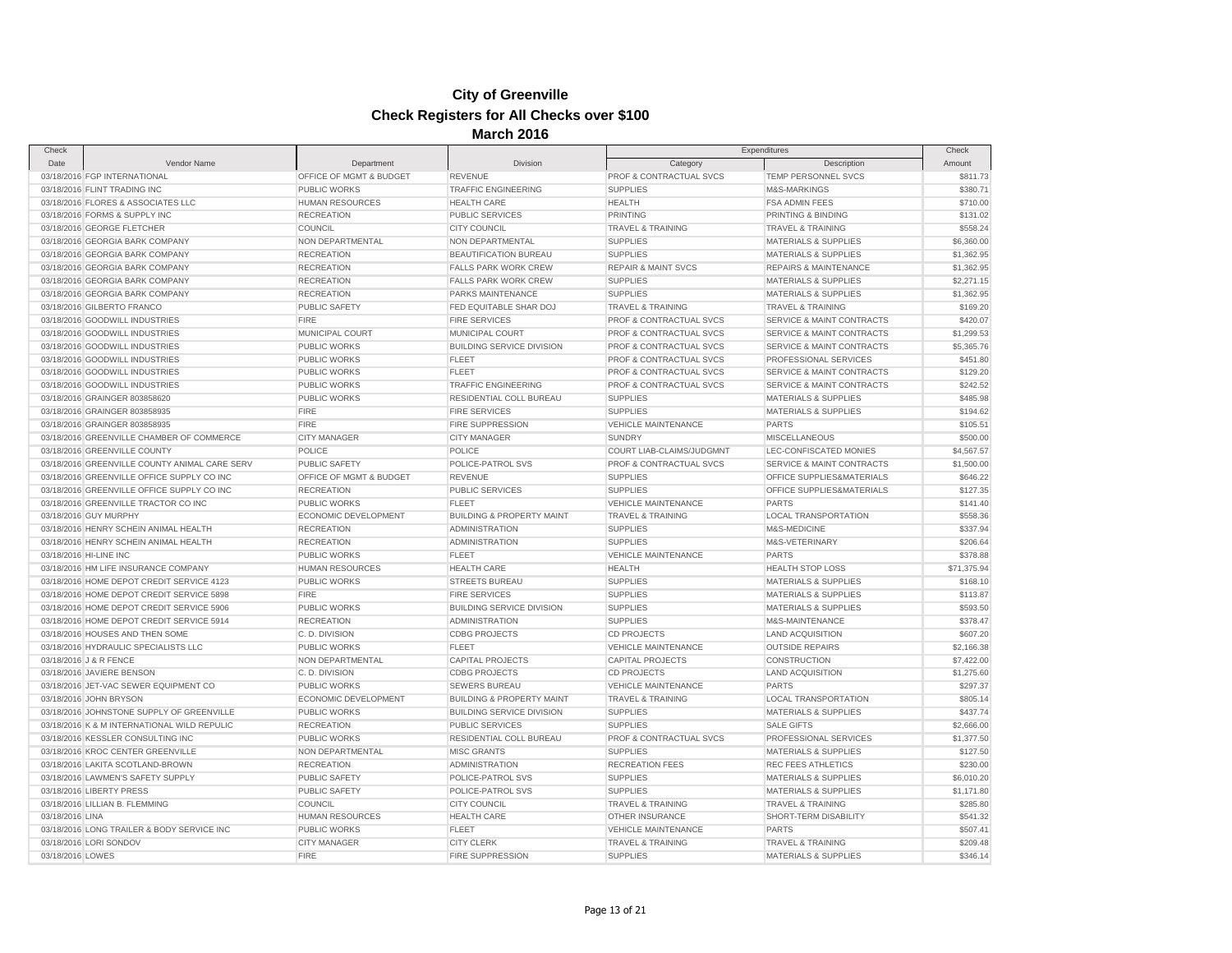| Check                  |                                               |                         | was vo                               | Expenditures                       |                                      | Check       |
|------------------------|-----------------------------------------------|-------------------------|--------------------------------------|------------------------------------|--------------------------------------|-------------|
| Date                   | Vendor Name                                   | Department              | Division                             | Category                           | Description                          | Amount      |
|                        | 03/18/2016 FGP INTERNATIONAL                  | OFFICE OF MGMT & BUDGET | <b>REVENUE</b>                       | PROF & CONTRACTUAL SVCS            | TEMP PERSONNEL SVCS                  | \$811.73    |
|                        | 03/18/2016 FLINT TRADING INC                  | <b>PUBLIC WORKS</b>     | <b>TRAFFIC ENGINEERING</b>           | <b>SUPPLIES</b>                    | M&S-MARKINGS                         | \$380.71    |
|                        | 03/18/2016 FLORES & ASSOCIATES LLC            | <b>HUMAN RESOURCES</b>  | <b>HEALTH CARE</b>                   | <b>HEALTH</b>                      | <b>FSA ADMIN FEES</b>                | \$710.00    |
|                        | 03/18/2016 FORMS & SUPPLY INC                 | <b>RECREATION</b>       | PUBLIC SERVICES                      | <b>PRINTING</b>                    | PRINTING & BINDING                   | \$131.02    |
|                        | 03/18/2016 GEORGE FLETCHER                    | COUNCIL                 | <b>CITY COUNCIL</b>                  | <b>TRAVEL &amp; TRAINING</b>       | <b>TRAVEL &amp; TRAINING</b>         | \$558.24    |
|                        | 03/18/2016 GEORGIA BARK COMPANY               | NON DEPARTMENTAL        | NON DEPARTMENTAL                     | <b>SUPPLIES</b>                    | <b>MATERIALS &amp; SUPPLIES</b>      | \$6,360.00  |
|                        | 03/18/2016 GEORGIA BARK COMPANY               | <b>RECREATION</b>       | BEAUTIFICATION BUREAU                | <b>SUPPLIES</b>                    | <b>MATERIALS &amp; SUPPLIES</b>      | \$1,362.95  |
|                        | 03/18/2016 GEORGIA BARK COMPANY               | <b>RECREATION</b>       | <b>FALLS PARK WORK CREW</b>          | <b>REPAIR &amp; MAINT SVCS</b>     | <b>REPAIRS &amp; MAINTENANCE</b>     | \$1,362.95  |
|                        | 03/18/2016 GEORGIA BARK COMPANY               | <b>RECREATION</b>       | <b>FALLS PARK WORK CREW</b>          | <b>SUPPLIES</b>                    | <b>MATERIALS &amp; SUPPLIES</b>      | \$2,271.15  |
|                        | 03/18/2016 GEORGIA BARK COMPANY               | <b>RECREATION</b>       | PARKS MAINTENANCE                    | <b>SUPPLIES</b>                    | <b>MATERIALS &amp; SUPPLIES</b>      | \$1,362.95  |
|                        | 03/18/2016 GILBERTO FRANCO                    | <b>PUBLIC SAFETY</b>    | FED EQUITABLE SHAR DOJ               | <b>TRAVEL &amp; TRAINING</b>       | <b>TRAVEL &amp; TRAINING</b>         | \$169.20    |
|                        | 03/18/2016 GOODWILL INDUSTRIES                | <b>FIRE</b>             | <b>FIRE SERVICES</b>                 | PROF & CONTRACTUAL SVCS            | SERVICE & MAINT CONTRACTS            | \$420.07    |
|                        | 03/18/2016 GOODWILL INDUSTRIES                | MUNICIPAL COURT         | MUNICIPAL COURT                      | PROF & CONTRACTUAL SVCS            | SERVICE & MAINT CONTRACTS            | \$1,299.53  |
|                        |                                               |                         |                                      |                                    |                                      |             |
|                        | 03/18/2016 GOODWILL INDUSTRIES                | <b>PUBLIC WORKS</b>     | <b>BUILDING SERVICE DIVISION</b>     | PROF & CONTRACTUAL SVCS            | SERVICE & MAINT CONTRACTS            | \$5,365.76  |
|                        | 03/18/2016 GOODWILL INDUSTRIES                | <b>PUBLIC WORKS</b>     | <b>FLEET</b>                         | <b>PROF &amp; CONTRACTUAL SVCS</b> | PROFESSIONAL SERVICES                | \$451.80    |
|                        | 03/18/2016 GOODWILL INDUSTRIES                | <b>PUBLIC WORKS</b>     | <b>FLEET</b>                         | <b>PROF &amp; CONTRACTUAL SVCS</b> | <b>SERVICE &amp; MAINT CONTRACTS</b> | \$129.20    |
|                        | 03/18/2016 GOODWILL INDUSTRIES                | <b>PUBLIC WORKS</b>     | <b>TRAFFIC ENGINEERING</b>           | PROF & CONTRACTUAL SVCS            | SERVICE & MAINT CONTRACTS            | \$242.52    |
|                        | 03/18/2016 GRAINGER 803858620                 | <b>PUBLIC WORKS</b>     | RESIDENTIAL COLL BUREAU              | <b>SUPPLIES</b>                    | <b>MATERIALS &amp; SUPPLIES</b>      | \$485.98    |
|                        | 03/18/2016 GRAINGER 803858935                 | <b>FIRE</b>             | <b>FIRE SERVICES</b>                 | <b>SUPPLIES</b>                    | MATERIALS & SUPPLIES                 | \$194.62    |
|                        | 03/18/2016 GRAINGER 803858935                 | <b>FIRE</b>             | FIRE SUPPRESSION                     | VEHICLE MAINTENANCE                | <b>PARTS</b>                         | \$105.51    |
|                        | 03/18/2016 GREENVILLE CHAMBER OF COMMERCE     | <b>CITY MANAGER</b>     | <b>CITY MANAGER</b>                  | <b>SUNDRY</b>                      | <b>MISCELLANEOUS</b>                 | \$500.00    |
|                        | 03/18/2016 GREENVILLE COUNTY                  | POLICE                  | <b>POLICE</b>                        | COURT LIAB-CLAIMS/JUDGMNT          | LEC-CONFISCATED MONIES               | \$4,567.57  |
|                        | 03/18/2016 GREENVILLE COUNTY ANIMAL CARE SERV | <b>PUBLIC SAFETY</b>    | POLICE-PATROL SVS                    | PROF & CONTRACTUAL SVCS            | SERVICE & MAINT CONTRACTS            | \$1,500.00  |
|                        | 03/18/2016 GREENVILLE OFFICE SUPPLY CO INC    | OFFICE OF MGMT & BUDGET | <b>REVENUE</b>                       | <b>SUPPLIES</b>                    | OFFICE SUPPLIES&MATERIALS            | \$646.22    |
|                        | 03/18/2016 GREENVILLE OFFICE SUPPLY CO INC    | <b>RECREATION</b>       | <b>PUBLIC SERVICES</b>               | <b>SUPPLIES</b>                    | OFFICE SUPPLIES&MATERIALS            | \$127.35    |
|                        | 03/18/2016 GREENVILLE TRACTOR CO INC          | <b>PUBLIC WORKS</b>     | <b>FLEET</b>                         | <b>VEHICLE MAINTENANCE</b>         | <b>PARTS</b>                         | \$141.40    |
|                        | 03/18/2016 GUY MURPHY                         | ECONOMIC DEVELOPMENT    | <b>BUILDING &amp; PROPERTY MAINT</b> | TRAVEL & TRAINING                  | <b>LOCAL TRANSPORTATION</b>          | \$558.36    |
|                        | 03/18/2016 HENRY SCHEIN ANIMAL HEALTH         | <b>RECREATION</b>       | <b>ADMINISTRATION</b>                | <b>SUPPLIES</b>                    | M&S-MEDICINE                         | \$337.94    |
|                        | 03/18/2016 HENRY SCHEIN ANIMAL HEALTH         | <b>RECREATION</b>       | <b>ADMINISTRATION</b>                | <b>SUPPLIES</b>                    | M&S-VETERINARY                       | \$206.64    |
| 03/18/2016 HI-LINE INC |                                               | <b>PUBLIC WORKS</b>     | <b>FLEET</b>                         | <b>VEHICLE MAINTENANCE</b>         | <b>PARTS</b>                         | \$378.88    |
|                        | 03/18/2016 HM LIFE INSURANCE COMPANY          | <b>HUMAN RESOURCES</b>  | <b>HEALTH CARE</b>                   | <b>HEALTH</b>                      | <b>HEALTH STOP LOSS</b>              | \$71,375.94 |
|                        | 03/18/2016 HOME DEPOT CREDIT SERVICE 4123     | <b>PUBLIC WORKS</b>     | <b>STREETS BUREAU</b>                | <b>SUPPLIES</b>                    | <b>MATERIALS &amp; SUPPLIES</b>      | \$168.10    |
|                        | 03/18/2016 HOME DEPOT CREDIT SERVICE 5898     | <b>FIRE</b>             | <b>FIRE SERVICES</b>                 | <b>SUPPLIES</b>                    | <b>MATERIALS &amp; SUPPLIES</b>      | \$113.87    |
|                        | 03/18/2016 HOME DEPOT CREDIT SERVICE 5906     | PUBLIC WORKS            | <b>BUILDING SERVICE DIVISION</b>     | <b>SUPPLIES</b>                    | MATERIALS & SUPPLIES                 | \$593.50    |
|                        | 03/18/2016 HOME DEPOT CREDIT SERVICE 5914     | <b>RECREATION</b>       | ADMINISTRATION                       | <b>SUPPLIES</b>                    | M&S-MAINTENANCE                      | \$378.47    |
|                        | 03/18/2016 HOUSES AND THEN SOME               | C.D. DIVISION           | <b>CDBG PROJECTS</b>                 | <b>CD PROJECTS</b>                 | <b>LAND ACQUISITION</b>              | \$607.20    |
|                        | 03/18/2016 HYDRAULIC SPECIALISTS LLC          | PUBLIC WORKS            | <b>FLEET</b>                         | <b>VEHICLE MAINTENANCE</b>         | <b>OUTSIDE REPAIRS</b>               | \$2,166.38  |
| 03/18/2016 J & R FENCE |                                               | NON DEPARTMENTAL        | <b>CAPITAL PROJECTS</b>              | <b>CAPITAL PROJECTS</b>            | <b>CONSTRUCTION</b>                  | \$7,422.00  |
|                        | 03/18/2016 JAVIERE BENSON                     | C.D. DIVISION           | <b>CDBG PROJECTS</b>                 | <b>CD PROJECTS</b>                 | <b>LAND ACQUISITION</b>              | \$1,275.60  |
|                        | 03/18/2016 JET-VAC SEWER EQUIPMENT CO         | PUBLIC WORKS            | <b>SEWERS BUREAU</b>                 | <b>VEHICLE MAINTENANCE</b>         | <b>PARTS</b>                         | \$297.37    |
|                        | 03/18/2016 JOHN BRYSON                        | ECONOMIC DEVELOPMENT    | <b>BUILDING &amp; PROPERTY MAINT</b> | <b>TRAVEL &amp; TRAINING</b>       | LOCAL TRANSPORTATION                 | \$805.14    |
|                        | 03/18/2016 JOHNSTONE SUPPLY OF GREENVILLE     | PUBLIC WORKS            | <b>BUILDING SERVICE DIVISION</b>     | <b>SUPPLIES</b>                    | <b>MATERIALS &amp; SUPPLIES</b>      | \$437.74    |
|                        | 03/18/2016 K & M INTERNATIONAL WILD REPULIC   | <b>RECREATION</b>       | PUBLIC SERVICES                      | <b>SUPPLIES</b>                    | <b>SALE GIFTS</b>                    | \$2,666.00  |
|                        | 03/18/2016 KESSLER CONSULTING INC             | PUBLIC WORKS            | RESIDENTIAL COLL BUREAU              | <b>PROF &amp; CONTRACTUAL SVCS</b> | PROFESSIONAL SERVICES                | \$1,377.50  |
|                        | 03/18/2016 KROC CENTER GREENVILLE             | NON DEPARTMENTAL        | <b>MISC GRANTS</b>                   | <b>SUPPLIES</b>                    | <b>MATERIALS &amp; SUPPLIES</b>      | \$127.50    |
|                        | 03/18/2016 LAKITA SCOTLAND-BROWN              | <b>RECREATION</b>       | <b>ADMINISTRATION</b>                | <b>RECREATION FEES</b>             | <b>REC FEES ATHLETICS</b>            | \$230.00    |
|                        | 03/18/2016 LAWMEN'S SAFETY SUPPLY             | <b>PUBLIC SAFETY</b>    | POLICE-PATROL SVS                    | <b>SUPPLIES</b>                    | <b>MATERIALS &amp; SUPPLIES</b>      | \$6,010.20  |
|                        | 03/18/2016 LIBERTY PRESS                      | PUBLIC SAFETY           | POLICE-PATROL SVS                    | <b>SUPPLIES</b>                    | MATERIALS & SUPPLIES                 | \$1,171.80  |
|                        | 03/18/2016 LILLIAN B. FLEMMING                | COUNCIL                 | <b>CITY COUNCIL</b>                  | <b>TRAVEL &amp; TRAINING</b>       | <b>TRAVEL &amp; TRAINING</b>         | \$285.80    |
| 03/18/2016 LINA        |                                               | <b>HUMAN RESOURCES</b>  | <b>HEALTH CARE</b>                   | OTHER INSURANCE                    | SHORT-TERM DISABILITY                | \$541.32    |
|                        | 03/18/2016 LONG TRAILER & BODY SERVICE INC    | <b>PUBLIC WORKS</b>     | <b>FLEET</b>                         | VEHICLE MAINTENANCE                | <b>PARTS</b>                         | \$507.41    |
|                        | 03/18/2016 LORI SONDOV                        | <b>CITY MANAGER</b>     | <b>CITY CLERK</b>                    | <b>TRAVEL &amp; TRAINING</b>       | <b>TRAVEL &amp; TRAINING</b>         | \$209.48    |
| 03/18/2016 LOWES       |                                               | <b>FIRE</b>             | <b>FIRE SUPPRESSION</b>              | <b>SUPPLIES</b>                    | <b>MATERIALS &amp; SUPPLIES</b>      | \$346.14    |
|                        |                                               |                         |                                      |                                    |                                      |             |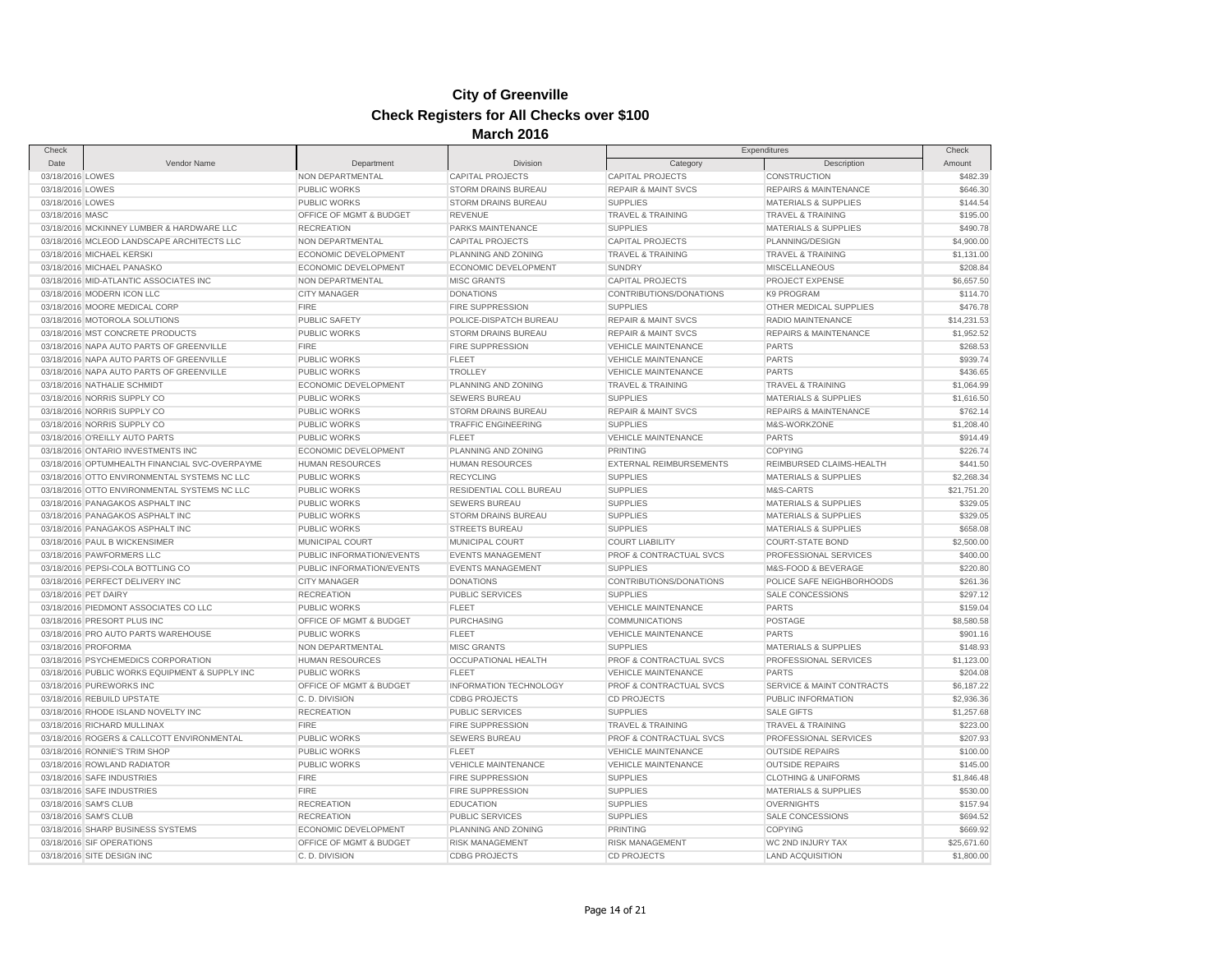| Check                                    |                                                |                                     |                                            |                                    | Check                                |             |
|------------------------------------------|------------------------------------------------|-------------------------------------|--------------------------------------------|------------------------------------|--------------------------------------|-------------|
| Date                                     | Vendor Name                                    | Department                          | <b>Division</b>                            | Category                           | Expenditures<br>Description          | Amount      |
| 03/18/2016 LOWES                         |                                                | NON DEPARTMENTAL                    | <b>CAPITAL PROJECTS</b>                    | <b>CAPITAL PROJECTS</b>            | <b>CONSTRUCTION</b>                  | \$482.39    |
| 03/18/2016 LOWES                         |                                                | <b>PUBLIC WORKS</b>                 | <b>STORM DRAINS BUREAU</b>                 | <b>REPAIR &amp; MAINT SVCS</b>     | <b>REPAIRS &amp; MAINTENANCE</b>     | \$646.30    |
| 03/18/2016 LOWES                         |                                                | PUBLIC WORKS                        | <b>STORM DRAINS BUREAU</b>                 | <b>SUPPLIES</b>                    | <b>MATERIALS &amp; SUPPLIES</b>      | \$144.54    |
| 03/18/2016 MASC                          |                                                | OFFICE OF MGMT & BUDGET             | <b>REVENUE</b>                             | TRAVEL & TRAINING                  | <b>TRAVEL &amp; TRAINING</b>         | \$195.00    |
|                                          | 03/18/2016 MCKINNEY LUMBER & HARDWARE LLC      | <b>RECREATION</b>                   | PARKS MAINTENANCE                          | <b>SUPPLIES</b>                    | <b>MATERIALS &amp; SUPPLIES</b>      | \$490.78    |
|                                          | 03/18/2016 MCLEOD LANDSCAPE ARCHITECTS LLC     | NON DEPARTMENTAL                    | <b>CAPITAL PROJECTS</b>                    | <b>CAPITAL PROJECTS</b>            | PLANNING/DESIGN                      | \$4,900.00  |
| 03/18/2016 MICHAEL KERSKI                |                                                | ECONOMIC DEVELOPMENT                | PLANNING AND ZONING                        | <b>TRAVEL &amp; TRAINING</b>       | <b>TRAVEL &amp; TRAINING</b>         | \$1,131.00  |
| 03/18/2016 MICHAEL PANASKO               |                                                | ECONOMIC DEVELOPMENT                | ECONOMIC DEVELOPMENT                       | <b>SUNDRY</b>                      | <b>MISCELLANEOUS</b>                 | \$208.84    |
| 03/18/2016 MID-ATLANTIC ASSOCIATES INC   |                                                | NON DEPARTMENTAL                    | <b>MISC GRANTS</b>                         | <b>CAPITAL PROJECTS</b>            | PROJECT EXPENSE                      | \$6,657.50  |
| 03/18/2016 MODERN ICON LLC               |                                                | <b>CITY MANAGER</b>                 | <b>DONATIONS</b>                           | CONTRIBUTIONS/DONATIONS            | <b>K9 PROGRAM</b>                    | \$114.70    |
| 03/18/2016 MOORE MEDICAL CORP            |                                                | <b>FIRE</b>                         | <b>FIRE SUPPRESSION</b>                    | <b>SUPPLIES</b>                    | OTHER MEDICAL SUPPLIES               | \$476.78    |
| 03/18/2016 MOTOROLA SOLUTIONS            |                                                | <b>PUBLIC SAFETY</b>                | POLICE-DISPATCH BUREAU                     | <b>REPAIR &amp; MAINT SVCS</b>     | RADIO MAINTENANCE                    | \$14,231.53 |
| 03/18/2016 MST CONCRETE PRODUCTS         |                                                | PUBLIC WORKS                        | STORM DRAINS BUREAU                        | <b>REPAIR &amp; MAINT SVCS</b>     | <b>REPAIRS &amp; MAINTENANCE</b>     | \$1,952.52  |
| 03/18/2016 NAPA AUTO PARTS OF GREENVILLE |                                                | <b>FIRE</b>                         | <b>FIRE SUPPRESSION</b>                    | <b>VEHICLE MAINTENANCE</b>         | <b>PARTS</b>                         | \$268.53    |
| 03/18/2016 NAPA AUTO PARTS OF GREENVILLE |                                                | PUBLIC WORKS                        | <b>FLEET</b>                               | <b>VEHICLE MAINTENANCE</b>         | <b>PARTS</b>                         | \$939.74    |
| 03/18/2016 NAPA AUTO PARTS OF GREENVILLE |                                                | <b>PUBLIC WORKS</b>                 | <b>TROLLEY</b>                             | <b>VEHICLE MAINTENANCE</b>         | <b>PARTS</b>                         | \$436.65    |
| 03/18/2016 NATHALIE SCHMIDT              |                                                | ECONOMIC DEVELOPMENT                | PLANNING AND ZONING                        | <b>TRAVEL &amp; TRAINING</b>       | <b>TRAVEL &amp; TRAINING</b>         | \$1,064.99  |
| 03/18/2016 NORRIS SUPPLY CO              |                                                | <b>PUBLIC WORKS</b>                 | <b>SEWERS BUREAU</b>                       | <b>SUPPLIES</b>                    | <b>MATERIALS &amp; SUPPLIES</b>      | \$1,616.50  |
|                                          |                                                | PUBLIC WORKS                        |                                            |                                    | <b>REPAIRS &amp; MAINTENANCE</b>     | \$762.14    |
| 03/18/2016 NORRIS SUPPLY CO              |                                                |                                     | STORM DRAINS BUREAU                        | <b>REPAIR &amp; MAINT SVCS</b>     |                                      |             |
| 03/18/2016 NORRIS SUPPLY CO              |                                                | PUBLIC WORKS<br><b>PUBLIC WORKS</b> | <b>TRAFFIC ENGINEERING</b><br><b>FLEET</b> | <b>SUPPLIES</b>                    | M&S-WORKZONE                         | \$1,208.40  |
| 03/18/2016 O'REILLY AUTO PARTS           |                                                |                                     |                                            | <b>VEHICLE MAINTENANCE</b>         | <b>PARTS</b>                         | \$914.49    |
| 03/18/2016 ONTARIO INVESTMENTS INC       |                                                | ECONOMIC DEVELOPMENT                | PLANNING AND ZONING                        | <b>PRINTING</b>                    | <b>COPYING</b>                       | \$226.74    |
|                                          | 03/18/2016 OPTUMHEALTH FINANCIAL SVC-OVERPAYME | <b>HUMAN RESOURCES</b>              | <b>HUMAN RESOURCES</b>                     | <b>EXTERNAL REIMBURSEMENTS</b>     | REIMBURSED CLAIMS-HEALTH             | \$441.50    |
|                                          | 03/18/2016 OTTO ENVIRONMENTAL SYSTEMS NC LLC   | <b>PUBLIC WORKS</b>                 | <b>RECYCLING</b>                           | <b>SUPPLIES</b>                    | <b>MATERIALS &amp; SUPPLIES</b>      | \$2,268.34  |
|                                          | 03/18/2016 OTTO ENVIRONMENTAL SYSTEMS NC LLC   | PUBLIC WORKS                        | RESIDENTIAL COLL BUREAU                    | <b>SUPPLIES</b>                    | M&S-CARTS                            | \$21,751.20 |
| 03/18/2016 PANAGAKOS ASPHALT INC         |                                                | <b>PUBLIC WORKS</b>                 | <b>SEWERS BUREAU</b>                       | <b>SUPPLIES</b>                    | <b>MATERIALS &amp; SUPPLIES</b>      | \$329.05    |
| 03/18/2016 PANAGAKOS ASPHALT INC         |                                                | <b>PUBLIC WORKS</b>                 | <b>STORM DRAINS BUREAU</b>                 | <b>SUPPLIES</b>                    | <b>MATERIALS &amp; SUPPLIES</b>      | \$329.05    |
| 03/18/2016 PANAGAKOS ASPHALT INC         |                                                | <b>PUBLIC WORKS</b>                 | <b>STREETS BUREAU</b>                      | <b>SUPPLIES</b>                    | <b>MATERIALS &amp; SUPPLIES</b>      | \$658.08    |
| 03/18/2016 PAUL B WICKENSIMER            |                                                | MUNICIPAL COURT                     | MUNICIPAL COURT                            | <b>COURT LIABILITY</b>             | <b>COURT-STATE BOND</b>              | \$2,500.00  |
| 03/18/2016 PAWFORMERS LLC                |                                                | PUBLIC INFORMATION/EVENTS           | <b>EVENTS MANAGEMENT</b>                   | PROF & CONTRACTUAL SVCS            | PROFESSIONAL SERVICES                | \$400.00    |
| 03/18/2016 PEPSI-COLA BOTTLING CO        |                                                | PUBLIC INFORMATION/EVENTS           | <b>EVENTS MANAGEMENT</b>                   | <b>SUPPLIES</b>                    | M&S-FOOD & BEVERAGE                  | \$220.80    |
| 03/18/2016 PERFECT DELIVERY INC          |                                                | <b>CITY MANAGER</b>                 | <b>DONATIONS</b>                           | CONTRIBUTIONS/DONATIONS            | POLICE SAFE NEIGHBORHOODS            | \$261.36    |
| 03/18/2016 PET DAIRY                     |                                                | <b>RECREATION</b>                   | <b>PUBLIC SERVICES</b>                     | <b>SUPPLIES</b>                    | <b>SALE CONCESSIONS</b>              | \$297.12    |
| 03/18/2016 PIEDMONT ASSOCIATES CO LLC    |                                                | <b>PUBLIC WORKS</b>                 | <b>FLEET</b>                               | <b>VEHICLE MAINTENANCE</b>         | <b>PARTS</b>                         | \$159.04    |
| 03/18/2016 PRESORT PLUS INC              |                                                | OFFICE OF MGMT & BUDGET             | PURCHASING                                 | <b>COMMUNICATIONS</b>              | POSTAGE                              | \$8,580.58  |
| 03/18/2016 PRO AUTO PARTS WAREHOUSE      |                                                | PUBLIC WORKS                        | <b>FLEET</b>                               | <b>VEHICLE MAINTENANCE</b>         | <b>PARTS</b>                         | \$901.16    |
| 03/18/2016 PROFORMA                      |                                                | NON DEPARTMENTAL                    | <b>MISC GRANTS</b>                         | <b>SUPPLIES</b>                    | <b>MATERIALS &amp; SUPPLIES</b>      | \$148.93    |
| 03/18/2016 PSYCHEMEDICS CORPORATION      |                                                | <b>HUMAN RESOURCES</b>              | OCCUPATIONAL HEALTH                        | <b>PROF &amp; CONTRACTUAL SVCS</b> | PROFESSIONAL SERVICES                | \$1,123.00  |
|                                          | 03/18/2016 PUBLIC WORKS EQUIPMENT & SUPPLY INC | <b>PUBLIC WORKS</b>                 | <b>FLEET</b>                               | <b>VEHICLE MAINTENANCE</b>         | <b>PARTS</b>                         | \$204.08    |
| 03/18/2016 PUREWORKS INC                 |                                                | OFFICE OF MGMT & BUDGET             | INFORMATION TECHNOLOGY                     | PROF & CONTRACTUAL SVCS            | <b>SERVICE &amp; MAINT CONTRACTS</b> | \$6,187.22  |
| 03/18/2016 REBUILD UPSTATE               |                                                | C.D. DIVISION                       | <b>CDBG PROJECTS</b>                       | <b>CD PROJECTS</b>                 | PUBLIC INFORMATION                   | \$2,936.36  |
| 03/18/2016 RHODE ISLAND NOVELTY INC      |                                                | <b>RECREATION</b>                   | <b>PUBLIC SERVICES</b>                     | <b>SUPPLIES</b>                    | <b>SALE GIFTS</b>                    | \$1,257.68  |
| 03/18/2016 RICHARD MULLINAX              |                                                | <b>FIRE</b>                         | <b>FIRE SUPPRESSION</b>                    | <b>TRAVEL &amp; TRAINING</b>       | <b>TRAVEL &amp; TRAINING</b>         | \$223.00    |
|                                          | 03/18/2016 ROGERS & CALLCOTT ENVIRONMENTAL     | <b>PUBLIC WORKS</b>                 | <b>SEWERS BUREAU</b>                       | PROF & CONTRACTUAL SVCS            | PROFESSIONAL SERVICES                | \$207.93    |
| 03/18/2016 RONNIE'S TRIM SHOP            |                                                | PUBLIC WORKS                        | <b>FLEET</b>                               | <b>VEHICLE MAINTENANCE</b>         | <b>OUTSIDE REPAIRS</b>               | \$100.00    |
| 03/18/2016 ROWLAND RADIATOR              |                                                | PUBLIC WORKS                        | <b>VEHICLE MAINTENANCE</b>                 | <b>VEHICLE MAINTENANCE</b>         | <b>OUTSIDE REPAIRS</b>               | \$145.00    |
| 03/18/2016 SAFE INDUSTRIES               |                                                | <b>FIRE</b>                         | <b>FIRE SUPPRESSION</b>                    | <b>SUPPLIES</b>                    | <b>CLOTHING &amp; UNIFORMS</b>       | \$1,846.48  |
| 03/18/2016 SAFE INDUSTRIES               |                                                | <b>FIRE</b>                         | <b>FIRE SUPPRESSION</b>                    | <b>SUPPLIES</b>                    | <b>MATERIALS &amp; SUPPLIES</b>      | \$530.00    |
| 03/18/2016 SAM'S CLUB                    |                                                | <b>RECREATION</b>                   | <b>EDUCATION</b>                           | <b>SUPPLIES</b>                    | <b>OVERNIGHTS</b>                    | \$157.94    |
| 03/18/2016 SAM'S CLUB                    |                                                | <b>RECREATION</b>                   | <b>PUBLIC SERVICES</b>                     | <b>SUPPLIES</b>                    | SALE CONCESSIONS                     | \$694.52    |
| 03/18/2016 SHARP BUSINESS SYSTEMS        |                                                | ECONOMIC DEVELOPMENT                | PLANNING AND ZONING                        | PRINTING                           | <b>COPYING</b>                       | \$669.92    |
| 03/18/2016 SIF OPERATIONS                |                                                | OFFICE OF MGMT & BUDGET             | <b>RISK MANAGEMENT</b>                     | <b>RISK MANAGEMENT</b>             | WC 2ND INJURY TAX                    | \$25,671.60 |
| 03/18/2016 SITE DESIGN INC               |                                                | C.D. DIVISION                       | <b>CDBG PROJECTS</b>                       | <b>CD PROJECTS</b>                 | <b>LAND ACQUISITION</b>              | \$1,800.00  |
|                                          |                                                |                                     |                                            |                                    |                                      |             |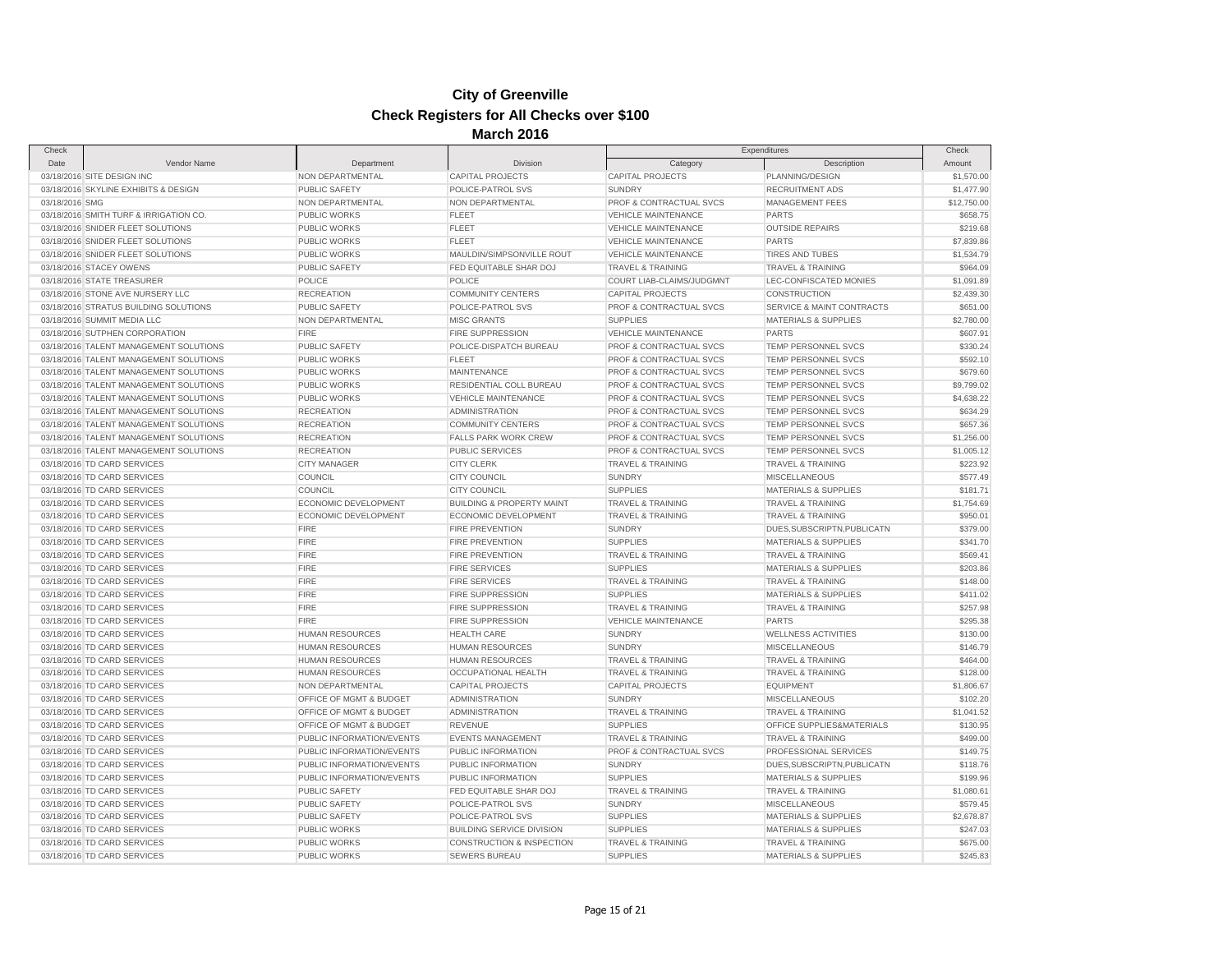| Check          |                                                            |                                       |                                        | Expenditures                     |                                 | Check                  |
|----------------|------------------------------------------------------------|---------------------------------------|----------------------------------------|----------------------------------|---------------------------------|------------------------|
| Date           | Vendor Name                                                | Department                            | Division                               | Category                         | Description                     | Amount                 |
|                | 03/18/2016 SITE DESIGN INC                                 | NON DEPARTMENTAL                      | <b>CAPITAL PROJECTS</b>                | CAPITAL PROJECTS                 | PLANNING/DESIGN                 | \$1,570.00             |
|                | 03/18/2016 SKYLINE EXHIBITS & DESIGN                       | <b>PUBLIC SAFETY</b>                  | POLICE-PATROL SVS                      | <b>SUNDRY</b>                    | <b>RECRUITMENT ADS</b>          | \$1,477.90             |
| 03/18/2016 SMG |                                                            | NON DEPARTMENTAL                      | NON DEPARTMENTAL                       | PROF & CONTRACTUAL SVCS          | MANAGEMENT FEES                 | \$12,750.00            |
|                | 03/18/2016 SMITH TURF & IRRIGATION CO.                     | <b>PUBLIC WORKS</b>                   | <b>FLEET</b>                           | <b>VEHICLE MAINTENANCE</b>       | <b>PARTS</b>                    | \$658.75               |
|                | 03/18/2016 SNIDER FLEET SOLUTIONS                          | PUBLIC WORKS                          | <b>FLEET</b>                           | <b>VEHICLE MAINTENANCE</b>       | <b>OUTSIDE REPAIRS</b>          | \$219.68               |
|                | 03/18/2016 SNIDER FLEET SOLUTIONS                          | <b>PUBLIC WORKS</b>                   | <b>FLEET</b>                           | <b>VEHICLE MAINTENANCE</b>       | <b>PARTS</b>                    | \$7,839.86             |
|                | 03/18/2016 SNIDER FLEET SOLUTIONS                          | <b>PUBLIC WORKS</b>                   | MAULDIN/SIMPSONVILLE ROUT              | <b>VEHICLE MAINTENANCE</b>       | <b>TIRES AND TUBES</b>          | \$1,534.79             |
|                | 03/18/2016 STACEY OWENS                                    | PUBLIC SAFETY                         | FED EQUITABLE SHAR DOJ                 | <b>TRAVEL &amp; TRAINING</b>     | TRAVEL & TRAINING               | \$964.09               |
|                | 03/18/2016 STATE TREASURER                                 | POLICE                                | <b>POLICE</b>                          | COURT LIAB-CLAIMS/JUDGMNT        | LEC-CONFISCATED MONIES          | \$1,091.89             |
|                | 03/18/2016 STONE AVE NURSERY LLC                           | <b>RECREATION</b>                     | <b>COMMUNITY CENTERS</b>               | <b>CAPITAL PROJECTS</b>          | <b>CONSTRUCTION</b>             | \$2,439.30             |
|                | 03/18/2016 STRATUS BUILDING SOLUTIONS                      | <b>PUBLIC SAFETY</b>                  | POLICE-PATROL SVS                      | PROF & CONTRACTUAL SVCS          | SERVICE & MAINT CONTRACTS       | \$651.00               |
|                | 03/18/2016 SUMMIT MEDIA LLC                                | NON DEPARTMENTAL                      | <b>MISC GRANTS</b>                     | <b>SUPPLIES</b>                  | <b>MATERIALS &amp; SUPPLIES</b> | \$2,780.00             |
|                | 03/18/2016 SUTPHEN CORPORATION                             | <b>FIRE</b>                           | <b>FIRE SUPPRESSION</b>                | <b>VEHICLE MAINTENANCE</b>       | PARTS                           | \$607.91               |
|                | 03/18/2016 TALENT MANAGEMENT SOLUTIONS                     | PUBLIC SAFETY                         | POLICE-DISPATCH BUREAU                 | PROF & CONTRACTUAL SVCS          | TEMP PERSONNEL SVCS             | \$330.24               |
|                | 03/18/2016 TALENT MANAGEMENT SOLUTIONS                     | <b>PUBLIC WORKS</b>                   | <b>FLEET</b>                           | PROF & CONTRACTUAL SVCS          | TEMP PERSONNEL SVCS             | \$592.10               |
|                | 03/18/2016 TALENT MANAGEMENT SOLUTIONS                     | PUBLIC WORKS                          | <b>MAINTENANCE</b>                     | PROF & CONTRACTUAL SVCS          | TEMP PERSONNEL SVCS             | \$679.60               |
|                | 03/18/2016 TALENT MANAGEMENT SOLUTIONS                     | <b>PUBLIC WORKS</b>                   | RESIDENTIAL COLL BUREAU                | PROF & CONTRACTUAL SVCS          | TEMP PERSONNEL SVCS             | \$9,799.02             |
|                | 03/18/2016 TALENT MANAGEMENT SOLUTIONS                     | <b>PUBLIC WORKS</b>                   | <b>VEHICLE MAINTENANCE</b>             | PROF & CONTRACTUAL SVCS          | TEMP PERSONNEL SVCS             | \$4,638.22             |
|                | 03/18/2016 TALENT MANAGEMENT SOLUTIONS                     | <b>RECREATION</b>                     | <b>ADMINISTRATION</b>                  | PROF & CONTRACTUAL SVCS          | TEMP PERSONNEL SVCS             | \$634.29               |
|                | 03/18/2016 TALENT MANAGEMENT SOLUTIONS                     | <b>RECREATION</b>                     | <b>COMMUNITY CENTERS</b>               | PROF & CONTRACTUAL SVCS          | <b>TEMP PERSONNEL SVCS</b>      | \$657.36               |
|                | 03/18/2016 TALENT MANAGEMENT SOLUTIONS                     | <b>RECREATION</b>                     | <b>FALLS PARK WORK CREW</b>            | PROF & CONTRACTUAL SVCS          | <b>TEMP PERSONNEL SVCS</b>      | \$1,256.00             |
|                | 03/18/2016 TALENT MANAGEMENT SOLUTIONS                     | <b>RECREATION</b>                     | PUBLIC SERVICES                        | PROF & CONTRACTUAL SVCS          | TEMP PERSONNEL SVCS             | \$1,005.12             |
|                | 03/18/2016 TD CARD SERVICES                                | <b>CITY MANAGER</b>                   | <b>CITY CLERK</b>                      | <b>TRAVEL &amp; TRAINING</b>     | <b>TRAVEL &amp; TRAINING</b>    | \$223.92               |
|                | 03/18/2016 TD CARD SERVICES                                | COUNCIL                               | <b>CITY COUNCIL</b>                    | <b>SUNDRY</b>                    | <b>MISCELLANEOUS</b>            | \$577.49               |
|                | 03/18/2016 TD CARD SERVICES                                | <b>COUNCIL</b>                        | <b>CITY COUNCIL</b>                    | <b>SUPPLIES</b>                  | <b>MATERIALS &amp; SUPPLIES</b> | \$181.71               |
|                | 03/18/2016 TD CARD SERVICES                                | ECONOMIC DEVELOPMENT                  | <b>BUILDING &amp; PROPERTY MAINT</b>   | <b>TRAVEL &amp; TRAINING</b>     | <b>TRAVEL &amp; TRAINING</b>    | \$1,754.69             |
|                | 03/18/2016 TD CARD SERVICES                                | ECONOMIC DEVELOPMENT                  | ECONOMIC DEVELOPMENT                   | <b>TRAVEL &amp; TRAINING</b>     | <b>TRAVEL &amp; TRAINING</b>    | \$950.01               |
|                | 03/18/2016 TD CARD SERVICES                                | <b>FIRE</b>                           | <b>FIRE PREVENTION</b>                 | <b>SUNDRY</b>                    | DUES, SUBSCRIPTN, PUBLICATN     | \$379.00               |
|                | 03/18/2016 TD CARD SERVICES                                | <b>FIRE</b>                           | <b>FIRE PREVENTION</b>                 | <b>SUPPLIES</b>                  | <b>MATERIALS &amp; SUPPLIES</b> | \$341.70               |
|                | 03/18/2016 TD CARD SERVICES                                | <b>FIRE</b>                           | <b>FIRE PREVENTION</b>                 | TRAVEL & TRAINING                | <b>TRAVEL &amp; TRAINING</b>    | \$569.41               |
|                | 03/18/2016 TD CARD SERVICES                                | <b>FIRE</b>                           | <b>FIRE SERVICES</b>                   | <b>SUPPLIES</b>                  | <b>MATERIALS &amp; SUPPLIES</b> | \$203.86               |
|                | 03/18/2016 TD CARD SERVICES                                | <b>FIRE</b>                           | <b>FIRE SERVICES</b>                   | <b>TRAVEL &amp; TRAINING</b>     | <b>TRAVEL &amp; TRAINING</b>    | \$148.00               |
|                | 03/18/2016 TD CARD SERVICES                                | <b>FIRE</b>                           | FIRE SUPPRESSION                       | <b>SUPPLIES</b>                  | MATERIALS & SUPPLIES            | \$411.02               |
|                | 03/18/2016 TD CARD SERVICES                                | <b>FIRE</b>                           | <b>FIRE SUPPRESSION</b>                | <b>TRAVEL &amp; TRAINING</b>     | <b>TRAVEL &amp; TRAINING</b>    | \$257.98               |
|                | 03/18/2016 TD CARD SERVICES                                | <b>FIRE</b>                           | FIRE SUPPRESSION                       | <b>VEHICLE MAINTENANCE</b>       | <b>PARTS</b>                    | \$295.38               |
|                | 03/18/2016 TD CARD SERVICES                                | <b>HUMAN RESOURCES</b>                | <b>HEALTH CARE</b>                     | <b>SUNDRY</b>                    | <b>WELLNESS ACTIVITIES</b>      | \$130.00               |
|                | 03/18/2016 TD CARD SERVICES                                | <b>HUMAN RESOURCES</b>                | <b>HUMAN RESOURCES</b>                 | <b>SUNDRY</b>                    | <b>MISCELLANEOUS</b>            | \$146.79               |
|                | 03/18/2016 TD CARD SERVICES                                | <b>HUMAN RESOURCES</b>                | <b>HUMAN RESOURCES</b>                 | TRAVEL & TRAINING                | TRAVEL & TRAINING               | \$464.00               |
|                | 03/18/2016 TD CARD SERVICES                                | <b>HUMAN RESOURCES</b>                | <b>OCCUPATIONAL HEALTH</b>             | <b>TRAVEL &amp; TRAINING</b>     | <b>TRAVEL &amp; TRAINING</b>    | \$128.00               |
|                | 03/18/2016 TD CARD SERVICES                                | NON DEPARTMENTAL                      | <b>CAPITAL PROJECTS</b>                | <b>CAPITAL PROJECTS</b>          | <b>EQUIPMENT</b>                | \$1,806.67             |
|                | 03/18/2016 TD CARD SERVICES                                | OFFICE OF MGMT & BUDGET               | <b>ADMINISTRATION</b>                  | <b>SUNDRY</b>                    | <b>MISCELLANEOUS</b>            | \$102.20               |
|                | 03/18/2016 TD CARD SERVICES                                | OFFICE OF MGMT & BUDGET               | <b>ADMINISTRATION</b>                  | <b>TRAVEL &amp; TRAINING</b>     | <b>TRAVEL &amp; TRAINING</b>    | \$1,041.52             |
|                | 03/18/2016 TD CARD SERVICES                                | OFFICE OF MGMT & BUDGET               | <b>REVENUE</b>                         | <b>SUPPLIES</b>                  | OFFICE SUPPLIES&MATERIALS       | \$130.95               |
|                | 03/18/2016 TD CARD SERVICES                                | PUBLIC INFORMATION/EVENTS             | <b>EVENTS MANAGEMENT</b>               | <b>TRAVEL &amp; TRAINING</b>     | TRAVEL & TRAINING               | \$499.00               |
|                | 03/18/2016 TD CARD SERVICES                                | PUBLIC INFORMATION/EVENTS             | PUBLIC INFORMATION                     | PROF & CONTRACTUAL SVCS          | PROFESSIONAL SERVICES           | \$149.75               |
|                | 03/18/2016 TD CARD SERVICES                                | PUBLIC INFORMATION/EVENTS             | PUBLIC INFORMATION                     | <b>SUNDRY</b>                    | DUES, SUBSCRIPTN, PUBLICATN     | \$118.76               |
|                | 03/18/2016 TD CARD SERVICES                                | PUBLIC INFORMATION/EVENTS             | PUBLIC INFORMATION                     | <b>SUPPLIES</b>                  | <b>MATERIALS &amp; SUPPLIES</b> | \$199.96               |
|                | 03/18/2016 TD CARD SERVICES                                | <b>PUBLIC SAFETY</b>                  | FED EQUITABLE SHAR DOJ                 | <b>TRAVEL &amp; TRAINING</b>     | <b>TRAVEL &amp; TRAINING</b>    | \$1,080.61             |
|                |                                                            |                                       |                                        |                                  |                                 |                        |
|                | 03/18/2016 TD CARD SERVICES<br>03/18/2016 TD CARD SERVICES | PUBLIC SAFETY<br><b>PUBLIC SAFETY</b> | POLICE-PATROL SVS<br>POLICE-PATROL SVS | <b>SUNDRY</b><br><b>SUPPLIES</b> | <b>MISCELLANEOUS</b>            | \$579.45<br>\$2,678.87 |
|                |                                                            |                                       |                                        |                                  | <b>MATERIALS &amp; SUPPLIES</b> |                        |
|                | 03/18/2016 TD CARD SERVICES                                | <b>PUBLIC WORKS</b>                   | <b>BUILDING SERVICE DIVISION</b>       | <b>SUPPLIES</b>                  | <b>MATERIALS &amp; SUPPLIES</b> | \$247.03               |
|                | 03/18/2016 TD CARD SERVICES                                | PUBLIC WORKS                          | <b>CONSTRUCTION &amp; INSPECTION</b>   | <b>TRAVEL &amp; TRAINING</b>     | <b>TRAVEL &amp; TRAINING</b>    | \$675.00               |
|                | 03/18/2016 TD CARD SERVICES                                | <b>PUBLIC WORKS</b>                   | <b>SEWERS BUREAU</b>                   | <b>SUPPLIES</b>                  | <b>MATERIALS &amp; SUPPLIES</b> | \$245.83               |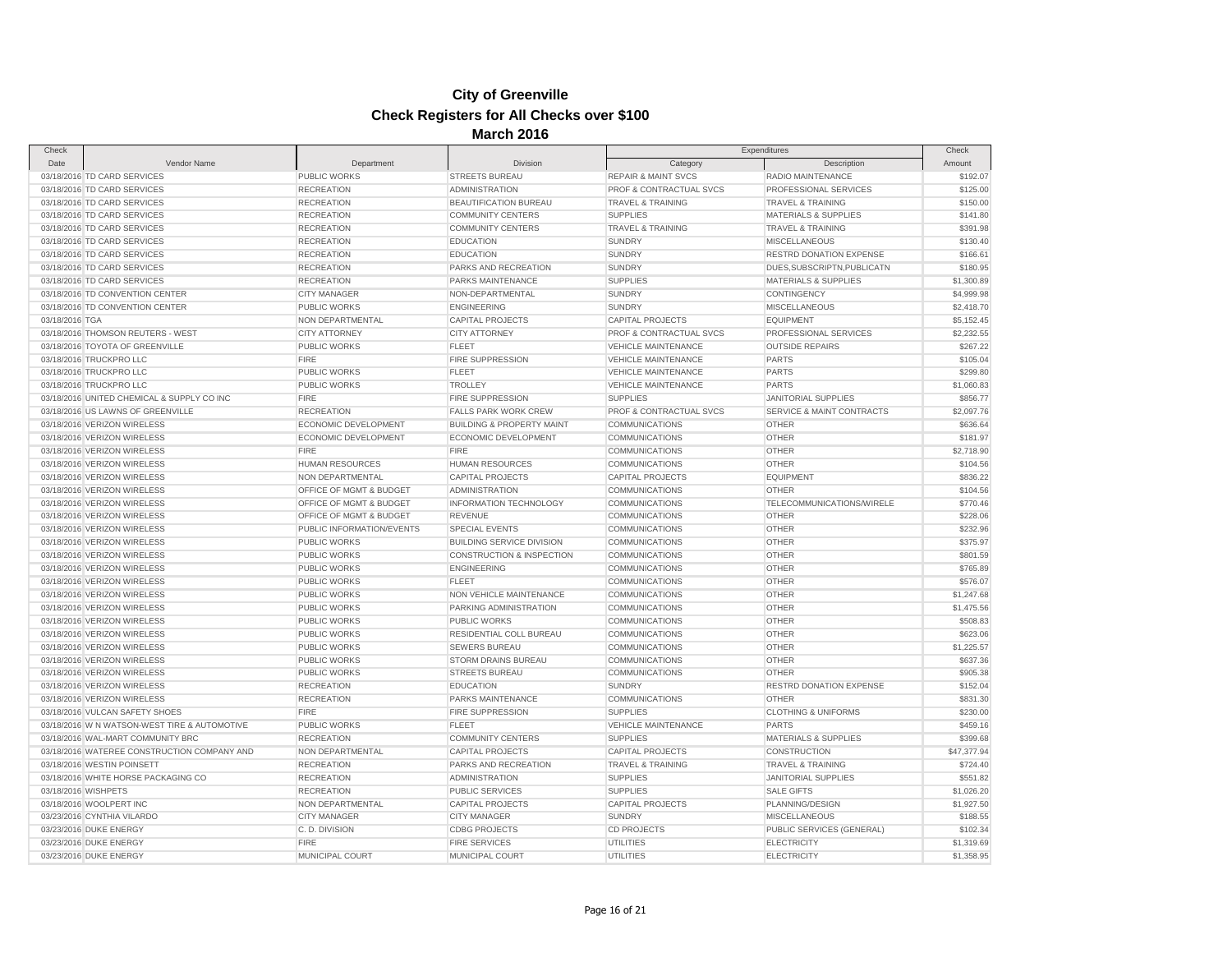| Check          |                                              |                           |                                      | Expenditures                   |                                 | Check       |
|----------------|----------------------------------------------|---------------------------|--------------------------------------|--------------------------------|---------------------------------|-------------|
| Date           | Vendor Name                                  | Department                | Division                             | Category                       | Description                     | Amount      |
|                | 03/18/2016 TD CARD SERVICES                  | PUBLIC WORKS              | <b>STREETS BUREAU</b>                | <b>REPAIR &amp; MAINT SVCS</b> | RADIO MAINTENANCE               | \$192.07    |
|                | 03/18/2016 TD CARD SERVICES                  | <b>RECREATION</b>         | <b>ADMINISTRATION</b>                | PROF & CONTRACTUAL SVCS        | PROFESSIONAL SERVICES           | \$125.00    |
|                | 03/18/2016 TD CARD SERVICES                  | <b>RECREATION</b>         | BEAUTIFICATION BUREAU                | <b>TRAVEL &amp; TRAINING</b>   | <b>TRAVEL &amp; TRAINING</b>    | \$150.00    |
|                | 03/18/2016 TD CARD SERVICES                  | <b>RECREATION</b>         | <b>COMMUNITY CENTERS</b>             | <b>SUPPLIES</b>                | <b>MATERIALS &amp; SUPPLIES</b> | \$141.80    |
|                | 03/18/2016 TD CARD SERVICES                  | <b>RECREATION</b>         | <b>COMMUNITY CENTERS</b>             | <b>TRAVEL &amp; TRAINING</b>   | <b>TRAVEL &amp; TRAINING</b>    | \$391.98    |
|                | 03/18/2016 TD CARD SERVICES                  | <b>RECREATION</b>         | <b>EDUCATION</b>                     | <b>SUNDRY</b>                  | <b>MISCELLANEOUS</b>            | \$130.40    |
|                | 03/18/2016 TD CARD SERVICES                  | <b>RECREATION</b>         | <b>EDUCATION</b>                     | <b>SUNDRY</b>                  | RESTRD DONATION EXPENSE         | \$166.61    |
|                | 03/18/2016 TD CARD SERVICES                  | <b>RECREATION</b>         | PARKS AND RECREATION                 | <b>SUNDRY</b>                  | DUES, SUBSCRIPTN, PUBLICATN     | \$180.95    |
|                | 03/18/2016 TD CARD SERVICES                  | <b>RECREATION</b>         | PARKS MAINTENANCE                    | <b>SUPPLIES</b>                | <b>MATERIALS &amp; SUPPLIES</b> | \$1,300.89  |
|                | 03/18/2016 TD CONVENTION CENTER              | <b>CITY MANAGER</b>       | NON-DEPARTMENTAL                     | <b>SUNDRY</b>                  | CONTINGENCY                     | \$4,999.98  |
|                | 03/18/2016 TD CONVENTION CENTER              | <b>PUBLIC WORKS</b>       | <b>ENGINEERING</b>                   | <b>SUNDRY</b>                  | <b>MISCELLANEOUS</b>            | \$2,418.70  |
| 03/18/2016 TGA |                                              | NON DEPARTMENTAL          | <b>CAPITAL PROJECTS</b>              | <b>CAPITAL PROJECTS</b>        | <b>EQUIPMENT</b>                | \$5,152.45  |
|                | 03/18/2016 THOMSON REUTERS - WEST            | <b>CITY ATTORNEY</b>      | <b>CITY ATTORNEY</b>                 | PROF & CONTRACTUAL SVCS        | PROFESSIONAL SERVICES           | \$2,232.55  |
|                | 03/18/2016 TOYOTA OF GREENVILLE              | <b>PUBLIC WORKS</b>       | <b>FLEET</b>                         | <b>VEHICLE MAINTENANCE</b>     | <b>OUTSIDE REPAIRS</b>          | \$267.22    |
|                | 03/18/2016 TRUCKPRO LLC                      | <b>FIRE</b>               | <b>FIRE SUPPRESSION</b>              | <b>VEHICLE MAINTENANCE</b>     | <b>PARTS</b>                    | \$105.04    |
|                | 03/18/2016 TRUCKPRO LLC                      | PUBLIC WORKS              | <b>FLEET</b>                         | <b>VEHICLE MAINTENANCE</b>     | <b>PARTS</b>                    | \$299.80    |
|                | 03/18/2016 TRUCKPRO LLC                      | <b>PUBLIC WORKS</b>       | <b>TROLLEY</b>                       | <b>VEHICLE MAINTENANCE</b>     | <b>PARTS</b>                    | \$1,060.83  |
|                |                                              | <b>FIRE</b>               |                                      |                                |                                 | \$856.77    |
|                | 03/18/2016 UNITED CHEMICAL & SUPPLY CO INC   |                           | FIRE SUPPRESSION                     | <b>SUPPLIES</b>                | JANITORIAL SUPPLIES             |             |
|                | 03/18/2016 US LAWNS OF GREENVILLE            | <b>RECREATION</b>         | <b>FALLS PARK WORK CREW</b>          | PROF & CONTRACTUAL SVCS        | SERVICE & MAINT CONTRACTS       | \$2,097.76  |
|                | 03/18/2016 VERIZON WIRELESS                  | ECONOMIC DEVELOPMENT      | <b>BUILDING &amp; PROPERTY MAINT</b> | <b>COMMUNICATIONS</b>          | <b>OTHER</b>                    | \$636.64    |
|                | 03/18/2016 VERIZON WIRELESS                  | ECONOMIC DEVELOPMENT      | ECONOMIC DEVELOPMENT                 | <b>COMMUNICATIONS</b>          | <b>OTHER</b>                    | \$181.97    |
|                | 03/18/2016 VERIZON WIRELESS                  | <b>FIRE</b>               | <b>FIRE</b>                          | COMMUNICATIONS                 | OTHER                           | \$2,718.90  |
|                | 03/18/2016 VERIZON WIRELESS                  | <b>HUMAN RESOURCES</b>    | <b>HUMAN RESOURCES</b>               | <b>COMMUNICATIONS</b>          | <b>OTHER</b>                    | \$104.56    |
|                | 03/18/2016 VERIZON WIRELESS                  | NON DEPARTMENTAL          | <b>CAPITAL PROJECTS</b>              | <b>CAPITAL PROJECTS</b>        | <b>EQUIPMENT</b>                | \$836.22    |
|                | 03/18/2016 VERIZON WIRELESS                  | OFFICE OF MGMT & BUDGET   | <b>ADMINISTRATION</b>                | <b>COMMUNICATIONS</b>          | <b>OTHER</b>                    | \$104.56    |
|                | 03/18/2016 VERIZON WIRELESS                  | OFFICE OF MGMT & BUDGET   | INFORMATION TECHNOLOGY               | <b>COMMUNICATIONS</b>          | TELECOMMUNICATIONS/WIRELE       | \$770.46    |
|                | 03/18/2016 VERIZON WIRELESS                  | OFFICE OF MGMT & BUDGET   | <b>REVENUE</b>                       | <b>COMMUNICATIONS</b>          | <b>OTHER</b>                    | \$228.06    |
|                | 03/18/2016 VERIZON WIRELESS                  | PUBLIC INFORMATION/EVENTS | <b>SPECIAL EVENTS</b>                | <b>COMMUNICATIONS</b>          | OTHER                           | \$232.96    |
|                | 03/18/2016 VERIZON WIRELESS                  | <b>PUBLIC WORKS</b>       | <b>BUILDING SERVICE DIVISION</b>     | <b>COMMUNICATIONS</b>          | <b>OTHER</b>                    | \$375.97    |
|                | 03/18/2016 VERIZON WIRELESS                  | PUBLIC WORKS              | <b>CONSTRUCTION &amp; INSPECTION</b> | COMMUNICATIONS                 | OTHER                           | \$801.59    |
|                | 03/18/2016 VERIZON WIRELESS                  | <b>PUBLIC WORKS</b>       | <b>ENGINEERING</b>                   | <b>COMMUNICATIONS</b>          | <b>OTHER</b>                    | \$765.89    |
|                | 03/18/2016 VERIZON WIRELESS                  | PUBLIC WORKS              | <b>FLEET</b>                         | <b>COMMUNICATIONS</b>          | <b>OTHER</b>                    | \$576.07    |
|                | 03/18/2016 VERIZON WIRELESS                  | <b>PUBLIC WORKS</b>       | NON VEHICLE MAINTENANCE              | <b>COMMUNICATIONS</b>          | <b>OTHER</b>                    | \$1,247.68  |
|                | 03/18/2016 VERIZON WIRELESS                  | PUBLIC WORKS              | PARKING ADMINISTRATION               | <b>COMMUNICATIONS</b>          | OTHER                           | \$1,475.56  |
|                | 03/18/2016 VERIZON WIRELESS                  | PUBLIC WORKS              | <b>PUBLIC WORKS</b>                  | <b>COMMUNICATIONS</b>          | <b>OTHER</b>                    | \$508.83    |
|                | 03/18/2016 VERIZON WIRELESS                  | PUBLIC WORKS              | RESIDENTIAL COLL BUREAU              | COMMUNICATIONS                 | OTHER                           | \$623.06    |
|                | 03/18/2016 VERIZON WIRELESS                  | <b>PUBLIC WORKS</b>       | <b>SEWERS BUREAU</b>                 | <b>COMMUNICATIONS</b>          | <b>OTHER</b>                    | \$1,225.57  |
|                | 03/18/2016 VERIZON WIRELESS                  | PUBLIC WORKS              | STORM DRAINS BUREAU                  | <b>COMMUNICATIONS</b>          | <b>OTHER</b>                    | \$637.36    |
|                | 03/18/2016 VERIZON WIRELESS                  | PUBLIC WORKS              | <b>STREETS BUREAU</b>                | <b>COMMUNICATIONS</b>          | <b>OTHER</b>                    | \$905.38    |
|                | 03/18/2016 VERIZON WIRELESS                  | <b>RECREATION</b>         | <b>EDUCATION</b>                     | <b>SUNDRY</b>                  | <b>RESTRD DONATION EXPENSE</b>  | \$152.04    |
|                | 03/18/2016 VERIZON WIRELESS                  | <b>RECREATION</b>         | PARKS MAINTENANCE                    | <b>COMMUNICATIONS</b>          | OTHER                           | \$831.30    |
|                | 03/18/2016 VULCAN SAFETY SHOES               | <b>FIRE</b>               | FIRE SUPPRESSION                     | <b>SUPPLIES</b>                | <b>CLOTHING &amp; UNIFORMS</b>  | \$230.00    |
|                | 03/18/2016 W N WATSON-WEST TIRE & AUTOMOTIVE | PUBLIC WORKS              | <b>FLEET</b>                         | <b>VEHICLE MAINTENANCE</b>     | <b>PARTS</b>                    | \$459.16    |
|                | 03/18/2016 WAL-MART COMMUNITY BRC            | <b>RECREATION</b>         | <b>COMMUNITY CENTERS</b>             | <b>SUPPLIES</b>                | <b>MATERIALS &amp; SUPPLIES</b> | \$399.68    |
|                | 03/18/2016 WATEREE CONSTRUCTION COMPANY AND  | NON DEPARTMENTAL          | <b>CAPITAL PROJECTS</b>              | <b>CAPITAL PROJECTS</b>        | <b>CONSTRUCTION</b>             | \$47,377.94 |
|                | 03/18/2016 WESTIN POINSETT                   | <b>RECREATION</b>         | PARKS AND RECREATION                 | <b>TRAVEL &amp; TRAINING</b>   | TRAVEL & TRAINING               | \$724.40    |
|                | 03/18/2016 WHITE HORSE PACKAGING CO          | <b>RECREATION</b>         | <b>ADMINISTRATION</b>                | <b>SUPPLIES</b>                | <b>JANITORIAL SUPPLIES</b>      | \$551.82    |
|                |                                              |                           |                                      |                                |                                 |             |
|                | 03/18/2016 WISHPETS                          | <b>RECREATION</b>         | <b>PUBLIC SERVICES</b>               | <b>SUPPLIES</b>                | <b>SALE GIFTS</b>               | \$1,026.20  |
|                | 03/18/2016 WOOLPERT INC                      | NON DEPARTMENTAL          | <b>CAPITAL PROJECTS</b>              | <b>CAPITAL PROJECTS</b>        | PLANNING/DESIGN                 | \$1,927.50  |
|                | 03/23/2016 CYNTHIA VILARDO                   | <b>CITY MANAGER</b>       | <b>CITY MANAGER</b>                  | <b>SUNDRY</b>                  | <b>MISCELLANEOUS</b>            | \$188.55    |
|                | 03/23/2016 DUKE ENERGY                       | C.D. DIVISION             | <b>CDBG PROJECTS</b>                 | <b>CD PROJECTS</b>             | PUBLIC SERVICES (GENERAL)       | \$102.34    |
|                | 03/23/2016 DUKE ENERGY                       | <b>FIRE</b>               | <b>FIRE SERVICES</b>                 | <b>UTILITIES</b>               | <b>ELECTRICITY</b>              | \$1,319.69  |
|                | 03/23/2016 DUKE ENERGY                       | MUNICIPAL COURT           | MUNICIPAL COURT                      | UTILITIES                      | <b>ELECTRICITY</b>              | \$1,358.95  |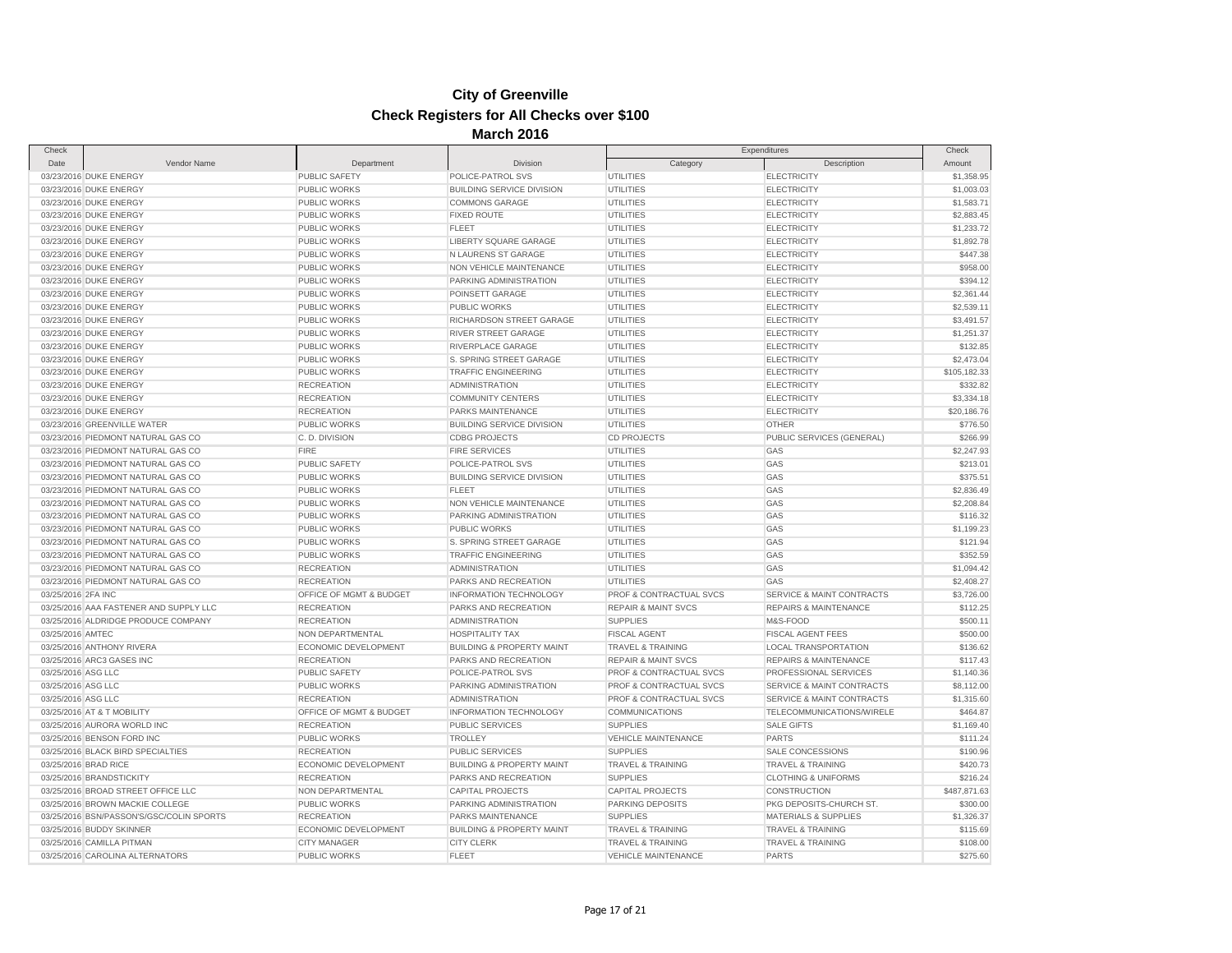| Check              |                                          |                                      |                                      |                                    | Expenditures                     | Check        |
|--------------------|------------------------------------------|--------------------------------------|--------------------------------------|------------------------------------|----------------------------------|--------------|
| Date               | Vendor Name                              | Department                           | Division                             | Category                           | Description                      | Amount       |
|                    | 03/23/2016 DUKE ENERGY                   | PUBLIC SAFETY                        | POLICE-PATROL SVS                    | <b>UTILITIES</b>                   | <b>ELECTRICITY</b>               | \$1,358.95   |
|                    | 03/23/2016 DUKE ENERGY                   | <b>PUBLIC WORKS</b>                  | <b>BUILDING SERVICE DIVISION</b>     | UTILITIES                          | <b>ELECTRICITY</b>               | \$1,003.03   |
|                    | 03/23/2016 DUKE ENERGY                   | <b>PUBLIC WORKS</b>                  | <b>COMMONS GARAGE</b>                | UTILITIES                          | <b>ELECTRICITY</b>               | \$1,583.71   |
|                    | 03/23/2016 DUKE ENERGY                   | PUBLIC WORKS                         | <b>FIXED ROUTE</b>                   | <b>UTILITIES</b>                   | <b>ELECTRICITY</b>               | \$2,883.45   |
|                    | 03/23/2016 DUKE ENERGY                   | PUBLIC WORKS                         | <b>FLEET</b>                         | <b>UTILITIES</b>                   | <b>ELECTRICITY</b>               | \$1,233.72   |
|                    | 03/23/2016 DUKE ENERGY                   | PUBLIC WORKS                         | LIBERTY SQUARE GARAGE                | <b>UTILITIES</b>                   | <b>ELECTRICITY</b>               | \$1,892.78   |
|                    | 03/23/2016 DUKE ENERGY                   | <b>PUBLIC WORKS</b>                  | N LAURENS ST GARAGE                  | <b>UTILITIES</b>                   | <b>ELECTRICITY</b>               | \$447.38     |
|                    | 03/23/2016 DUKE ENERGY                   | <b>PUBLIC WORKS</b>                  | NON VEHICLE MAINTENANCE              | <b>UTILITIES</b>                   | <b>ELECTRICITY</b>               | \$958.00     |
|                    | 03/23/2016 DUKE ENERGY                   | PUBLIC WORKS                         | PARKING ADMINISTRATION               | <b>UTILITIES</b>                   | <b>ELECTRICITY</b>               | \$394.12     |
|                    | 03/23/2016 DUKE ENERGY                   | <b>PUBLIC WORKS</b>                  | POINSETT GARAGE                      | UTILITIES                          | <b>ELECTRICITY</b>               | \$2,361.44   |
|                    | 03/23/2016 DUKE ENERGY                   | <b>PUBLIC WORKS</b>                  | <b>PUBLIC WORKS</b>                  | UTILITIES                          | <b>ELECTRICITY</b>               | \$2,539.11   |
|                    | 03/23/2016 DUKE ENERGY                   | PUBLIC WORKS                         | RICHARDSON STREET GARAGE             | UTILITIES                          | <b>ELECTRICITY</b>               | \$3,491.57   |
|                    | 03/23/2016 DUKE ENERGY                   | PUBLIC WORKS                         | RIVER STREET GARAGE                  | <b>UTILITIES</b>                   | <b>ELECTRICITY</b>               | \$1,251.37   |
|                    | 03/23/2016 DUKE ENERGY                   | PUBLIC WORKS                         | RIVERPLACE GARAGE                    | <b>UTILITIES</b>                   | <b>ELECTRICITY</b>               | \$132.85     |
|                    | 03/23/2016 DUKE ENERGY                   | <b>PUBLIC WORKS</b>                  | S. SPRING STREET GARAGE              | UTILITIES                          | <b>ELECTRICITY</b>               | \$2,473.04   |
|                    | 03/23/2016 DUKE ENERGY                   | <b>PUBLIC WORKS</b>                  | <b>TRAFFIC ENGINEERING</b>           | UTILITIES                          | <b>ELECTRICITY</b>               | \$105,182.33 |
|                    | 03/23/2016 DUKE ENERGY                   | <b>RECREATION</b>                    | <b>ADMINISTRATION</b>                | <b>UTILITIES</b>                   | <b>ELECTRICITY</b>               | \$332.82     |
|                    | 03/23/2016 DUKE ENERGY                   | <b>RECREATION</b>                    | <b>COMMUNITY CENTERS</b>             | UTILITIES                          | <b>ELECTRICITY</b>               | \$3,334.18   |
|                    | 03/23/2016 DUKE ENERGY                   | <b>RECREATION</b>                    | PARKS MAINTENANCE                    | UTILITIES                          | <b>ELECTRICITY</b>               | \$20,186.76  |
|                    | 03/23/2016 GREENVILLE WATER              | <b>PUBLIC WORKS</b>                  | <b>BUILDING SERVICE DIVISION</b>     | <b>UTILITIES</b>                   | <b>OTHER</b>                     | \$776.50     |
|                    | 03/23/2016 PIEDMONT NATURAL GAS CO       | C.D. DIVISION                        | <b>CDBG PROJECTS</b>                 | <b>CD PROJECTS</b>                 | PUBLIC SERVICES (GENERAL)        | \$266.99     |
|                    | 03/23/2016 PIEDMONT NATURAL GAS CO       | <b>FIRE</b>                          | <b>FIRE SERVICES</b>                 | <b>UTILITIES</b>                   | GAS                              | \$2,247.93   |
|                    | 03/23/2016 PIEDMONT NATURAL GAS CO       | <b>PUBLIC SAFETY</b>                 | POLICE-PATROL SVS                    | UTILITIES                          | GAS                              | \$213.01     |
|                    | 03/23/2016 PIEDMONT NATURAL GAS CO       | <b>PUBLIC WORKS</b>                  | <b>BUILDING SERVICE DIVISION</b>     | UTILITIES                          | GAS                              | \$375.51     |
|                    | 03/23/2016 PIEDMONT NATURAL GAS CO       | <b>PUBLIC WORKS</b>                  | <b>FLEET</b>                         | UTILITIES                          | GAS                              | \$2,836.49   |
|                    | 03/23/2016 PIEDMONT NATURAL GAS CO       | PUBLIC WORKS                         | NON VEHICLE MAINTENANCE              | UTILITIES                          | GAS                              | \$2,208.84   |
|                    | 03/23/2016 PIEDMONT NATURAL GAS CO       | PUBLIC WORKS                         | PARKING ADMINISTRATION               | <b>UTILITIES</b>                   | GAS                              | \$116.32     |
|                    | 03/23/2016 PIEDMONT NATURAL GAS CO       | <b>PUBLIC WORKS</b>                  | <b>PUBLIC WORKS</b>                  | UTILITIES                          | GAS                              | \$1,199.23   |
|                    | 03/23/2016 PIEDMONT NATURAL GAS CO       | PUBLIC WORKS                         | S. SPRING STREET GARAGE              | <b>UTILITIES</b>                   | GAS                              | \$121.94     |
|                    | 03/23/2016 PIEDMONT NATURAL GAS CO       | <b>PUBLIC WORKS</b>                  | <b>TRAFFIC ENGINEERING</b>           | <b>UTILITIES</b>                   | GAS                              | \$352.59     |
|                    | 03/23/2016 PIEDMONT NATURAL GAS CO       | <b>RECREATION</b>                    | <b>ADMINISTRATION</b>                | UTILITIES                          | GAS                              | \$1,094.42   |
|                    | 03/23/2016 PIEDMONT NATURAL GAS CO       | <b>RECREATION</b>                    | PARKS AND RECREATION                 | UTILITIES                          | GAS                              | \$2,408.27   |
| 03/25/2016 2FA INC |                                          | OFFICE OF MGMT & BUDGET              | <b>INFORMATION TECHNOLOGY</b>        | PROF & CONTRACTUAL SVCS            | SERVICE & MAINT CONTRACTS        | \$3,726.00   |
|                    | 03/25/2016 AAA FASTENER AND SUPPLY LLC   | <b>RECREATION</b>                    | PARKS AND RECREATION                 | <b>REPAIR &amp; MAINT SVCS</b>     | <b>REPAIRS &amp; MAINTENANCE</b> | \$112.25     |
|                    | 03/25/2016 ALDRIDGE PRODUCE COMPANY      | <b>RECREATION</b>                    | <b>ADMINISTRATION</b>                | <b>SUPPLIES</b>                    | M&S-FOOD                         | \$500.11     |
| 03/25/2016 AMTEC   |                                          | NON DEPARTMENTAL                     | <b>HOSPITALITY TAX</b>               | <b>FISCAL AGENT</b>                | <b>FISCAL AGENT FEES</b>         | \$500.00     |
|                    | 03/25/2016 ANTHONY RIVERA                | <b>ECONOMIC DEVELOPMENT</b>          | <b>BUILDING &amp; PROPERTY MAINT</b> | <b>TRAVEL &amp; TRAINING</b>       | <b>LOCAL TRANSPORTATION</b>      | \$136.62     |
|                    |                                          | <b>RECREATION</b>                    | PARKS AND RECREATION                 | <b>REPAIR &amp; MAINT SVCS</b>     | <b>REPAIRS &amp; MAINTENANCE</b> | \$117.43     |
|                    | 03/25/2016 ARC3 GASES INC                |                                      | POLICE-PATROL SVS                    | <b>PROF &amp; CONTRACTUAL SVCS</b> | PROFESSIONAL SERVICES            | \$1,140.36   |
| 03/25/2016 ASG LLC |                                          | PUBLIC SAFETY<br><b>PUBLIC WORKS</b> | PARKING ADMINISTRATION               | <b>PROF &amp; CONTRACTUAL SVCS</b> | SERVICE & MAINT CONTRACTS        |              |
| 03/25/2016 ASG LLC |                                          |                                      |                                      |                                    | SERVICE & MAINT CONTRACTS        | \$8,112.00   |
| 03/25/2016 ASG LLC |                                          | <b>RECREATION</b>                    | <b>ADMINISTRATION</b>                | <b>PROF &amp; CONTRACTUAL SVCS</b> |                                  | \$1,315.60   |
|                    | 03/25/2016 AT & T MOBILITY               | OFFICE OF MGMT & BUDGET              | <b>INFORMATION TECHNOLOGY</b>        | <b>COMMUNICATIONS</b>              | TELECOMMUNICATIONS/WIRELE        | \$464.87     |
|                    | 03/25/2016 AURORA WORLD INC              | <b>RECREATION</b>                    | <b>PUBLIC SERVICES</b>               | <b>SUPPLIES</b>                    | <b>SALE GIFTS</b>                | \$1,169.40   |
|                    | 03/25/2016 BENSON FORD INC               | <b>PUBLIC WORKS</b>                  | <b>TROLLEY</b>                       | <b>VEHICLE MAINTENANCE</b>         | <b>PARTS</b>                     | \$111.24     |
|                    | 03/25/2016 BLACK BIRD SPECIALTIES        | <b>RECREATION</b>                    | <b>PUBLIC SERVICES</b>               | <b>SUPPLIES</b>                    | SALE CONCESSIONS                 | \$190.96     |
|                    | 03/25/2016 BRAD RICE                     | ECONOMIC DEVELOPMENT                 | <b>BUILDING &amp; PROPERTY MAINT</b> | <b>TRAVEL &amp; TRAINING</b>       | <b>TRAVEL &amp; TRAINING</b>     | \$420.73     |
|                    | 03/25/2016 BRANDSTICKITY                 | <b>RECREATION</b>                    | PARKS AND RECREATION                 | <b>SUPPLIES</b>                    | <b>CLOTHING &amp; UNIFORMS</b>   | \$216.24     |
|                    | 03/25/2016 BROAD STREET OFFICE LLC       | NON DEPARTMENTAL                     | CAPITAL PROJECTS                     | <b>CAPITAL PROJECTS</b>            | CONSTRUCTION                     | \$487,871.63 |
|                    | 03/25/2016 BROWN MACKIE COLLEGE          | PUBLIC WORKS                         | PARKING ADMINISTRATION               | PARKING DEPOSITS                   | PKG DEPOSITS-CHURCH ST.          | \$300.00     |
|                    | 03/25/2016 BSN/PASSON'S/GSC/COLIN SPORTS | <b>RECREATION</b>                    | PARKS MAINTENANCE                    | <b>SUPPLIES</b>                    | <b>MATERIALS &amp; SUPPLIES</b>  | \$1,326.37   |
|                    | 03/25/2016 BUDDY SKINNER                 | ECONOMIC DEVELOPMENT                 | <b>BUILDING &amp; PROPERTY MAINT</b> | TRAVEL & TRAINING                  | TRAVEL & TRAINING                | \$115.69     |
|                    | 03/25/2016 CAMILLA PITMAN                | <b>CITY MANAGER</b>                  | <b>CITY CLERK</b>                    | <b>TRAVEL &amp; TRAINING</b>       | <b>TRAVEL &amp; TRAINING</b>     | \$108.00     |
|                    | 03/25/2016 CAROLINA ALTERNATORS          | <b>PUBLIC WORKS</b>                  | <b>FLEET</b>                         | <b>VEHICLE MAINTENANCE</b>         | <b>PARTS</b>                     | \$275.60     |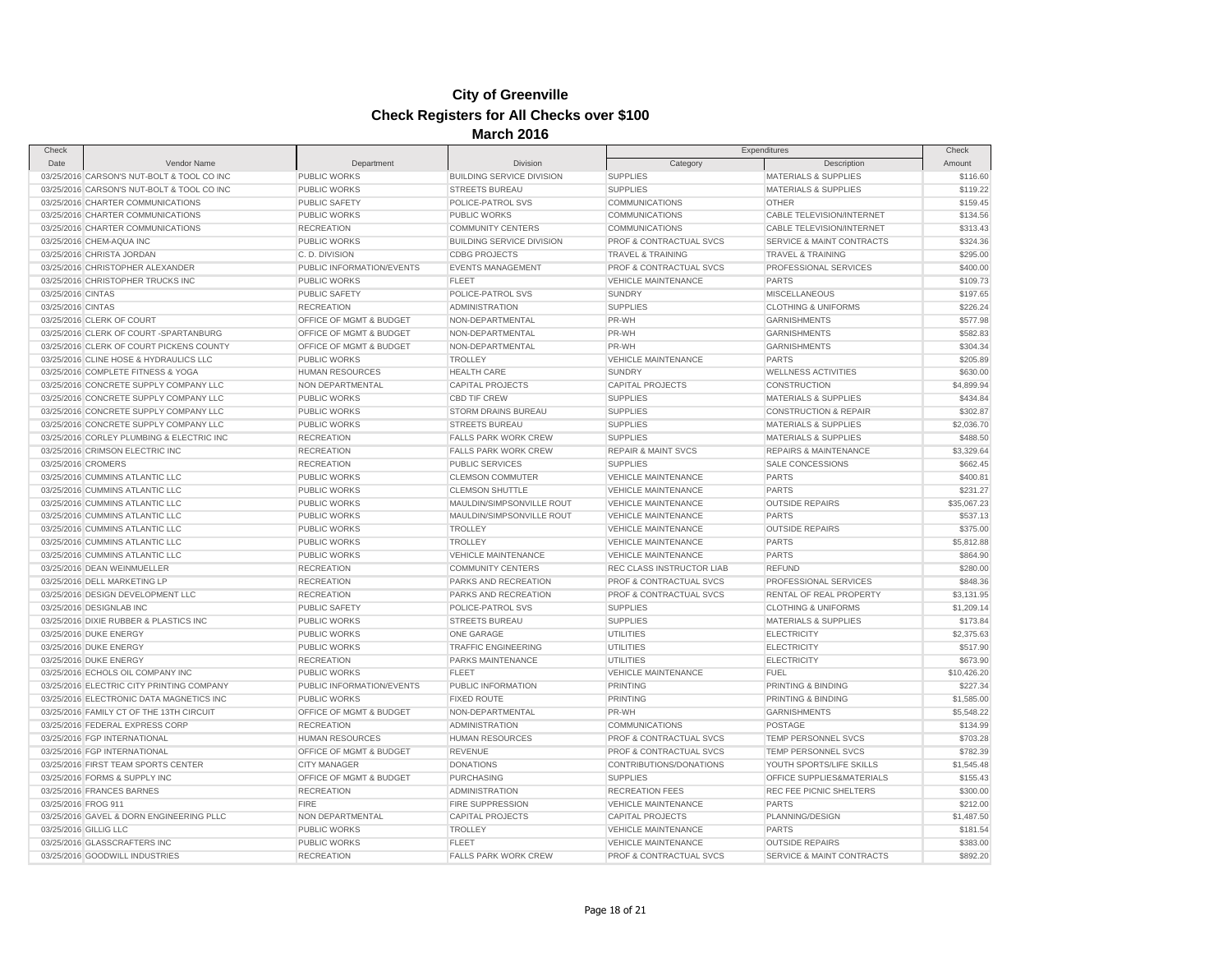| Check               |                                                                    | 11141 VII                                  |                                             | Check                                                    |                                        |             |
|---------------------|--------------------------------------------------------------------|--------------------------------------------|---------------------------------------------|----------------------------------------------------------|----------------------------------------|-------------|
| Date                | Vendor Name                                                        | Department                                 | <b>Division</b>                             | Category                                                 | Expenditures<br>Description            | Amount      |
|                     | 03/25/2016 CARSON'S NUT-BOLT & TOOL CO INC                         | PUBLIC WORKS                               | <b>BUILDING SERVICE DIVISION</b>            | <b>SUPPLIES</b>                                          | MATERIALS & SUPPLIES                   | \$116.60    |
|                     | 03/25/2016 CARSON'S NUT-BOLT & TOOL CO INC                         | <b>PUBLIC WORKS</b>                        | <b>STREETS BUREAU</b>                       | <b>SUPPLIES</b>                                          | <b>MATERIALS &amp; SUPPLIES</b>        | \$119.22    |
|                     | 03/25/2016 CHARTER COMMUNICATIONS                                  | <b>PUBLIC SAFETY</b>                       | POLICE-PATROL SVS                           | <b>COMMUNICATIONS</b>                                    | <b>OTHER</b>                           | \$159.45    |
|                     | 03/25/2016 CHARTER COMMUNICATIONS                                  | PUBLIC WORKS                               | PUBLIC WORKS                                | COMMUNICATIONS                                           | CABLE TELEVISION/INTERNET              | \$134.56    |
|                     | 03/25/2016 CHARTER COMMUNICATIONS                                  | <b>RECREATION</b>                          | <b>COMMUNITY CENTERS</b>                    | <b>COMMUNICATIONS</b>                                    | CABLE TELEVISION/INTERNET              | \$313.43    |
|                     | 03/25/2016 CHEM-AQUA INC                                           | <b>PUBLIC WORKS</b>                        | <b>BUILDING SERVICE DIVISION</b>            | PROF & CONTRACTUAL SVCS                                  | SERVICE & MAINT CONTRACTS              | \$324.36    |
|                     | 03/25/2016 CHRISTA JORDAN                                          | C.D. DIVISION                              | <b>CDBG PROJECTS</b>                        | <b>TRAVEL &amp; TRAINING</b>                             | <b>TRAVEL &amp; TRAINING</b>           | \$295.00    |
|                     | 03/25/2016 CHRISTOPHER ALEXANDER                                   | PUBLIC INFORMATION/EVENTS                  | <b>EVENTS MANAGEMENT</b>                    | PROF & CONTRACTUAL SVCS                                  | PROFESSIONAL SERVICES                  | \$400.00    |
|                     | 03/25/2016 CHRISTOPHER TRUCKS INC                                  | PUBLIC WORKS                               | <b>FLEET</b>                                | <b>VEHICLE MAINTENANCE</b>                               | <b>PARTS</b>                           | \$109.73    |
| 03/25/2016 CINTAS   |                                                                    | PUBLIC SAFETY                              | POLICE-PATROL SVS                           | <b>SUNDRY</b>                                            | <b>MISCELLANEOUS</b>                   | \$197.65    |
| 03/25/2016 CINTAS   |                                                                    | <b>RECREATION</b>                          | <b>ADMINISTRATION</b>                       | <b>SUPPLIES</b>                                          | <b>CLOTHING &amp; UNIFORMS</b>         | \$226.24    |
|                     | 03/25/2016 CLERK OF COURT                                          | OFFICE OF MGMT & BUDGET                    | NON-DEPARTMENTAL                            | PR-WH                                                    | <b>GARNISHMENTS</b>                    | \$577.98    |
|                     | 03/25/2016 CLERK OF COURT -SPARTANBURG                             | OFFICE OF MGMT & BUDGET                    | NON-DEPARTMENTAL                            | PR-WH                                                    | <b>GARNISHMENTS</b>                    | \$582.83    |
|                     | 03/25/2016 CLERK OF COURT PICKENS COUNTY                           | OFFICE OF MGMT & BUDGET                    | NON-DEPARTMENTAL                            | PR-WH                                                    | <b>GARNISHMENTS</b>                    | \$304.34    |
|                     | 03/25/2016 CLINE HOSE & HYDRAULICS LLC                             | <b>PUBLIC WORKS</b>                        | <b>TROLLEY</b>                              | <b>VEHICLE MAINTENANCE</b>                               | <b>PARTS</b>                           | \$205.89    |
|                     | 03/25/2016 COMPLETE FITNESS & YOGA                                 | <b>HUMAN RESOURCES</b>                     | <b>HEALTH CARE</b>                          | <b>SUNDRY</b>                                            | <b>WELLNESS ACTIVITIES</b>             | \$630.00    |
|                     | 03/25/2016 CONCRETE SUPPLY COMPANY LLC                             | NON DEPARTMENTAL                           | <b>CAPITAL PROJECTS</b>                     | <b>CAPITAL PROJECTS</b>                                  | <b>CONSTRUCTION</b>                    | \$4,899.94  |
|                     | 03/25/2016 CONCRETE SUPPLY COMPANY LLC                             | PUBLIC WORKS                               | <b>CBD TIF CREW</b>                         | <b>SUPPLIES</b>                                          | <b>MATERIALS &amp; SUPPLIES</b>        | \$434.84    |
|                     | 03/25/2016 CONCRETE SUPPLY COMPANY LLC                             | <b>PUBLIC WORKS</b>                        | STORM DRAINS BUREAU                         | <b>SUPPLIES</b>                                          | <b>CONSTRUCTION &amp; REPAIR</b>       | \$302.87    |
|                     | 03/25/2016 CONCRETE SUPPLY COMPANY LLC                             | <b>PUBLIC WORKS</b>                        | <b>STREETS BUREAU</b>                       | <b>SUPPLIES</b>                                          | <b>MATERIALS &amp; SUPPLIES</b>        | \$2,036.70  |
|                     | 03/25/2016 CORLEY PLUMBING & ELECTRIC INC                          | <b>RECREATION</b>                          | <b>FALLS PARK WORK CREW</b>                 | <b>SUPPLIES</b>                                          | <b>MATERIALS &amp; SUPPLIES</b>        | \$488.50    |
|                     | 03/25/2016 CRIMSON ELECTRIC INC                                    | <b>RECREATION</b>                          | <b>FALLS PARK WORK CREW</b>                 | <b>REPAIR &amp; MAINT SVCS</b>                           | <b>REPAIRS &amp; MAINTENANCE</b>       | \$3,329.64  |
|                     | 03/25/2016 CROMERS                                                 | <b>RECREATION</b>                          | <b>PUBLIC SERVICES</b>                      | <b>SUPPLIES</b>                                          | SALE CONCESSIONS                       | \$662.45    |
|                     | 03/25/2016 CUMMINS ATLANTIC LLC                                    | <b>PUBLIC WORKS</b>                        | <b>CLEMSON COMMUTER</b>                     | VEHICLE MAINTENANCE                                      | <b>PARTS</b>                           | \$400.81    |
|                     | 03/25/2016 CUMMINS ATLANTIC LLC                                    | <b>PUBLIC WORKS</b>                        | <b>CLEMSON SHUTTLE</b>                      | <b>VEHICLE MAINTENANCE</b>                               | <b>PARTS</b>                           | \$231.27    |
|                     | 03/25/2016 CUMMINS ATLANTIC LLC                                    | <b>PUBLIC WORKS</b>                        | MAULDIN/SIMPSONVILLE ROUT                   | <b>VEHICLE MAINTENANCE</b>                               | <b>OUTSIDE REPAIRS</b>                 | \$35,067.23 |
|                     |                                                                    |                                            |                                             |                                                          |                                        | \$537.13    |
|                     | 03/25/2016 CUMMINS ATLANTIC LLC<br>03/25/2016 CUMMINS ATLANTIC LLC | <b>PUBLIC WORKS</b><br><b>PUBLIC WORKS</b> | MAULDIN/SIMPSONVILLE ROUT<br><b>TROLLEY</b> | <b>VEHICLE MAINTENANCE</b><br><b>VEHICLE MAINTENANCE</b> | <b>PARTS</b><br><b>OUTSIDE REPAIRS</b> | \$375.00    |
|                     | 03/25/2016 CUMMINS ATLANTIC LLC                                    |                                            | <b>TROLLEY</b>                              |                                                          | <b>PARTS</b>                           |             |
|                     |                                                                    | <b>PUBLIC WORKS</b>                        |                                             | <b>VEHICLE MAINTENANCE</b>                               |                                        | \$5,812.88  |
|                     | 03/25/2016 CUMMINS ATLANTIC LLC                                    | <b>PUBLIC WORKS</b>                        | VEHICLE MAINTENANCE                         | <b>VEHICLE MAINTENANCE</b>                               | <b>PARTS</b>                           | \$864.90    |
|                     | 03/25/2016 DEAN WEINMUELLER                                        | <b>RECREATION</b>                          | <b>COMMUNITY CENTERS</b>                    | REC CLASS INSTRUCTOR LIAB                                | <b>REFUND</b>                          | \$280.00    |
|                     | 03/25/2016 DELL MARKETING LP                                       | <b>RECREATION</b>                          | PARKS AND RECREATION                        | PROF & CONTRACTUAL SVCS                                  | PROFESSIONAL SERVICES                  | \$848.36    |
|                     | 03/25/2016 DESIGN DEVELOPMENT LLC                                  | <b>RECREATION</b>                          | PARKS AND RECREATION                        | PROF & CONTRACTUAL SVCS                                  | RENTAL OF REAL PROPERTY                | \$3,131.95  |
|                     | 03/25/2016 DESIGNLAB INC                                           | PUBLIC SAFETY                              | POLICE-PATROL SVS                           | <b>SUPPLIES</b>                                          | <b>CLOTHING &amp; UNIFORMS</b>         | \$1,209.14  |
|                     | 03/25/2016 DIXIE RUBBER & PLASTICS INC                             | <b>PUBLIC WORKS</b>                        | <b>STREETS BUREAU</b>                       | <b>SUPPLIES</b>                                          | <b>MATERIALS &amp; SUPPLIES</b>        | \$173.84    |
|                     | 03/25/2016 DUKE ENERGY                                             | <b>PUBLIC WORKS</b>                        | ONE GARAGE                                  | <b>UTILITIES</b>                                         | <b>ELECTRICITY</b>                     | \$2,375.63  |
|                     | 03/25/2016 DUKE ENERGY                                             | <b>PUBLIC WORKS</b>                        | TRAFFIC ENGINEERING                         | <b>UTILITIES</b>                                         | <b>ELECTRICITY</b>                     | \$517.90    |
|                     | 03/25/2016 DUKE ENERGY                                             | <b>RECREATION</b>                          | PARKS MAINTENANCE                           | UTILITIES                                                | <b>ELECTRICITY</b>                     | \$673.90    |
|                     | 03/25/2016 ECHOLS OIL COMPANY INC                                  | <b>PUBLIC WORKS</b>                        | <b>FLEET</b>                                | <b>VEHICLE MAINTENANCE</b>                               | <b>FUEL</b>                            | \$10,426.20 |
|                     | 03/25/2016 ELECTRIC CITY PRINTING COMPANY                          | PUBLIC INFORMATION/EVENTS                  | PUBLIC INFORMATION                          | PRINTING                                                 | PRINTING & BINDING                     | \$227.34    |
|                     | 03/25/2016 ELECTRONIC DATA MAGNETICS INC                           | <b>PUBLIC WORKS</b>                        | <b>FIXED ROUTE</b>                          | <b>PRINTING</b>                                          | PRINTING & BINDING                     | \$1,585.00  |
|                     | 03/25/2016 FAMILY CT OF THE 13TH CIRCUIT                           | OFFICE OF MGMT & BUDGET                    | NON-DEPARTMENTAL                            | PR-WH                                                    | <b>GARNISHMENTS</b>                    | \$5,548.22  |
|                     | 03/25/2016 FEDERAL EXPRESS CORP                                    | <b>RECREATION</b>                          | <b>ADMINISTRATION</b>                       | COMMUNICATIONS                                           | POSTAGE                                | \$134.99    |
|                     | 03/25/2016 FGP INTERNATIONAL                                       | <b>HUMAN RESOURCES</b>                     | HUMAN RESOURCES                             | PROF & CONTRACTUAL SVCS                                  | TEMP PERSONNEL SVCS                    | \$703.28    |
|                     | 03/25/2016 FGP INTERNATIONAL                                       | OFFICE OF MGMT & BUDGET                    | <b>REVENUE</b>                              | PROF & CONTRACTUAL SVCS                                  | <b>TEMP PERSONNEL SVCS</b>             | \$782.39    |
|                     | 03/25/2016 FIRST TEAM SPORTS CENTER                                | <b>CITY MANAGER</b>                        | <b>DONATIONS</b>                            | CONTRIBUTIONS/DONATIONS                                  | YOUTH SPORTS/LIFE SKILLS               | \$1,545.48  |
|                     | 03/25/2016 FORMS & SUPPLY INC                                      | OFFICE OF MGMT & BUDGET                    | <b>PURCHASING</b>                           | <b>SUPPLIES</b>                                          | OFFICE SUPPLIES&MATERIALS              | \$155.43    |
|                     | 03/25/2016 FRANCES BARNES                                          | <b>RECREATION</b>                          | <b>ADMINISTRATION</b>                       | <b>RECREATION FEES</b>                                   | REC FEE PICNIC SHELTERS                | \$300.00    |
| 03/25/2016 FROG 911 |                                                                    | <b>FIRE</b>                                | <b>FIRE SUPPRESSION</b>                     | <b>VEHICLE MAINTENANCE</b>                               | <b>PARTS</b>                           | \$212.00    |
|                     | 03/25/2016 GAVEL & DORN ENGINEERING PLLC                           | NON DEPARTMENTAL                           | <b>CAPITAL PROJECTS</b>                     | <b>CAPITAL PROJECTS</b>                                  | PLANNING/DESIGN                        | \$1,487.50  |
|                     | 03/25/2016 GILLIG LLC                                              | PUBLIC WORKS                               | <b>TROLLEY</b>                              | <b>VEHICLE MAINTENANCE</b>                               | <b>PARTS</b>                           | \$181.54    |
|                     | 03/25/2016 GLASSCRAFTERS INC                                       | PUBLIC WORKS                               | <b>FLEET</b>                                | <b>VEHICLE MAINTENANCE</b>                               | <b>OUTSIDE REPAIRS</b>                 | \$383.00    |
|                     | 03/25/2016 GOODWILL INDUSTRIES                                     | <b>RECREATION</b>                          | <b>FALLS PARK WORK CREW</b>                 | PROF & CONTRACTUAL SVCS                                  | SERVICE & MAINT CONTRACTS              | \$892.20    |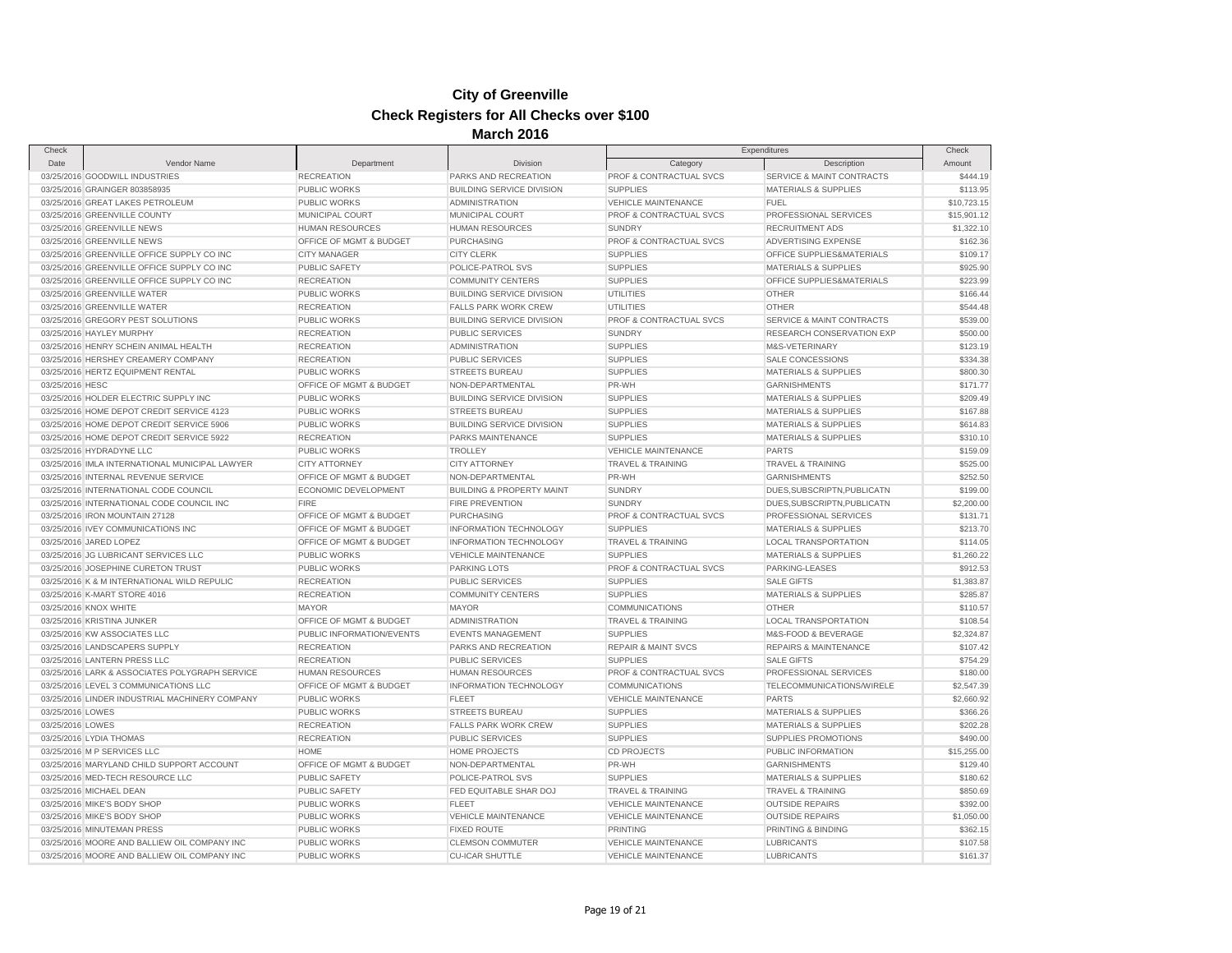| Check            |                                                |                           |                                      |                                    | Expenditures                     | Check       |
|------------------|------------------------------------------------|---------------------------|--------------------------------------|------------------------------------|----------------------------------|-------------|
| Date             | Vendor Name                                    | Department                | Division                             | Category                           | Description                      | Amount      |
|                  | 03/25/2016 GOODWILL INDUSTRIES                 | <b>RECREATION</b>         | PARKS AND RECREATION                 | PROF & CONTRACTUAL SVCS            | SERVICE & MAINT CONTRACTS        | \$444.19    |
|                  | 03/25/2016 GRAINGER 803858935                  | PUBLIC WORKS              | <b>BUILDING SERVICE DIVISION</b>     | <b>SUPPLIES</b>                    | <b>MATERIALS &amp; SUPPLIES</b>  | \$113.95    |
|                  | 03/25/2016 GREAT LAKES PETROLEUM               | <b>PUBLIC WORKS</b>       | <b>ADMINISTRATION</b>                | <b>VEHICLE MAINTENANCE</b>         | <b>FUEL</b>                      | \$10,723.15 |
|                  | 03/25/2016 GREENVILLE COUNTY                   | MUNICIPAL COURT           | <b>MUNICIPAL COURT</b>               | <b>PROF &amp; CONTRACTUAL SVCS</b> | PROFESSIONAL SERVICES            | \$15,901.12 |
|                  | 03/25/2016 GREENVILLE NEWS                     | <b>HUMAN RESOURCES</b>    | <b>HUMAN RESOURCES</b>               | <b>SUNDRY</b>                      | <b>RECRUITMENT ADS</b>           | \$1,322.10  |
|                  | 03/25/2016 GREENVILLE NEWS                     | OFFICE OF MGMT & BUDGET   | <b>PURCHASING</b>                    | PROF & CONTRACTUAL SVCS            | ADVERTISING EXPENSE              | \$162.36    |
|                  | 03/25/2016 GREENVILLE OFFICE SUPPLY CO INC     | <b>CITY MANAGER</b>       | <b>CITY CLERK</b>                    | <b>SUPPLIES</b>                    | OFFICE SUPPLIES&MATERIALS        | \$109.17    |
|                  | 03/25/2016 GREENVILLE OFFICE SUPPLY CO INC     | PUBLIC SAFETY             | POLICE-PATROL SVS                    | <b>SUPPLIES</b>                    | <b>MATERIALS &amp; SUPPLIES</b>  | \$925.90    |
|                  | 03/25/2016 GREENVILLE OFFICE SUPPLY CO INC     | <b>RECREATION</b>         | <b>COMMUNITY CENTERS</b>             | <b>SUPPLIES</b>                    | OFFICE SUPPLIES&MATERIALS        | \$223.99    |
|                  | 03/25/2016 GREENVILLE WATER                    | PUBLIC WORKS              | <b>BUILDING SERVICE DIVISION</b>     | <b>UTILITIES</b>                   | <b>OTHER</b>                     | \$166.44    |
|                  | 03/25/2016 GREENVILLE WATER                    | <b>RECREATION</b>         | <b>FALLS PARK WORK CREW</b>          | <b>UTILITIES</b>                   | <b>OTHER</b>                     | \$544.48    |
|                  | 03/25/2016 GREGORY PEST SOLUTIONS              | PUBLIC WORKS              | <b>BUILDING SERVICE DIVISION</b>     | PROF & CONTRACTUAL SVCS            | SERVICE & MAINT CONTRACTS        | \$539.00    |
|                  | 03/25/2016 HAYLEY MURPHY                       | <b>RECREATION</b>         | <b>PUBLIC SERVICES</b>               | <b>SUNDRY</b>                      | RESEARCH CONSERVATION EXP        | \$500.00    |
|                  | 03/25/2016 HENRY SCHEIN ANIMAL HEALTH          | <b>RECREATION</b>         | <b>ADMINISTRATION</b>                | <b>SUPPLIES</b>                    | M&S-VETERINARY                   | \$123.19    |
|                  | 03/25/2016 HERSHEY CREAMERY COMPANY            | <b>RECREATION</b>         | <b>PUBLIC SERVICES</b>               | <b>SUPPLIES</b>                    | <b>SALE CONCESSIONS</b>          | \$334.38    |
|                  | 03/25/2016 HERTZ EQUIPMENT RENTAL              | <b>PUBLIC WORKS</b>       | <b>STREETS BUREAU</b>                | <b>SUPPLIES</b>                    | <b>MATERIALS &amp; SUPPLIES</b>  | \$800.30    |
| 03/25/2016 HESC  |                                                | OFFICE OF MGMT & BUDGET   | NON-DEPARTMENTAL                     | PR-WH                              | <b>GARNISHMENTS</b>              | \$171.77    |
|                  | 03/25/2016 HOLDER ELECTRIC SUPPLY INC          | <b>PUBLIC WORKS</b>       | <b>BUILDING SERVICE DIVISION</b>     | <b>SUPPLIES</b>                    | MATERIALS & SUPPLIES             | \$209.49    |
|                  | 03/25/2016 HOME DEPOT CREDIT SERVICE 4123      | PUBLIC WORKS              | <b>STREETS BUREAU</b>                | <b>SUPPLIES</b>                    | <b>MATERIALS &amp; SUPPLIES</b>  | \$167.88    |
|                  | 03/25/2016 HOME DEPOT CREDIT SERVICE 5906      | <b>PUBLIC WORKS</b>       | <b>BUILDING SERVICE DIVISION</b>     | <b>SUPPLIES</b>                    | <b>MATERIALS &amp; SUPPLIES</b>  | \$614.83    |
|                  | 03/25/2016 HOME DEPOT CREDIT SERVICE 5922      | <b>RECREATION</b>         | PARKS MAINTENANCE                    | <b>SUPPLIES</b>                    | <b>MATERIALS &amp; SUPPLIES</b>  | \$310.10    |
|                  | 03/25/2016 HYDRADYNE LLC                       | <b>PUBLIC WORKS</b>       | <b>TROLLEY</b>                       | <b>VEHICLE MAINTENANCE</b>         | <b>PARTS</b>                     | \$159.09    |
|                  | 03/25/2016 IMLA INTERNATIONAL MUNICIPAL LAWYER | <b>CITY ATTORNEY</b>      | <b>CITY ATTORNEY</b>                 | <b>TRAVEL &amp; TRAINING</b>       | TRAVEL & TRAINING                | \$525.00    |
|                  | 03/25/2016 INTERNAL REVENUE SERVICE            | OFFICE OF MGMT & BUDGET   | NON-DEPARTMENTAL                     | PR-WH                              | <b>GARNISHMENTS</b>              | \$252.50    |
|                  | 03/25/2016 INTERNATIONAL CODE COUNCIL          | ECONOMIC DEVELOPMENT      | <b>BUILDING &amp; PROPERTY MAINT</b> | <b>SUNDRY</b>                      | DUES, SUBSCRIPTN, PUBLICATN      | \$199.00    |
|                  | 03/25/2016 INTERNATIONAL CODE COUNCIL INC      | <b>FIRE</b>               | <b>FIRE PREVENTION</b>               | <b>SUNDRY</b>                      | DUES, SUBSCRIPTN, PUBLICATN      | \$2,200.00  |
|                  | 03/25/2016 IRON MOUNTAIN 27128                 | OFFICE OF MGMT & BUDGET   | <b>PURCHASING</b>                    | PROF & CONTRACTUAL SVCS            | PROFESSIONAL SERVICES            | \$131.71    |
|                  | 03/25/2016 IVEY COMMUNICATIONS INC             | OFFICE OF MGMT & BUDGET   | <b>INFORMATION TECHNOLOGY</b>        | <b>SUPPLIES</b>                    | <b>MATERIALS &amp; SUPPLIES</b>  | \$213.70    |
|                  | 03/25/2016 JARED LOPEZ                         | OFFICE OF MGMT & BUDGET   | <b>INFORMATION TECHNOLOGY</b>        | <b>TRAVEL &amp; TRAINING</b>       | <b>LOCAL TRANSPORTATION</b>      | \$114.05    |
|                  | 03/25/2016 JG LUBRICANT SERVICES LLC           | PUBLIC WORKS              | <b>VEHICLE MAINTENANCE</b>           | <b>SUPPLIES</b>                    | <b>MATERIALS &amp; SUPPLIES</b>  | \$1,260.22  |
|                  | 03/25/2016 JOSEPHINE CURETON TRUST             | <b>PUBLIC WORKS</b>       | PARKING LOTS                         | PROF & CONTRACTUAL SVCS            | PARKING-LEASES                   | \$912.53    |
|                  | 03/25/2016 K & M INTERNATIONAL WILD REPULIC    | <b>RECREATION</b>         | PUBLIC SERVICES                      | <b>SUPPLIES</b>                    | <b>SALE GIFTS</b>                | \$1,383.87  |
|                  | 03/25/2016 K-MART STORE 4016                   | <b>RECREATION</b>         | <b>COMMUNITY CENTERS</b>             | <b>SUPPLIES</b>                    | MATERIALS & SUPPLIES             | \$285.87    |
|                  | 03/25/2016 KNOX WHITE                          | <b>MAYOR</b>              | <b>MAYOR</b>                         | <b>COMMUNICATIONS</b>              | <b>OTHER</b>                     | \$110.57    |
|                  | 03/25/2016 KRISTINA JUNKER                     | OFFICE OF MGMT & BUDGET   | <b>ADMINISTRATION</b>                | TRAVEL & TRAINING                  | <b>LOCAL TRANSPORTATION</b>      | \$108.54    |
|                  | 03/25/2016 KW ASSOCIATES LLC                   | PUBLIC INFORMATION/EVENTS | <b>EVENTS MANAGEMENT</b>             | <b>SUPPLIES</b>                    | M&S-FOOD & BEVERAGE              | \$2,324.87  |
|                  | 03/25/2016 LANDSCAPERS SUPPLY                  | <b>RECREATION</b>         | PARKS AND RECREATION                 | <b>REPAIR &amp; MAINT SVCS</b>     | <b>REPAIRS &amp; MAINTENANCE</b> | \$107.42    |
|                  | 03/25/2016 LANTERN PRESS LLC                   | <b>RECREATION</b>         | PUBLIC SERVICES                      | <b>SUPPLIES</b>                    | <b>SALE GIFTS</b>                | \$754.29    |
|                  | 03/25/2016 LARK & ASSOCIATES POLYGRAPH SERVICE | <b>HUMAN RESOURCES</b>    | <b>HUMAN RESOURCES</b>               | PROF & CONTRACTUAL SVCS            | PROFESSIONAL SERVICES            | \$180.00    |
|                  | 03/25/2016 LEVEL 3 COMMUNICATIONS LLC          | OFFICE OF MGMT & BUDGET   | <b>INFORMATION TECHNOLOGY</b>        | <b>COMMUNICATIONS</b>              | TELECOMMUNICATIONS/WIRELE        | \$2,547.39  |
|                  | 03/25/2016 LINDER INDUSTRIAL MACHINERY COMPANY | PUBLIC WORKS              | <b>FLEET</b>                         | <b>VEHICLE MAINTENANCE</b>         | <b>PARTS</b>                     | \$2,660.92  |
| 03/25/2016 LOWES |                                                | PUBLIC WORKS              | <b>STREETS BUREAU</b>                | <b>SUPPLIES</b>                    | <b>MATERIALS &amp; SUPPLIES</b>  | \$366.26    |
| 03/25/2016 LOWES |                                                | <b>RECREATION</b>         | FALLS PARK WORK CREW                 | <b>SUPPLIES</b>                    | <b>MATERIALS &amp; SUPPLIES</b>  | \$202.28    |
|                  |                                                |                           |                                      |                                    |                                  |             |
|                  | 03/25/2016 LYDIA THOMAS                        | <b>RECREATION</b>         | <b>PUBLIC SERVICES</b>               | <b>SUPPLIES</b>                    | SUPPLIES PROMOTIONS              | \$490.00    |
|                  | 03/25/2016 M P SERVICES LLC                    | <b>HOME</b>               | <b>HOME PROJECTS</b>                 | <b>CD PROJECTS</b>                 | PUBLIC INFORMATION               | \$15,255.00 |
|                  | 03/25/2016 MARYLAND CHILD SUPPORT ACCOUNT      | OFFICE OF MGMT & BUDGET   | NON-DEPARTMENTAL                     | PR-WH                              | <b>GARNISHMENTS</b>              | \$129.40    |
|                  | 03/25/2016 MED-TECH RESOURCE LLC               | PUBLIC SAFETY             | POLICE-PATROL SVS                    | <b>SUPPLIES</b>                    | <b>MATERIALS &amp; SUPPLIES</b>  | \$180.62    |
|                  | 03/25/2016 MICHAEL DEAN                        | PUBLIC SAFETY             | FED EQUITABLE SHAR DOJ               | <b>TRAVEL &amp; TRAINING</b>       | <b>TRAVEL &amp; TRAINING</b>     | \$850.69    |
|                  | 03/25/2016 MIKE'S BODY SHOP                    | PUBLIC WORKS              | <b>FLEET</b>                         | <b>VEHICLE MAINTENANCE</b>         | <b>OUTSIDE REPAIRS</b>           | \$392.00    |
|                  | 03/25/2016 MIKE'S BODY SHOP                    | PUBLIC WORKS              | <b>VEHICLE MAINTENANCE</b>           | <b>VEHICLE MAINTENANCE</b>         | <b>OUTSIDE REPAIRS</b>           | \$1,050.00  |
|                  | 03/25/2016 MINUTEMAN PRESS                     | <b>PUBLIC WORKS</b>       | <b>FIXED ROUTE</b>                   | <b>PRINTING</b>                    | PRINTING & BINDING               | \$362.15    |
|                  | 03/25/2016 MOORE AND BALLIEW OIL COMPANY INC   | PUBLIC WORKS              | <b>CLEMSON COMMUTER</b>              | <b>VEHICLE MAINTENANCE</b>         | <b>LUBRICANTS</b>                | \$107.58    |
|                  | 03/25/2016 MOORE AND BALLIEW OIL COMPANY INC   | <b>PUBLIC WORKS</b>       | <b>CU-ICAR SHUTTLE</b>               | <b>VEHICLE MAINTENANCE</b>         | <b>LUBRICANTS</b>                | \$161.37    |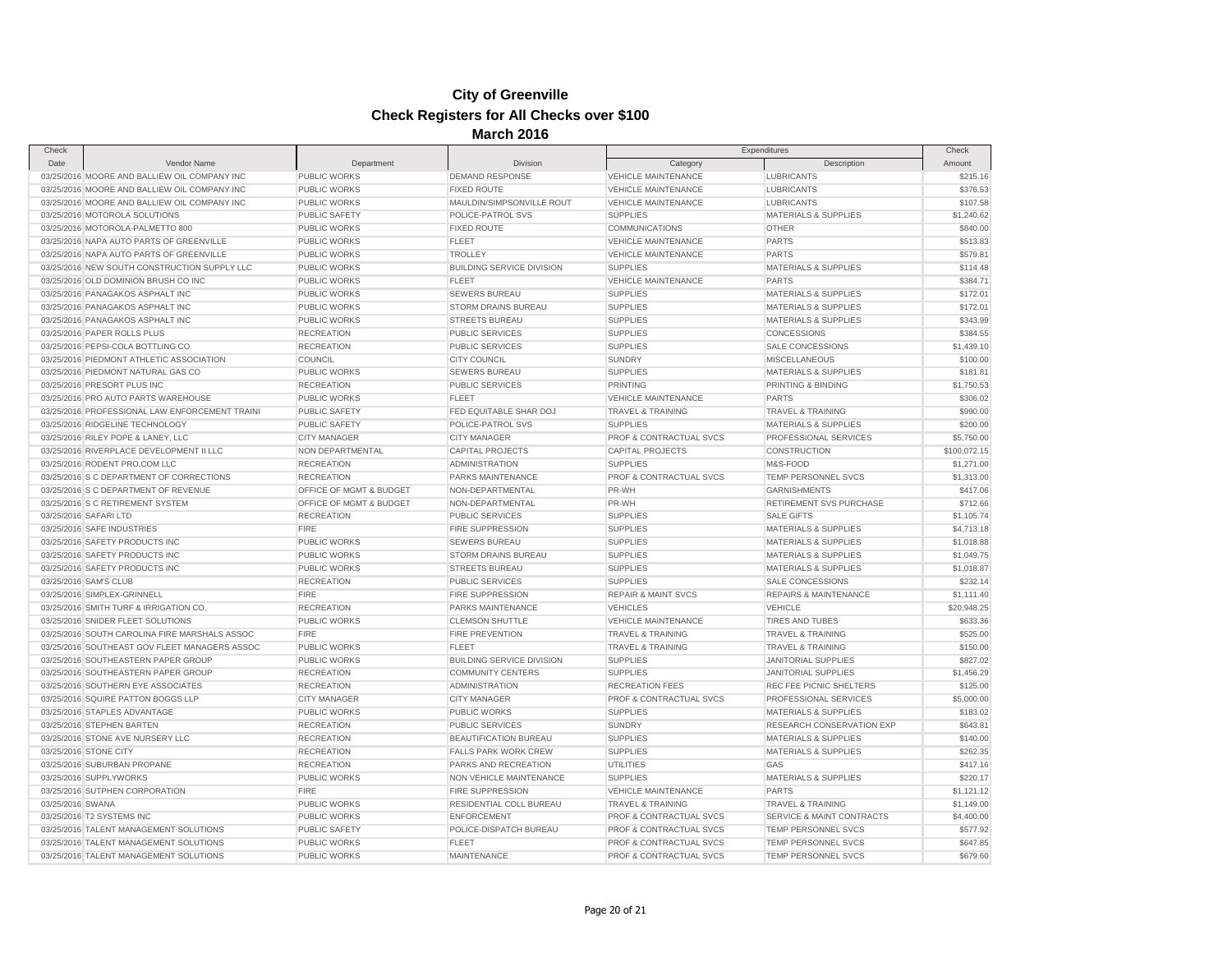| Check                     |                                                |                         |                                  | Expenditures                       |                                  | Check        |
|---------------------------|------------------------------------------------|-------------------------|----------------------------------|------------------------------------|----------------------------------|--------------|
| Date                      | Vendor Name                                    | Department              | Division                         | Category                           | Description                      | Amount       |
|                           | 03/25/2016 MOORE AND BALLIEW OIL COMPANY INC   | <b>PUBLIC WORKS</b>     | <b>DEMAND RESPONSE</b>           | <b>VEHICLE MAINTENANCE</b>         | <b>LUBRICANTS</b>                | \$215.16     |
|                           | 03/25/2016 MOORE AND BALLIEW OIL COMPANY INC   | <b>PUBLIC WORKS</b>     | <b>FIXED ROUTE</b>               | <b>VEHICLE MAINTENANCE</b>         | LUBRICANTS                       | \$376.53     |
|                           | 03/25/2016 MOORE AND BALLIEW OIL COMPANY INC   | <b>PUBLIC WORKS</b>     | MAULDIN/SIMPSONVILLE ROUT        | <b>VEHICLE MAINTENANCE</b>         | <b>LUBRICANTS</b>                | \$107.58     |
|                           | 03/25/2016 MOTOROLA SOLUTIONS                  | <b>PUBLIC SAFETY</b>    | POLICE-PATROL SVS                | <b>SUPPLIES</b>                    | <b>MATERIALS &amp; SUPPLIES</b>  | \$1,240.62   |
|                           | 03/25/2016 MOTOROLA-PALMETTO 800               | <b>PUBLIC WORKS</b>     | <b>FIXED ROUTE</b>               | <b>COMMUNICATIONS</b>              | <b>OTHER</b>                     | \$840.00     |
|                           | 03/25/2016 NAPA AUTO PARTS OF GREENVILLE       | <b>PUBLIC WORKS</b>     | <b>FLEET</b>                     | <b>VEHICLE MAINTENANCE</b>         | <b>PARTS</b>                     | \$513.83     |
|                           | 03/25/2016 NAPA AUTO PARTS OF GREENVILLE       | <b>PUBLIC WORKS</b>     | <b>TROLLEY</b>                   | <b>VEHICLE MAINTENANCE</b>         | <b>PARTS</b>                     | \$579.81     |
|                           | 03/25/2016 NEW SOUTH CONSTRUCTION SUPPLY LLC   | <b>PUBLIC WORKS</b>     | <b>BUILDING SERVICE DIVISION</b> | <b>SUPPLIES</b>                    | <b>MATERIALS &amp; SUPPLIES</b>  | \$114.48     |
|                           | 03/25/2016 OLD DOMINION BRUSH CO INC           | <b>PUBLIC WORKS</b>     | FLEET                            | VEHICLE MAINTENANCE                | <b>PARTS</b>                     | \$384.71     |
|                           | 03/25/2016 PANAGAKOS ASPHALT INC               | <b>PUBLIC WORKS</b>     | <b>SEWERS BUREAU</b>             | <b>SUPPLIES</b>                    | <b>MATERIALS &amp; SUPPLIES</b>  | \$172.01     |
|                           | 03/25/2016 PANAGAKOS ASPHALT INC               | <b>PUBLIC WORKS</b>     | <b>STORM DRAINS BUREAU</b>       | <b>SUPPLIES</b>                    | <b>MATERIALS &amp; SUPPLIES</b>  | \$172.01     |
|                           | 03/25/2016 PANAGAKOS ASPHALT INC               | <b>PUBLIC WORKS</b>     | <b>STREETS BUREAU</b>            | <b>SUPPLIES</b>                    | <b>MATERIALS &amp; SUPPLIES</b>  | \$343.99     |
|                           | 03/25/2016 PAPER ROLLS PLUS                    | <b>RECREATION</b>       | PUBLIC SERVICES                  | <b>SUPPLIES</b>                    | CONCESSIONS                      | \$384.55     |
|                           | 03/25/2016 PEPSI-COLA BOTTLING CO              | <b>RECREATION</b>       | <b>PUBLIC SERVICES</b>           | <b>SUPPLIES</b>                    | SALE CONCESSIONS                 | \$1,439.10   |
|                           | 03/25/2016 PIEDMONT ATHLETIC ASSOCIATION       | <b>COUNCIL</b>          | <b>CITY COUNCIL</b>              | <b>SUNDRY</b>                      | <b>MISCELLANEOUS</b>             | \$100.00     |
|                           | 03/25/2016 PIEDMONT NATURAL GAS CO             | PUBLIC WORKS            | <b>SEWERS BUREAU</b>             | <b>SUPPLIES</b>                    | <b>MATERIALS &amp; SUPPLIES</b>  | \$181.81     |
|                           | 03/25/2016 PRESORT PLUS INC                    | <b>RECREATION</b>       | <b>PUBLIC SERVICES</b>           | PRINTING                           | PRINTING & BINDING               | \$1,750.53   |
|                           | 03/25/2016 PRO AUTO PARTS WAREHOUSE            | <b>PUBLIC WORKS</b>     | <b>FLEET</b>                     | <b>VEHICLE MAINTENANCE</b>         | <b>PARTS</b>                     | \$306.02     |
|                           | 03/25/2016 PROFESSIONAL LAW ENFORCEMENT TRAINI | <b>PUBLIC SAFETY</b>    | FED EQUITABLE SHAR DOJ           | <b>TRAVEL &amp; TRAINING</b>       | TRAVEL & TRAINING                | \$990.00     |
|                           | 03/25/2016 RIDGELINE TECHNOLOGY                | <b>PUBLIC SAFETY</b>    | POLICE-PATROL SVS                | <b>SUPPLIES</b>                    | <b>MATERIALS &amp; SUPPLIES</b>  | \$200.00     |
|                           | 03/25/2016 RILEY POPE & LANEY, LLC             | <b>CITY MANAGER</b>     | <b>CITY MANAGER</b>              | PROF & CONTRACTUAL SVCS            | PROFESSIONAL SERVICES            | \$5,750.00   |
|                           | 03/25/2016 RIVERPLACE DEVELOPMENT II LLC       | NON DEPARTMENTAL        | <b>CAPITAL PROJECTS</b>          | <b>CAPITAL PROJECTS</b>            | CONSTRUCTION                     | \$100,072.15 |
|                           | 03/25/2016 RODENT PRO.COM LLC                  | <b>RECREATION</b>       | <b>ADMINISTRATION</b>            | <b>SUPPLIES</b>                    | M&S-FOOD                         | \$1,271.00   |
|                           | 03/25/2016 S C DEPARTMENT OF CORRECTIONS       | <b>RECREATION</b>       | PARKS MAINTENANCE                | PROF & CONTRACTUAL SVCS            | TEMP PERSONNEL SVCS              | \$1,313.00   |
|                           | 03/25/2016 S C DEPARTMENT OF REVENUE           | OFFICE OF MGMT & BUDGET | NON-DEPARTMENTAL                 | PR-WH                              | <b>GARNISHMENTS</b>              | \$417.06     |
|                           | 03/25/2016 S C RETIREMENT SYSTEM               | OFFICE OF MGMT & BUDGET | NON-DEPARTMENTAL                 | PR-WH                              | RETIREMENT SVS PURCHASE          | \$712.66     |
| 03/25/2016 SAFARI LTD     |                                                | <b>RECREATION</b>       | <b>PUBLIC SERVICES</b>           | <b>SUPPLIES</b>                    | <b>SALE GIFTS</b>                | \$1,105.74   |
|                           | 03/25/2016 SAFE INDUSTRIES                     | <b>FIRE</b>             | <b>FIRE SUPPRESSION</b>          | <b>SUPPLIES</b>                    | <b>MATERIALS &amp; SUPPLIES</b>  | \$4,713.18   |
|                           | 03/25/2016 SAFETY PRODUCTS INC                 | <b>PUBLIC WORKS</b>     | <b>SEWERS BUREAU</b>             | <b>SUPPLIES</b>                    | <b>MATERIALS &amp; SUPPLIES</b>  | \$1,018.88   |
|                           | 03/25/2016 SAFETY PRODUCTS INC                 | <b>PUBLIC WORKS</b>     | STORM DRAINS BUREAU              | <b>SUPPLIES</b>                    | <b>MATERIALS &amp; SUPPLIES</b>  | \$1,049.75   |
|                           | 03/25/2016 SAFETY PRODUCTS INC                 | <b>PUBLIC WORKS</b>     | STREETS BUREAU                   | <b>SUPPLIES</b>                    | MATERIALS & SUPPLIES             | \$1,018.87   |
| 03/25/2016 SAM'S CLUB     |                                                | <b>RECREATION</b>       | <b>PUBLIC SERVICES</b>           | <b>SUPPLIES</b>                    | <b>SALE CONCESSIONS</b>          | \$232.14     |
|                           | 03/25/2016 SIMPLEX-GRINNELL                    | <b>FIRE</b>             | FIRE SUPPRESSION                 | <b>REPAIR &amp; MAINT SVCS</b>     | <b>REPAIRS &amp; MAINTENANCE</b> | \$1,111.40   |
|                           | 03/25/2016 SMITH TURF & IRRIGATION CO.         | <b>RECREATION</b>       | PARKS MAINTENANCE                | <b>VEHICLES</b>                    | <b>VEHICLE</b>                   | \$20,948.25  |
|                           | 03/25/2016 SNIDER FLEET SOLUTIONS              | <b>PUBLIC WORKS</b>     | <b>CLEMSON SHUTTLE</b>           | <b>VEHICLE MAINTENANCE</b>         | <b>TIRES AND TUBES</b>           | \$633.36     |
|                           | 03/25/2016 SOUTH CAROLINA FIRE MARSHALS ASSOC  | <b>FIRE</b>             | <b>FIRE PREVENTION</b>           | <b>TRAVEL &amp; TRAINING</b>       | <b>TRAVEL &amp; TRAINING</b>     | \$525.00     |
|                           | 03/25/2016 SOUTHEAST GOV FLEET MANAGERS ASSOC  | <b>PUBLIC WORKS</b>     | <b>FLEET</b>                     | <b>TRAVEL &amp; TRAINING</b>       | <b>TRAVEL &amp; TRAINING</b>     | \$150.00     |
|                           | 03/25/2016 SOUTHEASTERN PAPER GROUP            | <b>PUBLIC WORKS</b>     | <b>BUILDING SERVICE DIVISION</b> | <b>SUPPLIES</b>                    | JANITORIAL SUPPLIES              | \$827.02     |
|                           | 03/25/2016 SOUTHEASTERN PAPER GROUP            | <b>RECREATION</b>       | <b>COMMUNITY CENTERS</b>         | <b>SUPPLIES</b>                    | <b>JANITORIAL SUPPLIES</b>       | \$1,456.29   |
|                           | 03/25/2016 SOUTHERN EYE ASSOCIATES             | <b>RECREATION</b>       | <b>ADMINISTRATION</b>            | <b>RECREATION FEES</b>             | REC FEE PICNIC SHELTERS          | \$125.00     |
|                           | 03/25/2016 SQUIRE PATTON BOGGS LLP             | <b>CITY MANAGER</b>     | <b>CITY MANAGER</b>              | <b>PROF &amp; CONTRACTUAL SVCS</b> | PROFESSIONAL SERVICES            | \$5,000.00   |
|                           | 03/25/2016 STAPLES ADVANTAGE                   | <b>PUBLIC WORKS</b>     | <b>PUBLIC WORKS</b>              | <b>SUPPLIES</b>                    | <b>MATERIALS &amp; SUPPLIES</b>  | \$183.02     |
|                           | 03/25/2016 STEPHEN BARTEN                      | <b>RECREATION</b>       | <b>PUBLIC SERVICES</b>           | <b>SUNDRY</b>                      | RESEARCH CONSERVATION EXP        | \$643.81     |
|                           | 03/25/2016 STONE AVE NURSERY LLC               | <b>RECREATION</b>       | BEAUTIFICATION BUREAU            | <b>SUPPLIES</b>                    | <b>MATERIALS &amp; SUPPLIES</b>  | \$140.00     |
| 03/25/2016 STONE CITY     |                                                | <b>RECREATION</b>       | FALLS PARK WORK CREW             | <b>SUPPLIES</b>                    | MATERIALS & SUPPLIES             | \$262.35     |
|                           | 03/25/2016 SUBURBAN PROPANE                    | <b>RECREATION</b>       | PARKS AND RECREATION             | <b>UTILITIES</b>                   | GAS                              | \$417.16     |
| 03/25/2016 SUPPLYWORKS    |                                                | <b>PUBLIC WORKS</b>     | NON VEHICLE MAINTENANCE          | <b>SUPPLIES</b>                    | <b>MATERIALS &amp; SUPPLIES</b>  | \$220.17     |
|                           | 03/25/2016 SUTPHEN CORPORATION                 | <b>FIRE</b>             | <b>FIRE SUPPRESSION</b>          | VEHICLE MAINTENANCE                | <b>PARTS</b>                     | \$1,121.12   |
| 03/25/2016 SWANA          |                                                | <b>PUBLIC WORKS</b>     | RESIDENTIAL COLL BUREAU          | <b>TRAVEL &amp; TRAINING</b>       | <b>TRAVEL &amp; TRAINING</b>     | \$1,149.00   |
| 03/25/2016 T2 SYSTEMS INC |                                                | <b>PUBLIC WORKS</b>     | <b>ENFORCEMENT</b>               | PROF & CONTRACTUAL SVCS            | SERVICE & MAINT CONTRACTS        | \$4,400.00   |
|                           | 03/25/2016 TALENT MANAGEMENT SOLUTIONS         | <b>PUBLIC SAFETY</b>    | POLICE-DISPATCH BUREAU           | <b>PROF &amp; CONTRACTUAL SVCS</b> | TEMP PERSONNEL SVCS              | \$577.92     |
|                           | 03/25/2016 TALENT MANAGEMENT SOLUTIONS         | <b>PUBLIC WORKS</b>     | <b>FLEET</b>                     | PROF & CONTRACTUAL SVCS            | TEMP PERSONNEL SVCS              | \$647.85     |
|                           | 03/25/2016 TALENT MANAGEMENT SOLUTIONS         | <b>PUBLIC WORKS</b>     | <b>MAINTENANCE</b>               | PROF & CONTRACTUAL SVCS            | TEMP PERSONNEL SVCS              | \$679.60     |
|                           |                                                |                         |                                  |                                    |                                  |              |